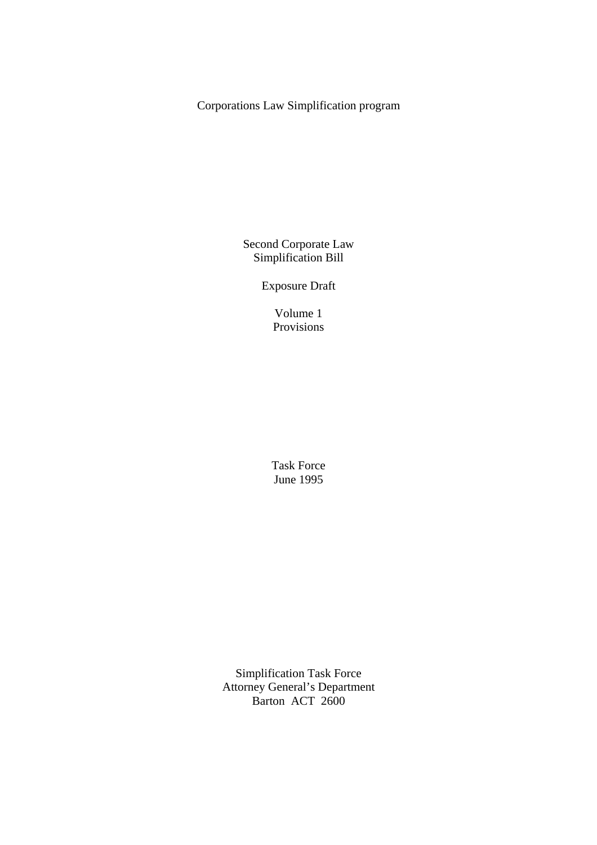Corporations Law Simplification program

Second Corporate Law Simplification Bill

Exposure Draft

Volume 1 Provisions

Task Force June 1995

Simplification Task Force Attorney General's Department Barton ACT 2600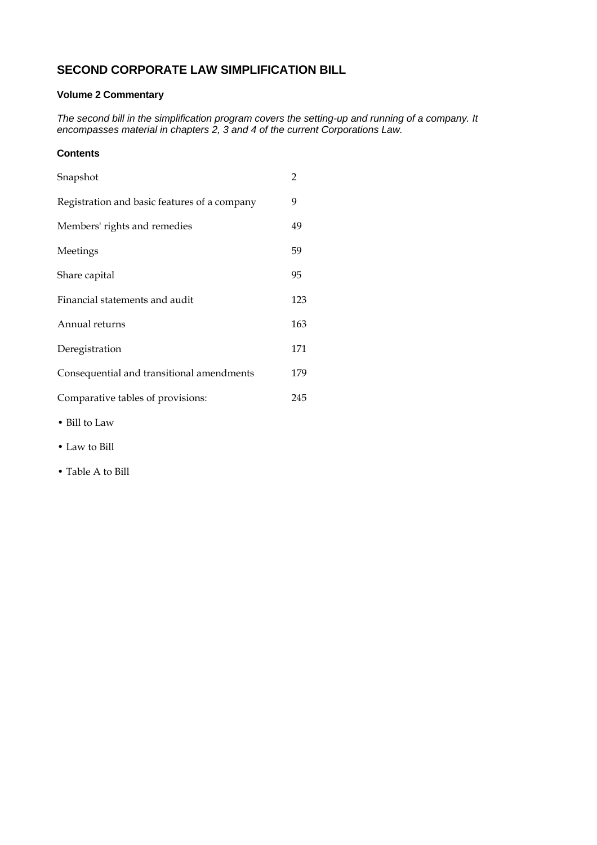# **SECOND CORPORATE LAW SIMPLIFICATION BILL**

### **Volume 2 Commentary**

*The second bill in the simplification program covers the setting-up and running of a company. It encompasses material in chapters 2, 3 and 4 of the current Corporations Law.* 

#### **Contents**

| Snapshot                                     | $\overline{2}$ |
|----------------------------------------------|----------------|
| Registration and basic features of a company | 9              |
| Members' rights and remedies                 | 49             |
| Meetings                                     | 59             |
| Share capital                                | 95             |
| Financial statements and audit               | 123            |
| Annual returns                               | 163            |
| Deregistration                               | 171            |
| Consequential and transitional amendments    | 179            |
| Comparative tables of provisions:            | 245            |
|                                              |                |

- Bill to Law
- Law to Bill
- Table A to Bill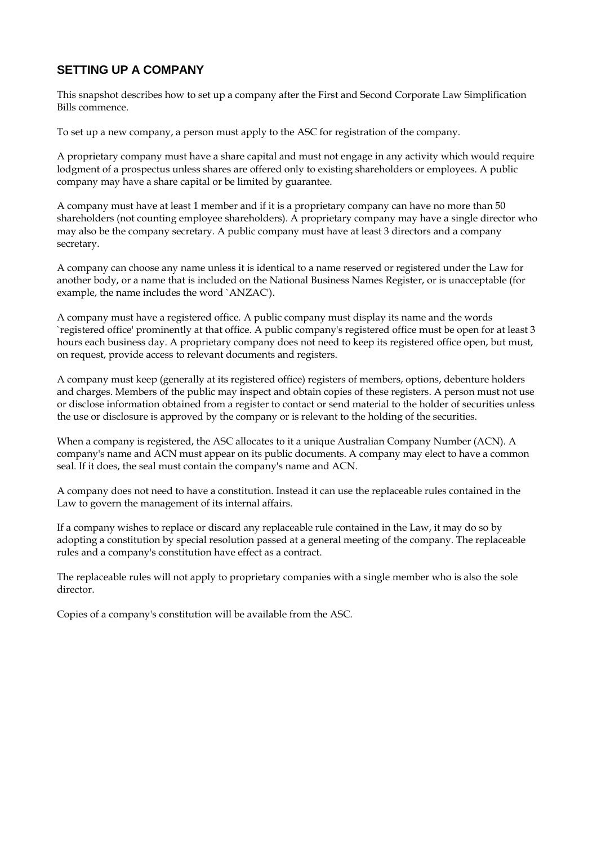# **SETTING UP A COMPANY**

This snapshot describes how to set up a company after the First and Second Corporate Law Simplification Bills commence.

To set up a new company, a person must apply to the ASC for registration of the company.

A proprietary company must have a share capital and must not engage in any activity which would require lodgment of a prospectus unless shares are offered only to existing shareholders or employees. A public company may have a share capital or be limited by guarantee.

A company must have at least 1 member and if it is a proprietary company can have no more than 50 shareholders (not counting employee shareholders). A proprietary company may have a single director who may also be the company secretary. A public company must have at least 3 directors and a company secretary.

A company can choose any name unless it is identical to a name reserved or registered under the Law for another body, or a name that is included on the National Business Names Register, or is unacceptable (for example, the name includes the word `ANZAC').

A company must have a registered office*.* A public company must display its name and the words `registered office' prominently at that office. A public company's registered office must be open for at least 3 hours each business day. A proprietary company does not need to keep its registered office open, but must, on request, provide access to relevant documents and registers.

A company must keep (generally at its registered office) registers of members, options, debenture holders and charges. Members of the public may inspect and obtain copies of these registers. A person must not use or disclose information obtained from a register to contact or send material to the holder of securities unless the use or disclosure is approved by the company or is relevant to the holding of the securities.

When a company is registered, the ASC allocates to it a unique Australian Company Number (ACN). A company's name and ACN must appear on its public documents. A company may elect to have a common seal. If it does, the seal must contain the company's name and ACN.

A company does not need to have a constitution. Instead it can use the replaceable rules contained in the Law to govern the management of its internal affairs.

If a company wishes to replace or discard any replaceable rule contained in the Law, it may do so by adopting a constitution by special resolution passed at a general meeting of the company. The replaceable rules and a company's constitution have effect as a contract.

The replaceable rules will not apply to proprietary companies with a single member who is also the sole director.

Copies of a company's constitution will be available from the ASC.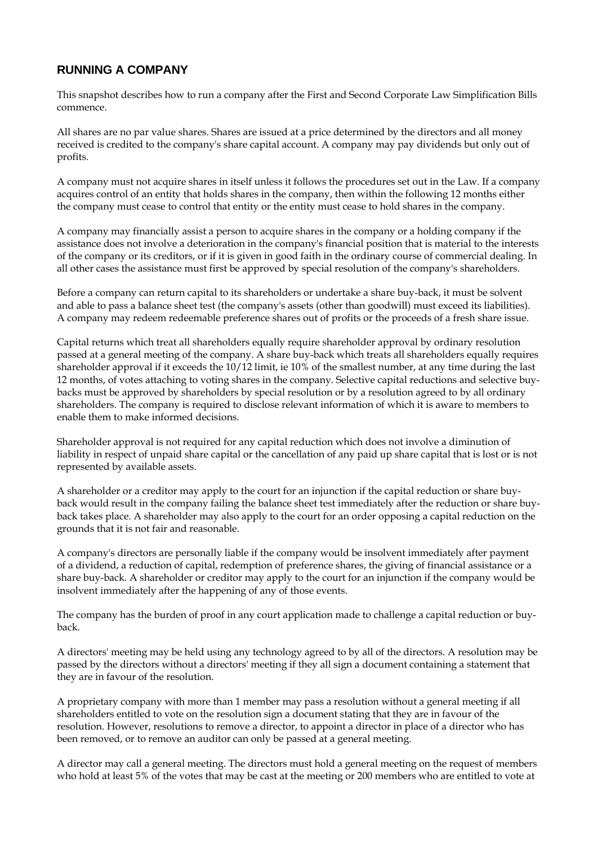# **RUNNING A COMPANY**

This snapshot describes how to run a company after the First and Second Corporate Law Simplification Bills commence.

All shares are no par value shares. Shares are issued at a price determined by the directors and all money received is credited to the company's share capital account. A company may pay dividends but only out of profits.

A company must not acquire shares in itself unless it follows the procedures set out in the Law. If a company acquires control of an entity that holds shares in the company, then within the following 12 months either the company must cease to control that entity or the entity must cease to hold shares in the company.

A company may financially assist a person to acquire shares in the company or a holding company if the assistance does not involve a deterioration in the company's financial position that is material to the interests of the company or its creditors, or if it is given in good faith in the ordinary course of commercial dealing. In all other cases the assistance must first be approved by special resolution of the company's shareholders.

Before a company can return capital to its shareholders or undertake a share buy-back, it must be solvent and able to pass a balance sheet test (the company's assets (other than goodwill) must exceed its liabilities). A company may redeem redeemable preference shares out of profits or the proceeds of a fresh share issue.

Capital returns which treat all shareholders equally require shareholder approval by ordinary resolution passed at a general meeting of the company. A share buy-back which treats all shareholders equally requires shareholder approval if it exceeds the 10/12 limit, ie 10% of the smallest number, at any time during the last 12 months, of votes attaching to voting shares in the company. Selective capital reductions and selective buybacks must be approved by shareholders by special resolution or by a resolution agreed to by all ordinary shareholders. The company is required to disclose relevant information of which it is aware to members to enable them to make informed decisions.

Shareholder approval is not required for any capital reduction which does not involve a diminution of liability in respect of unpaid share capital or the cancellation of any paid up share capital that is lost or is not represented by available assets.

A shareholder or a creditor may apply to the court for an injunction if the capital reduction or share buyback would result in the company failing the balance sheet test immediately after the reduction or share buyback takes place. A shareholder may also apply to the court for an order opposing a capital reduction on the grounds that it is not fair and reasonable.

A company's directors are personally liable if the company would be insolvent immediately after payment of a dividend, a reduction of capital, redemption of preference shares, the giving of financial assistance or a share buy-back. A shareholder or creditor may apply to the court for an injunction if the company would be insolvent immediately after the happening of any of those events.

The company has the burden of proof in any court application made to challenge a capital reduction or buyback.

A directors' meeting may be held using any technology agreed to by all of the directors. A resolution may be passed by the directors without a directors' meeting if they all sign a document containing a statement that they are in favour of the resolution.

A proprietary company with more than 1 member may pass a resolution without a general meeting if all shareholders entitled to vote on the resolution sign a document stating that they are in favour of the resolution. However, resolutions to remove a director, to appoint a director in place of a director who has been removed, or to remove an auditor can only be passed at a general meeting.

A director may call a general meeting. The directors must hold a general meeting on the request of members who hold at least 5% of the votes that may be cast at the meeting or 200 members who are entitled to vote at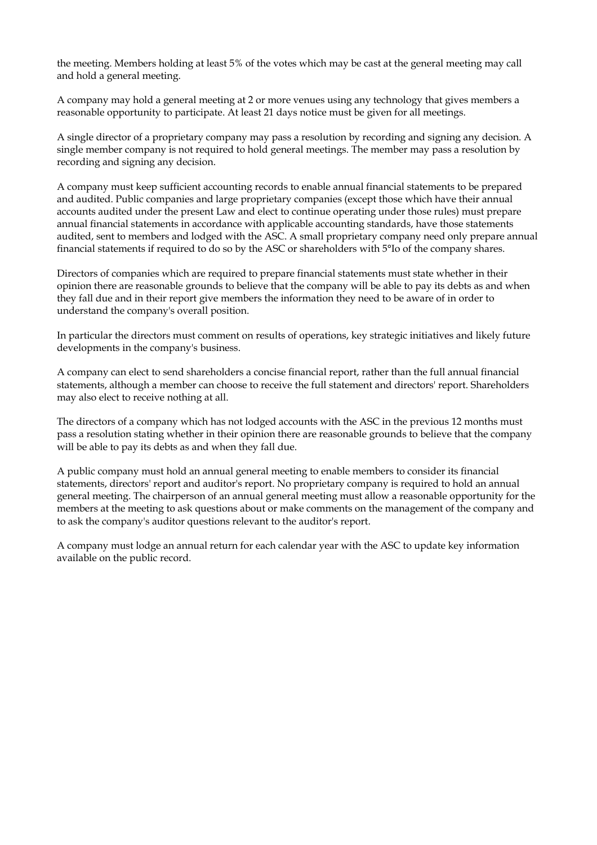the meeting. Members holding at least 5% of the votes which may be cast at the general meeting may call and hold a general meeting.

A company may hold a general meeting at 2 or more venues using any technology that gives members a reasonable opportunity to participate. At least 21 days notice must be given for all meetings.

A single director of a proprietary company may pass a resolution by recording and signing any decision. A single member company is not required to hold general meetings. The member may pass a resolution by recording and signing any decision.

A company must keep sufficient accounting records to enable annual financial statements to be prepared and audited. Public companies and large proprietary companies (except those which have their annual accounts audited under the present Law and elect to continue operating under those rules) must prepare annual financial statements in accordance with applicable accounting standards, have those statements audited, sent to members and lodged with the ASC. A small proprietary company need only prepare annual financial statements if required to do so by the ASC or shareholders with 5°Io of the company shares.

Directors of companies which are required to prepare financial statements must state whether in their opinion there are reasonable grounds to believe that the company will be able to pay its debts as and when they fall due and in their report give members the information they need to be aware of in order to understand the company's overall position.

In particular the directors must comment on results of operations, key strategic initiatives and likely future developments in the company's business.

A company can elect to send shareholders a concise financial report, rather than the full annual financial statements, although a member can choose to receive the full statement and directors' report. Shareholders may also elect to receive nothing at all.

The directors of a company which has not lodged accounts with the ASC in the previous 12 months must pass a resolution stating whether in their opinion there are reasonable grounds to believe that the company will be able to pay its debts as and when they fall due.

A public company must hold an annual general meeting to enable members to consider its financial statements, directors' report and auditor's report. No proprietary company is required to hold an annual general meeting. The chairperson of an annual general meeting must allow a reasonable opportunity for the members at the meeting to ask questions about or make comments on the management of the company and to ask the company's auditor questions relevant to the auditor's report.

A company must lodge an annual return for each calendar year with the ASC to update key information available on the public record.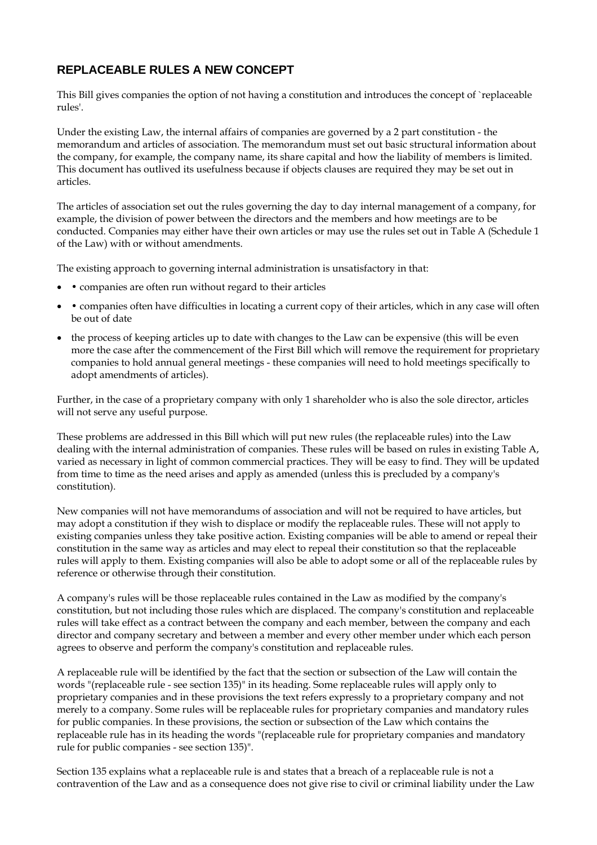# **REPLACEABLE RULES A NEW CONCEPT**

This Bill gives companies the option of not having a constitution and introduces the concept of `replaceable rules'.

Under the existing Law, the internal affairs of companies are governed by a 2 part constitution - the memorandum and articles of association. The memorandum must set out basic structural information about the company, for example, the company name, its share capital and how the liability of members is limited. This document has outlived its usefulness because if objects clauses are required they may be set out in articles.

The articles of association set out the rules governing the day to day internal management of a company, for example, the division of power between the directors and the members and how meetings are to be conducted. Companies may either have their own articles or may use the rules set out in Table A (Schedule 1 of the Law) with or without amendments.

The existing approach to governing internal administration is unsatisfactory in that:

- companies are often run without regard to their articles
- companies often have difficulties in locating a current copy of their articles, which in any case will often be out of date
- the process of keeping articles up to date with changes to the Law can be expensive (this will be even more the case after the commencement of the First Bill which will remove the requirement for proprietary companies to hold annual general meetings - these companies will need to hold meetings specifically to adopt amendments of articles).

Further, in the case of a proprietary company with only 1 shareholder who is also the sole director, articles will not serve any useful purpose.

These problems are addressed in this Bill which will put new rules (the replaceable rules) into the Law dealing with the internal administration of companies. These rules will be based on rules in existing Table A, varied as necessary in light of common commercial practices. They will be easy to find. They will be updated from time to time as the need arises and apply as amended (unless this is precluded by a company's constitution).

New companies will not have memorandums of association and will not be required to have articles, but may adopt a constitution if they wish to displace or modify the replaceable rules. These will not apply to existing companies unless they take positive action. Existing companies will be able to amend or repeal their constitution in the same way as articles and may elect to repeal their constitution so that the replaceable rules will apply to them. Existing companies will also be able to adopt some or all of the replaceable rules by reference or otherwise through their constitution.

A company's rules will be those replaceable rules contained in the Law as modified by the company's constitution, but not including those rules which are displaced. The company's constitution and replaceable rules will take effect as a contract between the company and each member, between the company and each director and company secretary and between a member and every other member under which each person agrees to observe and perform the company's constitution and replaceable rules.

A replaceable rule will be identified by the fact that the section or subsection of the Law will contain the words "(replaceable rule - see section 135)" in its heading. Some replaceable rules will apply only to proprietary companies and in these provisions the text refers expressly to a proprietary company and not merely to a company. Some rules will be replaceable rules for proprietary companies and mandatory rules for public companies. In these provisions, the section or subsection of the Law which contains the replaceable rule has in its heading the words "(replaceable rule for proprietary companies and mandatory rule for public companies - see section 135)".

Section 135 explains what a replaceable rule is and states that a breach of a replaceable rule is not a contravention of the Law and as a consequence does not give rise to civil or criminal liability under the Law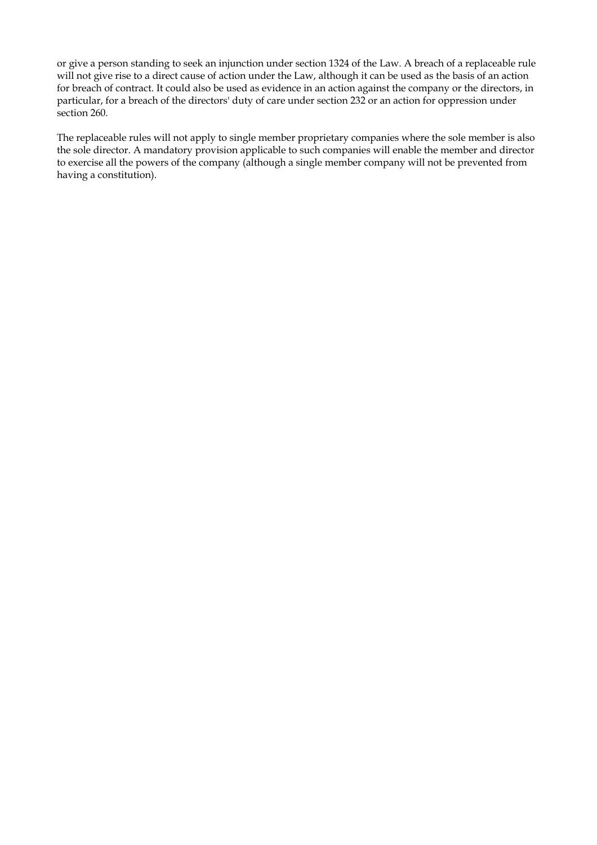or give a person standing to seek an injunction under section 1324 of the Law. A breach of a replaceable rule will not give rise to a direct cause of action under the Law, although it can be used as the basis of an action for breach of contract. It could also be used as evidence in an action against the company or the directors, in particular, for a breach of the directors' duty of care under section 232 or an action for oppression under section 260.

The replaceable rules will not apply to single member proprietary companies where the sole member is also the sole director. A mandatory provision applicable to such companies will enable the member and director to exercise all the powers of the company (although a single member company will not be prevented from having a constitution).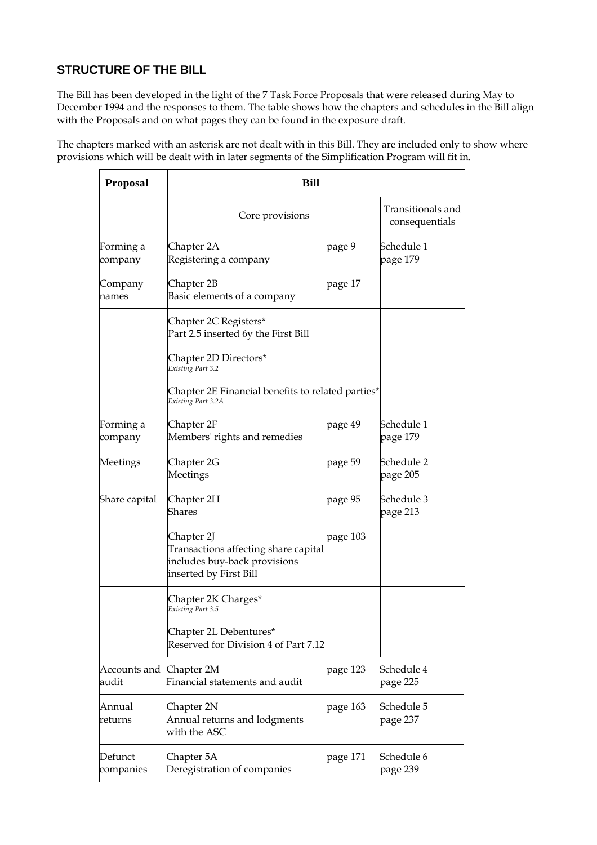# **STRUCTURE OF THE BILL**

The Bill has been developed in the light of the 7 Task Force Proposals that were released during May to December 1994 and the responses to them. The table shows how the chapters and schedules in the Bill align with the Proposals and on what pages they can be found in the exposure draft.

The chapters marked with an asterisk are not dealt with in this Bill. They are included only to show where provisions which will be dealt with in later segments of the Simplification Program will fit in.

| <b>Proposal</b>                  | <b>Bill</b>                                                                                                  |          |                                     |
|----------------------------------|--------------------------------------------------------------------------------------------------------------|----------|-------------------------------------|
|                                  | Core provisions                                                                                              |          | Transitionals and<br>consequentials |
| Forming a<br>company             | Chapter 2A<br>Registering a company                                                                          | page 9   | Schedule 1<br>page 179              |
| Company<br>names                 | Chapter 2B<br>Basic elements of a company                                                                    | page 17  |                                     |
|                                  | Chapter 2C Registers*<br>Part 2.5 inserted 6y the First Bill                                                 |          |                                     |
|                                  | Chapter 2D Directors*<br>Existing Part 3.2                                                                   |          |                                     |
|                                  | Chapter 2E Financial benefits to related parties*<br>Existing Part 3.2A                                      |          |                                     |
| Forming a<br>company             | Chapter 2F<br>Members' rights and remedies                                                                   | page 49  | Schedule 1<br>page 179              |
| Meetings                         | Chapter 2G<br>Meetings                                                                                       | page 59  | Schedule 2<br>page 205              |
| Share capital                    | Chapter 2H<br>Shares                                                                                         | page 95  | Schedule 3<br>page 213              |
|                                  | Chapter 2J<br>Transactions affecting share capital<br>includes buy-back provisions<br>inserted by First Bill | page 103 |                                     |
|                                  | Chapter 2K Charges*<br>Existing Part 3.5                                                                     |          |                                     |
|                                  | Chapter 2L Debentures*<br>Reserved for Division 4 of Part 7.12                                               |          |                                     |
| Accounts and Chapter 2M<br>audit | Financial statements and audit                                                                               | page 123 | Schedule 4<br>page 225              |
| Annual<br>returns                | Chapter 2N<br>Annual returns and lodgments<br>with the ASC                                                   | page 163 | Schedule 5<br>page 237              |
| Defunct<br>companies             | Chapter 5A<br>Deregistration of companies                                                                    | page 171 | Schedule 6<br>page 239              |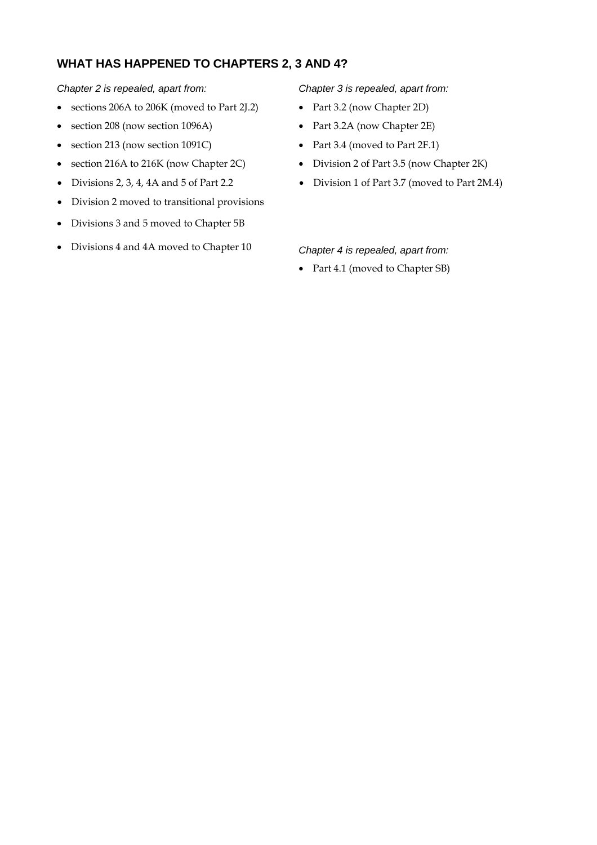## **WHAT HAS HAPPENED TO CHAPTERS 2, 3 AND 4?**

*Chapter 2 is repealed, apart from: Chapter 3 is repealed, apart from:* 

- sections 206A to 206K (moved to Part 2J.2) Part 3.2 (now Chapter 2D)
- section 208 (now section 1096A) Part 3.2A (now Chapter 2E)
- section 213 (now section 1091C) Part 3.4 (moved to Part 2F.1)
- section 216A to 216K (now Chapter 2C) Division 2 of Part 3.5 (now Chapter 2K)
- Divisions 2, 3, 4, 4A and 5 of Part 2.2
- Division 2 moved to transitional provisions
- Divisions 3 and 5 moved to Chapter 5B
- Divisions 4 and 4A moved to Chapter 10 *Chapter 4 is repealed, apart from:*

- 
- 
- 
- 
- Division 1 of Part 3.7 (moved to Part 2M.4)

• Part 4.1 (moved to Chapter SB)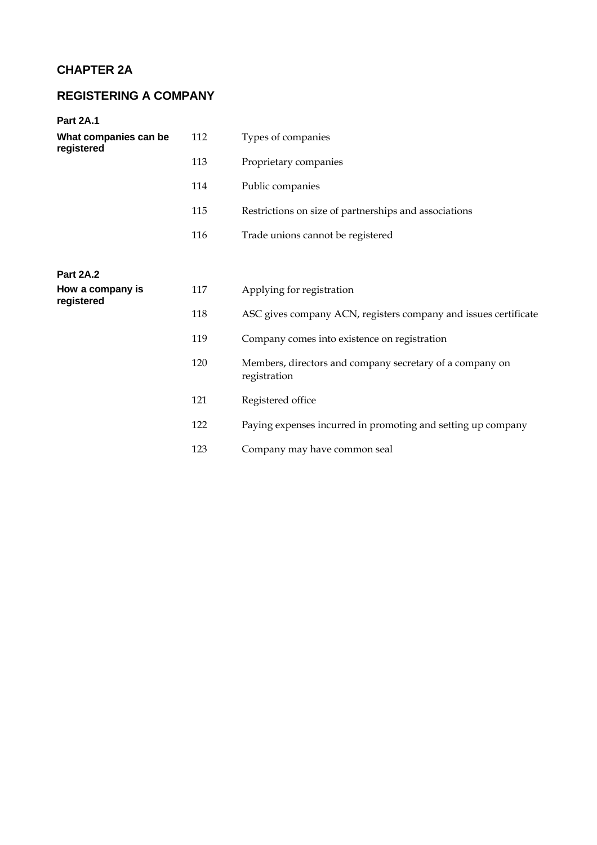# **CHAPTER 2A**

# **REGISTERING A COMPANY**

#### **Part 2A.1**

| What companies can be<br>registered | 112 | Types of companies                                                       |
|-------------------------------------|-----|--------------------------------------------------------------------------|
|                                     | 113 | Proprietary companies                                                    |
|                                     | 114 | Public companies                                                         |
|                                     | 115 | Restrictions on size of partnerships and associations                    |
|                                     | 116 | Trade unions cannot be registered                                        |
|                                     |     |                                                                          |
| <b>Part 2A.2</b>                    |     |                                                                          |
| How a company is<br>registered      | 117 | Applying for registration                                                |
|                                     | 118 | ASC gives company ACN, registers company and issues certificate          |
|                                     | 119 | Company comes into existence on registration                             |
|                                     | 120 | Members, directors and company secretary of a company on<br>registration |
|                                     | 121 | Registered office                                                        |
|                                     | 122 | Paying expenses incurred in promoting and setting up company             |
|                                     | 123 | Company may have common seal                                             |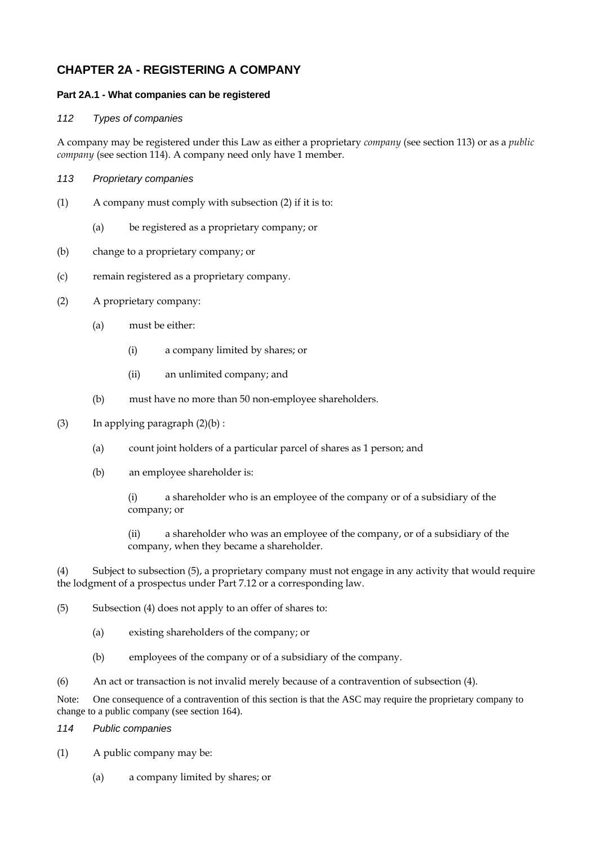## **CHAPTER 2A - REGISTERING A COMPANY**

#### **Part 2A.1 - What companies can be registered**

#### *112 Types of companies*

A company may be registered under this Law as either a proprietary *company* (see section 113) or as a *public company* (see section 114). A company need only have 1 member.

- *113 Proprietary companies*
- (1) A company must comply with subsection (2) if it is to:
	- (a) be registered as a proprietary company; or
- (b) change to a proprietary company; or
- (c) remain registered as a proprietary company.
- (2) A proprietary company:
	- (a) must be either:
		- (i) a company limited by shares; or
		- (ii) an unlimited company; and
	- (b) must have no more than 50 non-employee shareholders.
- (3) In applying paragraph  $(2)(b)$ :
	- (a) count joint holders of a particular parcel of shares as 1 person; and
	- (b) an employee shareholder is:

(i) a shareholder who is an employee of the company or of a subsidiary of the company; or

(ii) a shareholder who was an employee of the company, or of a subsidiary of the company, when they became a shareholder.

(4) Subject to subsection (5), a proprietary company must not engage in any activity that would require the lodgment of a prospectus under Part 7.12 or a corresponding law.

- (5) Subsection (4) does not apply to an offer of shares to:
	- (a) existing shareholders of the company; or
	- (b) employees of the company or of a subsidiary of the company.
- (6) An act or transaction is not invalid merely because of a contravention of subsection (4).

Note: One consequence of a contravention of this section is that the ASC may require the proprietary company to change to a public company (see section 164).

- *114 Public companies*
- (1) A public company may be:
	- (a) a company limited by shares; or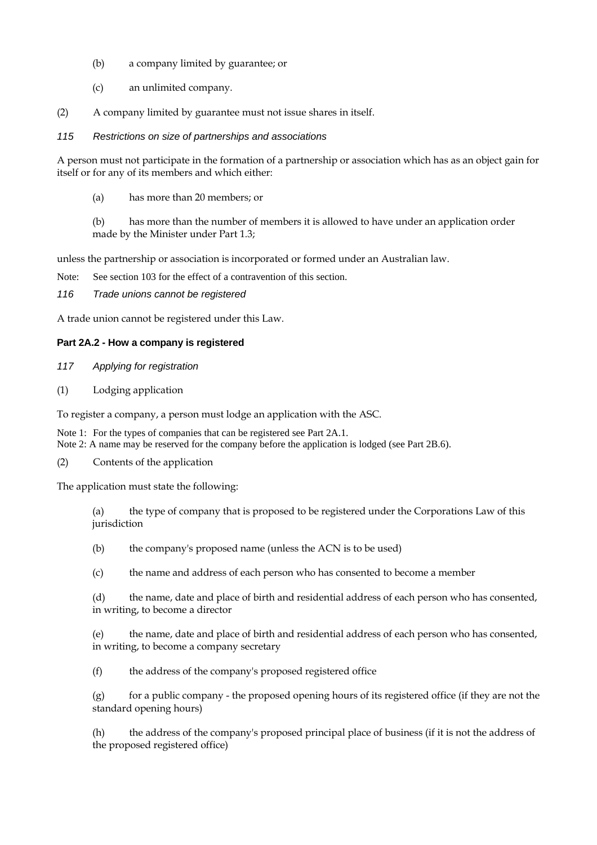- (b) a company limited by guarantee; or
- (c) an unlimited company.
- (2) A company limited by guarantee must not issue shares in itself.
- *115 Restrictions on size of partnerships and associations*

A person must not participate in the formation of a partnership or association which has as an object gain for itself or for any of its members and which either:

(a) has more than 20 members; or

(b) has more than the number of members it is allowed to have under an application order made by the Minister under Part 1.3;

unless the partnership or association is incorporated or formed under an Australian law.

Note: See section 103 for the effect of a contravention of this section.

*116 Trade unions cannot be registered* 

A trade union cannot be registered under this Law.

#### **Part 2A.2 - How a company is registered**

- *117 Applying for registration*
- (1) Lodging application

To register a company, a person must lodge an application with the ASC.

Note 1: For the types of companies that can be registered see Part 2A.1. Note 2: A name may be reserved for the company before the application is lodged (see Part 2B.6).

(2) Contents of the application

The application must state the following:

(a) the type of company that is proposed to be registered under the Corporations Law of this jurisdiction

- (b) the company's proposed name (unless the ACN is to be used)
- (c) the name and address of each person who has consented to become a member

(d) the name, date and place of birth and residential address of each person who has consented, in writing, to become a director

(e) the name, date and place of birth and residential address of each person who has consented, in writing, to become a company secretary

(f) the address of the company's proposed registered office

(g) for a public company - the proposed opening hours of its registered office (if they are not the standard opening hours)

(h) the address of the company's proposed principal place of business (if it is not the address of the proposed registered office)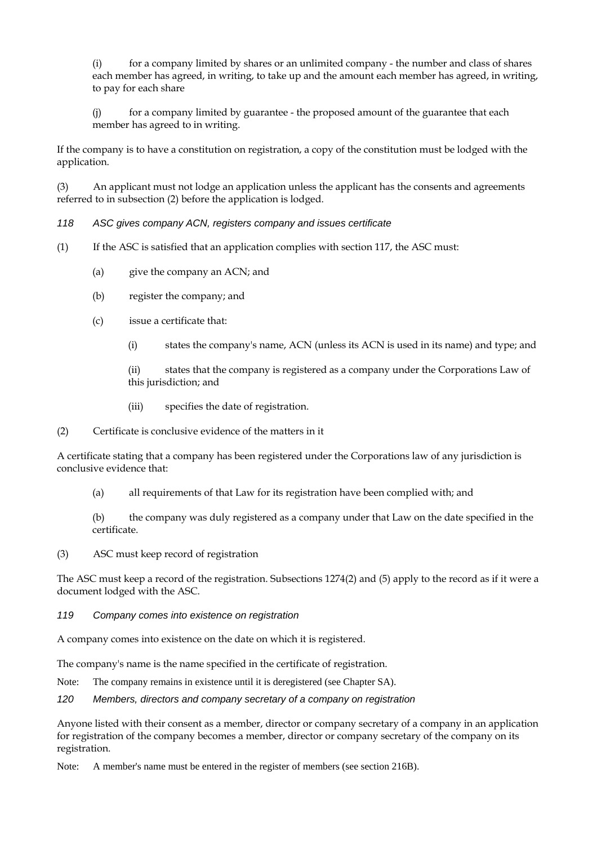(i) for a company limited by shares or an unlimited company - the number and class of shares each member has agreed, in writing, to take up and the amount each member has agreed, in writing, to pay for each share

(j) for a company limited by guarantee - the proposed amount of the guarantee that each member has agreed to in writing.

If the company is to have a constitution on registration, a copy of the constitution must be lodged with the application.

(3) An applicant must not lodge an application unless the applicant has the consents and agreements referred to in subsection (2) before the application is lodged.

#### *118 ASC gives company ACN, registers company and issues certificate*

- (1) If the ASC is satisfied that an application complies with section 117, the ASC must:
	- (a) give the company an ACN; and
	- (b) register the company; and
	- (c) issue a certificate that:
		- (i) states the company's name, ACN (unless its ACN is used in its name) and type; and

(ii) states that the company is registered as a company under the Corporations Law of this jurisdiction; and

- (iii) specifies the date of registration.
- (2) Certificate is conclusive evidence of the matters in it

A certificate stating that a company has been registered under the Corporations law of any jurisdiction is conclusive evidence that:

(a) all requirements of that Law for its registration have been complied with; and

(b) the company was duly registered as a company under that Law on the date specified in the certificate.

(3) ASC must keep record of registration

The ASC must keep a record of the registration. Subsections 1274(2) and (5) apply to the record as if it were a document lodged with the ASC.

#### *119 Company comes into existence on registration*

A company comes into existence on the date on which it is registered.

The company's name is the name specified in the certificate of registration.

Note: The company remains in existence until it is deregistered (see Chapter SA).

#### *120 Members, directors and company secretary of a company on registration*

Anyone listed with their consent as a member, director or company secretary of a company in an application for registration of the company becomes a member, director or company secretary of the company on its registration.

Note: A member's name must be entered in the register of members (see section 216B).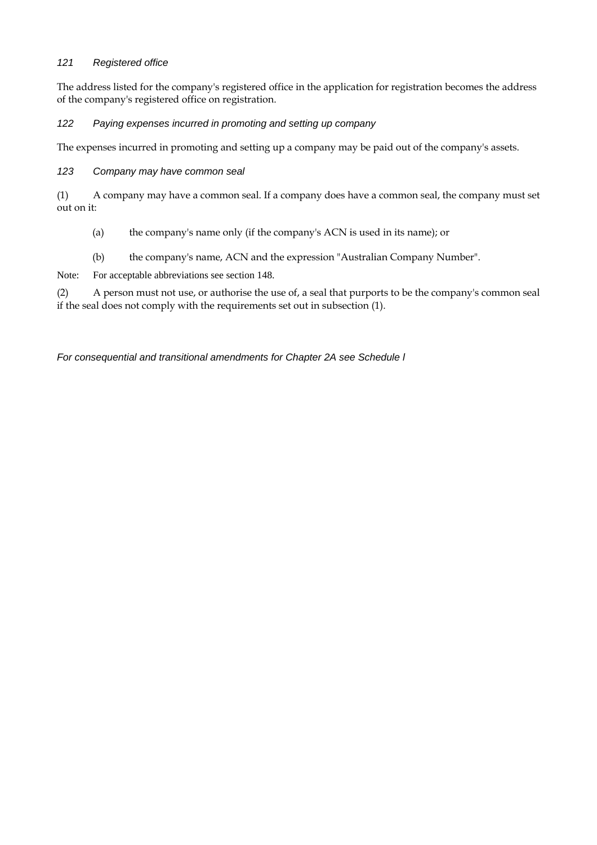#### *121 Registered office*

The address listed for the company's registered office in the application for registration becomes the address of the company's registered office on registration.

#### *122 Paying expenses incurred in promoting and setting up company*

The expenses incurred in promoting and setting up a company may be paid out of the company's assets.

#### *123 Company may have common seal*

(1) A company may have a common seal. If a company does have a common seal, the company must set out on it:

- (a) the company's name only (if the company's ACN is used in its name); or
- (b) the company's name, ACN and the expression "Australian Company Number".

Note: For acceptable abbreviations see section 148.

(2) A person must not use, or authorise the use of, a seal that purports to be the company's common seal if the seal does not comply with the requirements set out in subsection (1).

*For consequential and transitional amendments for Chapter 2A see Schedule l*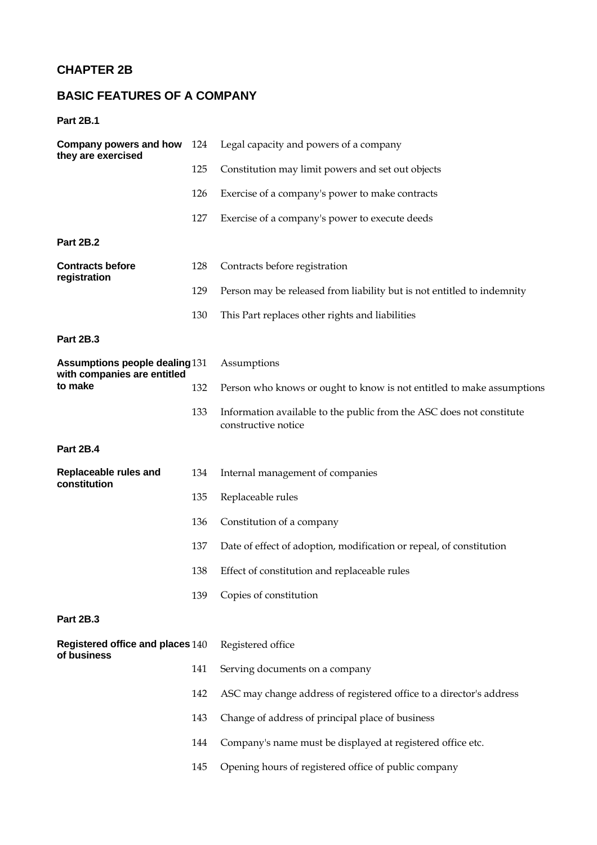# **CHAPTER 2B**

# **BASIC FEATURES OF A COMPANY**

**Part 2B.1** 

| Company powers and how<br>they are exercised                         | 124 | Legal capacity and powers of a company                                                      |  |
|----------------------------------------------------------------------|-----|---------------------------------------------------------------------------------------------|--|
|                                                                      | 125 | Constitution may limit powers and set out objects                                           |  |
|                                                                      | 126 | Exercise of a company's power to make contracts                                             |  |
|                                                                      | 127 | Exercise of a company's power to execute deeds                                              |  |
| <b>Part 2B.2</b>                                                     |     |                                                                                             |  |
| <b>Contracts before</b><br>registration                              | 128 | Contracts before registration                                                               |  |
|                                                                      | 129 | Person may be released from liability but is not entitled to indemnity                      |  |
|                                                                      | 130 | This Part replaces other rights and liabilities                                             |  |
| <b>Part 2B.3</b>                                                     |     |                                                                                             |  |
| <b>Assumptions people dealing 131</b><br>with companies are entitled |     | Assumptions                                                                                 |  |
| to make                                                              | 132 | Person who knows or ought to know is not entitled to make assumptions                       |  |
|                                                                      | 133 | Information available to the public from the ASC does not constitute<br>constructive notice |  |
| Part 2B.4                                                            |     |                                                                                             |  |
| Replaceable rules and<br>constitution                                | 134 | Internal management of companies                                                            |  |
|                                                                      | 135 | Replaceable rules                                                                           |  |
|                                                                      | 136 | Constitution of a company                                                                   |  |
|                                                                      | 137 | Date of effect of adoption, modification or repeal, of constitution                         |  |
|                                                                      | 138 | Effect of constitution and replaceable rules                                                |  |
|                                                                      | 139 | Copies of constitution                                                                      |  |
| <b>Part 2B.3</b>                                                     |     |                                                                                             |  |
| Registered office and places 140                                     |     | Registered office                                                                           |  |
| of business                                                          | 141 | Serving documents on a company                                                              |  |
|                                                                      | 142 | ASC may change address of registered office to a director's address                         |  |
|                                                                      | 143 | Change of address of principal place of business                                            |  |
|                                                                      | 144 | Company's name must be displayed at registered office etc.                                  |  |
|                                                                      | 145 | Opening hours of registered office of public company                                        |  |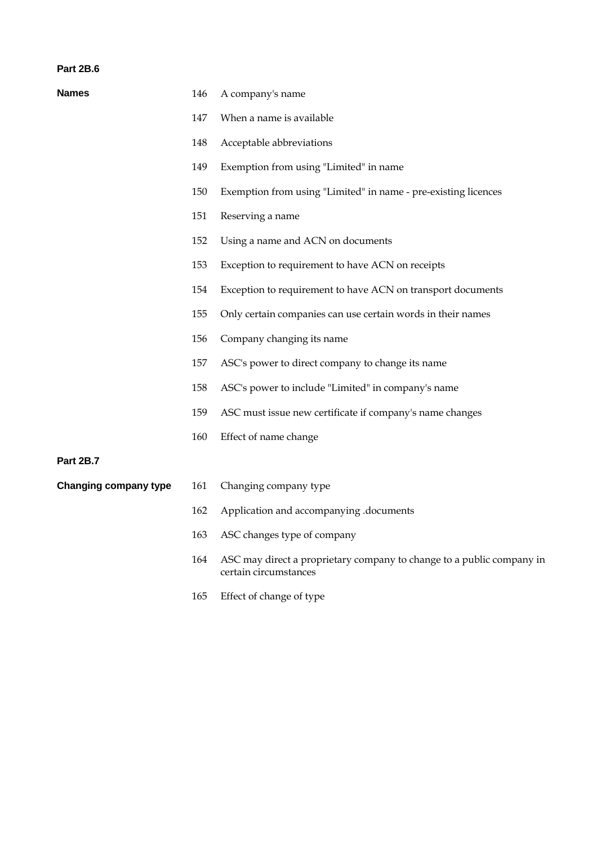#### **Part 2B.6**

| <b>Names</b>                 | 146 | A company's name                                                                               |
|------------------------------|-----|------------------------------------------------------------------------------------------------|
|                              | 147 | When a name is available                                                                       |
|                              | 148 | Acceptable abbreviations                                                                       |
|                              | 149 | Exemption from using "Limited" in name                                                         |
|                              | 150 | Exemption from using "Limited" in name - pre-existing licences                                 |
|                              | 151 | Reserving a name                                                                               |
|                              | 152 | Using a name and ACN on documents                                                              |
|                              | 153 | Exception to requirement to have ACN on receipts                                               |
|                              | 154 | Exception to requirement to have ACN on transport documents                                    |
|                              | 155 | Only certain companies can use certain words in their names                                    |
|                              | 156 | Company changing its name                                                                      |
|                              | 157 | ASC's power to direct company to change its name                                               |
|                              | 158 | ASC's power to include "Limited" in company's name                                             |
|                              | 159 | ASC must issue new certificate if company's name changes                                       |
|                              | 160 | Effect of name change                                                                          |
| <b>Part 2B.7</b>             |     |                                                                                                |
| <b>Changing company type</b> | 161 | Changing company type                                                                          |
|                              | 162 | Application and accompanying .documents                                                        |
|                              | 163 | ASC changes type of company                                                                    |
|                              | 164 | ASC may direct a proprietary company to change to a public company in<br>certain circumstances |

165 Effect of change of type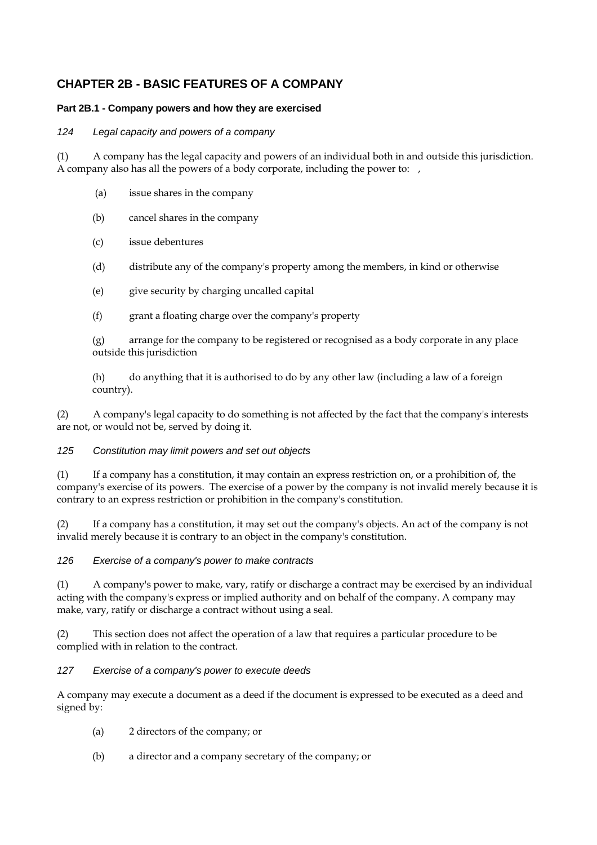## **CHAPTER 2B - BASIC FEATURES OF A COMPANY**

#### **Part 2B.1 - Company powers and how they are exercised**

#### *124 Legal capacity and powers of a company*

(1) A company has the legal capacity and powers of an individual both in and outside this jurisdiction. A company also has all the powers of a body corporate, including the power to:

- (a) issue shares in the company
- (b) cancel shares in the company
- (c) issue debentures
- (d) distribute any of the company's property among the members, in kind or otherwise
- (e) give security by charging uncalled capital
- (f) grant a floating charge over the company's property

(g) arrange for the company to be registered or recognised as a body corporate in any place outside this jurisdiction

(h) do anything that it is authorised to do by any other law (including a law of a foreign country).

(2) A company's legal capacity to do something is not affected by the fact that the company's interests are not, or would not be, served by doing it.

#### *125 Constitution may limit powers and set out objects*

(1) If a company has a constitution, it may contain an express restriction on, or a prohibition of, the company's exercise of its powers. The exercise of a power by the company is not invalid merely because it is contrary to an express restriction or prohibition in the company's constitution.

(2) If a company has a constitution, it may set out the company's objects. An act of the company is not invalid merely because it is contrary to an object in the company's constitution.

*126 Exercise of a company's power to make contracts* 

(1) A company's power to make, vary, ratify or discharge a contract may be exercised by an individual acting with the company's express or implied authority and on behalf of the company. A company may make, vary, ratify or discharge a contract without using a seal.

(2) This section does not affect the operation of a law that requires a particular procedure to be complied with in relation to the contract.

#### *127 Exercise of a company's power to execute deeds*

A company may execute a document as a deed if the document is expressed to be executed as a deed and signed by:

- (a) 2 directors of the company; or
- (b) a director and a company secretary of the company; or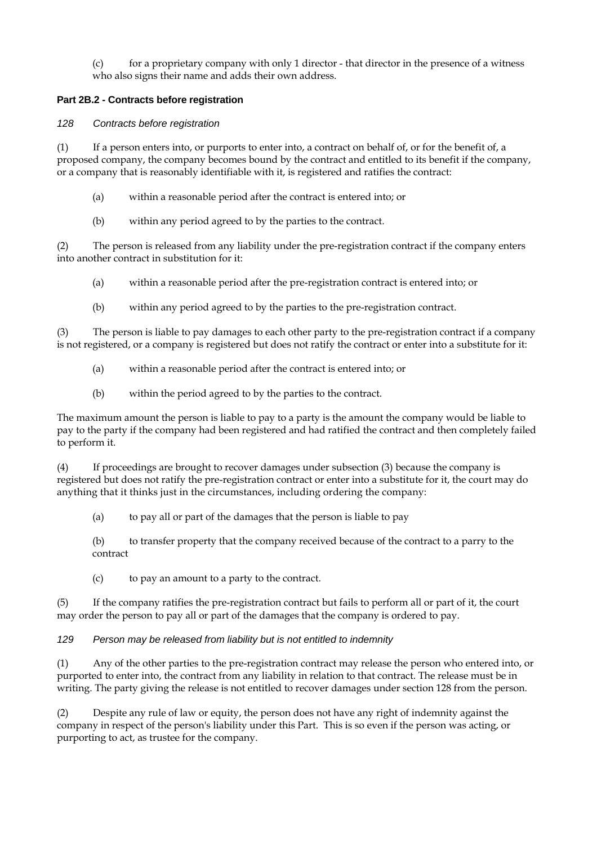$(c)$  for a proprietary company with only 1 director - that director in the presence of a witness who also signs their name and adds their own address.

#### **Part 2B.2 - Contracts before registration**

#### *128 Contracts before registration*

(1) If a person enters into, or purports to enter into, a contract on behalf of, or for the benefit of, a proposed company, the company becomes bound by the contract and entitled to its benefit if the company, or a company that is reasonably identifiable with it, is registered and ratifies the contract:

- (a) within a reasonable period after the contract is entered into; or
- (b) within any period agreed to by the parties to the contract.

(2) The person is released from any liability under the pre-registration contract if the company enters into another contract in substitution for it:

- (a) within a reasonable period after the pre-registration contract is entered into; or
- (b) within any period agreed to by the parties to the pre-registration contract.

(3) The person is liable to pay damages to each other party to the pre-registration contract if a company is not registered, or a company is registered but does not ratify the contract or enter into a substitute for it:

- (a) within a reasonable period after the contract is entered into; or
- (b) within the period agreed to by the parties to the contract.

The maximum amount the person is liable to pay to a party is the amount the company would be liable to pay to the party if the company had been registered and had ratified the contract and then completely failed to perform it.

(4) If proceedings are brought to recover damages under subsection (3) because the company is registered but does not ratify the pre-registration contract or enter into a substitute for it, the court may do anything that it thinks just in the circumstances, including ordering the company:

(a) to pay all or part of the damages that the person is liable to pay

(b) to transfer property that the company received because of the contract to a parry to the contract

(c) to pay an amount to a party to the contract.

(5) If the company ratifies the pre-registration contract but fails to perform all or part of it, the court may order the person to pay all or part of the damages that the company is ordered to pay.

#### *129 Person may be released from liability but is not entitled to indemnity*

(1) Any of the other parties to the pre-registration contract may release the person who entered into, or purported to enter into, the contract from any liability in relation to that contract. The release must be in writing. The party giving the release is not entitled to recover damages under section 128 from the person.

(2) Despite any rule of law or equity, the person does not have any right of indemnity against the company in respect of the person's liability under this Part. This is so even if the person was acting, or purporting to act, as trustee for the company.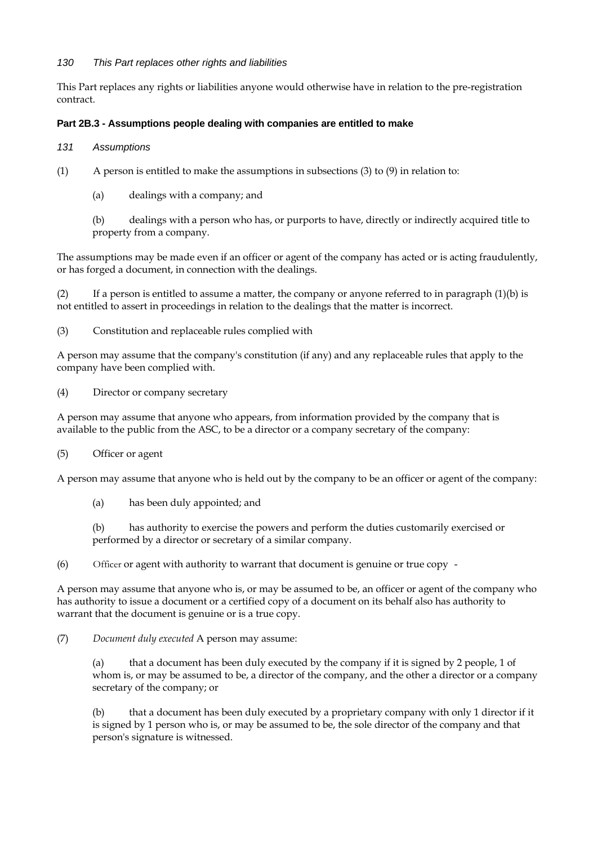#### *130 This Part replaces other rights and liabilities*

This Part replaces any rights or liabilities anyone would otherwise have in relation to the pre-registration contract.

#### **Part 2B.3 - Assumptions people dealing with companies are entitled to make**

- *131 Assumptions*
- (1) A person is entitled to make the assumptions in subsections (3) to (9) in relation to:
	- (a) dealings with a company; and

(b) dealings with a person who has, or purports to have, directly or indirectly acquired title to property from a company.

The assumptions may be made even if an officer or agent of the company has acted or is acting fraudulently, or has forged a document, in connection with the dealings.

(2) If a person is entitled to assume a matter, the company or anyone referred to in paragraph  $(1)(b)$  is not entitled to assert in proceedings in relation to the dealings that the matter is incorrect.

(3) Constitution and replaceable rules complied with

A person may assume that the company's constitution (if any) and any replaceable rules that apply to the company have been complied with.

(4) Director or company secretary

A person may assume that anyone who appears, from information provided by the company that is available to the public from the ASC, to be a director or a company secretary of the company:

(5) Officer or agent

A person may assume that anyone who is held out by the company to be an officer or agent of the company:

(a) has been duly appointed; and

(b) has authority to exercise the powers and perform the duties customarily exercised or performed by a director or secretary of a similar company.

(6) Officer or agent with authority to warrant that document is genuine or true copy -

A person may assume that anyone who is, or may be assumed to be, an officer or agent of the company who has authority to issue a document or a certified copy of a document on its behalf also has authority to warrant that the document is genuine or is a true copy.

(7) *Document duly executed* A person may assume:

(a) that a document has been duly executed by the company if it is signed by 2 people, 1 of whom is, or may be assumed to be, a director of the company, and the other a director or a company secretary of the company; or

(b) that a document has been duly executed by a proprietary company with only 1 director if it is signed by 1 person who is, or may be assumed to be, the sole director of the company and that person's signature is witnessed.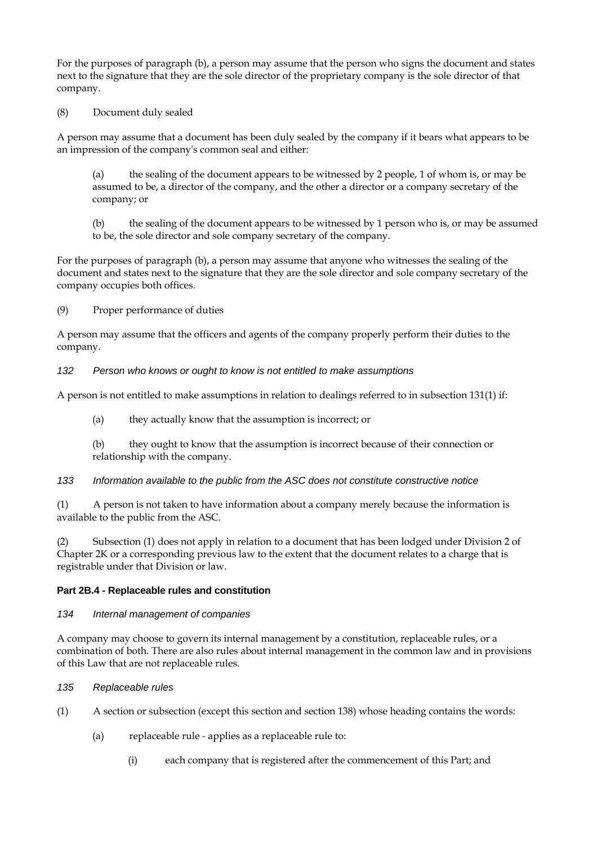For the purposes of paragraph (b), a person may assume that the person who signs the document and states next to the signature that they are the sole director of the proprietary company is the sole director of that company.

(8) Document duly sealed

A person may assume that a document has been duly sealed by the company if it bears what appears to be an impression of the company's common seal and either:

(a) the sealing of the document appears to be witnessed by 2 people, 1 of whom is, or may be assumed to be, a director of the company, and the other a director or a company secretary of the company; or

(b) the sealing of the document appears to be witnessed by 1 person who is, or may be assumed to be, the sole director and sole company secretary of the company.

For the purposes of paragraph (b), a person may assume that anyone who witnesses the sealing of the document and states next to the signature that they are the sole director and sole company secretary of the company occupies both offices.

(9) Proper performance of duties

A person may assume that the officers and agents of the company properly perform their duties to the company.

*132 Person who knows or ought to know is not entitled to make assumptions* 

A person is not entitled to make assumptions in relation to dealings referred to in subsection 131(1) if:

- (a) they actually know that the assumption is incorrect; or
- (b) they ought to know that the assumption is incorrect because of their connection or relationship with the company.

*133 Information available to the public from the ASC does not constitute constructive notice* 

(1) A person is not taken to have information about a company merely because the information is available to the public from the ASC.

(2) Subsection (1) does not apply in relation to a document that has been lodged under Division 2 of Chapter 2K or a corresponding previous law to the extent that the document relates to a charge that is registrable under that Division or law.

#### **Part 2B.4 - Replaceable rules and constitution**

#### *134 Internal management of companies*

A company may choose to govern its internal management by a constitution, replaceable rules, or a combination of both. There are also rules about internal management in the common law and in provisions of this Law that are not replaceable rules.

#### *135 Replaceable rules*

- (1) A section or subsection (except this section and section 138) whose heading contains the words:
	- (a) replaceable ruleapplies as a replaceable rule to:
		- (i) each company that is registered after the commencement of this Part; and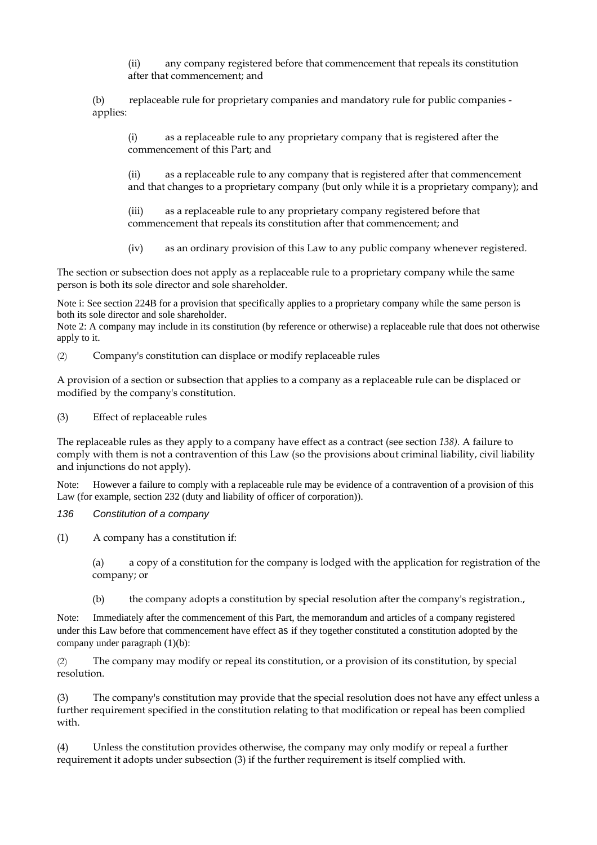(ii) any company registered before that commencement that repeals its constitution after that commencement; and

(b) replaceable rule for proprietary companies and mandatory rule for public companies applies:

(i) as a replaceable rule to any proprietary company that is registered after the commencement of this Part; and

(ii) as a replaceable rule to any company that is registered after that commencement and that changes to a proprietary company (but only while it is a proprietary company); and

(iii) as a replaceable rule to any proprietary company registered before that commencement that repeals its constitution after that commencement; and

(iv) as an ordinary provision of this Law to any public company whenever registered.

The section or subsection does not apply as a replaceable rule to a proprietary company while the same person is both its sole director and sole shareholder.

Note i: See section 224B for a provision that specifically applies to a proprietary company while the same person is both its sole director and sole shareholder.

Note 2: A company may include in its constitution (by reference or otherwise) a replaceable rule that does not otherwise apply to it.

(2) Company's constitution can displace or modify replaceable rules

A provision of a section or subsection that applies to a company as a replaceable rule can be displaced or modified by the company's constitution.

(3) Effect of replaceable rules

The replaceable rules as they apply to a company have effect as a contract (see section *138).* A failure to comply with them is not a contravention of this Law (so the provisions about criminal liability, civil liability and injunctions do not apply).

Note: However a failure to comply with a replaceable rule may be evidence of a contravention of a provision of this Law (for example, section 232 (duty and liability of officer of corporation)).

*136 Constitution of a company* 

(1) A company has a constitution if:

(a) a copy of a constitution for the company is lodged with the application for registration of the company; or

(b) the company adopts a constitution by special resolution after the company's registration.,

Note: Immediately after the commencement of this Part, the memorandum and articles of a company registered under this Law before that commencement have effect as if they together constituted a constitution adopted by the company under paragraph (1)(b):

(2) The company may modify or repeal its constitution, or a provision of its constitution, by special resolution.

The company's constitution may provide that the special resolution does not have any effect unless a further requirement specified in the constitution relating to that modification or repeal has been complied with.

(4) Unless the constitution provides otherwise, the company may only modify or repeal a further requirement it adopts under subsection (3) if the further requirement is itself complied with.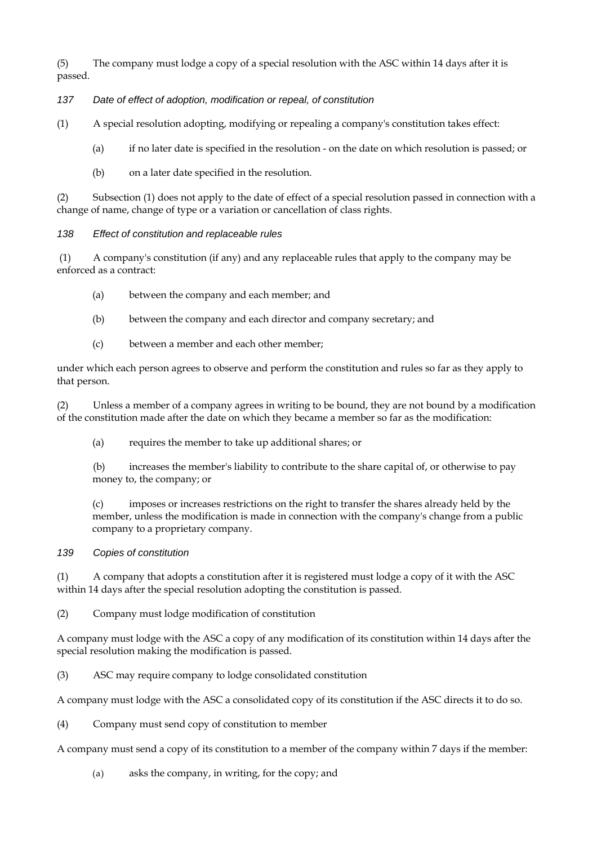(5) The company must lodge a copy of a special resolution with the ASC within 14 days after it is passed.

#### *137 Date of effect of adoption, modification or repeal, of constitution*

(1) A special resolution adopting, modifying or repealing a company's constitution takes effect:

- (a) if no later date is specified in the resolution on the date on which resolution is passed; or
- (b) on a later date specified in the resolution.

(2) Subsection (1) does not apply to the date of effect of a special resolution passed in connection with a change of name, change of type or a variation or cancellation of class rights.

*138 Effect of constitution and replaceable rules* 

 (1) A company's constitution (if any) and any replaceable rules that apply to the company may be enforced as a contract:

- (a) between the company and each member; and
- (b) between the company and each director and company secretary; and
- (c) between a member and each other member;

under which each person agrees to observe and perform the constitution and rules so far as they apply to that person.

(2) Unless a member of a company agrees in writing to be bound, they are not bound by a modification of the constitution made after the date on which they became a member so far as the modification:

(a) requires the member to take up additional shares; or

(b) increases the member's liability to contribute to the share capital of, or otherwise to pay money to, the company; or

(c) imposes or increases restrictions on the right to transfer the shares already held by the member, unless the modification is made in connection with the company's change from a public company to a proprietary company.

#### *139 Copies of constitution*

(1) A company that adopts a constitution after it is registered must lodge a copy of it with the ASC within 14 days after the special resolution adopting the constitution is passed.

(2) Company must lodge modification of constitution

A company must lodge with the ASC a copy of any modification of its constitution within 14 days after the special resolution making the modification is passed.

(3) ASC may require company to lodge consolidated constitution

A company must lodge with the ASC a consolidated copy of its constitution if the ASC directs it to do so.

(4) Company must send copy of constitution to member

A company must send a copy of its constitution to a member of the company within 7 days if the member:

(a) asks the company, in writing, for the copy; and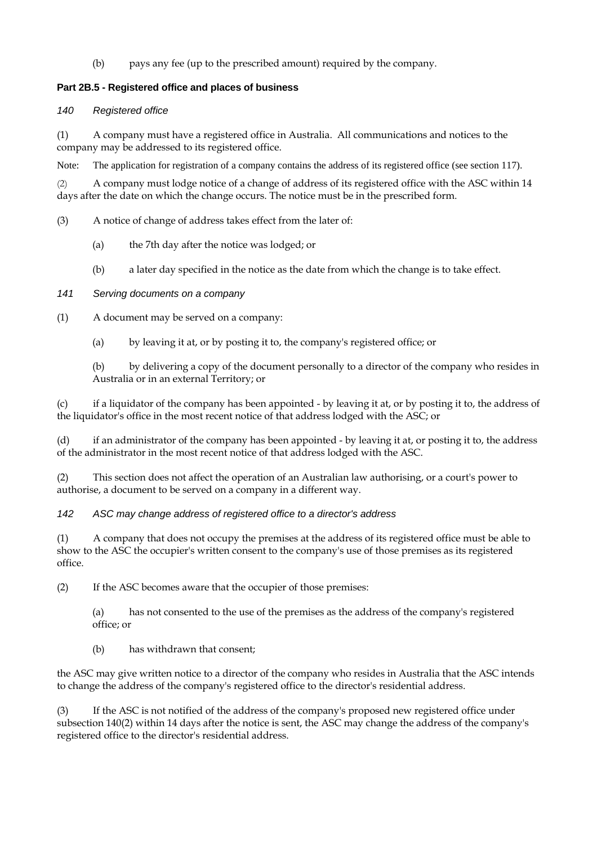(b) pays any fee (up to the prescribed amount) required by the company.

#### **Part 2B.5 - Registered office and places of business**

#### *140 Registered office*

(1) A company must have a registered office in Australia. All communications and notices to the company may be addressed to its registered office.

Note: The application for registration of a company contains the address of its registered office (see section 117).

(2) A company must lodge notice of a change of address of its registered office with the ASC within 14 days after the date on which the change occurs. The notice must be in the prescribed form.

(3) A notice of change of address takes effect from the later of:

- (a) the 7th day after the notice was lodged; or
- (b) a later day specified in the notice as the date from which the change is to take effect.

#### *141 Serving documents on a company*

(1) A document may be served on a company:

(a) by leaving it at, or by posting it to, the company's registered office; or

(b) by delivering a copy of the document personally to a director of the company who resides in Australia or in an external Territory; or

(c) if a liquidator of the company has been appointed - by leaving it at, or by posting it to, the address of the liquidator's office in the most recent notice of that address lodged with the ASC; or

(d) if an administrator of the company has been appointed - by leaving it at, or posting it to, the address of the administrator in the most recent notice of that address lodged with the ASC.

(2) This section does not affect the operation of an Australian law authorising, or a court's power to authorise, a document to be served on a company in a different way.

*142 ASC may change address of registered office to a director's address* 

(1) A company that does not occupy the premises at the address of its registered office must be able to show to the ASC the occupier's written consent to the company's use of those premises as its registered office.

(2) If the ASC becomes aware that the occupier of those premises:

(a) has not consented to the use of the premises as the address of the company's registered office; or

(b) has withdrawn that consent;

the ASC may give written notice to a director of the company who resides in Australia that the ASC intends to change the address of the company's registered office to the director's residential address.

(3) If the ASC is not notified of the address of the company's proposed new registered office under subsection 140(2) within 14 days after the notice is sent, the ASC may change the address of the company's registered office to the director's residential address.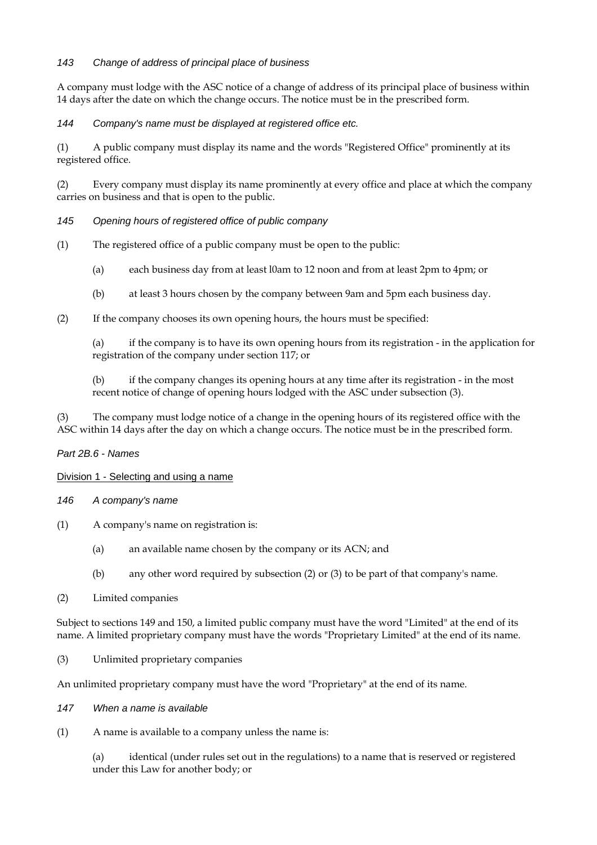#### *143 Change of address of principal place of business*

A company must lodge with the ASC notice of a change of address of its principal place of business within 14 days after the date on which the change occurs. The notice must be in the prescribed form.

*144 Company's name must be displayed at registered office etc.* 

(1) A public company must display its name and the words "Registered Office" prominently at its registered office.

(2) Every company must display its name prominently at every office and place at which the company carries on business and that is open to the public.

#### *145 Opening hours of registered office of public company*

- (1) The registered office of a public company must be open to the public:
	- (a) each business day from at least l0am to 12 noon and from at least 2pm to 4pm; or
	- (b) at least 3 hours chosen by the company between 9am and 5pm each business day.
- (2) If the company chooses its own opening hours, the hours must be specified:

(a) if the company is to have its own opening hours from its registration - in the application for registration of the company under section 117; or

(b) if the company changes its opening hours at any time after its registration - in the most recent notice of change of opening hours lodged with the ASC under subsection (3).

(3) The company must lodge notice of a change in the opening hours of its registered office with the ASC within 14 days after the day on which a change occurs. The notice must be in the prescribed form.

#### *Part 2B.6 - Names*

#### Division 1 - Selecting and using a name

#### *146 A company's name*

- (1) A company's name on registration is:
	- (a) an available name chosen by the company or its ACN; and
	- (b) any other word required by subsection (2) or (3) to be part of that company's name.
- (2) Limited companies

Subject to sections 149 and 150, a limited public company must have the word "Limited" at the end of its name. A limited proprietary company must have the words "Proprietary Limited" at the end of its name.

(3) Unlimited proprietary companies

An unlimited proprietary company must have the word "Proprietary" at the end of its name.

#### *147 When a name is available*

(1) A name is available to a company unless the name is:

(a) identical (under rules set out in the regulations) to a name that is reserved or registered under this Law for another body; or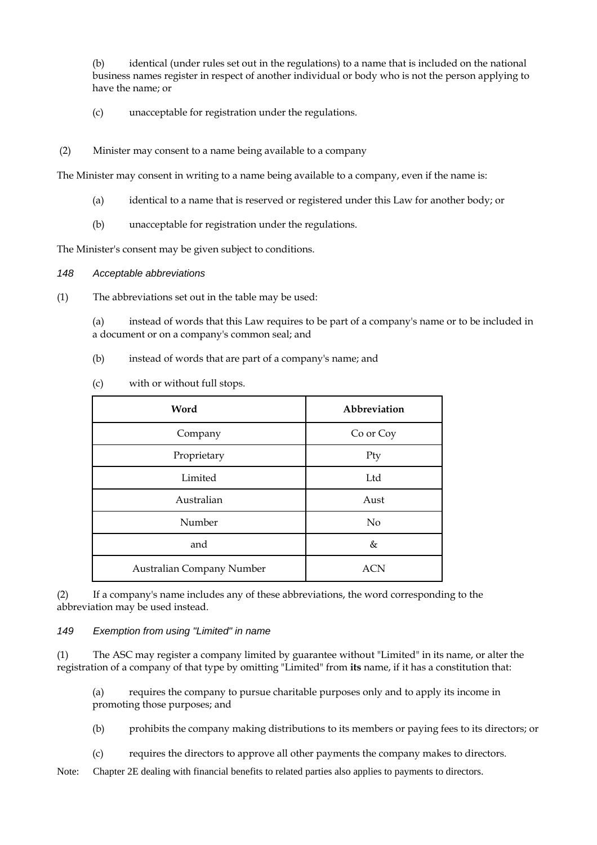(b) identical (under rules set out in the regulations) to a name that is included on the national business names register in respect of another individual or body who is not the person applying to have the name; or

(c) unacceptable for registration under the regulations.

#### (2) Minister may consent to a name being available to a company

The Minister may consent in writing to a name being available to a company, even if the name is:

- (a) identical to a name that is reserved or registered under this Law for another body; or
- (b) unacceptable for registration under the regulations.

The Minister's consent may be given subject to conditions.

#### *148 Acceptable abbreviations*

(1) The abbreviations set out in the table may be used:

(a) instead of words that this Law requires to be part of a company's name or to be included in a document or on a company's common seal; and

(b) instead of words that are part of a company's name; and

| (c)<br>with or without full stops. |              |
|------------------------------------|--------------|
| Word                               | Abbreviation |
| Company                            | Co or Coy    |
| Proprietary                        | Pty          |
| Limited                            | Ltd          |
| Australian                         | Aust         |
| Number                             | No           |
| and                                | &            |
|                                    |              |

(2) If a company's name includes any of these abbreviations, the word corresponding to the abbreviation may be used instead.

Australian Company Number 1988 and ACN

#### *149 Exemption from using "Limited" in name*

(1) The ASC may register a company limited by guarantee without "Limited" in its name, or alter the registration of a company of that type by omitting "Limited" from **its** name, if it has a constitution that:

(a) requires the company to pursue charitable purposes only and to apply its income in promoting those purposes; and

(b) prohibits the company making distributions to its members or paying fees to its directors; or

(c) requires the directors to approve all other payments the company makes to directors.

Note: Chapter 2E dealing with financial benefits to related parties also applies to payments to directors.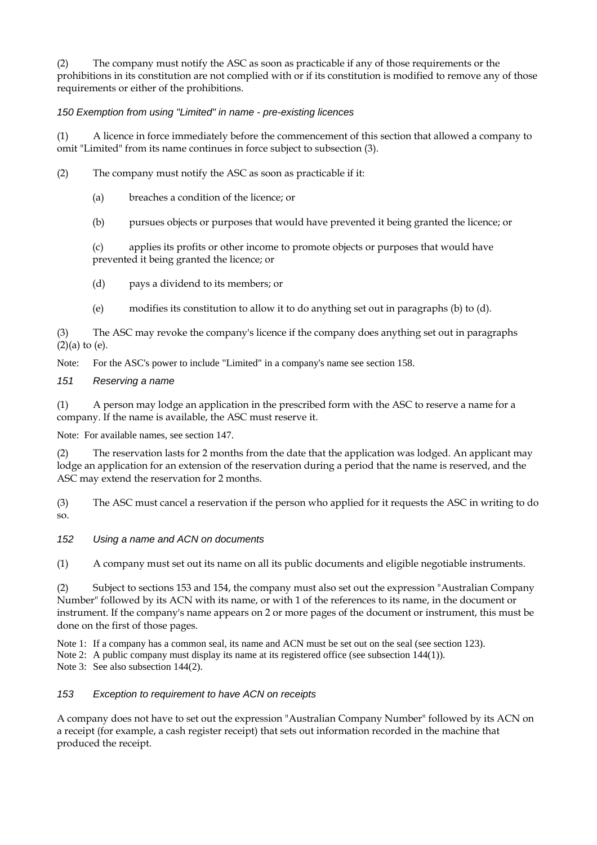(2) The company must notify the ASC as soon as practicable if any of those requirements or the prohibitions in its constitution are not complied with or if its constitution is modified to remove any of those requirements or either of the prohibitions.

#### *150 Exemption from using "Limited" in name - pre-existing licences*

(1) A licence in force immediately before the commencement of this section that allowed a company to omit "Limited" from its name continues in force subject to subsection (3).

- (2) The company must notify the ASC as soon as practicable if it:
	- (a) breaches a condition of the licence; or
	- (b) pursues objects or purposes that would have prevented it being granted the licence; or

(c) applies its profits or other income to promote objects or purposes that would have prevented it being granted the licence; or

- (d) pays a dividend to its members; or
- (e) modifies its constitution to allow it to do anything set out in paragraphs (b) to (d).

(3) The ASC may revoke the company's licence if the company does anything set out in paragraphs  $(2)(a)$  to  $(e)$ .

Note: For the ASC's power to include "Limited" in a company's name see section 158.

#### *151 Reserving a name*

(1) A person may lodge an application in the prescribed form with the ASC to reserve a name for a company. If the name is available, the ASC must reserve it.

Note: For available names, see section 147.

(2) The reservation lasts for 2 months from the date that the application was lodged. An applicant may lodge an application for an extension of the reservation during a period that the name is reserved, and the ASC may extend the reservation for 2 months.

(3) The ASC must cancel a reservation if the person who applied for it requests the ASC in writing to do so.

#### *152 Using a name and ACN on documents*

(1) A company must set out its name on all its public documents and eligible negotiable instruments.

(2) Subject to sections 153 and 154, the company must also set out the expression "Australian Company Number" followed by its ACN with its name, or with 1 of the references to its name, in the document or instrument. If the company's name appears on 2 or more pages of the document or instrument, this must be done on the first of those pages.

Note 1: If a company has a common seal, its name and ACN must be set out on the seal (see section 123).

Note 2: A public company must display its name at its registered office (see subsection 144(1)).

Note 3: See also subsection 144(2).

#### *153 Exception to requirement to have ACN on receipts*

A company does not have to set out the expression "Australian Company Number" followed by its ACN on a receipt (for example, a cash register receipt) that sets out information recorded in the machine that produced the receipt.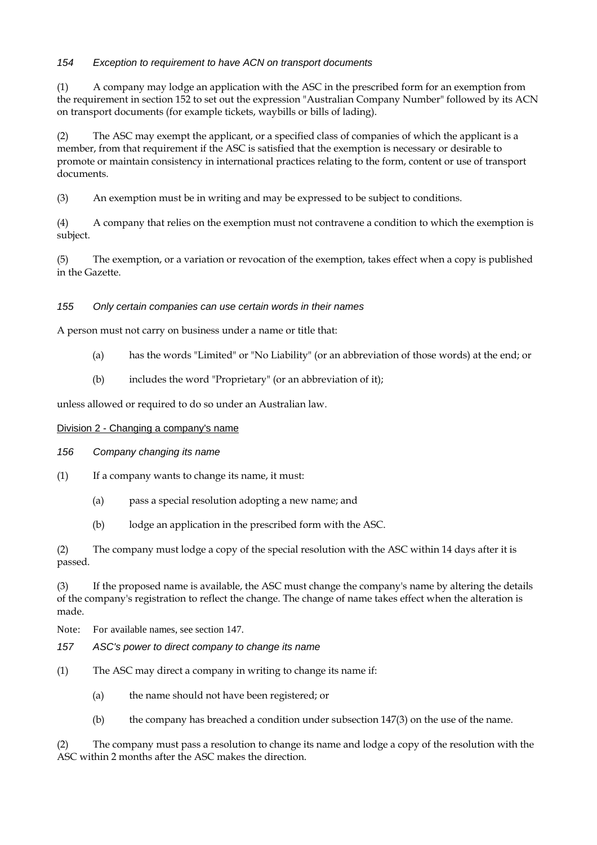#### *154 Exception to requirement to have ACN on transport documents*

(1) A company may lodge an application with the ASC in the prescribed form for an exemption from the requirement in section 152 to set out the expression "Australian Company Number" followed by its ACN on transport documents (for example tickets, waybills or bills of lading).

(2) The ASC may exempt the applicant, or a specified class of companies of which the applicant is a member, from that requirement if the ASC is satisfied that the exemption is necessary or desirable to promote or maintain consistency in international practices relating to the form, content or use of transport documents.

(3) An exemption must be in writing and may be expressed to be subject to conditions.

(4) A company that relies on the exemption must not contravene a condition to which the exemption is subject.

(5) The exemption, or a variation or revocation of the exemption, takes effect when a copy is published in the Gazette.

#### *155 Only certain companies can use certain words in their names*

A person must not carry on business under a name or title that:

- (a) has the words "Limited" or "No Liability" (or an abbreviation of those words) at the end; or
- (b) includes the word "Proprietary" (or an abbreviation of it);

unless allowed or required to do so under an Australian law.

#### Division 2 - Changing a company's name

#### *156 Company changing its name*

- $(1)$  If a company wants to change its name, it must:
	- (a) pass a special resolution adopting a new name; and
	- (b) lodge an application in the prescribed form with the ASC.

(2) The company must lodge a copy of the special resolution with the ASC within 14 days after it is passed.

(3) If the proposed name is available, the ASC must change the company's name by altering the details of the company's registration to reflect the change. The change of name takes effect when the alteration is made.

Note: For available names, see section 147.

- *157 ASC's power to direct company to change its name*
- (1) The ASC may direct a company in writing to change its name if:
	- (a) the name should not have been registered; or
	- (b) the company has breached a condition under subsection 147(3) on the use of the name.

(2) The company must pass a resolution to change its name and lodge a copy of the resolution with the ASC within 2 months after the ASC makes the direction.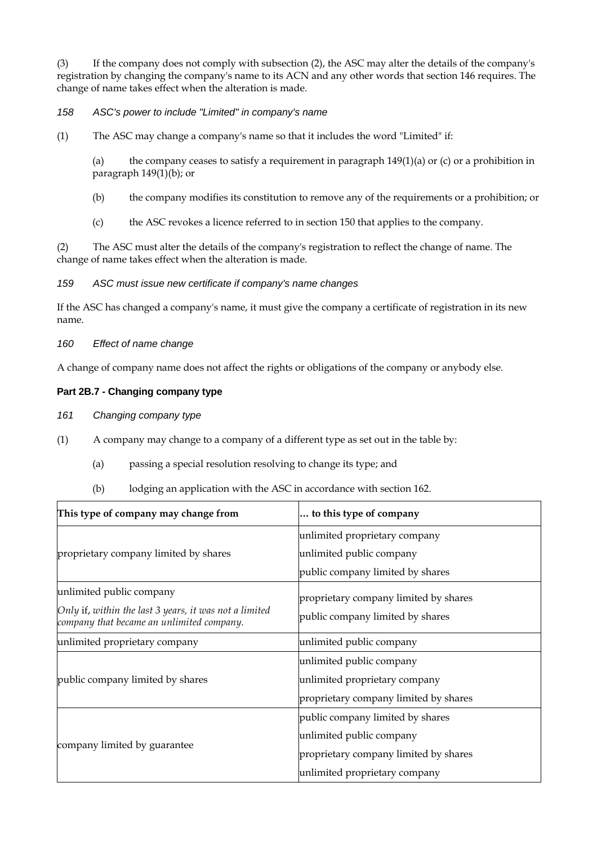(3) If the company does not comply with subsection (2), the ASC may alter the details of the company's registration by changing the company's name to its ACN and any other words that section 146 requires. The change of name takes effect when the alteration is made.

#### *158 ASC's power to include "Limited" in company's name*

(1) The ASC may change a company's name so that it includes the word "Limited" if:

(a) the company ceases to satisfy a requirement in paragraph  $149(1)(a)$  or (c) or a prohibition in paragraph 149(1)(b); or

- (b) the company modifies its constitution to remove any of the requirements or a prohibition; or
- (c) the ASC revokes a licence referred to in section 150 that applies to the company.

(2) The ASC must alter the details of the company's registration to reflect the change of name. The change of name takes effect when the alteration is made.

*159 ASC must issue new certificate if company's name changes* 

If the ASC has changed a company's name, it must give the company a certificate of registration in its new name.

*160 Effect of name change* 

A change of company name does not affect the rights or obligations of the company or anybody else.

#### **Part 2B.7 - Changing company type**

*161 Changing company type*

- (1) A company may change to a company of a different type as set out in the table by:
	- (a) passing a special resolution resolving to change its type; and
	- (b) lodging an application with the ASC in accordance with section 162.

| This type of company may change from                                                                | to this type of company               |  |
|-----------------------------------------------------------------------------------------------------|---------------------------------------|--|
|                                                                                                     | unlimited proprietary company         |  |
| proprietary company limited by shares                                                               | unlimited public company              |  |
|                                                                                                     | public company limited by shares      |  |
| unlimited public company                                                                            | proprietary company limited by shares |  |
| Only if, within the last 3 years, it was not a limited<br>company that became an unlimited company. | public company limited by shares      |  |
| unlimited proprietary company                                                                       | unlimited public company              |  |
|                                                                                                     | unlimited public company              |  |
| public company limited by shares                                                                    | unlimited proprietary company         |  |
|                                                                                                     | proprietary company limited by shares |  |
|                                                                                                     | public company limited by shares      |  |
|                                                                                                     | unlimited public company              |  |
| company limited by guarantee                                                                        | proprietary company limited by shares |  |
|                                                                                                     | unlimited proprietary company         |  |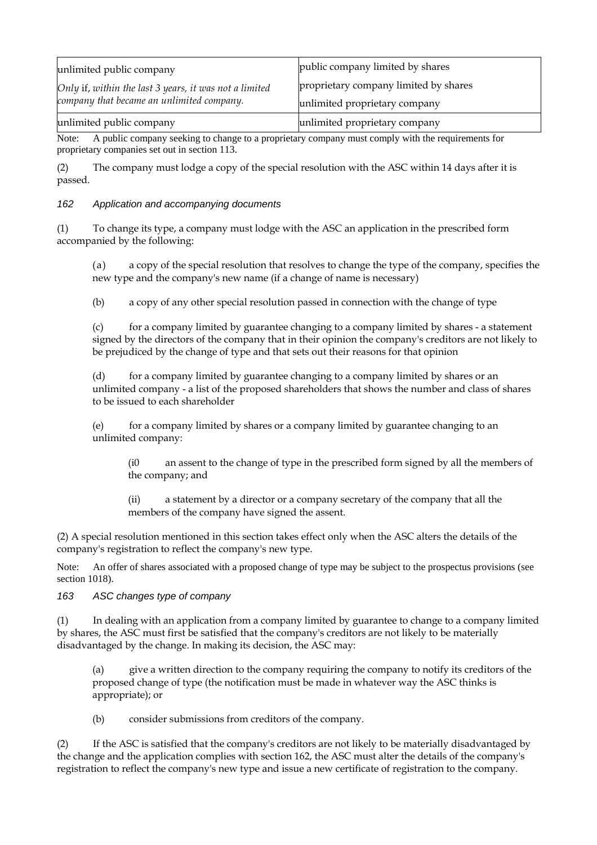| unlimited public company                               | public company limited by shares      |
|--------------------------------------------------------|---------------------------------------|
| Only if, within the last 3 years, it was not a limited | proprietary company limited by shares |
| company that became an unlimited company.              | unlimited proprietary company         |
| unlimited public company                               | unlimited proprietary company         |

Note: A public company seeking to change to a proprietary company must comply with the requirements for proprietary companies set out in section 113.

(2) The company must lodge a copy of the special resolution with the ASC within 14 days after it is passed.

#### *162 Application and accompanying documents*

(1) To change its type, a company must lodge with the ASC an application in the prescribed form accompanied by the following:

(a) a copy of the special resolution that resolves to change the type of the company, specifies the new type and the company's new name (if a change of name is necessary)

(b) a copy of any other special resolution passed in connection with the change of type

(c) for a company limited by guarantee changing to a company limited by shares - a statement signed by the directors of the company that in their opinion the company's creditors are not likely to be prejudiced by the change of type and that sets out their reasons for that opinion

(d) for a company limited by guarantee changing to a company limited by shares or an unlimited company - a list of the proposed shareholders that shows the number and class of shares to be issued to each shareholder

(e) for a company limited by shares or a company limited by guarantee changing to an unlimited company:

(i0 an assent to the change of type in the prescribed form signed by all the members of the company; and

(ii) a statement by a director or a company secretary of the company that all the members of the company have signed the assent.

(2) A special resolution mentioned in this section takes effect only when the ASC alters the details of the company's registration to reflect the company's new type.

Note: An offer of shares associated with a proposed change of type may be subject to the prospectus provisions (see section 1018).

#### *163 ASC changes type of company*

(1) In dealing with an application from a company limited by guarantee to change to a company limited by shares, the ASC must first be satisfied that the company's creditors are not likely to be materially disadvantaged by the change. In making its decision, the ASC may:

give a written direction to the company requiring the company to notify its creditors of the proposed change of type (the notification must be made in whatever way the ASC thinks is appropriate); or

(b) consider submissions from creditors of the company.

(2) If the ASC is satisfied that the company's creditors are not likely to be materially disadvantaged by the change and the application complies with section 162, the ASC must alter the details of the company's registration to reflect the company's new type and issue a new certificate of registration to the company.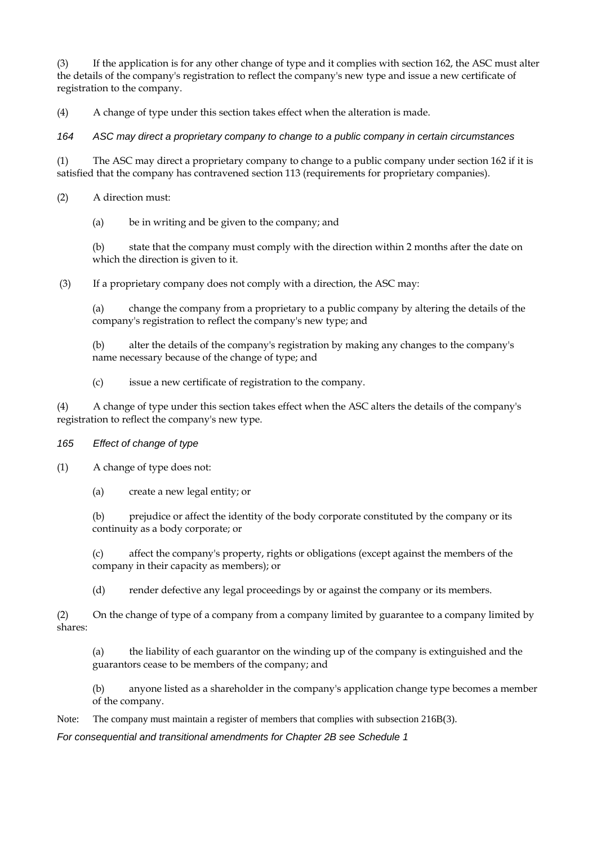(3) If the application is for any other change of type and it complies with section 162, the ASC must alter the details of the company's registration to reflect the company's new type and issue a new certificate of registration to the company.

(4) A change of type under this section takes effect when the alteration is made.

*164 ASC may direct a proprietary company to change to a public company in certain circumstances* 

(1) The ASC may direct a proprietary company to change to a public company under section 162 if it is satisfied that the company has contravened section 113 (requirements for proprietary companies).

(2) A direction must:

(a) be in writing and be given to the company; and

(b) state that the company must comply with the direction within 2 months after the date on which the direction is given to it.

(3) If a proprietary company does not comply with a direction, the ASC may:

(a) change the company from a proprietary to a public company by altering the details of the company's registration to reflect the company's new type; and

(b) alter the details of the company's registration by making any changes to the company's name necessary because of the change of type; and

(c) issue a new certificate of registration to the company.

(4) A change of type under this section takes effect when the ASC alters the details of the company's registration to reflect the company's new type.

- *165 Effect of change of type*
- (1) A change of type does not:
	- (a) create a new legal entity; or

(b) prejudice or affect the identity of the body corporate constituted by the company or its continuity as a body corporate; or

(c) affect the company's property, rights or obligations (except against the members of the company in their capacity as members); or

(d) render defective any legal proceedings by or against the company or its members.

(2) On the change of type of a company from a company limited by guarantee to a company limited by shares:

(a) the liability of each guarantor on the winding up of the company is extinguished and the guarantors cease to be members of the company; and

(b) anyone listed as a shareholder in the company's application change type becomes a member of the company.

Note: The company must maintain a register of members that complies with subsection 216B(3).

*For consequential and transitional amendments for Chapter 2B see Schedule 1*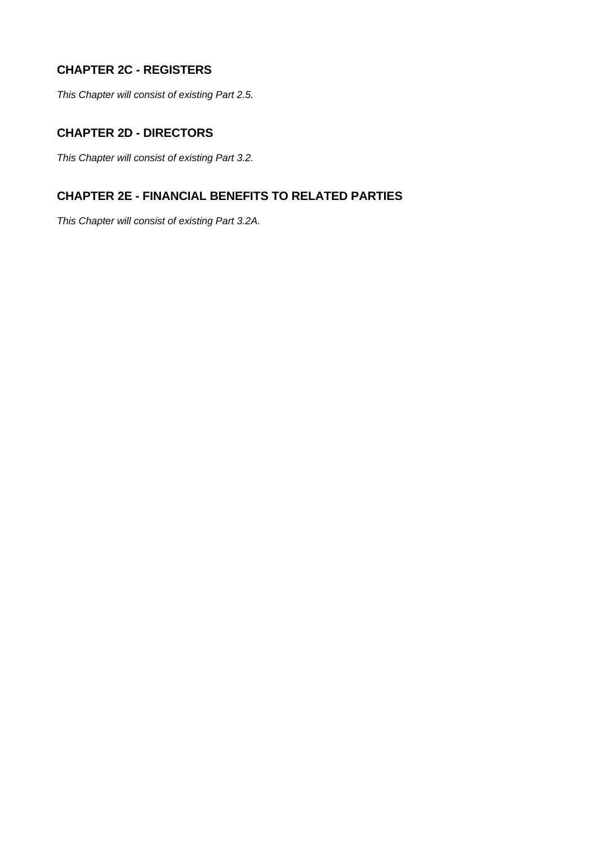# **CHAPTER 2C - REGISTERS**

*This Chapter will consist of existing Part 2.5.* 

## **CHAPTER 2D - DIRECTORS**

*This Chapter will consist of existing Part 3.2.* 

## **CHAPTER 2E - FINANCIAL BENEFITS TO RELATED PARTIES**

*This Chapter will consist of existing Part 3.2A.*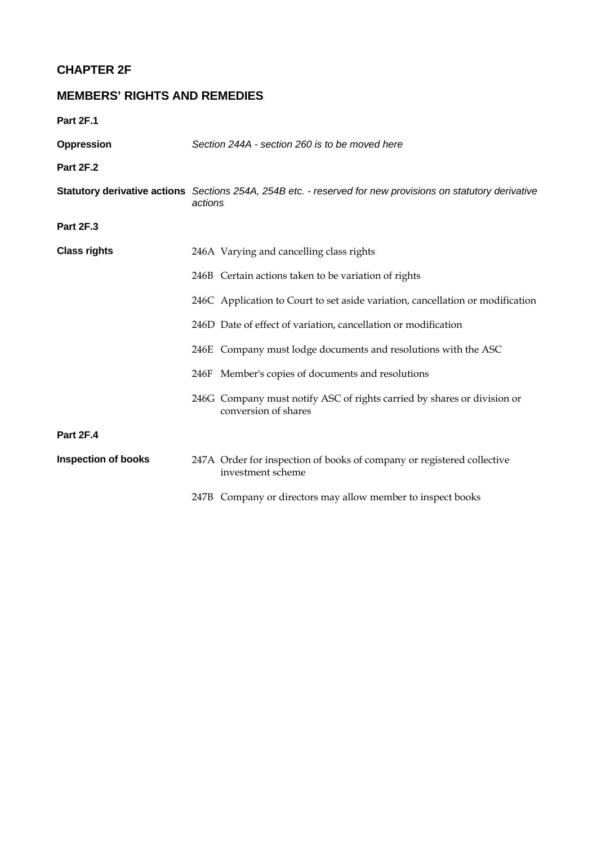# **CHAPTER 2F**

# **MEMBERS' RIGHTS AND REMEDIES**

**Part 2F.1** 

| <b>Oppression</b>          | Section 244A - section 260 is to be moved here                                                                         |  |
|----------------------------|------------------------------------------------------------------------------------------------------------------------|--|
| <b>Part 2F.2</b>           |                                                                                                                        |  |
|                            | Statutory derivative actions Sections 254A, 254B etc. - reserved for new provisions on statutory derivative<br>actions |  |
| Part 2F.3                  |                                                                                                                        |  |
| <b>Class rights</b>        | 246A Varying and cancelling class rights                                                                               |  |
|                            | 246B Certain actions taken to be variation of rights                                                                   |  |
|                            | 246C Application to Court to set aside variation, cancellation or modification                                         |  |
|                            | 246D Date of effect of variation, cancellation or modification                                                         |  |
|                            | 246E Company must lodge documents and resolutions with the ASC                                                         |  |
|                            | 246F Member's copies of documents and resolutions                                                                      |  |
|                            | 246G Company must notify ASC of rights carried by shares or division or<br>conversion of shares                        |  |
| <b>Part 2F.4</b>           |                                                                                                                        |  |
| <b>Inspection of books</b> | 247A Order for inspection of books of company or registered collective<br>investment scheme                            |  |
|                            | 247B Company or directors may allow member to inspect books                                                            |  |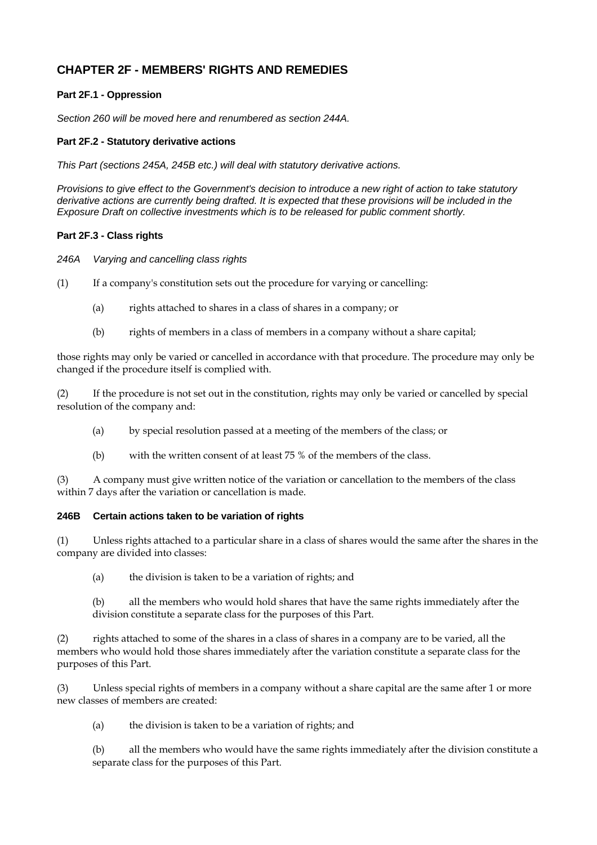## **CHAPTER 2F - MEMBERS' RIGHTS AND REMEDIES**

#### **Part 2F.1 - Oppression**

*Section 260 will be moved here and renumbered as section 244A.* 

#### **Part 2F.2 - Statutory derivative actions**

*This Part (sections 245A, 245B etc.) will deal with statutory derivative actions.* 

*Provisions to give effect to the Government's decision to introduce a new right of action to take statutory derivative actions are currently being drafted. It is expected that these provisions will be included in the Exposure Draft on collective investments which is to be released for public comment shortly.* 

#### **Part 2F.3 - Class rights**

*246A Varying and cancelling class rights* 

(1) If a company's constitution sets out the procedure for varying or cancelling:

- (a) rights attached to shares in a class of shares in a company; or
- (b) rights of members in a class of members in a company without a share capital;

those rights may only be varied or cancelled in accordance with that procedure. The procedure may only be changed if the procedure itself is complied with.

(2) If the procedure is not set out in the constitution, rights may only be varied or cancelled by special resolution of the company and:

- (a) by special resolution passed at a meeting of the members of the class; or
- (b) with the written consent of at least 75 % of the members of the class.

(3) A company must give written notice of the variation or cancellation to the members of the class within 7 days after the variation or cancellation is made.

#### **246B Certain actions taken to be variation of rights**

(1) Unless rights attached to a particular share in a class of shares would the same after the shares in the company are divided into classes:

(a) the division is taken to be a variation of rights; and

(b) all the members who would hold shares that have the same rights immediately after the division constitute a separate class for the purposes of this Part.

(2) rights attached to some of the shares in a class of shares in a company are to be varied, all the members who would hold those shares immediately after the variation constitute a separate class for the purposes of this Part.

(3) Unless special rights of members in a company without a share capital are the same after 1 or more new classes of members are created:

(a) the division is taken to be a variation of rights; and

(b) all the members who would have the same rights immediately after the division constitute a separate class for the purposes of this Part.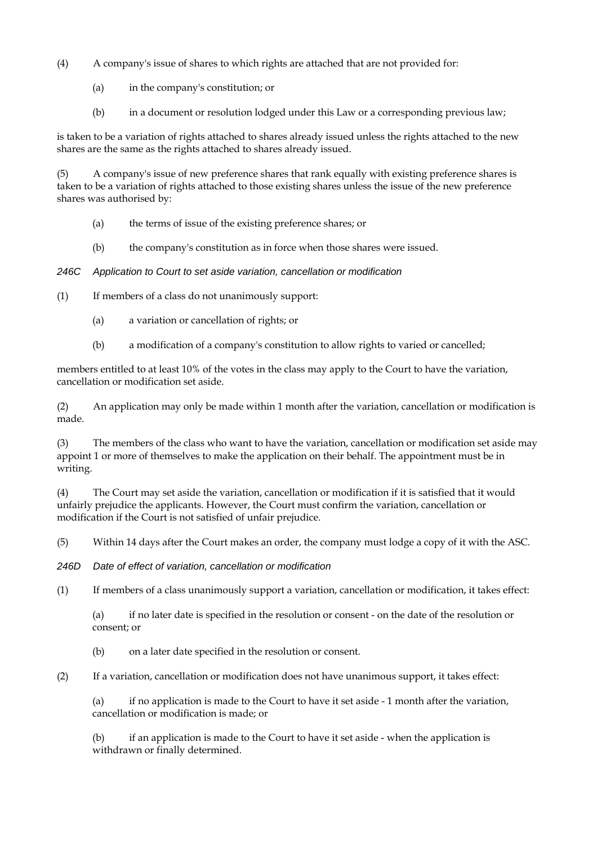- (4) A company's issue of shares to which rights are attached that are not provided for:
	- (a) in the company's constitution; or
	- (b) in a document or resolution lodged under this Law or a corresponding previous law;

is taken to be a variation of rights attached to shares already issued unless the rights attached to the new shares are the same as the rights attached to shares already issued.

(5) A company's issue of new preference shares that rank equally with existing preference shares is taken to be a variation of rights attached to those existing shares unless the issue of the new preference shares was authorised by:

- (a) the terms of issue of the existing preference shares; or
- (b) the company's constitution as in force when those shares were issued.

*246C Application to Court to set aside variation, cancellation or modification* 

(1) If members of a class do not unanimously support:

- (a) a variation or cancellation of rights; or
- (b) a modification of a company's constitution to allow rights to varied or cancelled;

members entitled to at least 10% of the votes in the class may apply to the Court to have the variation, cancellation or modification set aside.

(2) An application may only be made within 1 month after the variation, cancellation or modification is made.

(3) The members of the class who want to have the variation, cancellation or modification set aside may appoint 1 or more of themselves to make the application on their behalf. The appointment must be in writing.

(4) The Court may set aside the variation, cancellation or modification if it is satisfied that it would unfairly prejudice the applicants. However, the Court must confirm the variation, cancellation or modification if the Court is not satisfied of unfair prejudice.

(5) Within 14 days after the Court makes an order, the company must lodge a copy of it with the ASC.

*246D Date of effect of variation, cancellation or modification* 

(1) If members of a class unanimously support a variation, cancellation or modification, it takes effect:

(a) if no later date is specified in the resolution or consent - on the date of the resolution or consent; or

(b) on a later date specified in the resolution or consent.

(2) If a variation, cancellation or modification does not have unanimous support, it takes effect:

(a) if no application is made to the Court to have it set aside - 1 month after the variation, cancellation or modification is made; or

(b) if an application is made to the Court to have it set aside - when the application is withdrawn or finally determined.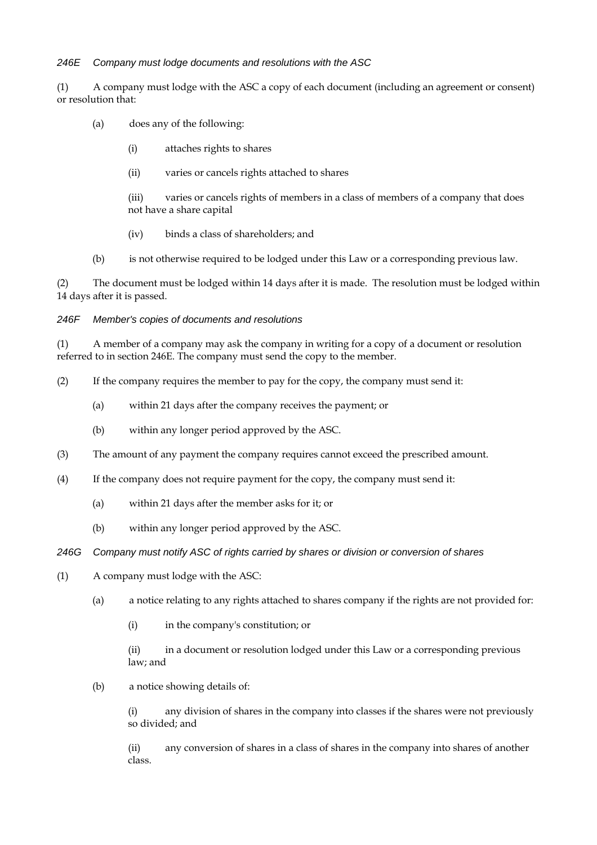#### *246E Company must lodge documents and resolutions with the ASC*

(1) A company must lodge with the ASC a copy of each document (including an agreement or consent) or resolution that:

- (a) does any of the following:
	- (i) attaches rights to shares
	- (ii) varies or cancels rights attached to shares

(iii) varies or cancels rights of members in a class of members of a company that does not have a share capital

- (iv) binds a class of shareholders; and
- (b) is not otherwise required to be lodged under this Law or a corresponding previous law.

(2) The document must be lodged within 14 days after it is made. The resolution must be lodged within 14 days after it is passed.

*246F Member's copies of documents and resolutions* 

(1) A member of a company may ask the company in writing for a copy of a document or resolution referred to in section 246E. The company must send the copy to the member.

- (2) If the company requires the member to pay for the copy, the company must send it:
	- (a) within 21 days after the company receives the payment; or
	- (b) within any longer period approved by the ASC.
- (3) The amount of any payment the company requires cannot exceed the prescribed amount.
- (4) If the company does not require payment for the copy, the company must send it:
	- (a) within 21 days after the member asks for it; or
	- (b) within any longer period approved by the ASC.
- *246G Company must notify ASC of rights carried by shares or division or conversion of shares*
- (1) A company must lodge with the ASC:
	- (a) a notice relating to any rights attached to shares company if the rights are not provided for:
		- (i) in the company's constitution; or

(ii) in a document or resolution lodged under this Law or a corresponding previous law; and

(b) a notice showing details of:

(i) any division of shares in the company into classes if the shares were not previously so divided; and

(ii) any conversion of shares in a class of shares in the company into shares of another class.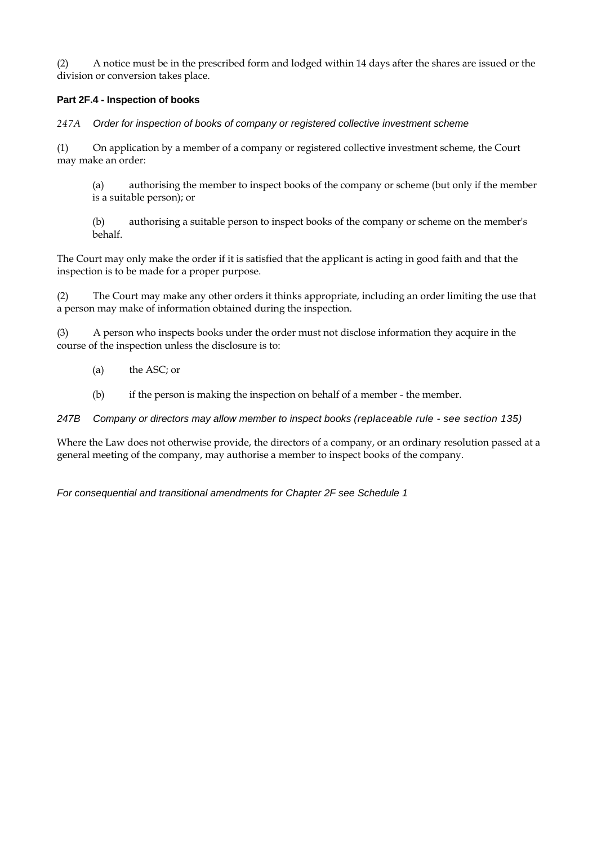(2) A notice must be in the prescribed form and lodged within 14 days after the shares are issued or the division or conversion takes place.

#### **Part 2F.4 - Inspection of books**

*247A Order for inspection of books of company or registered collective investment scheme* 

(1) On application by a member of a company or registered collective investment scheme, the Court may make an order:

(a) authorising the member to inspect books of the company or scheme (but only if the member is a suitable person); or

(b) authorising a suitable person to inspect books of the company or scheme on the member's behalf.

The Court may only make the order if it is satisfied that the applicant is acting in good faith and that the inspection is to be made for a proper purpose.

(2) The Court may make any other orders it thinks appropriate, including an order limiting the use that a person may make of information obtained during the inspection.

(3) A person who inspects books under the order must not disclose information they acquire in the course of the inspection unless the disclosure is to:

- (a) the ASC; or
- (b) if the person is making the inspection on behalf of a member the member.

*247B Company or directors may allow member to inspect books (replaceable rule - see section 135)* 

Where the Law does not otherwise provide, the directors of a company, or an ordinary resolution passed at a general meeting of the company, may authorise a member to inspect books of the company.

*For consequential and transitional amendments for Chapter 2F see Schedule 1*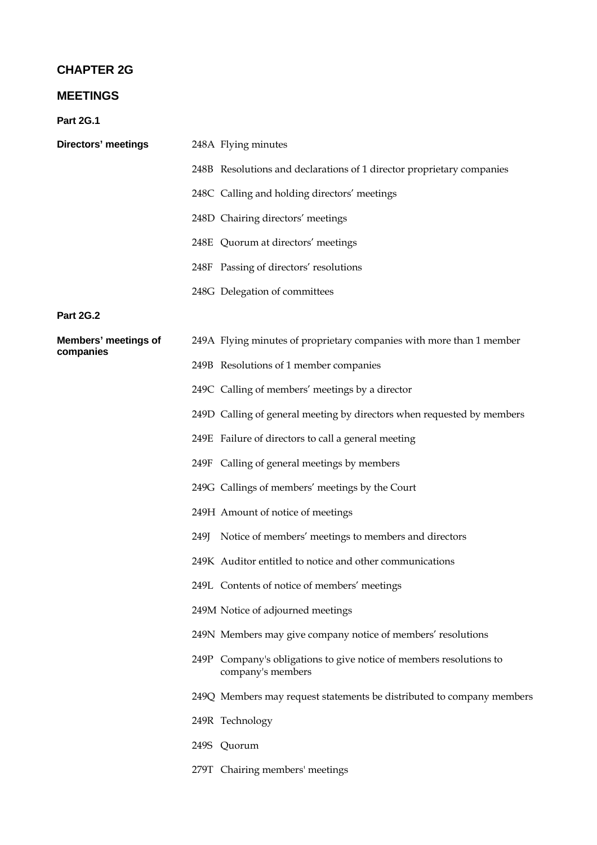# **CHAPTER 2G**

# **MEETINGS**

**Part 2G.1** 

| <b>Directors' meetings</b>        | 248A Flying minutes                                                                      |
|-----------------------------------|------------------------------------------------------------------------------------------|
|                                   | 248B Resolutions and declarations of 1 director proprietary companies                    |
|                                   | 248C Calling and holding directors' meetings                                             |
|                                   | 248D Chairing directors' meetings                                                        |
|                                   | 248E Quorum at directors' meetings                                                       |
|                                   | 248F Passing of directors' resolutions                                                   |
|                                   | 248G Delegation of committees                                                            |
| <b>Part 2G.2</b>                  |                                                                                          |
| Members' meetings of<br>companies | 249A Flying minutes of proprietary companies with more than 1 member                     |
|                                   | 249B Resolutions of 1 member companies                                                   |
|                                   | 249C Calling of members' meetings by a director                                          |
|                                   | 249D Calling of general meeting by directors when requested by members                   |
|                                   | 249E Failure of directors to call a general meeting                                      |
|                                   | 249F Calling of general meetings by members                                              |
|                                   | 249G Callings of members' meetings by the Court                                          |
|                                   | 249H Amount of notice of meetings                                                        |
|                                   | 249J Notice of members' meetings to members and directors                                |
|                                   | 249K Auditor entitled to notice and other communications                                 |
|                                   | 249L Contents of notice of members' meetings                                             |
|                                   | 249M Notice of adjourned meetings                                                        |
|                                   | 249N Members may give company notice of members' resolutions                             |
|                                   | 249P Company's obligations to give notice of members resolutions to<br>company's members |
|                                   | 249Q Members may request statements be distributed to company members                    |
|                                   | 249R Technology                                                                          |
|                                   | 249S Quorum                                                                              |
|                                   | 279T Chairing members' meetings                                                          |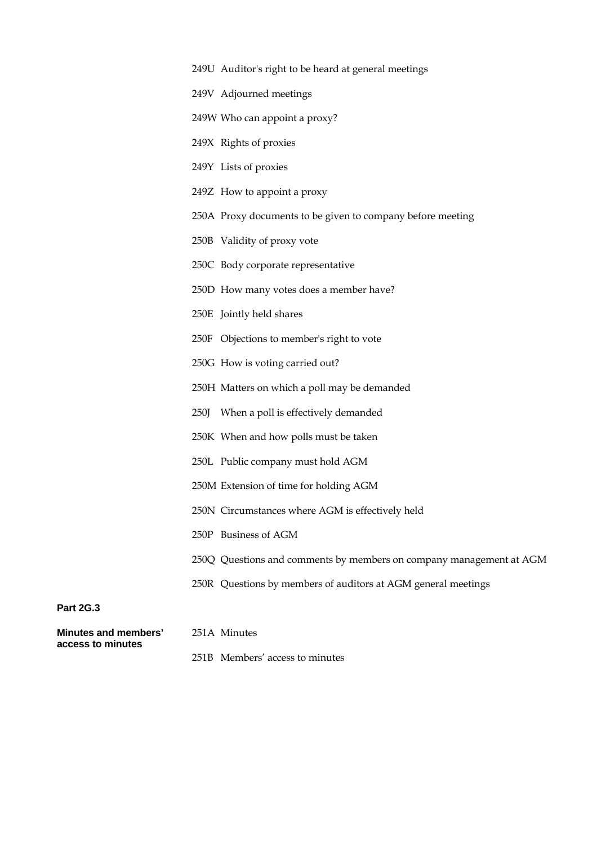|  |  | 249U Auditor's right to be heard at general meetings |  |
|--|--|------------------------------------------------------|--|
|  |  |                                                      |  |

- 249V Adjourned meetings
- 249W Who can appoint a proxy?
- 249X Rights of proxies
- 249Y Lists of proxies
- 249Z How to appoint a proxy
- 250A Proxy documents to be given to company before meeting
- 250B Validity of proxy vote
- 250C Body corporate representative
- 250D How many votes does a member have?
- 250E Jointly held shares
- 250F Objections to member's right to vote
- 250G How is voting carried out?
- 250H Matters on which a poll may be demanded
- 250J When a poll is effectively demanded
- 250K When and how polls must be taken
- 250L Public company must hold AGM
- 250M Extension of time for holding AGM
- 250N Circumstances where AGM is effectively held
- 250P Business of AGM
- 250Q Questions and comments by members on company management at AGM
- 250R Questions by members of auditors at AGM general meetings

#### **Part 2G.3**

| Minutes and members' | 251A Minutes |  |
|----------------------|--------------|--|
| access to minutes    |              |  |

251B Membersí access to minutes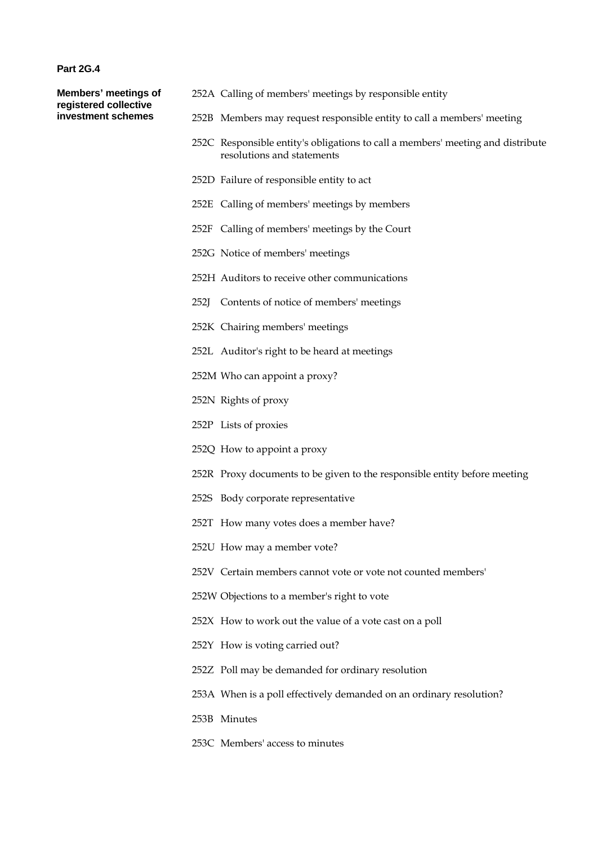#### **Part 2G.4**

**Members' meetings of registered collective investment schemes** 

- 252A Calling of members' meetings by responsible entity
- 252B Members may request responsible entity to call a members' meeting
- 252C Responsible entity's obligations to call a members' meeting and distribute resolutions and statements
- 252D Failure of responsible entity to act
- 252E Calling of members' meetings by members
- 252F Calling of members' meetings by the Court
- 252G Notice of members' meetings
- 252H Auditors to receive other communications
- 252J Contents of notice of members' meetings
- 252K Chairing members' meetings
- 252L Auditor's right to be heard at meetings
- 252M Who can appoint a proxy?
- 252N Rights of proxy
- 252P Lists of proxies
- 252Q How to appoint a proxy
- 252R Proxy documents to be given to the responsible entity before meeting
- 252S Body corporate representative
- 252T How many votes does a member have?
- 252U How may a member vote?
- 252V Certain members cannot vote or vote not counted members'
- 252W Objections to a member's right to vote
- 252X How to work out the value of a vote cast on a poll
- 252Y How is voting carried out?
- 252Z Poll may be demanded for ordinary resolution
- 253A When is a poll effectively demanded on an ordinary resolution?
- 253B Minutes
- 253C Members' access to minutes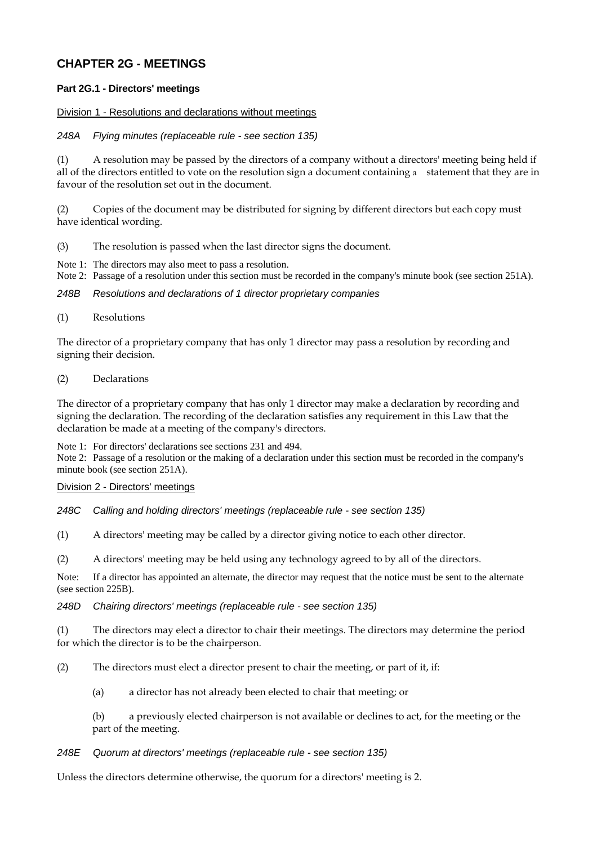# **CHAPTER 2G - MEETINGS**

# **Part 2G.1 - Directors' meetings**

## Division 1 - Resolutions and declarations without meetings

# *248A Flying minutes (replaceable rule - see section 135)*

(1) A resolution may be passed by the directors of a company without a directors' meeting being held if all of the directors entitled to vote on the resolution sign a document containing a statement that they are in favour of the resolution set out in the document.

(2) Copies of the document may be distributed for signing by different directors but each copy must have identical wording.

- (3) The resolution is passed when the last director signs the document.
- Note 1: The directors may also meet to pass a resolution.
- Note 2: Passage of a resolution under this section must be recorded in the company's minute book (see section 251A).

## *248B Resolutions and declarations of 1 director proprietary companies*

(1) Resolutions

The director of a proprietary company that has only 1 director may pass a resolution by recording and signing their decision.

#### (2) Declarations

The director of a proprietary company that has only 1 director may make a declaration by recording and signing the declaration. The recording of the declaration satisfies any requirement in this Law that the declaration be made at a meeting of the company's directors.

Note 1: For directors' declarations see sections 231 and 494.

Note 2: Passage of a resolution or the making of a declaration under this section must be recorded in the company's minute book (see section 251A).

## Division 2 - Directors' meetings

*248C Calling and holding directors' meetings (replaceable rule - see section 135)* 

(1) A directors' meeting may be called by a director giving notice to each other director.

(2) A directors' meeting may be held using any technology agreed to by all of the directors.

Note: If a director has appointed an alternate, the director may request that the notice must be sent to the alternate (see section 225B).

## *248D Chairing directors' meetings (replaceable rule - see section 135)*

(1) The directors may elect a director to chair their meetings. The directors may determine the period for which the director is to be the chairperson.

(2) The directors must elect a director present to chair the meeting, or part of it, if:

(a) a director has not already been elected to chair that meeting; or

(b) a previously elected chairperson is not available or declines to act, for the meeting or the part of the meeting.

#### *248E Quorum at directors' meetings (replaceable rule - see section 135)*

Unless the directors determine otherwise, the quorum for a directors' meeting is 2.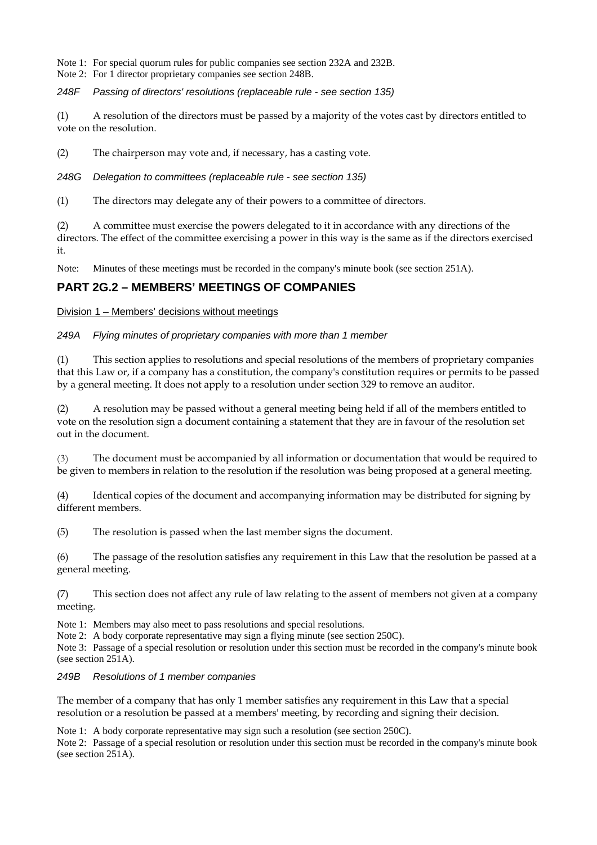Note 1: For special quorum rules for public companies see section 232A and 232B.

Note 2: For 1 director proprietary companies see section 248B.

*248F Passing of directors' resolutions (replaceable rule - see section 135)* 

(1) A resolution of the directors must be passed by a majority of the votes cast by directors entitled to vote on the resolution.

(2) The chairperson may vote and, if necessary, has a casting vote.

*248G Delegation to committees (replaceable rule - see section 135)* 

(1) The directors may delegate any of their powers to a committee of directors.

(2) A committee must exercise the powers delegated to it in accordance with any directions of the directors. The effect of the committee exercising a power in this way is the same as if the directors exercised it.

Note: Minutes of these meetings must be recorded in the company's minute book (see section 251A).

# **PART 2G.2 – MEMBERS' MEETINGS OF COMPANIES**

Division 1 – Members' decisions without meetings

*249A Flying minutes of proprietary companies with more than 1 member* 

(1) This section applies to resolutions and special resolutions of the members of proprietary companies that this Law or, if a company has a constitution, the company's constitution requires or permits to be passed by a general meeting. It does not apply to a resolution under section 329 to remove an auditor.

(2) A resolution may be passed without a general meeting being held if all of the members entitled to vote on the resolution sign a document containing a statement that they are in favour of the resolution set out in the document.

(3) The document must be accompanied by all information or documentation that would be required to be given to members in relation to the resolution if the resolution was being proposed at a general meeting.

(4) Identical copies of the document and accompanying information may be distributed for signing by different members.

(5) The resolution is passed when the last member signs the document.

(6) The passage of the resolution satisfies any requirement in this Law that the resolution be passed at a general meeting.

(7) This section does not affect any rule of law relating to the assent of members not given at a company meeting.

Note 1: Members may also meet to pass resolutions and special resolutions.

Note 2: A body corporate representative may sign a flying minute (see section 250C).

Note 3: Passage of a special resolution or resolution under this section must be recorded in the company's minute book (see section 251A).

*249B Resolutions of 1 member companies* 

The member of a company that has only 1 member satisfies any requirement in this Law that a special resolution or a resolution be passed at a members' meeting, by recording and signing their decision.

Note 1: A body corporate representative may sign such a resolution (see section 250C).

Note 2: Passage of a special resolution or resolution under this section must be recorded in the company's minute book (see section 251A).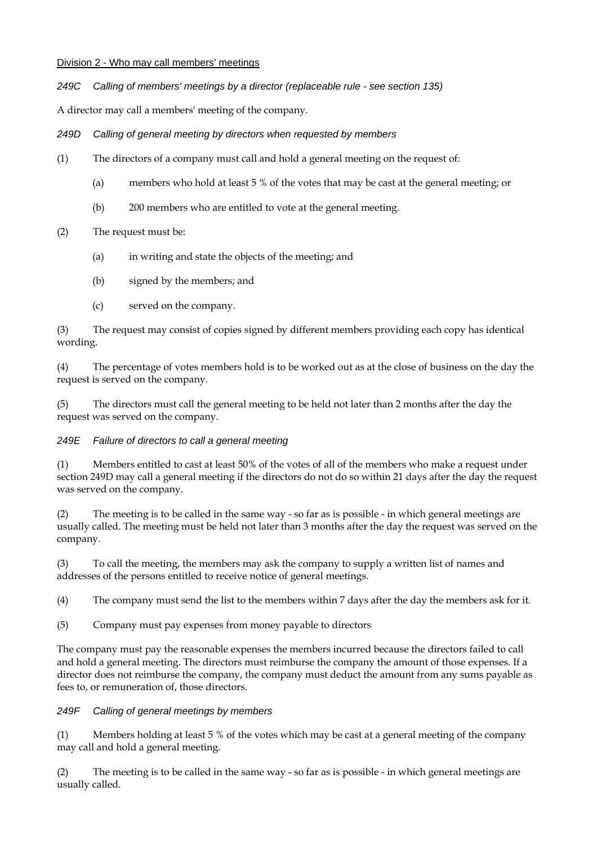## Division 2 - Who may call members' meetings

*249C Calling of members' meetings by a director (replaceable rule - see section 135)* 

A director may call a members' meeting of the company.

*249D Calling of general meeting by directors when requested by members* 

- (1) The directors of a company must call and hold a general meeting on the request of:
	- (a) members who hold at least 5 % of the votes that may be cast at the general meeting; or
	- (b) 200 members who are entitled to vote at the general meeting.

# (2) The request must be:

- (a) in writing and state the objects of the meeting; and
- (b) signed by the members; and
- (c) served on the company.

(3) The request may consist of copies signed by different members providing each copy has identical wording.

(4) The percentage of votes members hold is to be worked out as at the close of business on the day the request is served on the company.

(5) The directors must call the general meeting to be held not later than 2 months after the day the request was served on the company.

## *249E Failure of directors to call a general meeting*

(1) Members entitled to cast at least 50% of the votes of all of the members who make a request under section 249D may call a general meeting if the directors do not do so within 21 days after the day the request was served on the company.

(2) The meeting is to be called in the same way - so far as is possible - in which general meetings are usually called. The meeting must be held not later than 3 months after the day the request was served on the company.

(3) To call the meeting, the members may ask the company to supply a written list of names and addresses of the persons entitled to receive notice of general meetings.

(4) The company must send the list to the members within 7 days after the day the members ask for it.

(5) Company must pay expenses from money payable to directors

The company must pay the reasonable expenses the members incurred because the directors failed to call and hold a general meeting. The directors must reimburse the company the amount of those expenses. If a director does not reimburse the company, the company must deduct the amount from any sums payable as fees to, or remuneration of, those directors.

# *249F Calling of general meetings by members*

(1) Members holding at least 5 % of the votes which may be cast at a general meeting of the company may call and hold a general meeting.

(2) The meeting is to be called in the same way - so far as is possible - in which general meetings are usually called.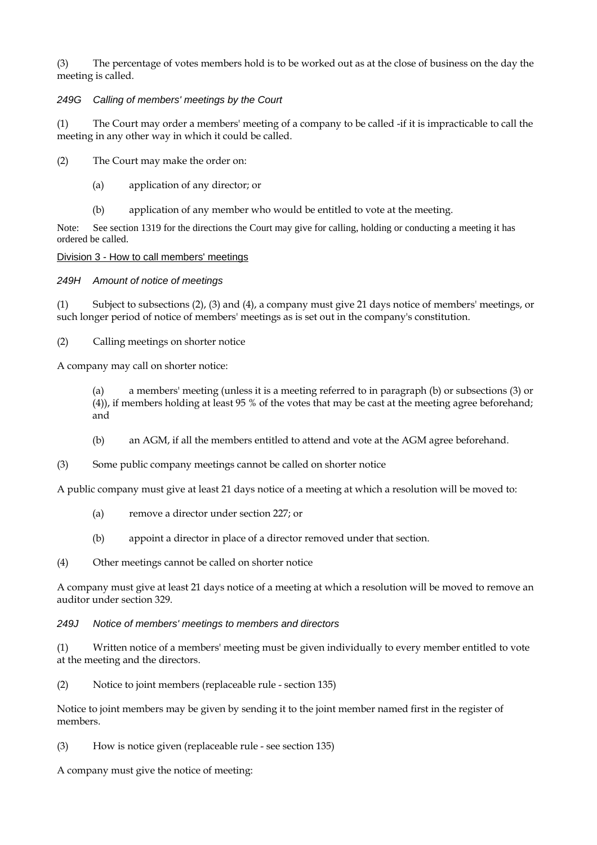(3) The percentage of votes members hold is to be worked out as at the close of business on the day the meeting is called.

# *249G Calling of members' meetings by the Court*

(1) The Court may order a members' meeting of a company to be called -if it is impracticable to call the meeting in any other way in which it could be called.

(2) The Court may make the order on:

- (a) application of any director; or
- (b) application of any member who would be entitled to vote at the meeting.

Note: See section 1319 for the directions the Court may give for calling, holding or conducting a meeting it has ordered be called.

## Division 3 - How to call members' meetings

## *249H Amount of notice of meetings*

(1) Subject to subsections (2), (3) and (4), a company must give 21 days notice of members' meetings, or such longer period of notice of members' meetings as is set out in the company's constitution.

(2) Calling meetings on shorter notice

A company may call on shorter notice:

(a) a members' meeting (unless it is a meeting referred to in paragraph (b) or subsections (3) or (4)), if members holding at least 95 % of the votes that may be cast at the meeting agree beforehand; and

- (b) an AGM, if all the members entitled to attend and vote at the AGM agree beforehand.
- (3) Some public company meetings cannot be called on shorter notice

A public company must give at least 21 days notice of a meeting at which a resolution will be moved to:

- (a) remove a director under section 227; or
- (b) appoint a director in place of a director removed under that section.
- (4) Other meetings cannot be called on shorter notice

A company must give at least 21 days notice of a meeting at which a resolution will be moved to remove an auditor under section 329.

## *249J Notice of members' meetings to members and directors*

(1) Written notice of a members' meeting must be given individually to every member entitled to vote at the meeting and the directors.

(2) Notice to joint members (replaceable rule - section 135)

Notice to joint members may be given by sending it to the joint member named first in the register of members.

(3) How is notice given (replaceable rule - see section 135)

A company must give the notice of meeting: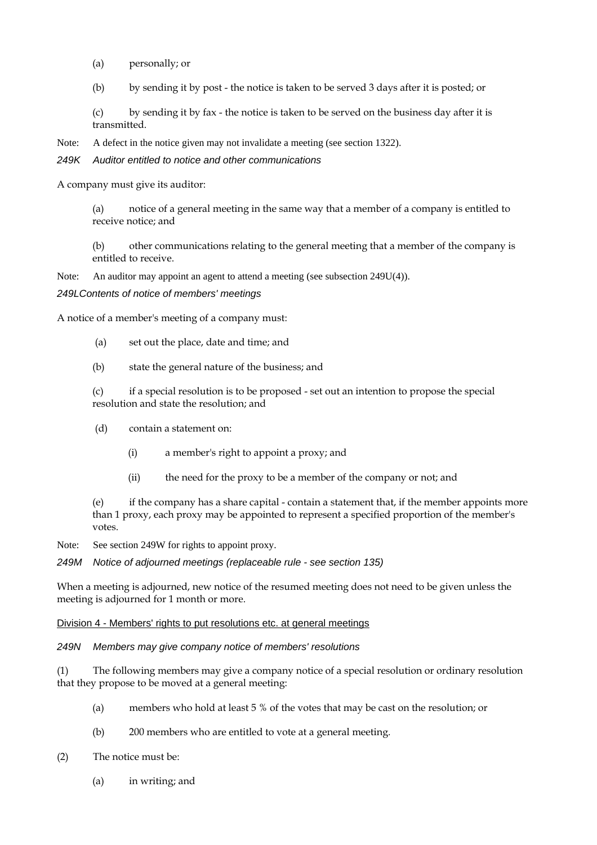- (a) personally; or
- (b) by sending it by post the notice is taken to be served 3 days after it is posted; or

(c) by sending it by fax - the notice is taken to be served on the business day after it is transmitted.

Note: A defect in the notice given may not invalidate a meeting (see section 1322).

*249K Auditor entitled to notice and other communications* 

A company must give its auditor:

(a) notice of a general meeting in the same way that a member of a company is entitled to receive notice; and

(b) other communications relating to the general meeting that a member of the company is entitled to receive.

Note: An auditor may appoint an agent to attend a meeting (see subsection 249U(4)).

#### *249LContents of notice of members' meetings*

A notice of a member's meeting of a company must:

- (a) set out the place, date and time; and
- (b) state the general nature of the business; and

(c) if a special resolution is to be proposed - set out an intention to propose the special resolution and state the resolution; and

- (d) contain a statement on:
	- (i) a member's right to appoint a proxy; and
	- (ii) the need for the proxy to be a member of the company or not; and

(e) if the company has a share capital - contain a statement that, if the member appoints more than 1 proxy, each proxy may be appointed to represent a specified proportion of the member's votes.

Note: See section 249W for rights to appoint proxy.

*249M Notice of adjourned meetings (replaceable rule - see section 135)* 

When a meeting is adjourned, new notice of the resumed meeting does not need to be given unless the meeting is adjourned for 1 month or more.

#### Division 4 - Members' rights to put resolutions etc. at general meetings

#### *249N Members may give company notice of members' resolutions*

(1) The following members may give a company notice of a special resolution or ordinary resolution that they propose to be moved at a general meeting:

- (a) members who hold at least 5 % of the votes that may be cast on the resolution; or
- (b) 200 members who are entitled to vote at a general meeting.
- (2) The notice must be:
	- (a) in writing; and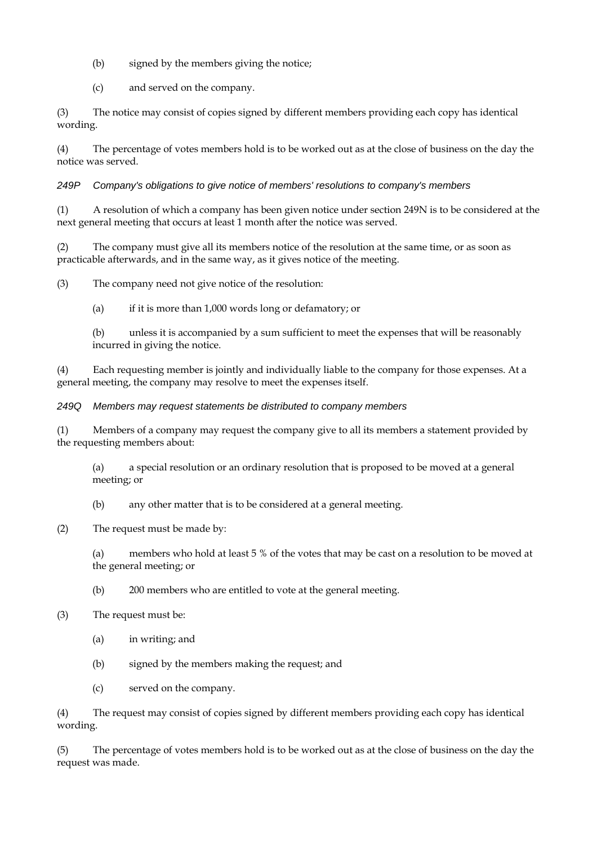- (b) signed by the members giving the notice;
- (c) and served on the company.

(3) The notice may consist of copies signed by different members providing each copy has identical wording.

(4) The percentage of votes members hold is to be worked out as at the close of business on the day the notice was served.

# *249P Company's obligations to give notice of members' resolutions to company's members*

(1) A resolution of which a company has been given notice under section 249N is to be considered at the next general meeting that occurs at least 1 month after the notice was served.

(2) The company must give all its members notice of the resolution at the same time, or as soon as practicable afterwards, and in the same way, as it gives notice of the meeting.

(3) The company need not give notice of the resolution:

(a) if it is more than 1,000 words long or defamatory; or

(b) unless it is accompanied by a sum sufficient to meet the expenses that will be reasonably incurred in giving the notice.

(4) Each requesting member is jointly and individually liable to the company for those expenses. At a general meeting, the company may resolve to meet the expenses itself.

## *249Q Members may request statements be distributed to company members*

(1) Members of a company may request the company give to all its members a statement provided by the requesting members about:

(a) a special resolution or an ordinary resolution that is proposed to be moved at a general meeting; or

(b) any other matter that is to be considered at a general meeting.

(2) The request must be made by:

(a) members who hold at least 5 % of the votes that may be cast on a resolution to be moved at the general meeting; or

(b) 200 members who are entitled to vote at the general meeting.

## (3) The request must be:

- (a) in writing; and
- (b) signed by the members making the request; and
- (c) served on the company.

(4) The request may consist of copies signed by different members providing each copy has identical wording.

(5) The percentage of votes members hold is to be worked out as at the close of business on the day the request was made.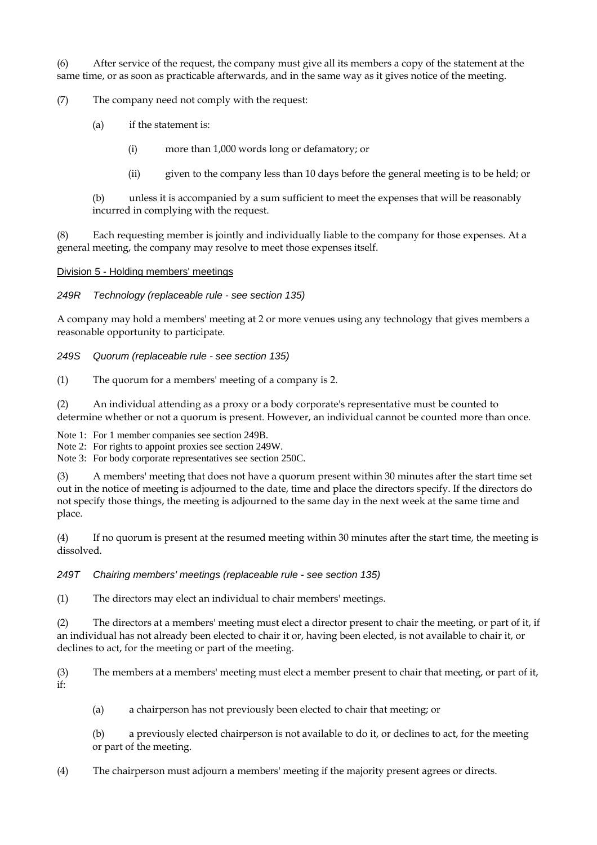(6) After service of the request, the company must give all its members a copy of the statement at the same time, or as soon as practicable afterwards, and in the same way as it gives notice of the meeting.

(7) The company need not comply with the request:

(a) if the statement is:

(i) more than 1,000 words long or defamatory; or

(ii) given to the company less than 10 days before the general meeting is to be held; or

(b) unless it is accompanied by a sum sufficient to meet the expenses that will be reasonably incurred in complying with the request.

(8) Each requesting member is jointly and individually liable to the company for those expenses. At a general meeting, the company may resolve to meet those expenses itself.

Division 5 - Holding members' meetings

*249R Technology (replaceable rule - see section 135)* 

A company may hold a members' meeting at 2 or more venues using any technology that gives members a reasonable opportunity to participate.

*249S Quorum (replaceable rule - see section 135)* 

(1) The quorum for a members' meeting of a company is 2.

(2) An individual attending as a proxy or a body corporate's representative must be counted to determine whether or not a quorum is present. However, an individual cannot be counted more than once.

Note 1: For 1 member companies see section 249B.

Note 2: For rights to appoint proxies see section 249W.

Note 3: For body corporate representatives see section 250C.

(3) A members' meeting that does not have a quorum present within 30 minutes after the start time set out in the notice of meeting is adjourned to the date, time and place the directors specify. If the directors do not specify those things, the meeting is adjourned to the same day in the next week at the same time and place.

(4) If no quorum is present at the resumed meeting within 30 minutes after the start time, the meeting is dissolved.

*249T Chairing members' meetings (replaceable rule - see section 135)* 

(1) The directors may elect an individual to chair members' meetings.

(2) The directors at a members' meeting must elect a director present to chair the meeting, or part of it, if an individual has not already been elected to chair it or, having been elected, is not available to chair it, or declines to act, for the meeting or part of the meeting.

(3) The members at a members' meeting must elect a member present to chair that meeting, or part of it, if:

(a) a chairperson has not previously been elected to chair that meeting; or

(b) a previously elected chairperson is not available to do it, or declines to act, for the meeting or part of the meeting.

(4) The chairperson must adjourn a members' meeting if the majority present agrees or directs.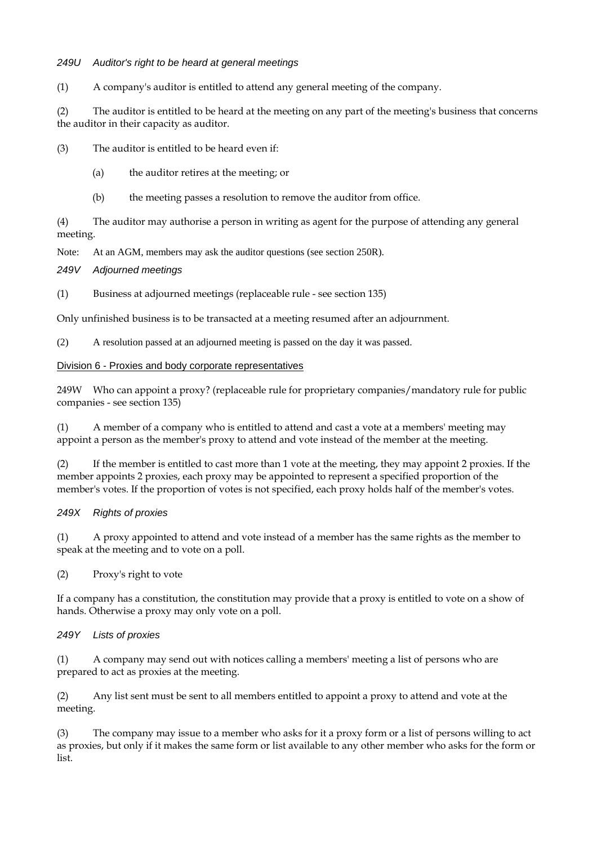# *249U Auditor's right to be heard at general meetings*

(1) A company's auditor is entitled to attend any general meeting of the company.

(2) The auditor is entitled to be heard at the meeting on any part of the meeting's business that concerns the auditor in their capacity as auditor.

(3) The auditor is entitled to be heard even if:

- (a) the auditor retires at the meeting; or
- (b) the meeting passes a resolution to remove the auditor from office.

(4) The auditor may authorise a person in writing as agent for the purpose of attending any general meeting.

Note: At an AGM, members may ask the auditor questions (see section 250R).

*249V Adjourned meetings* 

(1) Business at adjourned meetings (replaceable rule - see section 135)

Only unfinished business is to be transacted at a meeting resumed after an adjournment.

(2) A resolution passed at an adjourned meeting is passed on the day it was passed.

## Division 6 - Proxies and body corporate representatives

249W Who can appoint a proxy? (replaceable rule for proprietary companies/mandatory rule for public companies - see section 135)

(1) A member of a company who is entitled to attend and cast a vote at a members' meeting may appoint a person as the member's proxy to attend and vote instead of the member at the meeting.

(2) If the member is entitled to cast more than 1 vote at the meeting, they may appoint 2 proxies. If the member appoints 2 proxies, each proxy may be appointed to represent a specified proportion of the member's votes. If the proportion of votes is not specified, each proxy holds half of the member's votes.

# *249X Rights of proxies*

(1) A proxy appointed to attend and vote instead of a member has the same rights as the member to speak at the meeting and to vote on a poll.

(2) Proxy's right to vote

If a company has a constitution, the constitution may provide that a proxy is entitled to vote on a show of hands. Otherwise a proxy may only vote on a poll.

## *249Y Lists of proxies*

(1) A company may send out with notices calling a members' meeting a list of persons who are prepared to act as proxies at the meeting.

(2) Any list sent must be sent to all members entitled to appoint a proxy to attend and vote at the meeting.

(3) The company may issue to a member who asks for it a proxy form or a list of persons willing to act as proxies, but only if it makes the same form or list available to any other member who asks for the form or list.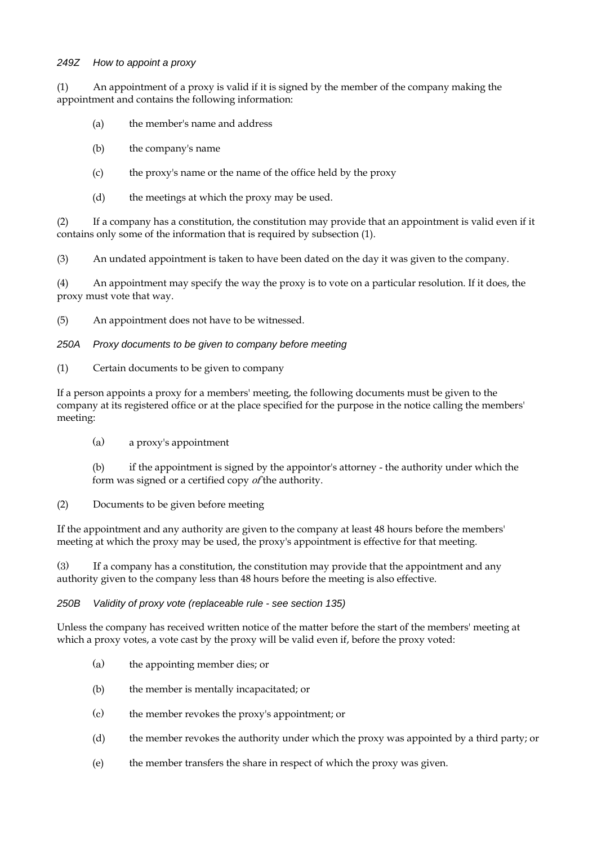## *249Z How to appoint a proxy*

(1) An appointment of a proxy is valid if it is signed by the member of the company making the appointment and contains the following information:

- (a) the member's name and address
- (b) the company's name
- (c) the proxy's name or the name of the office held by the proxy
- (d) the meetings at which the proxy may be used.

(2) If a company has a constitution, the constitution may provide that an appointment is valid even if it contains only some of the information that is required by subsection (1).

(3) An undated appointment is taken to have been dated on the day it was given to the company.

(4) An appointment may specify the way the proxy is to vote on a particular resolution. If it does, the proxy must vote that way.

(5) An appointment does not have to be witnessed.

#### *250A Proxy documents to be given to company before meeting*

(1) Certain documents to be given to company

If a person appoints a proxy for a members' meeting, the following documents must be given to the company at its registered office or at the place specified for the purpose in the notice calling the members' meeting:

(a) a proxy's appointment

(b) if the appointment is signed by the appointor's attorney - the authority under which the form was signed or a certified copy of the authority.

(2) Documents to be given before meeting

If the appointment and any authority are given to the company at least 48 hours before the members' meeting at which the proxy may be used, the proxy's appointment is effective for that meeting.

(3) If a company has a constitution, the constitution may provide that the appointment and any authority given to the company less than 48 hours before the meeting is also effective.

*250B Validity of proxy vote (replaceable rule - see section 135)* 

Unless the company has received written notice of the matter before the start of the members' meeting at which a proxy votes, a vote cast by the proxy will be valid even if, before the proxy voted:

- (a) the appointing member dies; or
- (b) the member is mentally incapacitated; or
- (c) the member revokes the proxy's appointment; or
- (d) the member revokes the authority under which the proxy was appointed by a third party; or
- (e) the member transfers the share in respect of which the proxy was given.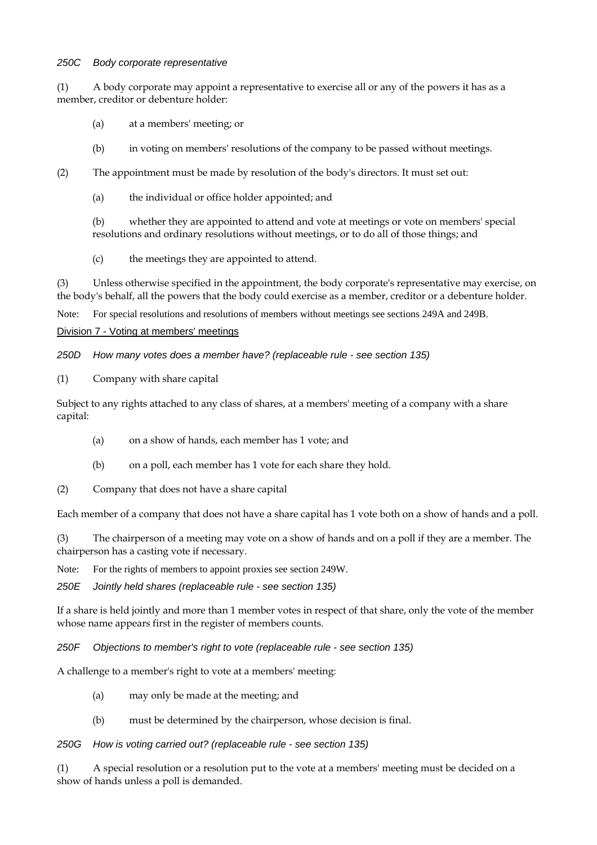#### *250C Body corporate representative*

(1) A body corporate may appoint a representative to exercise all or any of the powers it has as a member, creditor or debenture holder:

- (a) at a members' meeting; or
- (b) in voting on members' resolutions of the company to be passed without meetings.
- (2) The appointment must be made by resolution of the body's directors. It must set out:
	- (a) the individual or office holder appointed; and

(b) whether they are appointed to attend and vote at meetings or vote on members' special resolutions and ordinary resolutions without meetings, or to do all of those things; and

(c) the meetings they are appointed to attend.

(3) Unless otherwise specified in the appointment, the body corporate's representative may exercise, on the body's behalf, all the powers that the body could exercise as a member, creditor or a debenture holder.

Note: For special resolutions and resolutions of members without meetings see sections 249A and 249B.

#### Division 7 - Voting at members' meetings

*250D How many votes does a member have? (replaceable rule - see section 135)* 

(1) Company with share capital

Subject to any rights attached to any class of shares, at a members' meeting of a company with a share capital:

- (a) on a show of hands, each member has 1 vote; and
- (b) on a poll, each member has 1 vote for each share they hold.
- (2) Company that does not have a share capital

Each member of a company that does not have a share capital has 1 vote both on a show of hands and a poll.

(3) The chairperson of a meeting may vote on a show of hands and on a poll if they are a member. The chairperson has a casting vote if necessary.

Note: For the rights of members to appoint proxies see section 249W.

*250E Jointly held shares (replaceable rule - see section 135)* 

If a share is held jointly and more than 1 member votes in respect of that share, only the vote of the member whose name appears first in the register of members counts.

*250F Objections to member's right to vote (replaceable rule - see section 135)* 

A challenge to a member's right to vote at a members' meeting:

- (a) may only be made at the meeting; and
- (b) must be determined by the chairperson, whose decision is final.

## *250G How is voting carried out? (replaceable rule - see section 135)*

(1) A special resolution or a resolution put to the vote at a members' meeting must be decided on a show of hands unless a poll is demanded.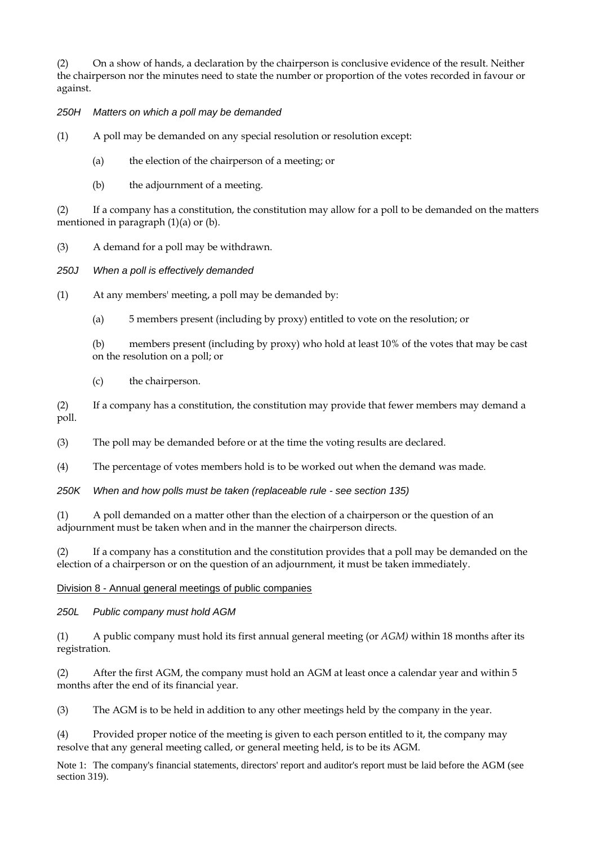(2) On a show of hands, a declaration by the chairperson is conclusive evidence of the result. Neither the chairperson nor the minutes need to state the number or proportion of the votes recorded in favour or against.

# *250H Matters on which a poll may be demanded*

(1) A poll may be demanded on any special resolution or resolution except:

- (a) the election of the chairperson of a meeting; or
- (b) the adjournment of a meeting.

(2) If a company has a constitution, the constitution may allow for a poll to be demanded on the matters mentioned in paragraph  $(1)(a)$  or  $(b)$ .

(3) A demand for a poll may be withdrawn.

*250J When a poll is effectively demanded* 

(1) At any members' meeting, a poll may be demanded by:

(a) 5 members present (including by proxy) entitled to vote on the resolution; or

(b) members present (including by proxy) who hold at least 10% of the votes that may be cast on the resolution on a poll; or

(c) the chairperson.

(2) If a company has a constitution, the constitution may provide that fewer members may demand a poll.

(3) The poll may be demanded before or at the time the voting results are declared.

(4) The percentage of votes members hold is to be worked out when the demand was made.

*250K When and how polls must be taken (replaceable rule - see section 135)* 

(1) A poll demanded on a matter other than the election of a chairperson or the question of an adjournment must be taken when and in the manner the chairperson directs.

(2) If a company has a constitution and the constitution provides that a poll may be demanded on the election of a chairperson or on the question of an adjournment, it must be taken immediately.

Division 8 - Annual general meetings of public companies

*250L Public company must hold AGM* 

(1) A public company must hold its first annual general meeting (or *AGM)* within 18 months after its registration.

(2) After the first AGM, the company must hold an AGM at least once a calendar year and within 5 months after the end of its financial year.

(3) The AGM is to be held in addition to any other meetings held by the company in the year.

(4) Provided proper notice of the meeting is given to each person entitled to it, the company may resolve that any general meeting called, or general meeting held, is to be its AGM.

Note 1: The company's financial statements, directors' report and auditor's report must be laid before the AGM (see section 319).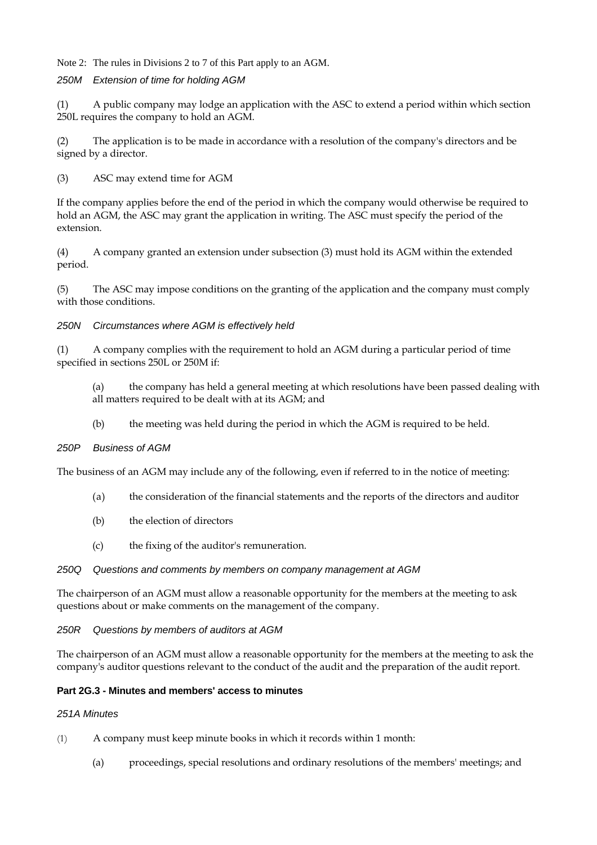Note 2: The rules in Divisions 2 to 7 of this Part apply to an AGM.

## *250M Extension of time for holding AGM*

(1) A public company may lodge an application with the ASC to extend a period within which section 250L requires the company to hold an AGM.

(2) The application is to be made in accordance with a resolution of the company's directors and be signed by a director.

(3) ASC may extend time for AGM

If the company applies before the end of the period in which the company would otherwise be required to hold an AGM, the ASC may grant the application in writing. The ASC must specify the period of the extension.

(4) A company granted an extension under subsection (3) must hold its AGM within the extended period.

(5) The ASC may impose conditions on the granting of the application and the company must comply with those conditions.

*250N Circumstances where AGM is effectively held* 

(1) A company complies with the requirement to hold an AGM during a particular period of time specified in sections 250L or 250M if:

- (a) the company has held a general meeting at which resolutions have been passed dealing with all matters required to be dealt with at its AGM; and
- (b) the meeting was held during the period in which the AGM is required to be held.

## *250P Business of AGM*

The business of an AGM may include any of the following, even if referred to in the notice of meeting:

- (a) the consideration of the financial statements and the reports of the directors and auditor
- (b) the election of directors
- (c) the fixing of the auditor's remuneration.

## *250Q Questions and comments by members on company management at AGM*

The chairperson of an AGM must allow a reasonable opportunity for the members at the meeting to ask questions about or make comments on the management of the company.

## *250R Questions by members of auditors at AGM*

The chairperson of an AGM must allow a reasonable opportunity for the members at the meeting to ask the company's auditor questions relevant to the conduct of the audit and the preparation of the audit report.

## **Part 2G.3 - Minutes and members' access to minutes**

## *251A Minutes*

- (1) A company must keep minute books in which it records within 1 month:
	- (a) proceedings, special resolutions and ordinary resolutions of the members' meetings; and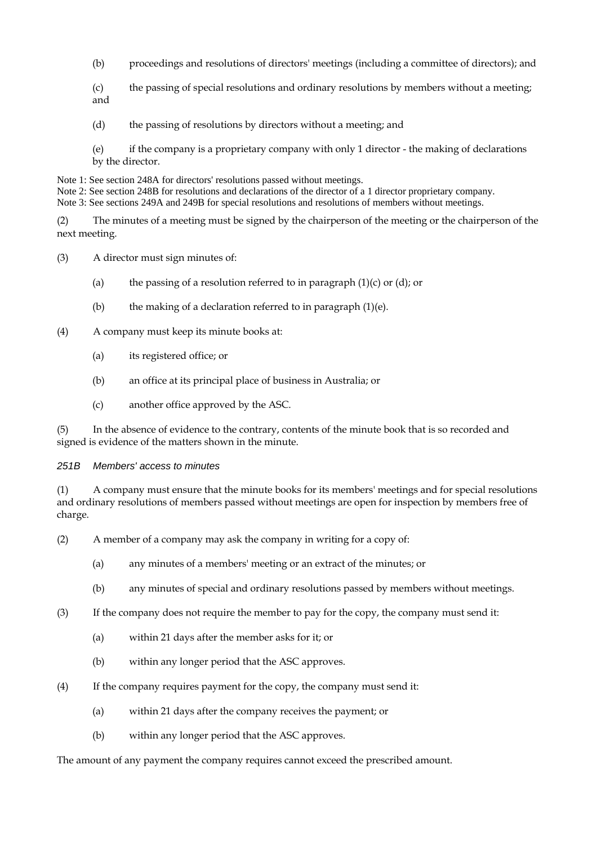- (b) proceedings and resolutions of directors' meetings (including a committee of directors); and
- (c) the passing of special resolutions and ordinary resolutions by members without a meeting; and
- (d) the passing of resolutions by directors without a meeting; and
- (e) if the company is a proprietary company with only 1 director the making of declarations by the director.

Note 1: See section 248A for directors' resolutions passed without meetings.

Note 2: See section 248B for resolutions and declarations of the director of a 1 director proprietary company.

Note 3: See sections 249A and 249B for special resolutions and resolutions of members without meetings.

(2) The minutes of a meeting must be signed by the chairperson of the meeting or the chairperson of the next meeting.

(3) A director must sign minutes of:

- (a) the passing of a resolution referred to in paragraph  $(1)(c)$  or  $(d)$ ; or
- (b) the making of a declaration referred to in paragraph  $(1)(e)$ .

(4) A company must keep its minute books at:

- (a) its registered office; or
- (b) an office at its principal place of business in Australia; or
- (c) another office approved by the ASC.

(5) In the absence of evidence to the contrary, contents of the minute book that is so recorded and signed is evidence of the matters shown in the minute.

## *251B Members' access to minutes*

(1) A company must ensure that the minute books for its members' meetings and for special resolutions and ordinary resolutions of members passed without meetings are open for inspection by members free of charge.

- (2) A member of a company may ask the company in writing for a copy of:
	- (a) any minutes of a members' meeting or an extract of the minutes; or
	- (b) any minutes of special and ordinary resolutions passed by members without meetings.
- (3) If the company does not require the member to pay for the copy, the company must send it:
	- (a) within 21 days after the member asks for it; or
	- (b) within any longer period that the ASC approves.
- (4) If the company requires payment for the copy, the company must send it:
	- (a) within 21 days after the company receives the payment; or
	- (b) within any longer period that the ASC approves.

The amount of any payment the company requires cannot exceed the prescribed amount.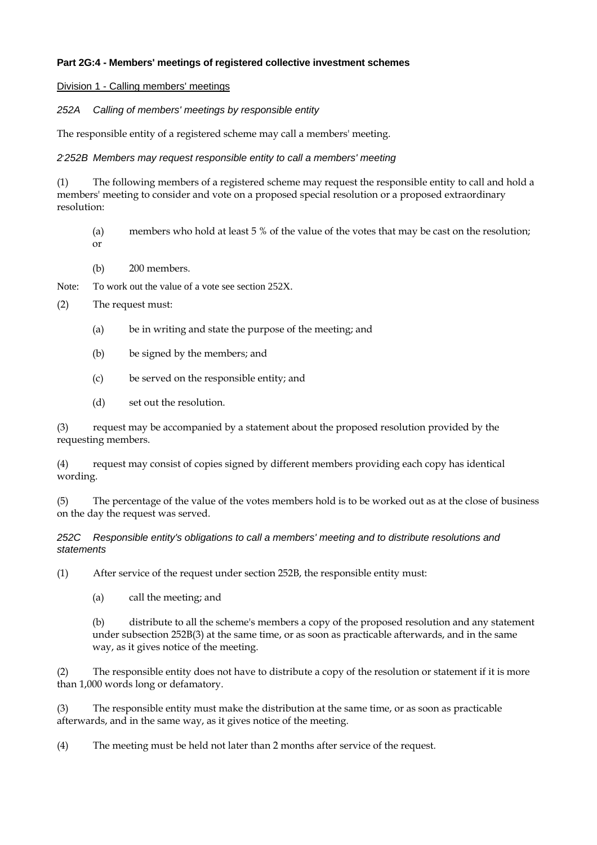# **Part 2G:4 - Members' meetings of registered collective investment schemes**

Division 1 - Calling members' meetings

*252A Calling of members' meetings by responsible entity* 

The responsible entity of a registered scheme may call a members' meeting.

# *2, 252B Members may request responsible entity to call a members' meeting*

(1) The following members of a registered scheme may request the responsible entity to call and hold a members' meeting to consider and vote on a proposed special resolution or a proposed extraordinary resolution:

- (a) members who hold at least 5 % of the value of the votes that may be cast on the resolution; or
- (b) 200 members.

Note: To work out the value of a vote see section 252X.

(2) The request must:

- (a) be in writing and state the purpose of the meeting; and
- (b) be signed by the members; and
- (c) be served on the responsible entity; and
- (d) set out the resolution.

(3) request may be accompanied by a statement about the proposed resolution provided by the requesting members.

(4) request may consist of copies signed by different members providing each copy has identical wording.

(5) The percentage of the value of the votes members hold is to be worked out as at the close of business on the day the request was served.

# *252C Responsible entity's obligations to call a members' meeting and to distribute resolutions and statements*

(1) After service of the request under section 252B, the responsible entity must:

(a) call the meeting; and

(b) distribute to all the scheme's members a copy of the proposed resolution and any statement under subsection 252B(3) at the same time, or as soon as practicable afterwards, and in the same way, as it gives notice of the meeting.

(2) The responsible entity does not have to distribute a copy of the resolution or statement if it is more than 1,000 words long or defamatory.

(3) The responsible entity must make the distribution at the same time, or as soon as practicable afterwards, and in the same way, as it gives notice of the meeting.

(4) The meeting must be held not later than 2 months after service of the request.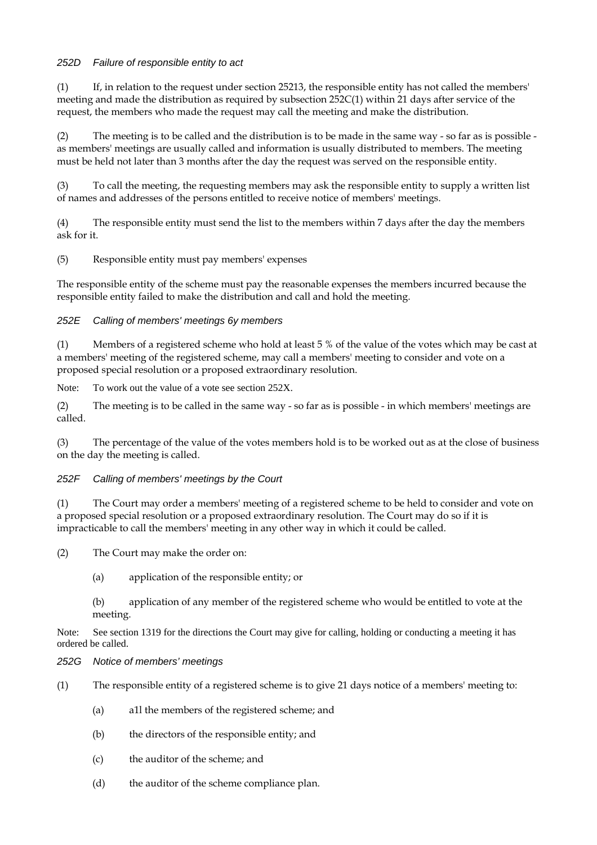# *252D Failure of responsible entity to act*

 $(1)$  If, in relation to the request under section 25213, the responsible entity has not called the members' meeting and made the distribution as required by subsection 252C(1) within 21 days after service of the request, the members who made the request may call the meeting and make the distribution.

(2) The meeting is to be called and the distribution is to be made in the same way - so far as is possible as members' meetings are usually called and information is usually distributed to members. The meeting must be held not later than 3 months after the day the request was served on the responsible entity.

(3) To call the meeting, the requesting members may ask the responsible entity to supply a written list of names and addresses of the persons entitled to receive notice of members' meetings.

(4) The responsible entity must send the list to the members within 7 days after the day the members ask for it.

(5) Responsible entity must pay members' expenses

The responsible entity of the scheme must pay the reasonable expenses the members incurred because the responsible entity failed to make the distribution and call and hold the meeting.

## *252E Calling of members' meetings 6y members*

(1) Members of a registered scheme who hold at least 5 % of the value of the votes which may be cast at a members' meeting of the registered scheme, may call a members' meeting to consider and vote on a proposed special resolution or a proposed extraordinary resolution.

Note: To work out the value of a vote see section 252X.

(2) The meeting is to be called in the same way - so far as is possible - in which members' meetings are called.

(3) The percentage of the value of the votes members hold is to be worked out as at the close of business on the day the meeting is called.

## *252F Calling of members' meetings by the Court*

(1) The Court may order a members' meeting of a registered scheme to be held to consider and vote on a proposed special resolution or a proposed extraordinary resolution. The Court may do so if it is impracticable to call the members' meeting in any other way in which it could be called.

(2) The Court may make the order on:

(a) application of the responsible entity; or

(b) application of any member of the registered scheme who would be entitled to vote at the meeting.

Note: See section 1319 for the directions the Court may give for calling, holding or conducting a meeting it has ordered be called.

## *252G Notice of members' meetings*

- (1) The responsible entity of a registered scheme is to give 21 days notice of a members' meeting to:
	- (a) a1l the members of the registered scheme; and
	- (b) the directors of the responsible entity; and
	- (c) the auditor of the scheme; and
	- (d) the auditor of the scheme compliance plan.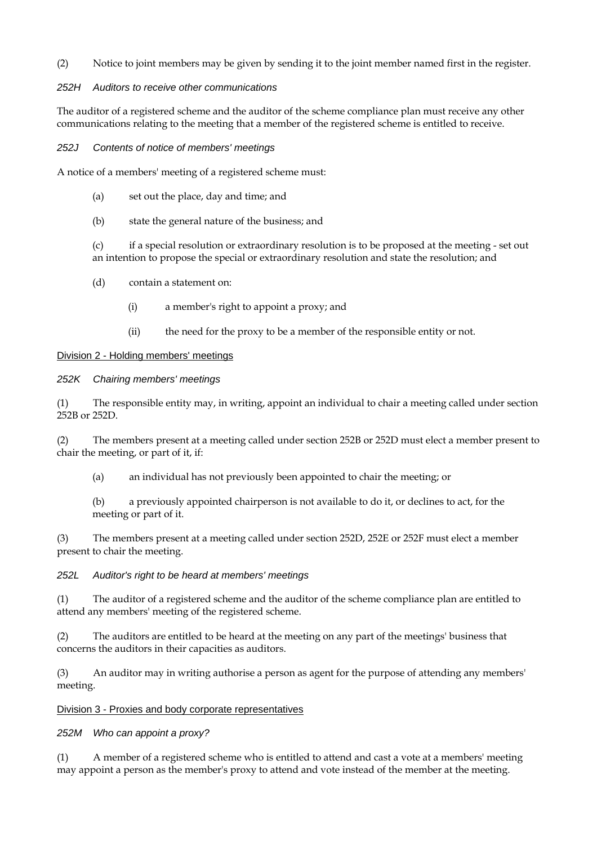(2) Notice to joint members may be given by sending it to the joint member named first in the register.

# *252H Auditors to receive other communications*

The auditor of a registered scheme and the auditor of the scheme compliance plan must receive any other communications relating to the meeting that a member of the registered scheme is entitled to receive.

*252J Contents of notice of members' meetings* 

A notice of a members' meeting of a registered scheme must:

- (a) set out the place, day and time; and
- (b) state the general nature of the business; and

(c) if a special resolution or extraordinary resolution is to be proposed at the meeting - set out an intention to propose the special or extraordinary resolution and state the resolution; and

- (d) contain a statement on:
	- (i) a member's right to appoint a proxy; and
	- (ii) the need for the proxy to be a member of the responsible entity or not.

## Division 2 - Holding members' meetings

## *252K Chairing members' meetings*

(1) The responsible entity may, in writing, appoint an individual to chair a meeting called under section 252B or 252D.

(2) The members present at a meeting called under section 252B or 252D must elect a member present to chair the meeting, or part of it, if:

(a) an individual has not previously been appointed to chair the meeting; or

(b) a previously appointed chairperson is not available to do it, or declines to act, for the meeting or part of it.

(3) The members present at a meeting called under section 252D, 252E or 252F must elect a member present to chair the meeting.

## *252L Auditor's right to be heard at members' meetings*

(1) The auditor of a registered scheme and the auditor of the scheme compliance plan are entitled to attend any members' meeting of the registered scheme.

(2) The auditors are entitled to be heard at the meeting on any part of the meetings' business that concerns the auditors in their capacities as auditors.

(3) An auditor may in writing authorise a person as agent for the purpose of attending any members' meeting.

#### Division 3 - Proxies and body corporate representatives

## *252M Who can appoint a proxy?*

(1) A member of a registered scheme who is entitled to attend and cast a vote at a members' meeting may appoint a person as the member's proxy to attend and vote instead of the member at the meeting.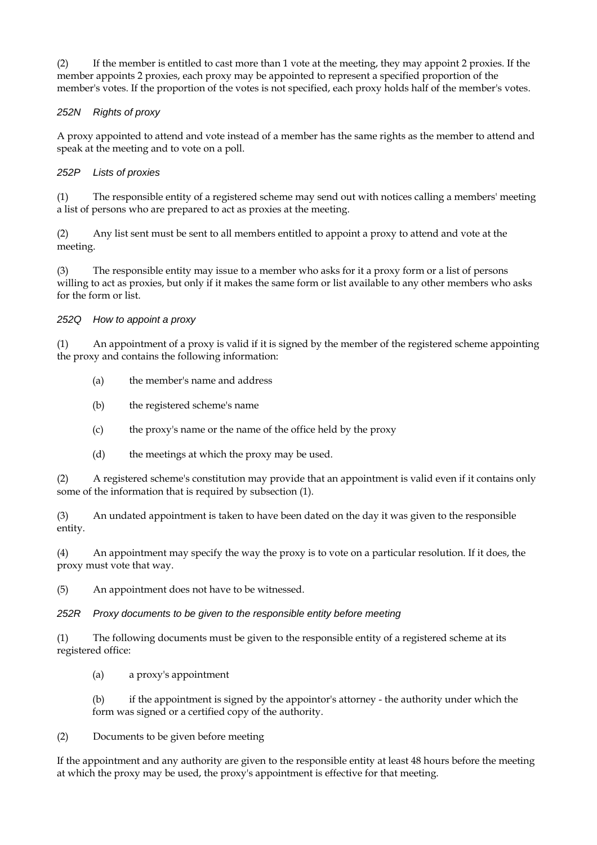(2) If the member is entitled to cast more than 1 vote at the meeting, they may appoint 2 proxies. If the member appoints 2 proxies, each proxy may be appointed to represent a specified proportion of the member's votes. If the proportion of the votes is not specified, each proxy holds half of the member's votes.

# *252N Rights of proxy*

A proxy appointed to attend and vote instead of a member has the same rights as the member to attend and speak at the meeting and to vote on a poll.

# *252P Lists of proxies*

(1) The responsible entity of a registered scheme may send out with notices calling a members' meeting a list of persons who are prepared to act as proxies at the meeting.

(2) Any list sent must be sent to all members entitled to appoint a proxy to attend and vote at the meeting.

(3) The responsible entity may issue to a member who asks for it a proxy form or a list of persons willing to act as proxies, but only if it makes the same form or list available to any other members who asks for the form or list.

# *252Q How to appoint a proxy*

(1) An appointment of a proxy is valid if it is signed by the member of the registered scheme appointing the proxy and contains the following information:

- (a) the member's name and address
- (b) the registered scheme's name
- (c) the proxy's name or the name of the office held by the proxy
- (d) the meetings at which the proxy may be used.

(2) A registered scheme's constitution may provide that an appointment is valid even if it contains only some of the information that is required by subsection (1).

(3) An undated appointment is taken to have been dated on the day it was given to the responsible entity.

(4) An appointment may specify the way the proxy is to vote on a particular resolution. If it does, the proxy must vote that way.

(5) An appointment does not have to be witnessed.

## *252R Proxy documents to be given to the responsible entity before meeting*

(1) The following documents must be given to the responsible entity of a registered scheme at its registered office:

(a) a proxy's appointment

(b) if the appointment is signed by the appointor's attorney - the authority under which the form was signed or a certified copy of the authority.

(2) Documents to be given before meeting

If the appointment and any authority are given to the responsible entity at least 48 hours before the meeting at which the proxy may be used, the proxy's appointment is effective for that meeting.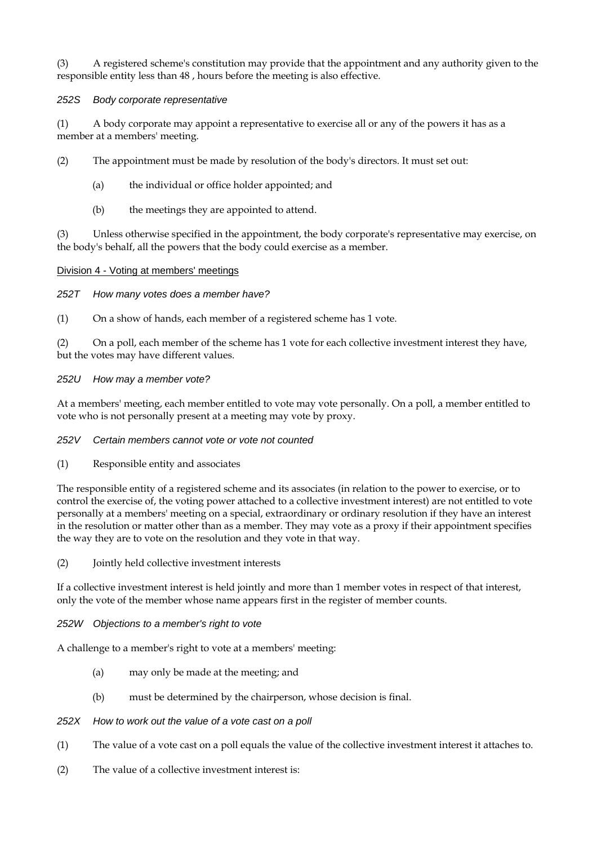(3) A registered scheme's constitution may provide that the appointment and any authority given to the responsible entity less than 48 , hours before the meeting is also effective.

## *252S Body corporate representative*

(1) A body corporate may appoint a representative to exercise all or any of the powers it has as a member at a members' meeting.

(2) The appointment must be made by resolution of the body's directors. It must set out:

- (a) the individual or office holder appointed; and
- (b) the meetings they are appointed to attend.

(3) Unless otherwise specified in the appointment, the body corporate's representative may exercise, on the body's behalf, all the powers that the body could exercise as a member.

## Division 4 - Voting at members' meetings

*252T How many votes does a member have?* 

(1) On a show of hands, each member of a registered scheme has 1 vote.

(2) On a poll, each member of the scheme has 1 vote for each collective investment interest they have, but the votes may have different values.

## *252U How may a member vote?*

At a members' meeting, each member entitled to vote may vote personally. On a poll, a member entitled to vote who is not personally present at a meeting may vote by proxy.

## *252V Certain members cannot vote or vote not counted*

(1) Responsible entity and associates

The responsible entity of a registered scheme and its associates (in relation to the power to exercise, or to control the exercise of, the voting power attached to a collective investment interest) are not entitled to vote personally at a members' meeting on a special, extraordinary or ordinary resolution if they have an interest in the resolution or matter other than as a member. They may vote as a proxy if their appointment specifies the way they are to vote on the resolution and they vote in that way.

(2) Jointly held collective investment interests

If a collective investment interest is held jointly and more than 1 member votes in respect of that interest, only the vote of the member whose name appears first in the register of member counts.

*252W Objections to a member's right to vote* 

A challenge to a member's right to vote at a members' meeting:

- (a) may only be made at the meeting; and
- (b) must be determined by the chairperson, whose decision is final.
- *252X How to work out the value of a vote cast on a poll*
- (1) The value of a vote cast on a poll equals the value of the collective investment interest it attaches to.
- (2) The value of a collective investment interest is: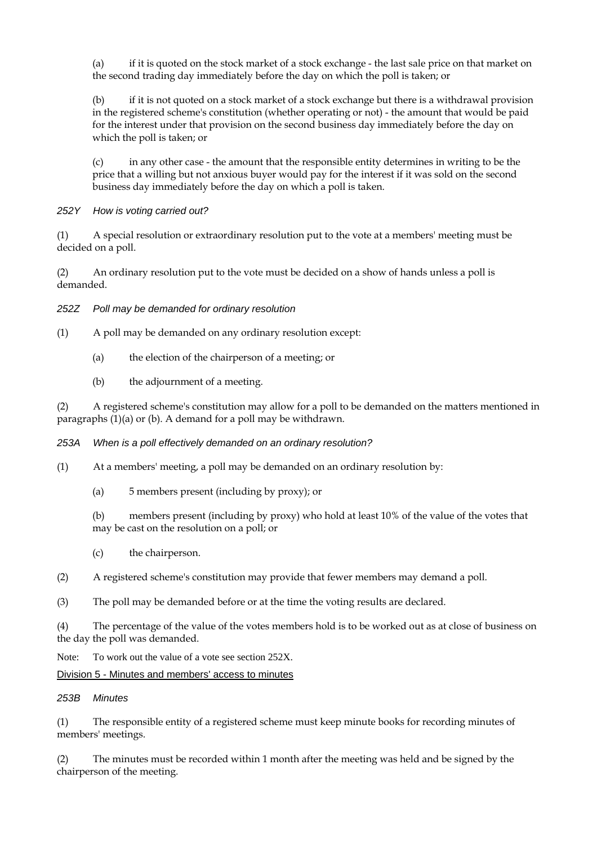(a) if it is quoted on the stock market of a stock exchange - the last sale price on that market on the second trading day immediately before the day on which the poll is taken; or

(b) if it is not quoted on a stock market of a stock exchange but there is a withdrawal provision in the registered scheme's constitution (whether operating or not) - the amount that would be paid for the interest under that provision on the second business day immediately before the day on which the poll is taken; or

(c) in any other case - the amount that the responsible entity determines in writing to be the price that a willing but not anxious buyer would pay for the interest if it was sold on the second business day immediately before the day on which a poll is taken.

*252Y How is voting carried out?* 

(1) A special resolution or extraordinary resolution put to the vote at a members' meeting must be decided on a poll.

(2) An ordinary resolution put to the vote must be decided on a show of hands unless a poll is demanded.

*252Z Poll may be demanded for ordinary resolution* 

(1) A poll may be demanded on any ordinary resolution except:

- (a) the election of the chairperson of a meeting; or
- (b) the adjournment of a meeting.

(2) A registered scheme's constitution may allow for a poll to be demanded on the matters mentioned in paragraphs (1)(a) or (b). A demand for a poll may be withdrawn.

*253A When is a poll effectively demanded on an ordinary resolution?* 

(1) At a members' meeting, a poll may be demanded on an ordinary resolution by:

(a) 5 members present (including by proxy); or

(b) members present (including by proxy) who hold at least 10% of the value of the votes that may be cast on the resolution on a poll; or

(c) the chairperson.

(2) A registered scheme's constitution may provide that fewer members may demand a poll.

(3) The poll may be demanded before or at the time the voting results are declared.

(4) The percentage of the value of the votes members hold is to be worked out as at close of business on the day the poll was demanded.

Note: To work out the value of a vote see section 252X.

Division 5 - Minutes and members' access to minutes

#### *253B Minutes*

(1) The responsible entity of a registered scheme must keep minute books for recording minutes of members' meetings.

(2) The minutes must be recorded within 1 month after the meeting was held and be signed by the chairperson of the meeting.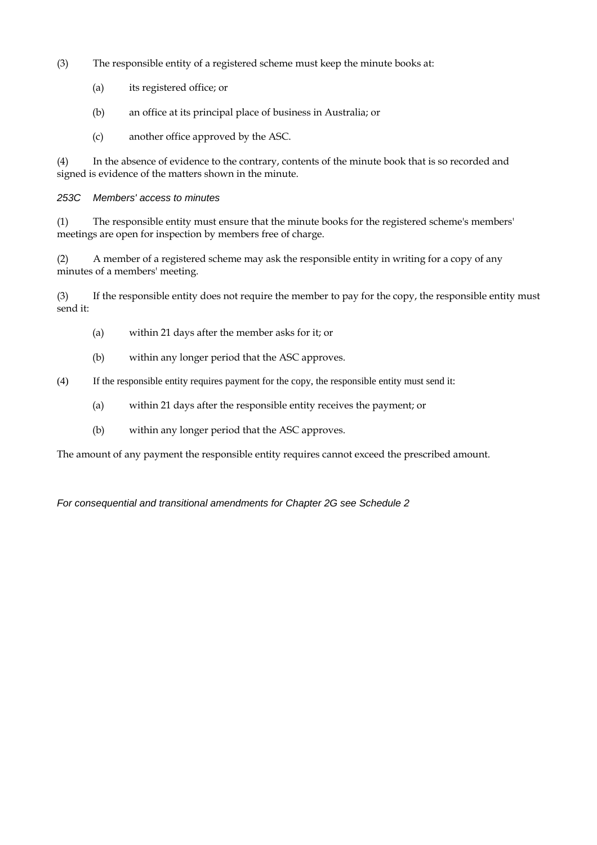- (3) The responsible entity of a registered scheme must keep the minute books at:
	- (a) its registered office; or
	- (b) an office at its principal place of business in Australia; or
	- (c) another office approved by the ASC.

(4) In the absence of evidence to the contrary, contents of the minute book that is so recorded and signed is evidence of the matters shown in the minute.

*253C Members' access to minutes* 

(1) The responsible entity must ensure that the minute books for the registered scheme's members' meetings are open for inspection by members free of charge.

(2) A member of a registered scheme may ask the responsible entity in writing for a copy of any minutes of a members' meeting.

(3) If the responsible entity does not require the member to pay for the copy, the responsible entity must send it:

- (a) within 21 days after the member asks for it; or
- (b) within any longer period that the ASC approves.
- (4) If the responsible entity requires payment for the copy, the responsible entity must send it:
	- (a) within 21 days after the responsible entity receives the payment; or
	- (b) within any longer period that the ASC approves.

The amount of any payment the responsible entity requires cannot exceed the prescribed amount.

*For consequential and transitional amendments for Chapter 2G see Schedule 2*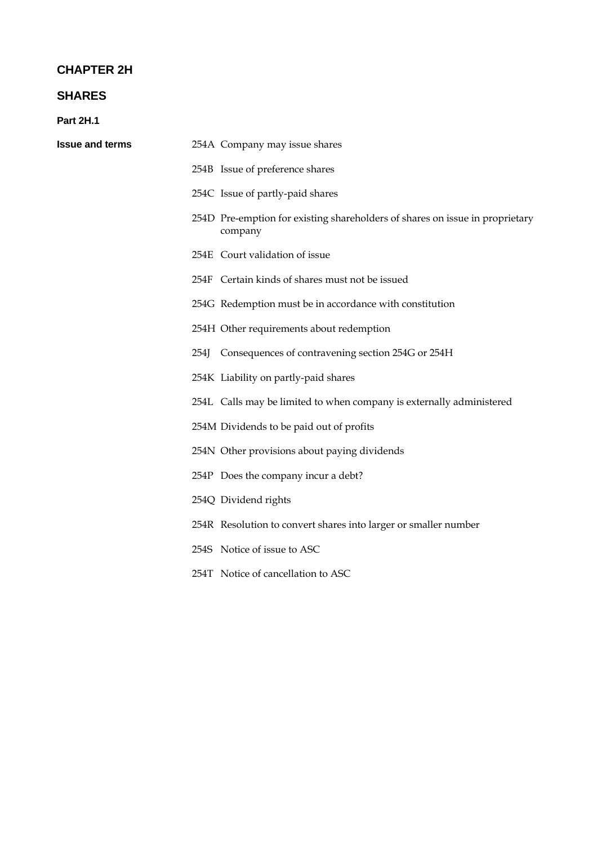# **CHAPTER 2H**

# **SHARES**

**Part 2H.1** 

| <b>Issue and terms</b> |      | 254A Company may issue shares                                                           |
|------------------------|------|-----------------------------------------------------------------------------------------|
|                        |      | 254B Issue of preference shares                                                         |
|                        |      | 254C Issue of partly-paid shares                                                        |
|                        |      | 254D Pre-emption for existing shareholders of shares on issue in proprietary<br>company |
|                        |      | 254E Court validation of issue                                                          |
|                        |      | 254F Certain kinds of shares must not be issued                                         |
|                        |      | 254G Redemption must be in accordance with constitution                                 |
|                        |      | 254H Other requirements about redemption                                                |
|                        | 254J | Consequences of contravening section 254G or 254H                                       |
|                        |      | 254K Liability on partly-paid shares                                                    |
|                        |      | 254L Calls may be limited to when company is externally administered                    |
|                        |      | 254M Dividends to be paid out of profits                                                |
|                        |      | 254N Other provisions about paying dividends                                            |
|                        |      | 254P Does the company incur a debt?                                                     |
|                        |      | 254Q Dividend rights                                                                    |
|                        |      | 254R Resolution to convert shares into larger or smaller number                         |
|                        |      | 254S Notice of issue to ASC                                                             |
|                        |      | 254T Notice of cancellation to ASC                                                      |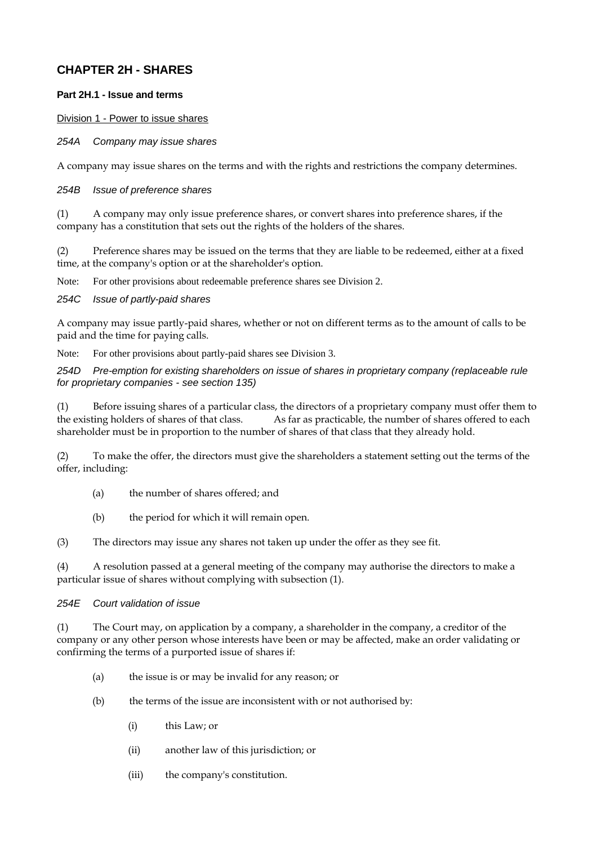# **CHAPTER 2H - SHARES**

# **Part 2H.1 - Issue and terms**

Division 1 - Power to issue shares

*254A Company may issue shares* 

A company may issue shares on the terms and with the rights and restrictions the company determines.

#### *254B Issue of preference shares*

(1) A company may only issue preference shares, or convert shares into preference shares, if the company has a constitution that sets out the rights of the holders of the shares.

(2) Preference shares may be issued on the terms that they are liable to be redeemed, either at a fixed time, at the company's option or at the shareholder's option.

Note: For other provisions about redeemable preference shares see Division 2.

#### *254C Issue of partly-paid shares*

A company may issue partly-paid shares, whether or not on different terms as to the amount of calls to be paid and the time for paying calls.

Note: For other provisions about partly-paid shares see Division 3.

*254D Pre-emption for existing shareholders on issue of shares in proprietary company (replaceable rule for proprietary companies - see section 135)* 

(1) Before issuing shares of a particular class, the directors of a proprietary company must offer them to the existing holders of shares of that class. As far as practicable, the number of shares offered to each shareholder must be in proportion to the number of shares of that class that they already hold.

(2) To make the offer, the directors must give the shareholders a statement setting out the terms of the offer, including:

- (a) the number of shares offered; and
- (b) the period for which it will remain open.

(3) The directors may issue any shares not taken up under the offer as they see fit.

(4) A resolution passed at a general meeting of the company may authorise the directors to make a particular issue of shares without complying with subsection (1).

#### *254E Court validation of issue*

(1) The Court may, on application by a company, a shareholder in the company, a creditor of the company or any other person whose interests have been or may be affected, make an order validating or confirming the terms of a purported issue of shares if:

- (a) the issue is or may be invalid for any reason; or
- (b) the terms of the issue are inconsistent with or not authorised by:
	- (i) this Law; or
	- (ii) another law of this jurisdiction; or
	- (iii) the company's constitution.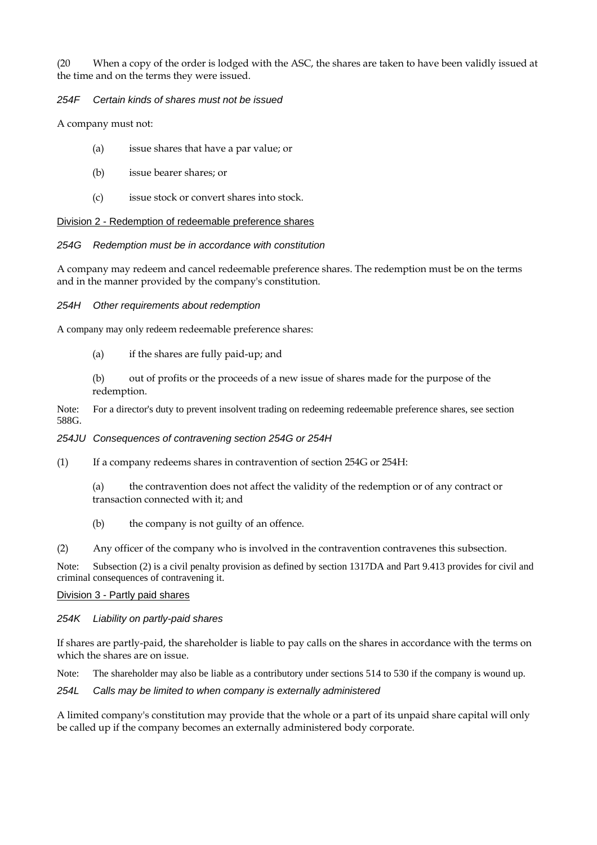(20 When a copy of the order is lodged with the ASC, the shares are taken to have been validly issued at the time and on the terms they were issued.

## *254F Certain kinds of shares must not be issued*

A company must not:

- (a) issue shares that have a par value; or
- (b) issue bearer shares; or
- (c) issue stock or convert shares into stock.

Division 2 - Redemption of redeemable preference shares

## *254G Redemption must be in accordance with constitution*

A company may redeem and cancel redeemable preference shares. The redemption must be on the terms and in the manner provided by the company's constitution.

#### *254H Other requirements about redemption*

A company may only redeem redeemable preference shares:

(a) if the shares are fully paid-up; and

(b) out of profits or the proceeds of a new issue of shares made for the purpose of the redemption.

Note: For a director's duty to prevent insolvent trading on redeeming redeemable preference shares, see section 588G.

#### *254JU Consequences of contravening section 254G or 254H*

- (1) If a company redeems shares in contravention of section 254G or 254H:
	- (a) the contravention does not affect the validity of the redemption or of any contract or transaction connected with it; and
	- (b) the company is not guilty of an offence.
- (2) Any officer of the company who is involved in the contravention contravenes this subsection.

Note: Subsection (2) is a civil penalty provision as defined by section 1317DA and Part 9.413 provides for civil and criminal consequences of contravening it.

#### Division 3 - Partly paid shares

#### *254K Liability on partly-paid shares*

If shares are partly-paid, the shareholder is liable to pay calls on the shares in accordance with the terms on which the shares are on issue.

Note: The shareholder may also be liable as a contributory under sections 514 to 530 if the company is wound up.

*254L Calls may be limited to when company is externally administered* 

A limited company's constitution may provide that the whole or a part of its unpaid share capital will only be called up if the company becomes an externally administered body corporate.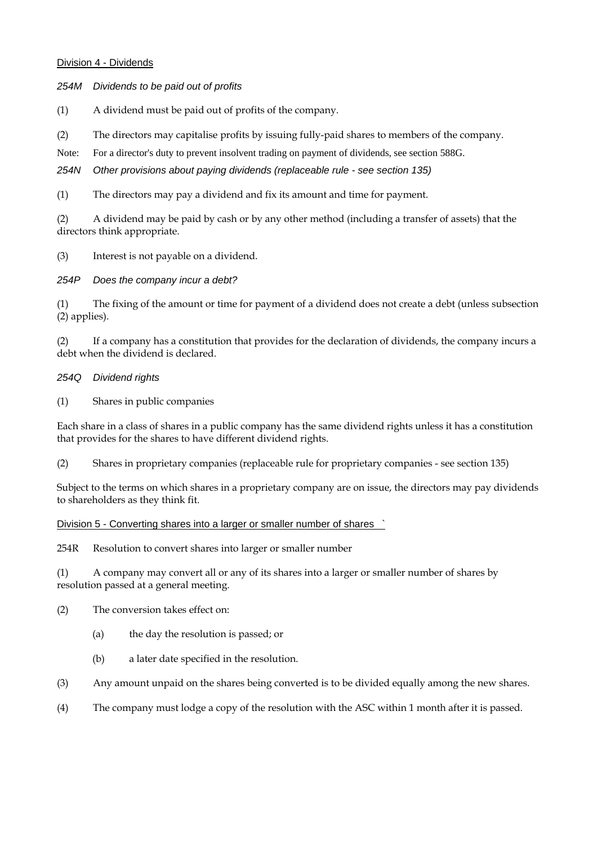#### Division 4 - Dividends

*254M Dividends to be paid out of profits* 

(1) A dividend must be paid out of profits of the company.

(2) The directors may capitalise profits by issuing fully-paid shares to members of the company.

Note: For a director's duty to prevent insolvent trading on payment of dividends, see section 588G.

*254N Other provisions about paying dividends (replaceable rule - see section 135)* 

(1) The directors may pay a dividend and fix its amount and time for payment.

(2) A dividend may be paid by cash or by any other method (including a transfer of assets) that the directors think appropriate.

(3) Interest is not payable on a dividend.

*254P Does the company incur a debt?* 

(1) The fixing of the amount or time for payment of a dividend does not create a debt (unless subsection (2) applies).

(2) If a company has a constitution that provides for the declaration of dividends, the company incurs a debt when the dividend is declared.

## *254Q Dividend rights*

(1) Shares in public companies

Each share in a class of shares in a public company has the same dividend rights unless it has a constitution that provides for the shares to have different dividend rights.

(2) Shares in proprietary companies (replaceable rule for proprietary companies - see section 135)

Subject to the terms on which shares in a proprietary company are on issue, the directors may pay dividends to shareholders as they think fit.

Division 5 - Converting shares into a larger or smaller number of shares `

254R Resolution to convert shares into larger or smaller number

(1) A company may convert all or any of its shares into a larger or smaller number of shares by resolution passed at a general meeting.

(2) The conversion takes effect on:

- (a) the day the resolution is passed; or
- (b) a later date specified in the resolution.
- (3) Any amount unpaid on the shares being converted is to be divided equally among the new shares.
- (4) The company must lodge a copy of the resolution with the ASC within 1 month after it is passed.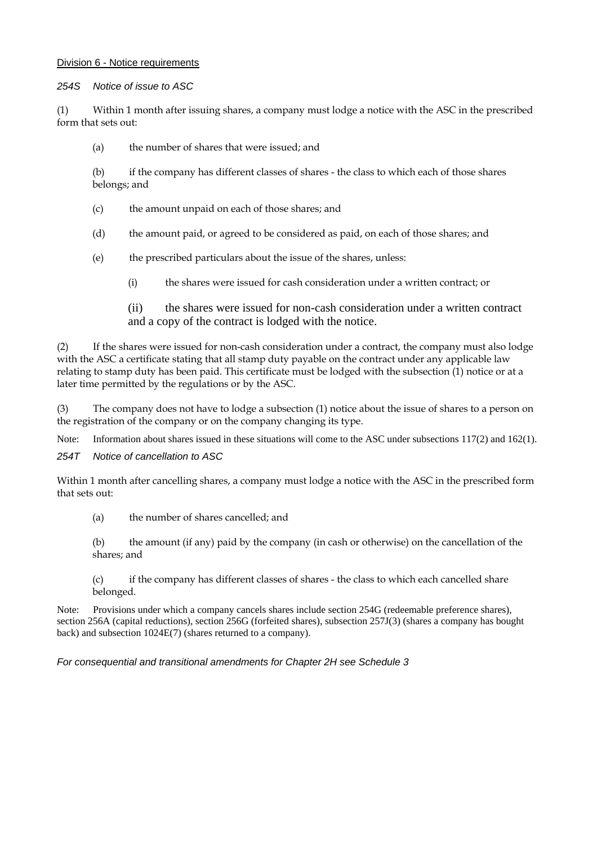#### Division 6 - Notice requirements

*254S Notice of issue to ASC* 

(1) Within 1 month after issuing shares, a company must lodge a notice with the ASC in the prescribed form that sets out:

(a) the number of shares that were issued; and

(b) if the company has different classes of shares - the class to which each of those shares belongs; and

- (c) the amount unpaid on each of those shares; and
- (d) the amount paid, or agreed to be considered as paid, on each of those shares; and
- (e) the prescribed particulars about the issue of the shares, unless:
	- (i) the shares were issued for cash consideration under a written contract; or

(ii) the shares were issued for non-cash consideration under a written contract and a copy of the contract is lodged with the notice.

(2) If the shares were issued for non-cash consideration under a contract, the company must also lodge with the ASC a certificate stating that all stamp duty payable on the contract under any applicable law relating to stamp duty has been paid. This certificate must be lodged with the subsection (1) notice or at a later time permitted by the regulations or by the ASC.

(3) The company does not have to lodge a subsection (1) notice about the issue of shares to a person on the registration of the company or on the company changing its type.

Note: Information about shares issued in these situations will come to the ASC under subsections 117(2) and 162(1).

*254T Notice of cancellation to ASC* 

Within 1 month after cancelling shares, a company must lodge a notice with the ASC in the prescribed form that sets out:

(a) the number of shares cancelled; and

(b) the amount (if any) paid by the company (in cash or otherwise) on the cancellation of the shares; and

(c) if the company has different classes of shares - the class to which each cancelled share belonged.

Note: Provisions under which a company cancels shares include section 254G (redeemable preference shares), section 256A (capital reductions), section 256G (forfeited shares), subsection 257J(3) (shares a company has bought back) and subsection 1024E(7) (shares returned to a company).

*For consequential and transitional amendments for Chapter 2H see Schedule 3*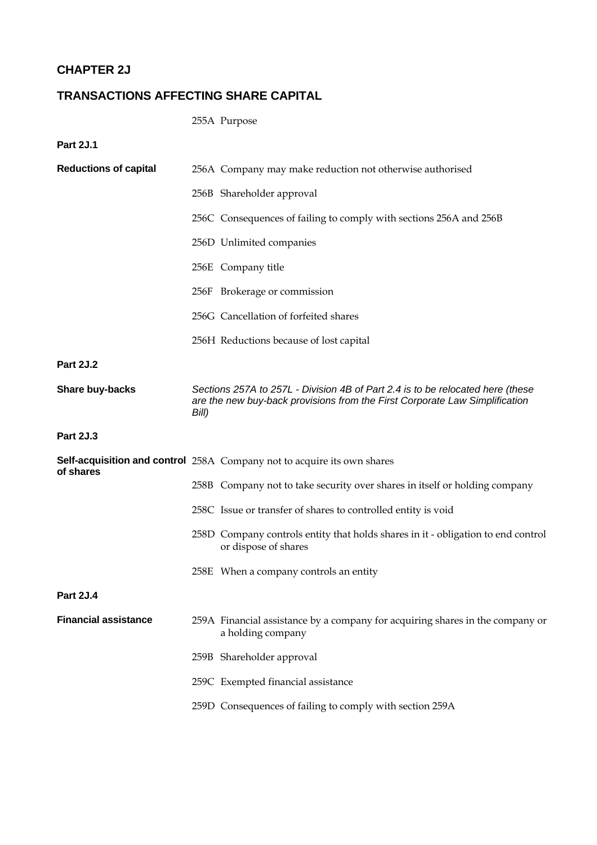# **CHAPTER 2J**

# **TRANSACTIONS AFFECTING SHARE CAPITAL**

255A Purpose

**Part 2J.1** 

| <b>Reductions of capital</b> |       | 256A Company may make reduction not otherwise authorised                                                                                                      |
|------------------------------|-------|---------------------------------------------------------------------------------------------------------------------------------------------------------------|
|                              |       | 256B Shareholder approval                                                                                                                                     |
|                              |       | 256C Consequences of failing to comply with sections 256A and 256B                                                                                            |
|                              |       | 256D Unlimited companies                                                                                                                                      |
|                              |       | 256E Company title                                                                                                                                            |
|                              |       | 256F Brokerage or commission                                                                                                                                  |
|                              |       | 256G Cancellation of forfeited shares                                                                                                                         |
|                              |       | 256H Reductions because of lost capital                                                                                                                       |
| <b>Part 2J.2</b>             |       |                                                                                                                                                               |
| Share buy-backs              | Bill) | Sections 257A to 257L - Division 4B of Part 2.4 is to be relocated here (these<br>are the new buy-back provisions from the First Corporate Law Simplification |
| <b>Part 2J.3</b>             |       |                                                                                                                                                               |
|                              |       | Self-acquisition and control 258A Company not to acquire its own shares                                                                                       |
| of shares                    |       | 258B Company not to take security over shares in itself or holding company                                                                                    |
|                              |       | 258C Issue or transfer of shares to controlled entity is void                                                                                                 |
|                              |       | 258D Company controls entity that holds shares in it - obligation to end control<br>or dispose of shares                                                      |
|                              |       | 258E When a company controls an entity                                                                                                                        |
| <b>Part 2J.4</b>             |       |                                                                                                                                                               |
| <b>Financial assistance</b>  |       | 259A Financial assistance by a company for acquiring shares in the company or<br>a holding company                                                            |
|                              |       | 259B Shareholder approval                                                                                                                                     |
|                              |       | 259C Exempted financial assistance                                                                                                                            |
|                              |       | 259D Consequences of failing to comply with section 259A                                                                                                      |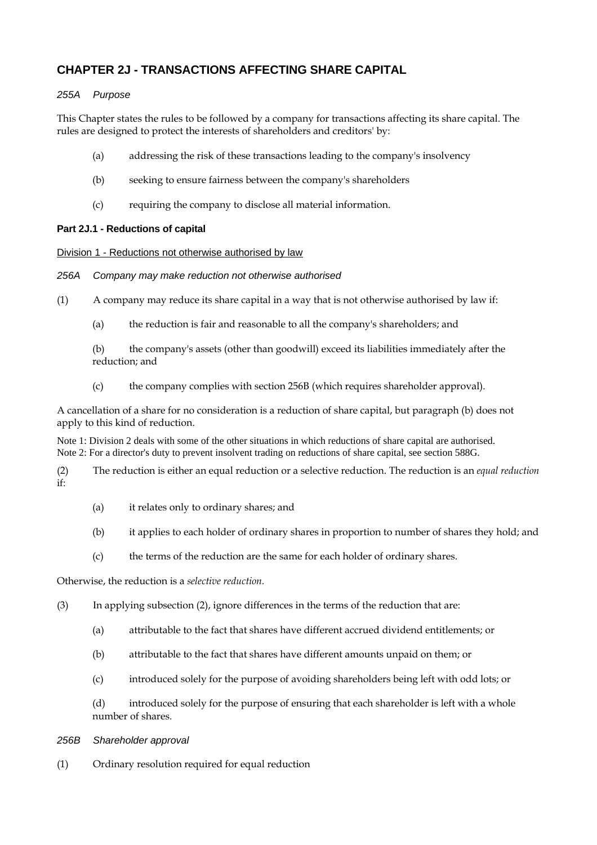# **CHAPTER 2J - TRANSACTIONS AFFECTING SHARE CAPITAL**

# *255A Purpose*

This Chapter states the rules to be followed by a company for transactions affecting its share capital. The rules are designed to protect the interests of shareholders and creditors' by:

- (a) addressing the risk of these transactions leading to the company's insolvency
- (b) seeking to ensure fairness between the company's shareholders
- (c) requiring the company to disclose all material information.

# **Part 2J.1 - Reductions of capital**

Division 1 - Reductions not otherwise authorised by law

## *256A Company may make reduction not otherwise authorised*

- (1) A company may reduce its share capital in a way that is not otherwise authorised by law if:
	- (a) the reduction is fair and reasonable to all the company's shareholders; and

(b) the company's assets (other than goodwill) exceed its liabilities immediately after the reduction; and

(c) the company complies with section 256B (which requires shareholder approval).

A cancellation of a share for no consideration is a reduction of share capital, but paragraph (b) does not apply to this kind of reduction.

Note 1: Division 2 deals with some of the other situations in which reductions of share capital are authorised. Note 2: For a director's duty to prevent insolvent trading on reductions of share capital, see section 588G.

(2) The reduction is either an equal reduction or a selective reduction. The reduction is an *equal reduction*  if:

- (a) it relates only to ordinary shares; and
- (b) it applies to each holder of ordinary shares in proportion to number of shares they hold; and
- (c) the terms of the reduction are the same for each holder of ordinary shares.

Otherwise, the reduction is a *selective reduction.* 

(3) In applying subsection (2), ignore differences in the terms of the reduction that are:

- (a) attributable to the fact that shares have different accrued dividend entitlements; or
- (b) attributable to the fact that shares have different amounts unpaid on them; or
- (c) introduced solely for the purpose of avoiding shareholders being left with odd lots; or

(d) introduced solely for the purpose of ensuring that each shareholder is left with a whole number of shares.

## *256B Shareholder approval*

(1) Ordinary resolution required for equal reduction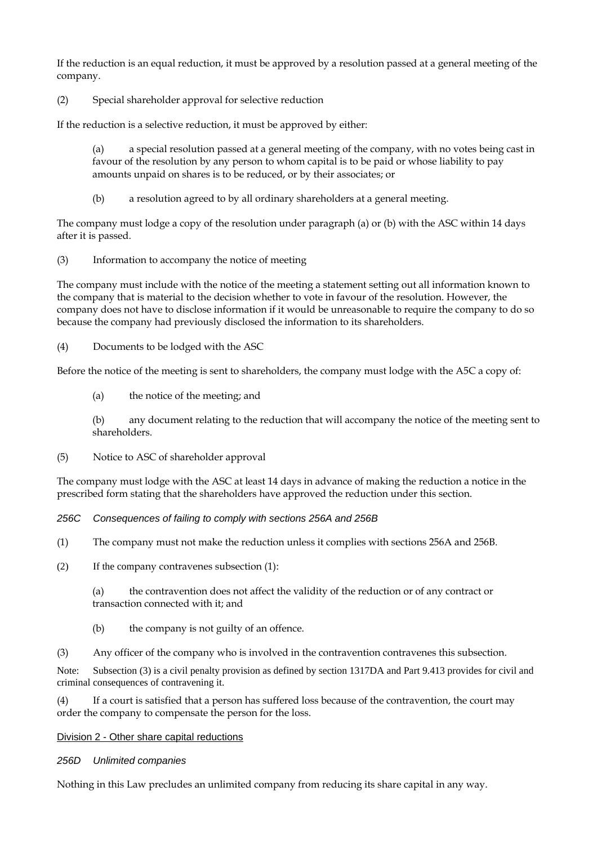If the reduction is an equal reduction, it must be approved by a resolution passed at a general meeting of the company.

(2) Special shareholder approval for selective reduction

If the reduction is a selective reduction, it must be approved by either:

(a) a special resolution passed at a general meeting of the company, with no votes being cast in favour of the resolution by any person to whom capital is to be paid or whose liability to pay amounts unpaid on shares is to be reduced, or by their associates; or

(b) a resolution agreed to by all ordinary shareholders at a general meeting.

The company must lodge a copy of the resolution under paragraph (a) or (b) with the ASC within 14 days after it is passed.

(3) Information to accompany the notice of meeting

The company must include with the notice of the meeting a statement setting out all information known to the company that is material to the decision whether to vote in favour of the resolution. However, the company does not have to disclose information if it would be unreasonable to require the company to do so because the company had previously disclosed the information to its shareholders.

(4) Documents to be lodged with the ASC

Before the notice of the meeting is sent to shareholders, the company must lodge with the A5C a copy of:

(a) the notice of the meeting; and

(b) any document relating to the reduction that will accompany the notice of the meeting sent to shareholders.

(5) Notice to ASC of shareholder approval

The company must lodge with the ASC at least 14 days in advance of making the reduction a notice in the prescribed form stating that the shareholders have approved the reduction under this section.

*256C Consequences of failing to comply with sections 256A and 256B* 

- (1) The company must not make the reduction unless it complies with sections 256A and 256B.
- (2) If the company contravenes subsection (1):

(a) the contravention does not affect the validity of the reduction or of any contract or transaction connected with it; and

- (b) the company is not guilty of an offence.
- (3) Any officer of the company who is involved in the contravention contravenes this subsection.

Note: Subsection (3) is a civil penalty provision as defined by section 1317DA and Part 9.413 provides for civil and criminal consequences of contravening it.

(4) If a court is satisfied that a person has suffered loss because of the contravention, the court may order the company to compensate the person for the loss.

Division 2 - Other share capital reductions

*256D Unlimited companies* 

Nothing in this Law precludes an unlimited company from reducing its share capital in any way.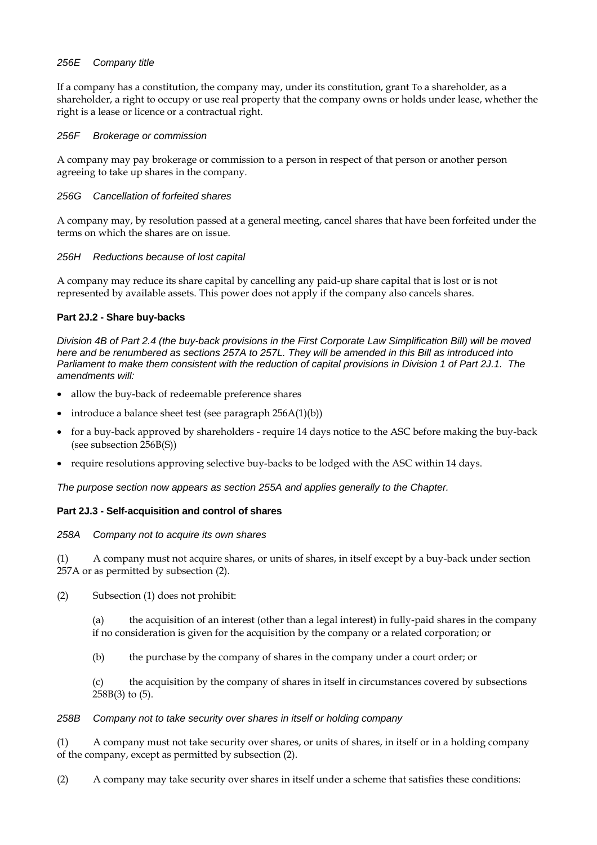## *256E Company title*

If a company has a constitution, the company may, under its constitution, grant To a shareholder, as a shareholder, a right to occupy or use real property that the company owns or holds under lease, whether the right is a lease or licence or a contractual right.

#### *256F Brokerage or commission*

A company may pay brokerage or commission to a person in respect of that person or another person agreeing to take up shares in the company.

#### *256G Cancellation of forfeited shares*

A company may, by resolution passed at a general meeting, cancel shares that have been forfeited under the terms on which the shares are on issue.

#### *256H Reductions because of lost capital*

A company may reduce its share capital by cancelling any paid-up share capital that is lost or is not represented by available assets. This power does not apply if the company also cancels shares.

#### **Part 2J.2 - Share buy-backs**

*Division 4B of Part 2.4 (the buy-back provisions in the First Corporate Law Simplification Bill) will be moved here and be renumbered as sections 257A to 257L. They will be amended in this Bill as introduced into Parliament to make them consistent with the reduction of capital provisions in Division 1 of Part 2J.1. The amendments will:* 

- allow the buy-back of redeemable preference shares
- introduce a balance sheet test (see paragraph 256A(1)(b))
- for a buy-back approved by shareholders require 14 days notice to the ASC before making the buy-back (see subsection 256B(S))
- require resolutions approving selective buy-backs to be lodged with the ASC within 14 days.

*The purpose section now appears as section 255A and applies generally to the Chapter.* 

## **Part 2J.3 - Self-acquisition and control of shares**

#### *258A Company not to acquire its own shares*

(1) A company must not acquire shares, or units of shares, in itself except by a buy-back under section 257A or as permitted by subsection (2).

(2) Subsection (1) does not prohibit:

(a) the acquisition of an interest (other than a legal interest) in fully-paid shares in the company if no consideration is given for the acquisition by the company or a related corporation; or

(b) the purchase by the company of shares in the company under a court order; or

(c) the acquisition by the company of shares in itself in circumstances covered by subsections 258B(3) to (5).

#### *258B Company not to take security over shares in itself or holding company*

(1) A company must not take security over shares, or units of shares, in itself or in a holding company of the company, except as permitted by subsection (2).

(2) A company may take security over shares in itself under a scheme that satisfies these conditions: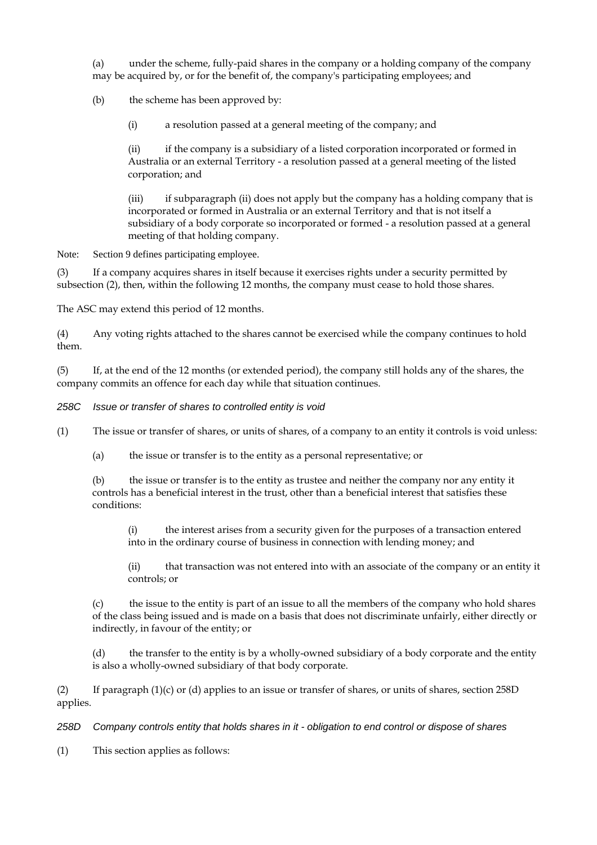(a) under the scheme, fully-paid shares in the company or a holding company of the company may be acquired by, or for the benefit of, the company's participating employees; and

(b) the scheme has been approved by:

(i) a resolution passed at a general meeting of the company; and

(ii) if the company is a subsidiary of a listed corporation incorporated or formed in Australia or an external Territory - a resolution passed at a general meeting of the listed corporation; and

(iii) if subparagraph (ii) does not apply but the company has a holding company that is incorporated or formed in Australia or an external Territory and that is not itself a subsidiary of a body corporate so incorporated or formed - a resolution passed at a general meeting of that holding company.

Note: Section 9 defines participating employee.

(3) If a company acquires shares in itself because it exercises rights under a security permitted by subsection (2), then, within the following 12 months, the company must cease to hold those shares.

The ASC may extend this period of 12 months.

(4) Any voting rights attached to the shares cannot be exercised while the company continues to hold them.

(5) If, at the end of the 12 months (or extended period), the company still holds any of the shares, the company commits an offence for each day while that situation continues.

*258C Issue or transfer of shares to controlled entity is void* 

(1) The issue or transfer of shares, or units of shares, of a company to an entity it controls is void unless:

(a) the issue or transfer is to the entity as a personal representative; or

(b) the issue or transfer is to the entity as trustee and neither the company nor any entity it controls has a beneficial interest in the trust, other than a beneficial interest that satisfies these conditions:

(i) the interest arises from a security given for the purposes of a transaction entered into in the ordinary course of business in connection with lending money; and

(ii) that transaction was not entered into with an associate of the company or an entity it controls; or

the issue to the entity is part of an issue to all the members of the company who hold shares of the class being issued and is made on a basis that does not discriminate unfairly, either directly or indirectly, in favour of the entity; or

(d) the transfer to the entity is by a wholly-owned subsidiary of a body corporate and the entity is also a wholly-owned subsidiary of that body corporate.

(2) If paragraph  $(1)(c)$  or (d) applies to an issue or transfer of shares, or units of shares, section 258D applies.

*258D Company controls entity that holds shares in it - obligation to end control or dispose of shares* 

(1) This section applies as follows: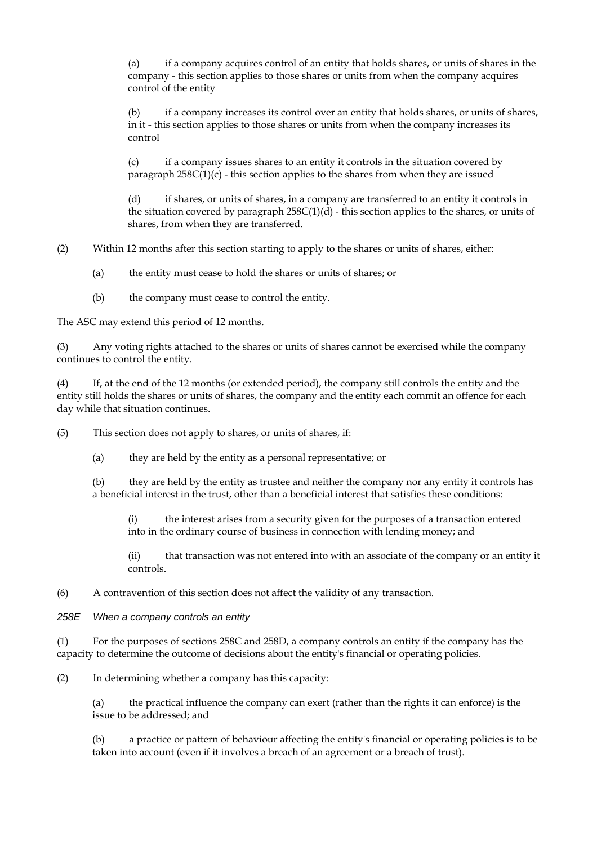(a) if a company acquires control of an entity that holds shares, or units of shares in the company - this section applies to those shares or units from when the company acquires control of the entity

(b) if a company increases its control over an entity that holds shares, or units of shares, in it - this section applies to those shares or units from when the company increases its control

(c) if a company issues shares to an entity it controls in the situation covered by paragraph  $258C(1)(c)$  - this section applies to the shares from when they are issued

(d) if shares, or units of shares, in a company are transferred to an entity it controls in the situation covered by paragraph  $258C(1)(d)$  - this section applies to the shares, or units of shares, from when they are transferred.

(2) Within 12 months after this section starting to apply to the shares or units of shares, either:

(a) the entity must cease to hold the shares or units of shares; or

(b) the company must cease to control the entity.

The ASC may extend this period of 12 months.

(3) Any voting rights attached to the shares or units of shares cannot be exercised while the company continues to control the entity.

(4) If, at the end of the 12 months (or extended period), the company still controls the entity and the entity still holds the shares or units of shares, the company and the entity each commit an offence for each day while that situation continues.

(5) This section does not apply to shares, or units of shares, if:

(a) they are held by the entity as a personal representative; or

(b) they are held by the entity as trustee and neither the company nor any entity it controls has a beneficial interest in the trust, other than a beneficial interest that satisfies these conditions:

(i) the interest arises from a security given for the purposes of a transaction entered into in the ordinary course of business in connection with lending money; and

(ii) that transaction was not entered into with an associate of the company or an entity it controls.

(6) A contravention of this section does not affect the validity of any transaction.

*258E When a company controls an entity* 

(1) For the purposes of sections 258C and 258D, a company controls an entity if the company has the capacity to determine the outcome of decisions about the entity's financial or operating policies.

(2) In determining whether a company has this capacity:

(a) the practical influence the company can exert (rather than the rights it can enforce) is the issue to be addressed; and

(b) a practice or pattern of behaviour affecting the entity's financial or operating policies is to be taken into account (even if it involves a breach of an agreement or a breach of trust).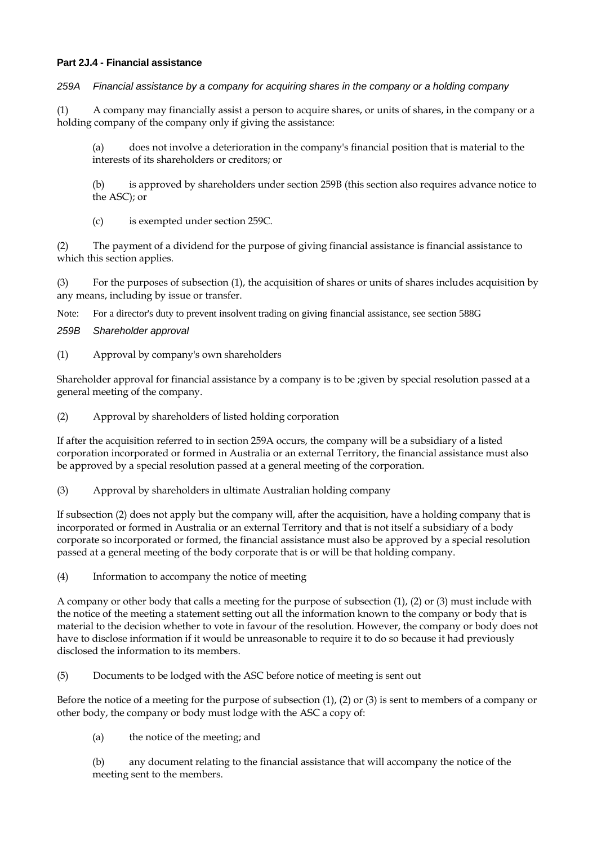## **Part 2J.4 - Financial assistance**

*259A Financial assistance by a company for acquiring shares in the company or a holding company* 

(1) A company may financially assist a person to acquire shares, or units of shares, in the company or a holding company of the company only if giving the assistance:

(a) does not involve a deterioration in the company's financial position that is material to the interests of its shareholders or creditors; or

(b) is approved by shareholders under section 259B (this section also requires advance notice to the ASC); or

(c) is exempted under section 259C.

(2) The payment of a dividend for the purpose of giving financial assistance is financial assistance to which this section applies.

(3) For the purposes of subsection (1), the acquisition of shares or units of shares includes acquisition by any means, including by issue or transfer.

Note: For a director's duty to prevent insolvent trading on giving financial assistance, see section 588G

*259B Shareholder approval* 

(1) Approval by company's own shareholders

Shareholder approval for financial assistance by a company is to be ;given by special resolution passed at a general meeting of the company.

(2) Approval by shareholders of listed holding corporation

If after the acquisition referred to in section 259A occurs, the company will be a subsidiary of a listed corporation incorporated or formed in Australia or an external Territory, the financial assistance must also be approved by a special resolution passed at a general meeting of the corporation.

(3) Approval by shareholders in ultimate Australian holding company

If subsection (2) does not apply but the company will, after the acquisition, have a holding company that is incorporated or formed in Australia or an external Territory and that is not itself a subsidiary of a body corporate so incorporated or formed, the financial assistance must also be approved by a special resolution passed at a general meeting of the body corporate that is or will be that holding company.

(4) Information to accompany the notice of meeting

A company or other body that calls a meeting for the purpose of subsection (1), (2) or (3) must include with the notice of the meeting a statement setting out all the information known to the company or body that is material to the decision whether to vote in favour of the resolution. However, the company or body does not have to disclose information if it would be unreasonable to require it to do so because it had previously disclosed the information to its members.

(5) Documents to be lodged with the ASC before notice of meeting is sent out

Before the notice of a meeting for the purpose of subsection (1), (2) or (3) is sent to members of a company or other body, the company or body must lodge with the ASC a copy of:

(a) the notice of the meeting; and

(b) any document relating to the financial assistance that will accompany the notice of the meeting sent to the members.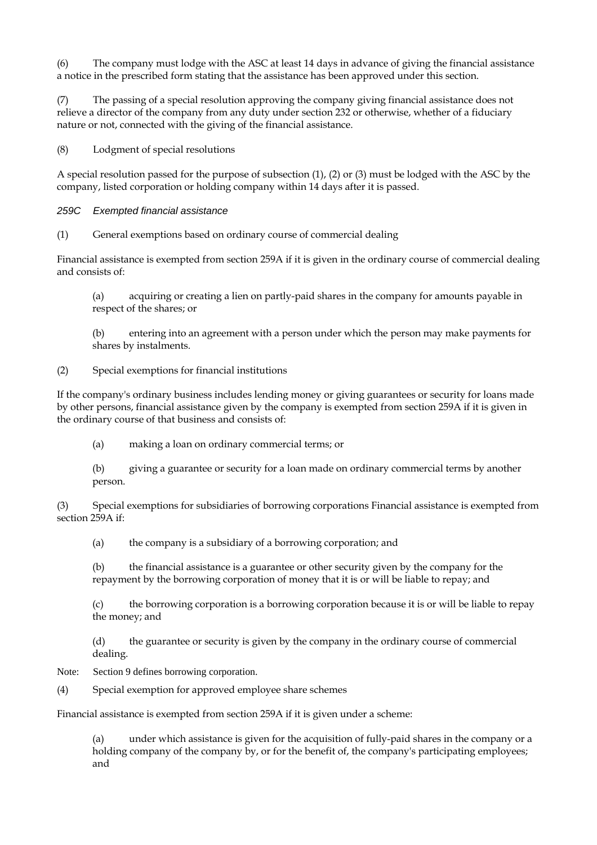(6) The company must lodge with the ASC at least 14 days in advance of giving the financial assistance a notice in the prescribed form stating that the assistance has been approved under this section.

(7) The passing of a special resolution approving the company giving financial assistance does not relieve a director of the company from any duty under section 232 or otherwise, whether of a fiduciary nature or not, connected with the giving of the financial assistance.

(8) Lodgment of special resolutions

A special resolution passed for the purpose of subsection (1), (2) or (3) must be lodged with the ASC by the company, listed corporation or holding company within 14 days after it is passed.

#### *259C Exempted financial assistance*

(1) General exemptions based on ordinary course of commercial dealing

Financial assistance is exempted from section 259A if it is given in the ordinary course of commercial dealing and consists of:

(a) acquiring or creating a lien on partly-paid shares in the company for amounts payable in respect of the shares; or

(b) entering into an agreement with a person under which the person may make payments for shares by instalments.

(2) Special exemptions for financial institutions

If the company's ordinary business includes lending money or giving guarantees or security for loans made by other persons, financial assistance given by the company is exempted from section 259A if it is given in the ordinary course of that business and consists of:

(a) making a loan on ordinary commercial terms; or

(b) giving a guarantee or security for a loan made on ordinary commercial terms by another person.

(3) Special exemptions for subsidiaries of borrowing corporations Financial assistance is exempted from section 259A if:

(a) the company is a subsidiary of a borrowing corporation; and

(b) the financial assistance is a guarantee or other security given by the company for the repayment by the borrowing corporation of money that it is or will be liable to repay; and

(c) the borrowing corporation is a borrowing corporation because it is or will be liable to repay the money; and

(d) the guarantee or security is given by the company in the ordinary course of commercial dealing.

Note: Section 9 defines borrowing corporation.

(4) Special exemption for approved employee share schemes

Financial assistance is exempted from section 259A if it is given under a scheme:

under which assistance is given for the acquisition of fully-paid shares in the company or a holding company of the company by, or for the benefit of, the company's participating employees; and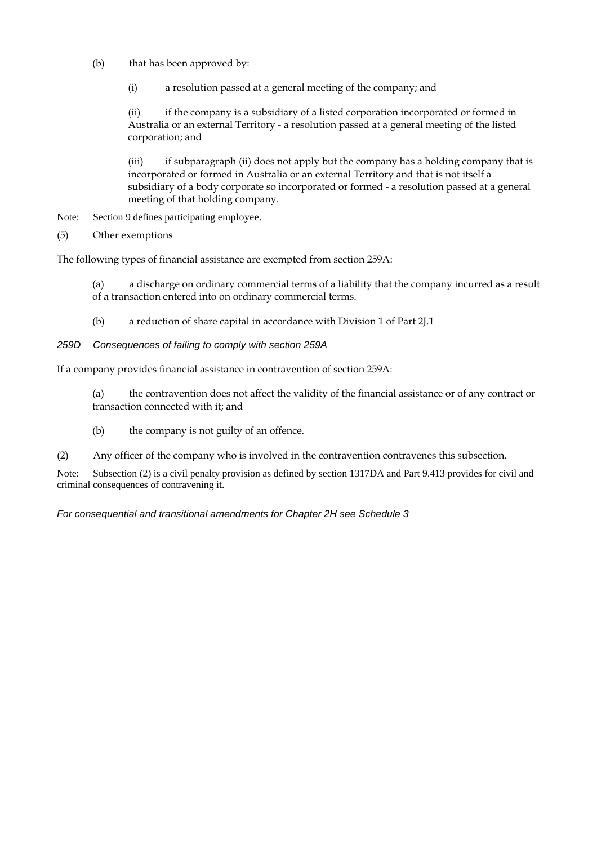- (b) that has been approved by:
	- (i) a resolution passed at a general meeting of the company; and

(ii) if the company is a subsidiary of a listed corporation incorporated or formed in Australia or an external Territory - a resolution passed at a general meeting of the listed corporation; and

(iii) if subparagraph (ii) does not apply but the company has a holding company that is incorporated or formed in Australia or an external Territory and that is not itself a subsidiary of a body corporate so incorporated or formed - a resolution passed at a general meeting of that holding company.

- Note: Section 9 defines participating employee.
- (5) Other exemptions

The following types of financial assistance are exempted from section 259A:

(a) a discharge on ordinary commercial terms of a liability that the company incurred as a result of a transaction entered into on ordinary commercial terms.

- (b) a reduction of share capital in accordance with Division 1 of Part 2J.1
- *259D Consequences of failing to comply with section 259A*

If a company provides financial assistance in contravention of section 259A:

(a) the contravention does not affect the validity of the financial assistance or of any contract or transaction connected with it; and

- (b) the company is not guilty of an offence.
- (2) Any officer of the company who is involved in the contravention contravenes this subsection.

Note: Subsection (2) is a civil penalty provision as defined by section 1317DA and Part 9.413 provides for civil and criminal consequences of contravening it.

*For consequential and transitional amendments for Chapter 2H see Schedule 3*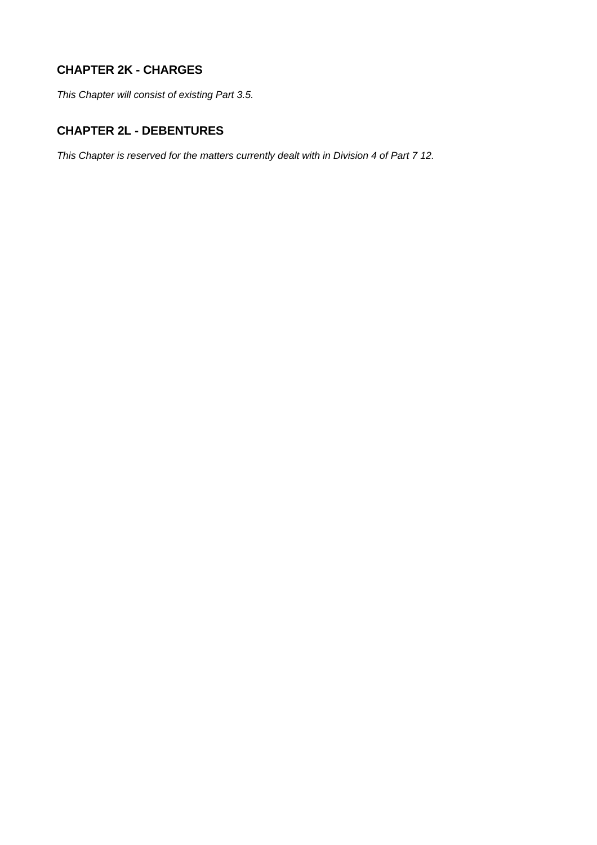# **CHAPTER 2K - CHARGES**

*This Chapter will consist of existing Part 3.5.* 

## **CHAPTER 2L - DEBENTURES**

*This Chapter is reserved for the matters currently dealt with in Division 4 of Part 7 12.*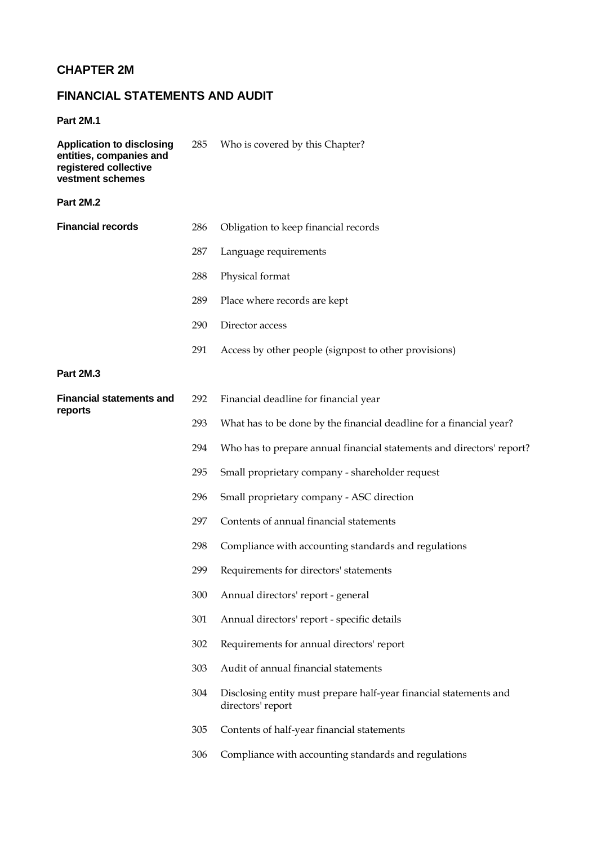# **CHAPTER 2M**

# **FINANCIAL STATEMENTS AND AUDIT**

**Part 2M.1** 

| <b>Application to disclosing</b><br>entities, companies and<br>registered collective<br>vestment schemes | 285 | Who is covered by this Chapter?                                                        |
|----------------------------------------------------------------------------------------------------------|-----|----------------------------------------------------------------------------------------|
| <b>Part 2M.2</b>                                                                                         |     |                                                                                        |
| <b>Financial records</b>                                                                                 | 286 | Obligation to keep financial records                                                   |
|                                                                                                          | 287 | Language requirements                                                                  |
|                                                                                                          | 288 | Physical format                                                                        |
|                                                                                                          | 289 | Place where records are kept                                                           |
|                                                                                                          | 290 | Director access                                                                        |
|                                                                                                          | 291 | Access by other people (signpost to other provisions)                                  |
| <b>Part 2M.3</b>                                                                                         |     |                                                                                        |
| <b>Financial statements and</b><br>reports                                                               | 292 | Financial deadline for financial year                                                  |
|                                                                                                          | 293 | What has to be done by the financial deadline for a financial year?                    |
|                                                                                                          | 294 | Who has to prepare annual financial statements and directors' report?                  |
|                                                                                                          | 295 | Small proprietary company - shareholder request                                        |
|                                                                                                          | 296 | Small proprietary company - ASC direction                                              |
|                                                                                                          | 297 | Contents of annual financial statements                                                |
|                                                                                                          | 298 | Compliance with accounting standards and regulations                                   |
|                                                                                                          | 299 | Requirements for directors' statements                                                 |
|                                                                                                          | 300 | Annual directors' report - general                                                     |
|                                                                                                          | 301 | Annual directors' report - specific details                                            |
|                                                                                                          | 302 | Requirements for annual directors' report                                              |
|                                                                                                          | 303 | Audit of annual financial statements                                                   |
|                                                                                                          | 304 | Disclosing entity must prepare half-year financial statements and<br>directors' report |
|                                                                                                          | 305 | Contents of half-year financial statements                                             |
|                                                                                                          | 306 | Compliance with accounting standards and regulations                                   |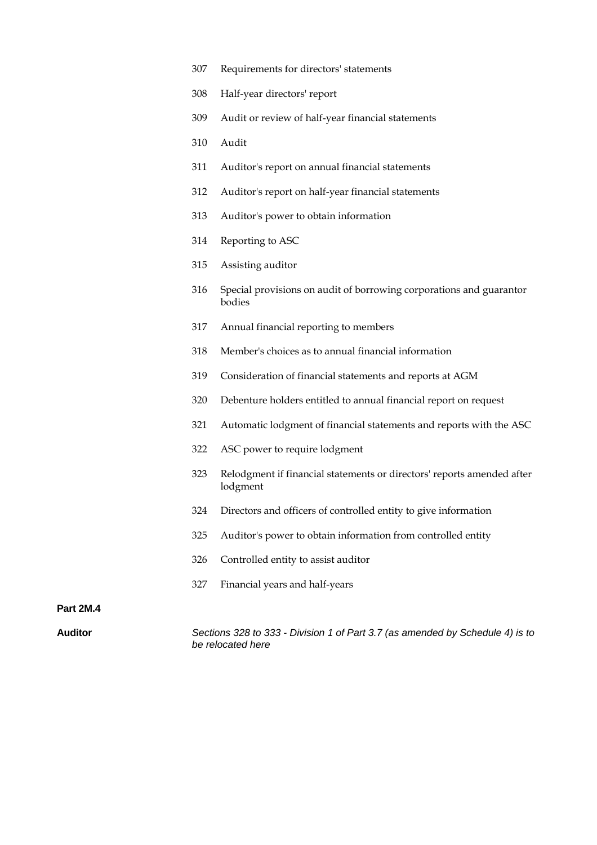- 307 Requirements for directors' statements
- 308 Half-year directors' report
- 309 Audit or review of half-year financial statements
- 310 Audit
- 311 Auditor's report on annual financial statements
- 312 Auditor's report on half-year financial statements
- 313 Auditor's power to obtain information
- 314 Reporting to ASC
- 315 Assisting auditor
- 316 Special provisions on audit of borrowing corporations and guarantor bodies
- 317 Annual financial reporting to members
- 318 Member's choices as to annual financial information
- 319 Consideration of financial statements and reports at AGM
- 320 Debenture holders entitled to annual financial report on request
- 321 Automatic lodgment of financial statements and reports with the ASC
- 322 ASC power to require lodgment
- 323 Relodgment if financial statements or directors' reports amended after lodgment
- 324 Directors and officers of controlled entity to give information
- 325 Auditor's power to obtain information from controlled entity
- 326 Controlled entity to assist auditor
- 327 Financial years and half-years

#### **Part 2M.4**

**Auditor** *Sections 328 to 333 - Division 1 of Part 3.7 (as amended by Schedule 4) is to be relocated here*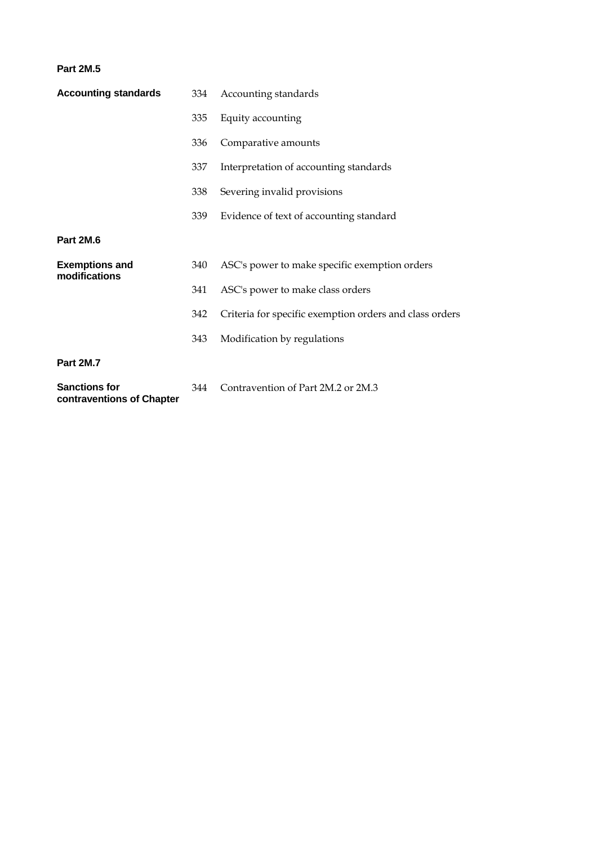#### **Part 2M.5**

| <b>Accounting standards</b>            | 334 | Accounting standards                                    |  |
|----------------------------------------|-----|---------------------------------------------------------|--|
|                                        | 335 | Equity accounting                                       |  |
|                                        | 336 | Comparative amounts                                     |  |
|                                        | 337 | Interpretation of accounting standards                  |  |
|                                        | 338 | Severing invalid provisions                             |  |
|                                        | 339 | Evidence of text of accounting standard                 |  |
| Part 2M.6                              |     |                                                         |  |
| <b>Exemptions and</b><br>modifications | 340 | ASC's power to make specific exemption orders           |  |
|                                        | 341 | ASC's power to make class orders                        |  |
|                                        | 342 | Criteria for specific exemption orders and class orders |  |
|                                        | 343 | Modification by regulations                             |  |
| <b>Part 2M.7</b>                       |     |                                                         |  |
| <b>Sanctions for</b>                   | 344 | Contravention of Part 2M.2 or 2M.3                      |  |

**contraventions of Chapter**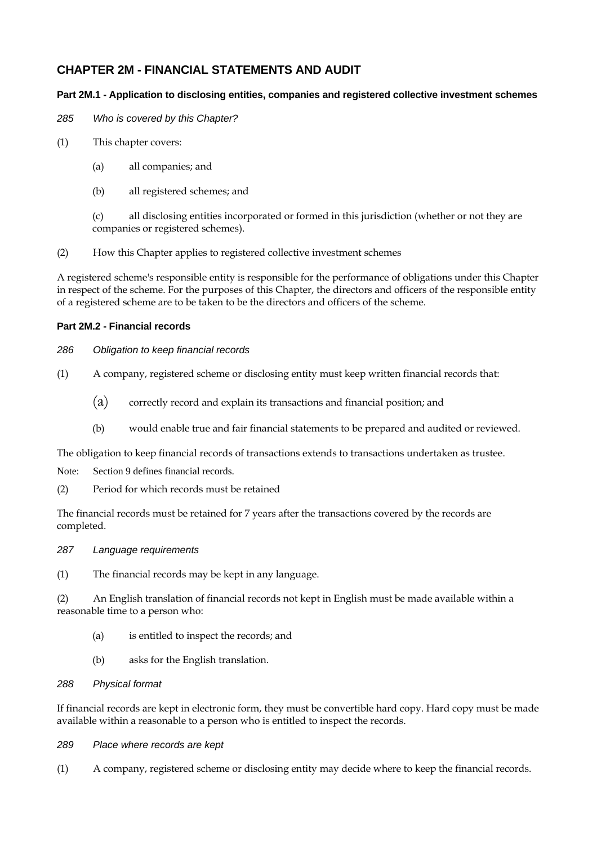## **CHAPTER 2M - FINANCIAL STATEMENTS AND AUDIT**

## **Part 2M.1 - Application to disclosing entities, companies and registered collective investment schemes**

*285 Who is covered by this Chapter?* 

- (1) This chapter covers:
	- (a) all companies; and
	- (b) all registered schemes; and

(c) all disclosing entities incorporated or formed in this jurisdiction (whether or not they are companies or registered schemes).

(2) How this Chapter applies to registered collective investment schemes

A registered scheme's responsible entity is responsible for the performance of obligations under this Chapter in respect of the scheme. For the purposes of this Chapter, the directors and officers of the responsible entity of a registered scheme are to be taken to be the directors and officers of the scheme.

## **Part 2M.2 - Financial records**

## *286 Obligation to keep financial records*

- (1) A company, registered scheme or disclosing entity must keep written financial records that:
	- (a) correctly record and explain its transactions and financial position; and
	- (b) would enable true and fair financial statements to be prepared and audited or reviewed.

The obligation to keep financial records of transactions extends to transactions undertaken as trustee.

Note: Section 9 defines financial records.

(2) Period for which records must be retained

The financial records must be retained for 7 years after the transactions covered by the records are completed.

*287 Language requirements* 

(1) The financial records may be kept in any language.

(2) An English translation of financial records not kept in English must be made available within a reasonable time to a person who:

- (a) is entitled to inspect the records; and
- (b) asks for the English translation.

#### *288 Physical format*

If financial records are kept in electronic form, they must be convertible hard copy. Hard copy must be made available within a reasonable to a person who is entitled to inspect the records.

- *289 Place where records are kept*
- (1) A company, registered scheme or disclosing entity may decide where to keep the financial records.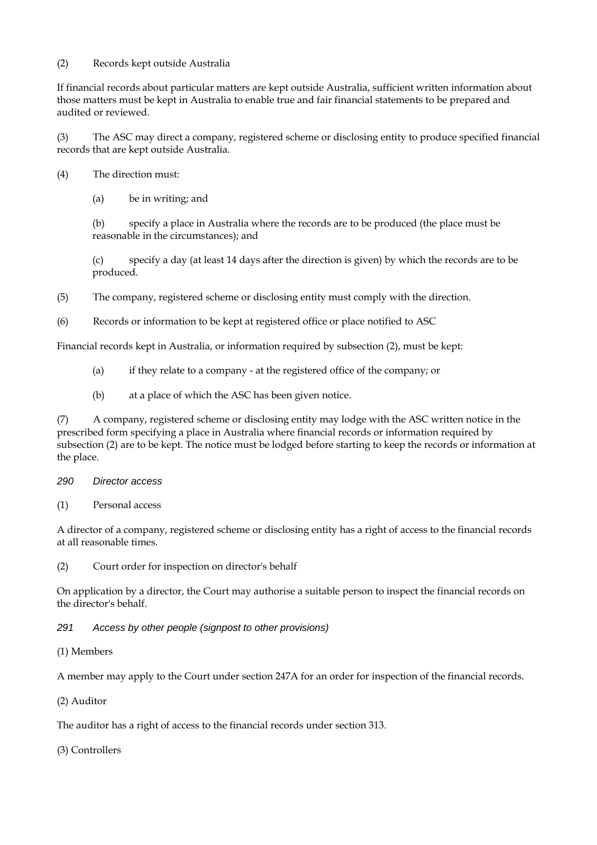(2) Records kept outside Australia

If financial records about particular matters are kept outside Australia, sufficient written information about those matters must be kept in Australia to enable true and fair financial statements to be prepared and audited or reviewed.

(3) The ASC may direct a company, registered scheme or disclosing entity to produce specified financial records that are kept outside Australia.

(4) The direction must:

(a) be in writing; and

(b) specify a place in Australia where the records are to be produced (the place must be reasonable in the circumstances); and

(c) specify a day (at least 14 days after the direction is given) by which the records are to be produced.

(5) The company, registered scheme or disclosing entity must comply with the direction.

(6) Records or information to be kept at registered office or place notified to ASC

Financial records kept in Australia, or information required by subsection (2), must be kept:

- (a) if they relate to a company at the registered office of the company; or
- (b) at a place of which the ASC has been given notice.

(7) A company, registered scheme or disclosing entity may lodge with the ASC written notice in the prescribed form specifying a place in Australia where financial records or information required by subsection (2) are to be kept. The notice must be lodged before starting to keep the records or information at the place.

- *290 Director access*
- (1) Personal access

A director of a company, registered scheme or disclosing entity has a right of access to the financial records at all reasonable times.

(2) Court order for inspection on director's behalf

On application by a director, the Court may authorise a suitable person to inspect the financial records on the director's behalf.

## *291 Access by other people (signpost to other provisions)*

(1) Members

A member may apply to the Court under section 247A for an order for inspection of the financial records.

(2) Auditor

The auditor has a right of access to the financial records under section 313.

(3) Controllers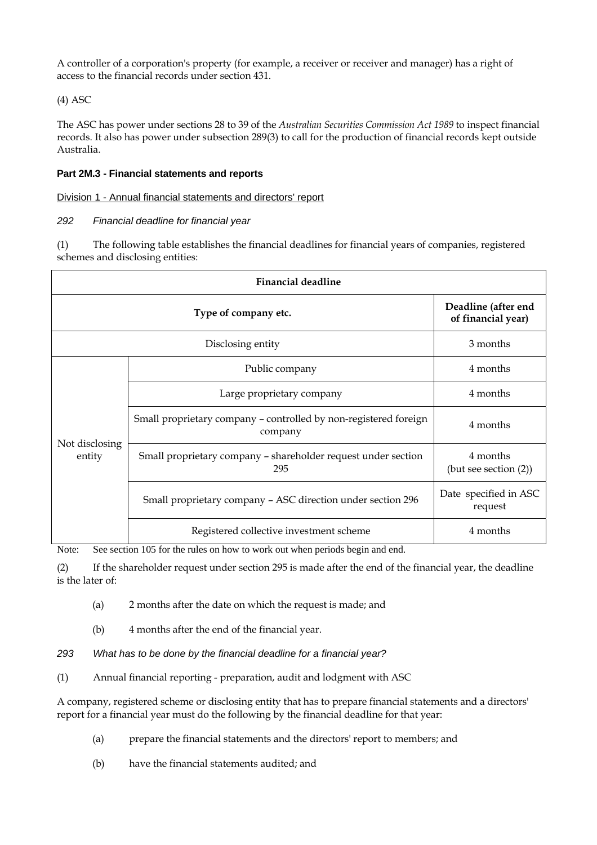A controller of a corporation's property (for example, a receiver or receiver and manager) has a right of access to the financial records under section 431.

(4) ASC

The ASC has power under sections 28 to 39 of the *Australian Securities Commission Act 1989* to inspect financial records. It also has power under subsection 289(3) to call for the production of financial records kept outside Australia.

## **Part 2M.3 - Financial statements and reports**

## Division 1 - Annual financial statements and directors' report

## *292 Financial deadline for financial year*

(1) The following table establishes the financial deadlines for financial years of companies, registered schemes and disclosing entities:

| <b>Financial deadline</b> |                                                                             |                                            |  |  |  |
|---------------------------|-----------------------------------------------------------------------------|--------------------------------------------|--|--|--|
|                           | Deadline (after end<br>of financial year)                                   |                                            |  |  |  |
|                           | 3 months                                                                    |                                            |  |  |  |
| Not disclosing<br>entity  | Public company                                                              | 4 months                                   |  |  |  |
|                           | Large proprietary company                                                   | 4 months                                   |  |  |  |
|                           | Small proprietary company - controlled by non-registered foreign<br>company | 4 months                                   |  |  |  |
|                           | Small proprietary company – shareholder request under section<br>295        | 4 months<br>$(\text{but see section (2)})$ |  |  |  |
|                           | Small proprietary company - ASC direction under section 296                 | Date specified in ASC<br>request           |  |  |  |
|                           | Registered collective investment scheme                                     | 4 months                                   |  |  |  |

Note: See section 105 for the rules on how to work out when periods begin and end.

(2) If the shareholder request under section 295 is made after the end of the financial year, the deadline is the later of:

- (a) 2 months after the date on which the request is made; and
- (b) 4 months after the end of the financial year.
- *293 What has to be done by the financial deadline for a financial year?*
- (1) Annual financial reporting preparation, audit and lodgment with ASC

A company, registered scheme or disclosing entity that has to prepare financial statements and a directors' report for a financial year must do the following by the financial deadline for that year:

- (a) prepare the financial statements and the directors' report to members; and
- (b) have the financial statements audited; and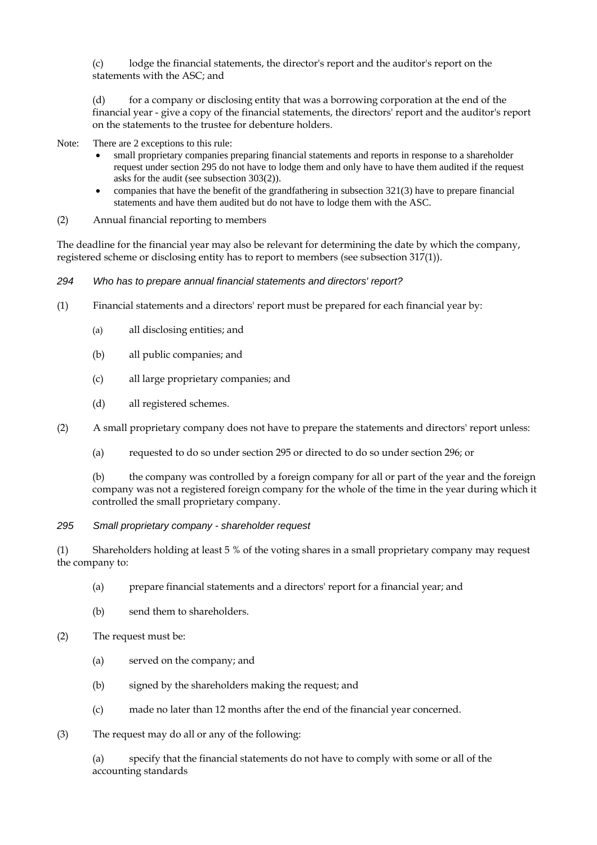(c) lodge the financial statements, the director's report and the auditor's report on the statements with the ASC; and

(d) for a company or disclosing entity that was a borrowing corporation at the end of the financial year - give a copy of the financial statements, the directors' report and the auditor's report on the statements to the trustee for debenture holders.

Note: There are 2 exceptions to this rule:

- small proprietary companies preparing financial statements and reports in response to a shareholder request under section 295 do not have to lodge them and only have to have them audited if the request asks for the audit (see subsection 303(2)).
- companies that have the benefit of the grandfathering in subsection 321(3) have to prepare financial statements and have them audited but do not have to lodge them with the ASC.
- (2) Annual financial reporting to members

The deadline for the financial year may also be relevant for determining the date by which the company, registered scheme or disclosing entity has to report to members (see subsection 317(1)).

#### *294 Who has to prepare annual financial statements and directors' report?*

- (1) Financial statements and a directors' report must be prepared for each financial year by:
	- (a) all disclosing entities; and
	- (b) all public companies; and
	- (c) all large proprietary companies; and
	- (d) all registered schemes.
- (2) A small proprietary company does not have to prepare the statements and directors' report unless:
	- (a) requested to do so under section 295 or directed to do so under section 296; or

(b) the company was controlled by a foreign company for all or part of the year and the foreign company was not a registered foreign company for the whole of the time in the year during which it controlled the small proprietary company.

*295 Small proprietary company - shareholder request* 

(1) Shareholders holding at least 5 % of the voting shares in a small proprietary company may request the company to:

- (a) prepare financial statements and a directors' report for a financial year; and
- (b) send them to shareholders.
- (2) The request must be:
	- (a) served on the company; and
	- (b) signed by the shareholders making the request; and
	- (c) made no later than 12 months after the end of the financial year concerned.
- (3) The request may do all or any of the following:

(a) specify that the financial statements do not have to comply with some or all of the accounting standards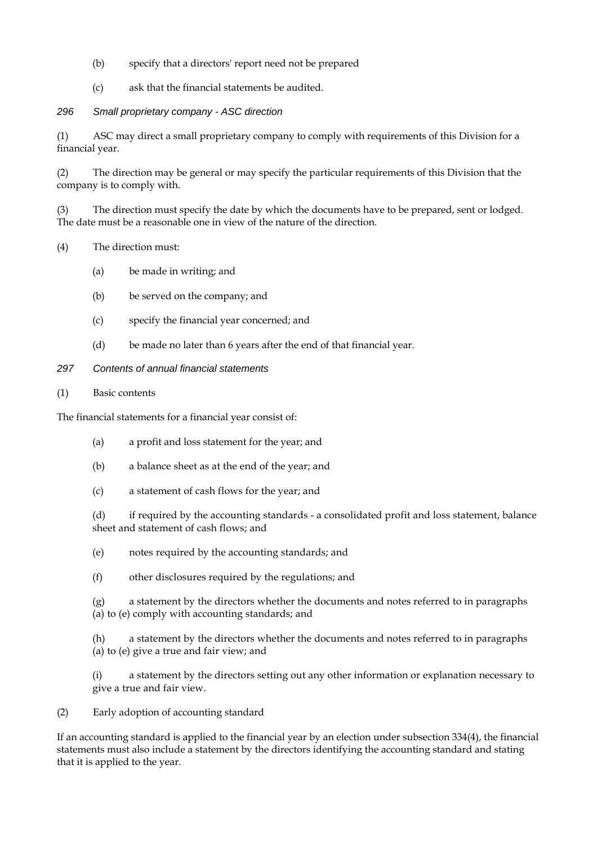- (b) specify that a directors' report need not be prepared
- (c) ask that the financial statements be audited.

## *296 Small proprietary company - ASC direction*

(1) ASC may direct a small proprietary company to comply with requirements of this Division for a financial year.

(2) The direction may be general or may specify the particular requirements of this Division that the company is to comply with.

(3) The direction must specify the date by which the documents have to be prepared, sent or lodged. The date must be a reasonable one in view of the nature of the direction.

#### (4) The direction must:

- (a) be made in writing; and
- (b) be served on the company; and
- (c) specify the financial year concerned; and
- (d) be made no later than 6 years after the end of that financial year.

#### *297 Contents of annual financial statements*

(1) Basic contents

The financial statements for a financial year consist of:

- (a) a profit and loss statement for the year; and
- (b) a balance sheet as at the end of the year; and
- (c) a statement of cash flows for the year; and

(d) if required by the accounting standards - a consolidated profit and loss statement, balance sheet and statement of cash flows; and

- (e) notes required by the accounting standards; and
- (f) other disclosures required by the regulations; and

(g) a statement by the directors whether the documents and notes referred to in paragraphs (a) to (e) comply with accounting standards; and

(h) a statement by the directors whether the documents and notes referred to in paragraphs (a) to (e) give a true and fair view; and

(i) a statement by the directors setting out any other information or explanation necessary to give a true and fair view.

(2) Early adoption of accounting standard

If an accounting standard is applied to the financial year by an election under subsection 334(4), the financial statements must also include a statement by the directors identifying the accounting standard and stating that it is applied to the year.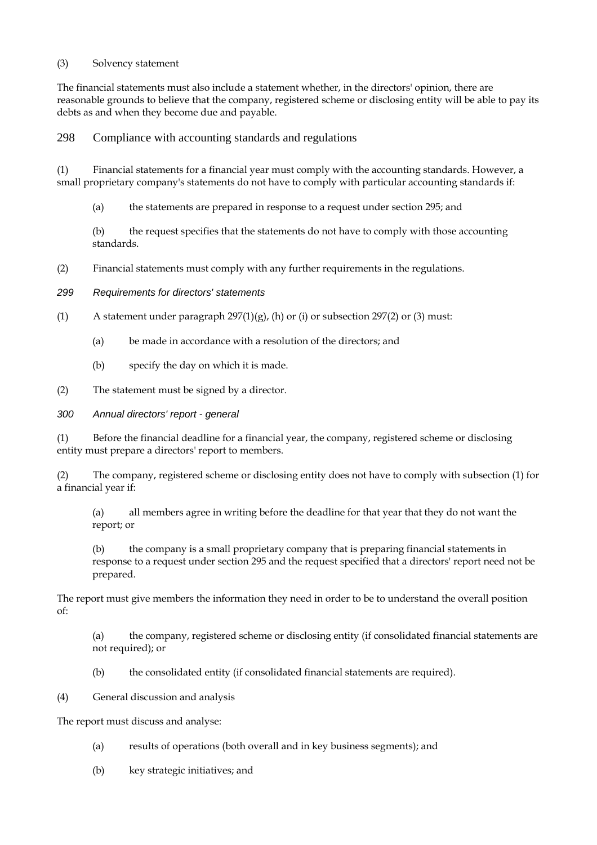#### (3) Solvency statement

The financial statements must also include a statement whether, in the directors' opinion, there are reasonable grounds to believe that the company, registered scheme or disclosing entity will be able to pay its debts as and when they become due and payable.

298 Compliance with accounting standards and regulations

(1) Financial statements for a financial year must comply with the accounting standards. However, a small proprietary company's statements do not have to comply with particular accounting standards if:

(a) the statements are prepared in response to a request under section 295; and

(b) the request specifies that the statements do not have to comply with those accounting standards.

- (2) Financial statements must comply with any further requirements in the regulations.
- *299 Requirements for directors' statements*
- (1) A statement under paragraph  $297(1)(g)$ , (h) or (i) or subsection 297(2) or (3) must:
	- (a) be made in accordance with a resolution of the directors; and
	- (b) specify the day on which it is made.
- (2) The statement must be signed by a director.

*300 Annual directors' report - general* 

(1) Before the financial deadline for a financial year, the company, registered scheme or disclosing entity must prepare a directors' report to members.

(2) The company, registered scheme or disclosing entity does not have to comply with subsection (1) for a financial year if:

(a) all members agree in writing before the deadline for that year that they do not want the report; or

(b) the company is a small proprietary company that is preparing financial statements in response to a request under section 295 and the request specified that a directors' report need not be prepared.

The report must give members the information they need in order to be to understand the overall position of:

(a) the company, registered scheme or disclosing entity (if consolidated financial statements are not required); or

- (b) the consolidated entity (if consolidated financial statements are required).
- (4) General discussion and analysis

The report must discuss and analyse:

- (a) results of operations (both overall and in key business segments); and
- (b) key strategic initiatives; and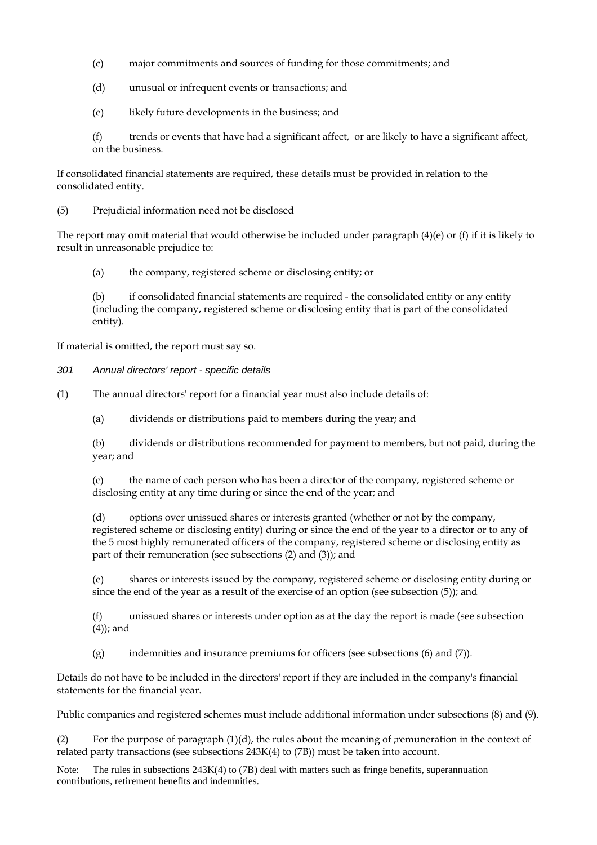- (c) major commitments and sources of funding for those commitments; and
- (d) unusual or infrequent events or transactions; and
- (e) likely future developments in the business; and

(f) trends or events that have had a significant affect, or are likely to have a significant affect, on the business.

If consolidated financial statements are required, these details must be provided in relation to the consolidated entity.

(5) Prejudicial information need not be disclosed

The report may omit material that would otherwise be included under paragraph (4)(e) or (f) if it is likely to result in unreasonable prejudice to:

(a) the company, registered scheme or disclosing entity; or

(b) if consolidated financial statements are required - the consolidated entity or any entity (including the company, registered scheme or disclosing entity that is part of the consolidated entity).

If material is omitted, the report must say so.

*301 Annual directors' report - specific details* 

(1) The annual directors' report for a financial year must also include details of:

(a) dividends or distributions paid to members during the year; and

(b) dividends or distributions recommended for payment to members, but not paid, during the year; and

(c) the name of each person who has been a director of the company, registered scheme or disclosing entity at any time during or since the end of the year; and

(d) options over unissued shares or interests granted (whether or not by the company, registered scheme or disclosing entity) during or since the end of the year to a director or to any of the 5 most highly remunerated officers of the company, registered scheme or disclosing entity as part of their remuneration (see subsections (2) and (3)); and

(e) shares or interests issued by the company, registered scheme or disclosing entity during or since the end of the year as a result of the exercise of an option (see subsection (5)); and

(f) unissued shares or interests under option as at the day the report is made (see subsection (4)); and

(g) indemnities and insurance premiums for officers (see subsections (6) and (7)).

Details do not have to be included in the directors' report if they are included in the company's financial statements for the financial year.

Public companies and registered schemes must include additional information under subsections (8) and (9).

(2) For the purpose of paragraph (1)(d), the rules about the meaning of ;remuneration in the context of related party transactions (see subsections 243K(4) to (7B)) must be taken into account.

Note: The rules in subsections 243K(4) to (7B) deal with matters such as fringe benefits, superannuation contributions, retirement benefits and indemnities.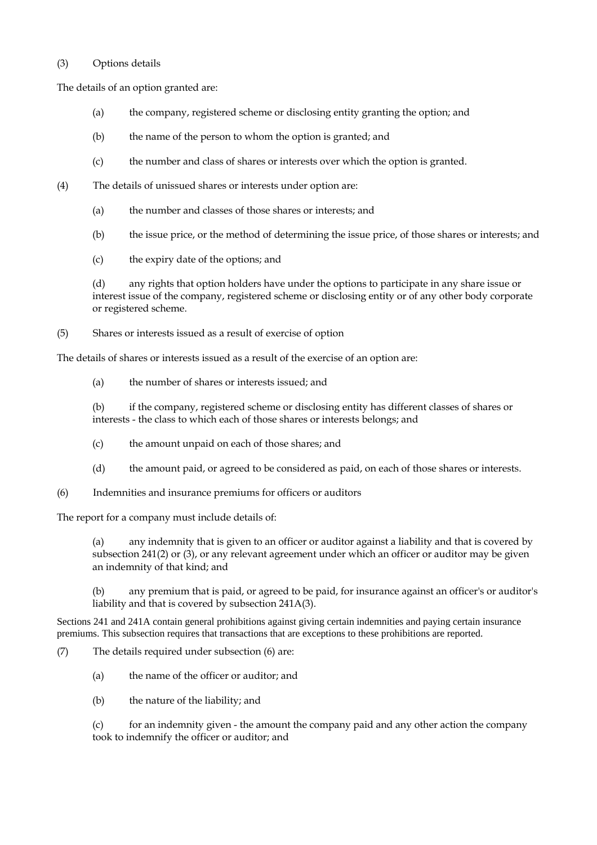#### (3) Options details

The details of an option granted are:

- (a) the company, registered scheme or disclosing entity granting the option; and
- (b) the name of the person to whom the option is granted; and
- (c) the number and class of shares or interests over which the option is granted.
- (4) The details of unissued shares or interests under option are:
	- (a) the number and classes of those shares or interests; and
	- (b) the issue price, or the method of determining the issue price, of those shares or interests; and
	- (c) the expiry date of the options; and

(d) any rights that option holders have under the options to participate in any share issue or interest issue of the company, registered scheme or disclosing entity or of any other body corporate or registered scheme.

(5) Shares or interests issued as a result of exercise of option

The details of shares or interests issued as a result of the exercise of an option are:

(a) the number of shares or interests issued; and

(b) if the company, registered scheme or disclosing entity has different classes of shares or interests - the class to which each of those shares or interests belongs; and

- (c) the amount unpaid on each of those shares; and
- (d) the amount paid, or agreed to be considered as paid, on each of those shares or interests.

(6) Indemnities and insurance premiums for officers or auditors

The report for a company must include details of:

(a) any indemnity that is given to an officer or auditor against a liability and that is covered by subsection 241(2) or (3), or any relevant agreement under which an officer or auditor may be given an indemnity of that kind; and

(b) any premium that is paid, or agreed to be paid, for insurance against an officer's or auditor's liability and that is covered by subsection 241A(3).

Sections 241 and 241A contain general prohibitions against giving certain indemnities and paying certain insurance premiums. This subsection requires that transactions that are exceptions to these prohibitions are reported.

(7) The details required under subsection (6) are:

- (a) the name of the officer or auditor; and
- (b) the nature of the liability; and

(c) for an indemnity given - the amount the company paid and any other action the company took to indemnify the officer or auditor; and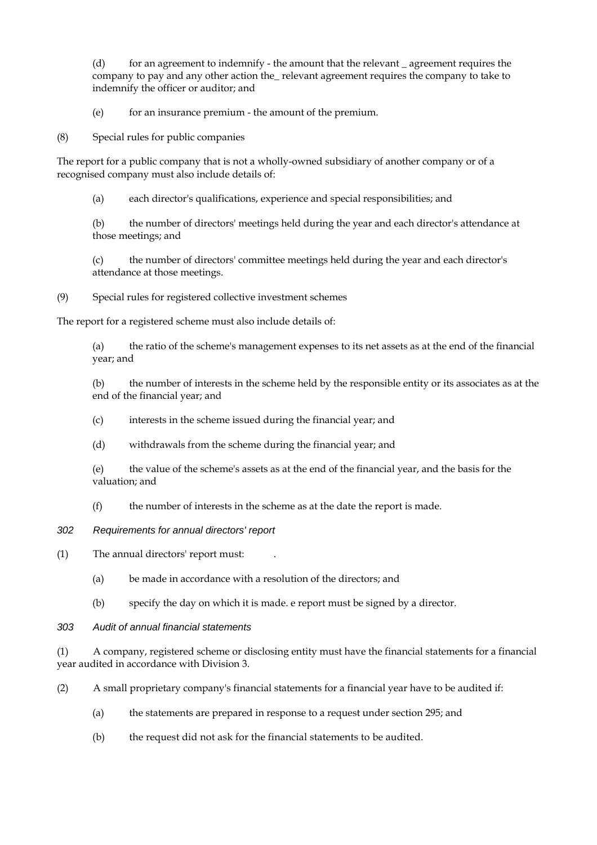$(d)$  for an agreement to indemnify - the amount that the relevant agreement requires the company to pay and any other action the\_ relevant agreement requires the company to take to indemnify the officer or auditor; and

(e) for an insurance premium - the amount of the premium.

(8) Special rules for public companies

The report for a public company that is not a wholly-owned subsidiary of another company or of a recognised company must also include details of:

(a) each director's qualifications, experience and special responsibilities; and

(b) the number of directors' meetings held during the year and each director's attendance at those meetings; and

(c) the number of directors' committee meetings held during the year and each director's attendance at those meetings.

(9) Special rules for registered collective investment schemes

The report for a registered scheme must also include details of:

(a) the ratio of the scheme's management expenses to its net assets as at the end of the financial year; and

(b) the number of interests in the scheme held by the responsible entity or its associates as at the end of the financial year; and

- (c) interests in the scheme issued during the financial year; and
- (d) withdrawals from the scheme during the financial year; and

(e) the value of the scheme's assets as at the end of the financial year, and the basis for the valuation; and

- (f) the number of interests in the scheme as at the date the report is made.
- *302 Requirements for annual directors' report*
- (1) The annual directors' report must: .
	- (a) be made in accordance with a resolution of the directors; and
	- (b) specify the day on which it is made. e report must be signed by a director.
- *303 Audit of annual financial statements*

(1) A company, registered scheme or disclosing entity must have the financial statements for a financial year audited in accordance with Division 3.

(2) A small proprietary company's financial statements for a financial year have to be audited if:

- (a) the statements are prepared in response to a request under section 295; and
- (b) the request did not ask for the financial statements to be audited.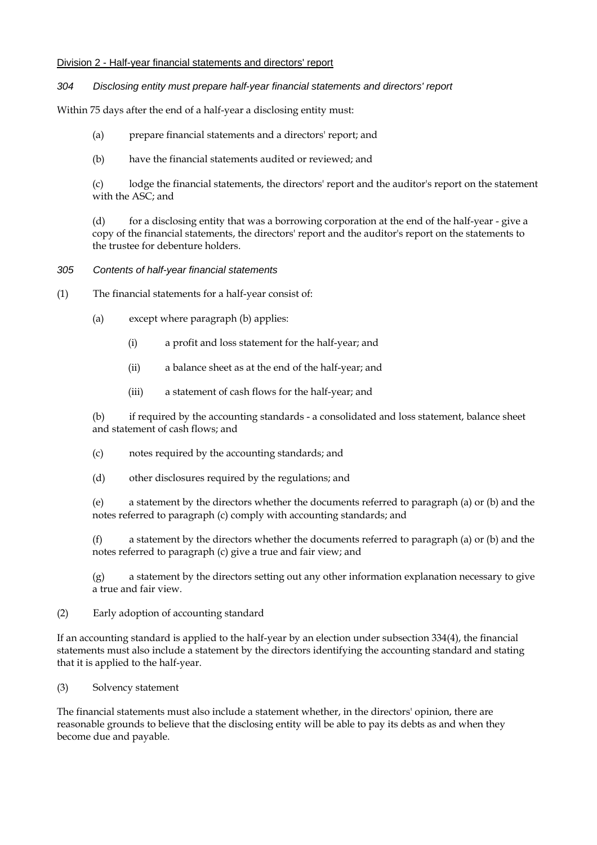#### Division 2 - Half-year financial statements and directors' report

#### *304 Disclosing entity must prepare half-year financial statements and directors' report*

Within 75 days after the end of a half-year a disclosing entity must:

- (a) prepare financial statements and a directors' report; and
- (b) have the financial statements audited or reviewed; and

(c) lodge the financial statements, the directors' report and the auditor's report on the statement with the ASC; and

(d) for a disclosing entity that was a borrowing corporation at the end of the half-year - give a copy of the financial statements, the directors' report and the auditor's report on the statements to the trustee for debenture holders.

#### *305 Contents of half-year financial statements*

- (1) The financial statements for a half-year consist of:
	- (a) except where paragraph (b) applies:
		- (i) a profit and loss statement for the half-year; and
		- (ii) a balance sheet as at the end of the half-year; and
		- (iii) a statement of cash flows for the half-year; and

(b) if required by the accounting standards - a consolidated and loss statement, balance sheet and statement of cash flows; and

- (c) notes required by the accounting standards; and
- (d) other disclosures required by the regulations; and

(e) a statement by the directors whether the documents referred to paragraph (a) or (b) and the notes referred to paragraph (c) comply with accounting standards; and

(f) a statement by the directors whether the documents referred to paragraph (a) or (b) and the notes referred to paragraph (c) give a true and fair view; and

(g) a statement by the directors setting out any other information explanation necessary to give a true and fair view.

(2) Early adoption of accounting standard

If an accounting standard is applied to the half-year by an election under subsection 334(4), the financial statements must also include a statement by the directors identifying the accounting standard and stating that it is applied to the half-year.

(3) Solvency statement

The financial statements must also include a statement whether, in the directors' opinion, there are reasonable grounds to believe that the disclosing entity will be able to pay its debts as and when they become due and payable.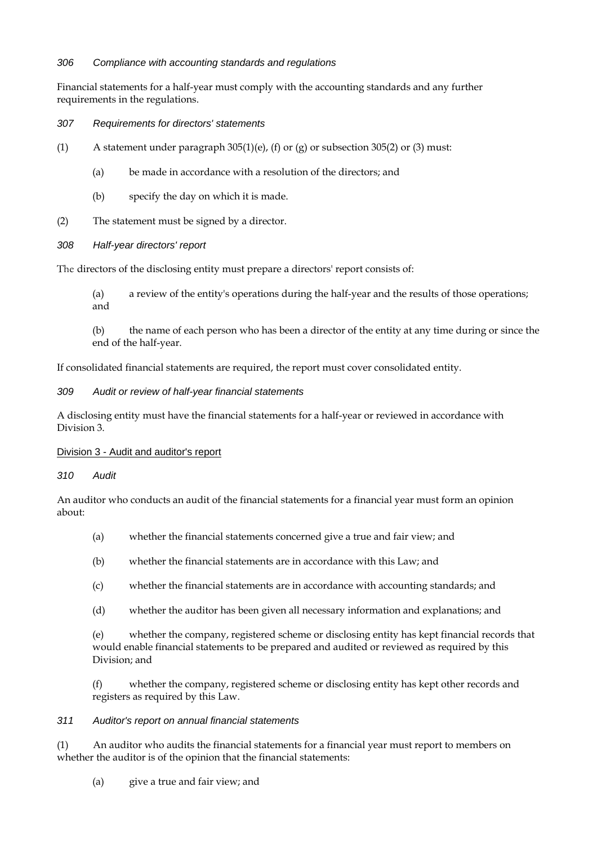#### *306 Compliance with accounting standards and regulations*

Financial statements for a half-year must comply with the accounting standards and any further requirements in the regulations.

- *307 Requirements for directors' statements*
- (1) A statement under paragraph 305(1)(e), (f) or (g) or subsection 305(2) or (3) must:
	- (a) be made in accordance with a resolution of the directors; and
	- (b) specify the day on which it is made.
- (2) The statement must be signed by a director.

## *308 Half-year directors' report*

The directors of the disclosing entity must prepare a directors' report consists of:

(a) a review of the entity's operations during the half-year and the results of those operations; and

(b) the name of each person who has been a director of the entity at any time during or since the end of the half-year.

If consolidated financial statements are required, the report must cover consolidated entity.

*309 Audit or review of half-year financial statements* 

A disclosing entity must have the financial statements for a half-year or reviewed in accordance with Division 3.

#### Division 3 - Audit and auditor's report

*310 Audit* 

An auditor who conducts an audit of the financial statements for a financial year must form an opinion about:

- (a) whether the financial statements concerned give a true and fair view; and
- (b) whether the financial statements are in accordance with this Law; and
- (c) whether the financial statements are in accordance with accounting standards; and
- (d) whether the auditor has been given all necessary information and explanations; and

(e) whether the company, registered scheme or disclosing entity has kept financial records that would enable financial statements to be prepared and audited or reviewed as required by this Division; and

(f) whether the company, registered scheme or disclosing entity has kept other records and registers as required by this Law.

#### *311 Auditor's report on annual financial statements*

(1) An auditor who audits the financial statements for a financial year must report to members on whether the auditor is of the opinion that the financial statements:

(a) give a true and fair view; and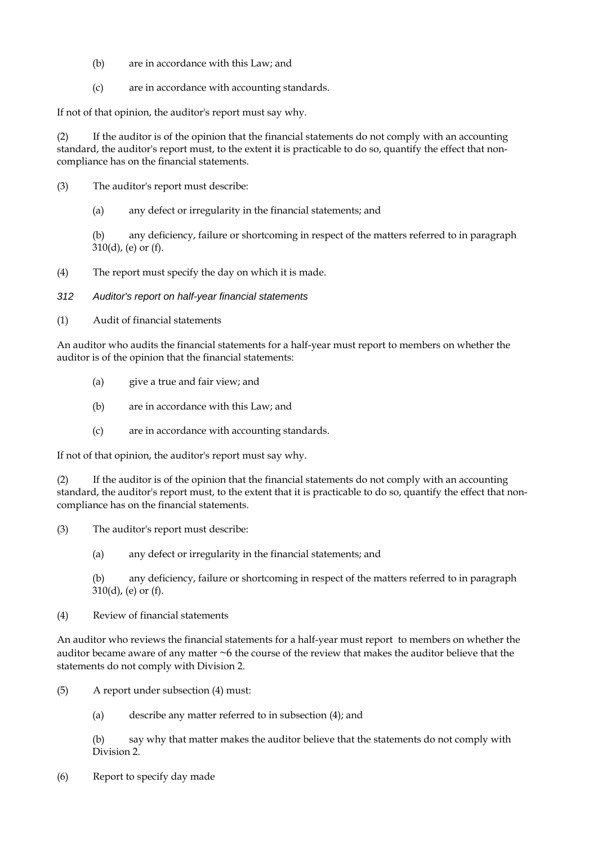- (b) are in accordance with this Law; and
- (c) are in accordance with accounting standards.

If not of that opinion, the auditor's report must say why.

(2) If the auditor is of the opinion that the financial statements do not comply with an accounting standard, the auditor's report must, to the extent it is practicable to do so, quantify the effect that noncompliance has on the financial statements.

- (3) The auditor's report must describe:
	- (a) any defect or irregularity in the financial statements; and

(b) any deficiency, failure or shortcoming in respect of the matters referred to in paragraph 310(d), (e) or (f).

- (4) The report must specify the day on which it is made.
- *312 Auditor's report on half-year financial statements*
- (1) Audit of financial statements

An auditor who audits the financial statements for a half-year must report to members on whether the auditor is of the opinion that the financial statements:

- (a) give a true and fair view; and
- (b) are in accordance with this Law; and
- (c) are in accordance with accounting standards.

If not of that opinion, the auditor's report must say why.

(2) If the auditor is of the opinion that the financial statements do not comply with an accounting standard, the auditor's report must, to the extent that it is practicable to do so, quantify the effect that noncompliance has on the financial statements.

(3) The auditor's report must describe:

(a) any defect or irregularity in the financial statements; and

(b) any deficiency, failure or shortcoming in respect of the matters referred to in paragraph  $310(d)$ , (e) or (f).

(4) Review of financial statements

An auditor who reviews the financial statements for a half-year must report to members on whether the auditor became aware of any matter ~6 the course of the review that makes the auditor believe that the statements do not comply with Division 2.

(5) A report under subsection (4) must:

(a) describe any matter referred to in subsection (4); and

(b) say why that matter makes the auditor believe that the statements do not comply with Division 2.

(6) Report to specify day made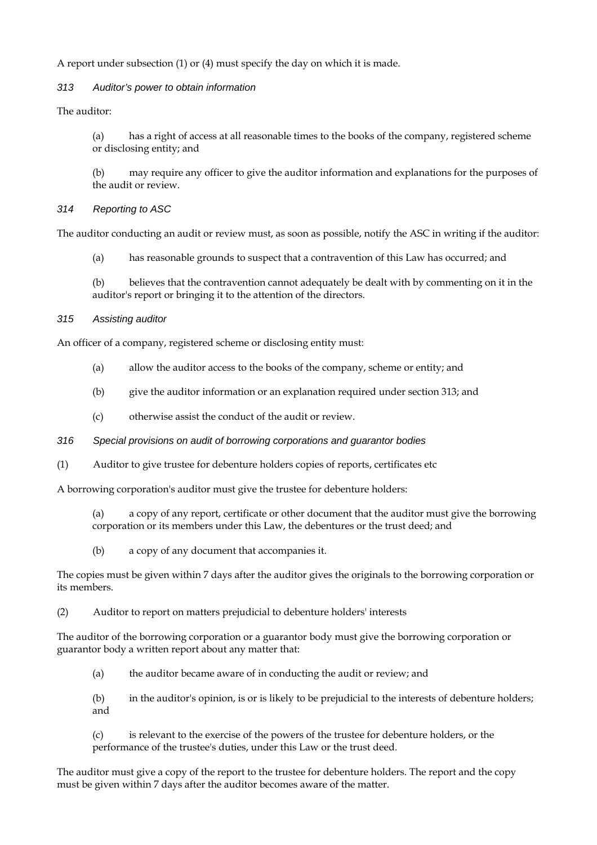A report under subsection (1) or (4) must specify the day on which it is made.

#### *313 Auditor's power to obtain information*

The auditor:

(a) has a right of access at all reasonable times to the books of the company, registered scheme or disclosing entity; and

(b) may require any officer to give the auditor information and explanations for the purposes of the audit or review.

## *314 Reporting to ASC*

The auditor conducting an audit or review must, as soon as possible, notify the ASC in writing if the auditor:

(a) has reasonable grounds to suspect that a contravention of this Law has occurred; and

(b) believes that the contravention cannot adequately be dealt with by commenting on it in the auditor's report or bringing it to the attention of the directors.

## *315 Assisting auditor*

An officer of a company, registered scheme or disclosing entity must:

- (a) allow the auditor access to the books of the company, scheme or entity; and
- (b) give the auditor information or an explanation required under section 313; and
- (c) otherwise assist the conduct of the audit or review.
- *316 Special provisions on audit of borrowing corporations and guarantor bodies*
- (1) Auditor to give trustee for debenture holders copies of reports, certificates etc

A borrowing corporation's auditor must give the trustee for debenture holders:

- (a) a copy of any report, certificate or other document that the auditor must give the borrowing corporation or its members under this Law, the debentures or the trust deed; and
- (b) a copy of any document that accompanies it.

The copies must be given within 7 days after the auditor gives the originals to the borrowing corporation or its members.

(2) Auditor to report on matters prejudicial to debenture holders' interests

The auditor of the borrowing corporation or a guarantor body must give the borrowing corporation or guarantor body a written report about any matter that:

- (a) the auditor became aware of in conducting the audit or review; and
- (b) in the auditor's opinion, is or is likely to be prejudicial to the interests of debenture holders; and

(c) is relevant to the exercise of the powers of the trustee for debenture holders, or the performance of the trustee's duties, under this Law or the trust deed.

The auditor must give a copy of the report to the trustee for debenture holders. The report and the copy must be given within 7 days after the auditor becomes aware of the matter.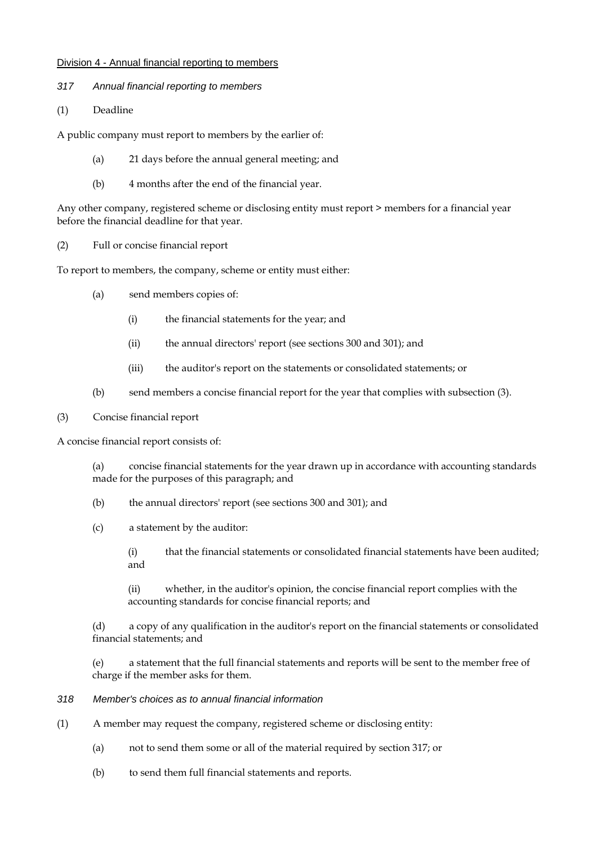#### Division 4 - Annual financial reporting to members

- *317 Annual financial reporting to members*
- (1) Deadline

A public company must report to members by the earlier of:

- (a) 21 days before the annual general meeting; and
- (b) 4 months after the end of the financial year.

Any other company, registered scheme or disclosing entity must report > members for a financial year before the financial deadline for that year.

(2) Full or concise financial report

To report to members, the company, scheme or entity must either:

- (a) send members copies of:
	- (i) the financial statements for the year; and
	- (ii) the annual directors' report (see sections 300 and 301); and
	- (iii) the auditor's report on the statements or consolidated statements; or
- (b) send members a concise financial report for the year that complies with subsection (3).
- (3) Concise financial report

A concise financial report consists of:

(a) concise financial statements for the year drawn up in accordance with accounting standards made for the purposes of this paragraph; and

- (b) the annual directors' report (see sections 300 and 301); and
- (c) a statement by the auditor:
	- (i) that the financial statements or consolidated financial statements have been audited; and

(ii) whether, in the auditor's opinion, the concise financial report complies with the accounting standards for concise financial reports; and

(d) a copy of any qualification in the auditor's report on the financial statements or consolidated financial statements; and

(e) a statement that the full financial statements and reports will be sent to the member free of charge if the member asks for them.

#### *318 Member's choices as to annual financial information*

- (1) A member may request the company, registered scheme or disclosing entity:
	- (a) not to send them some or all of the material required by section 317; or
	- (b) to send them full financial statements and reports.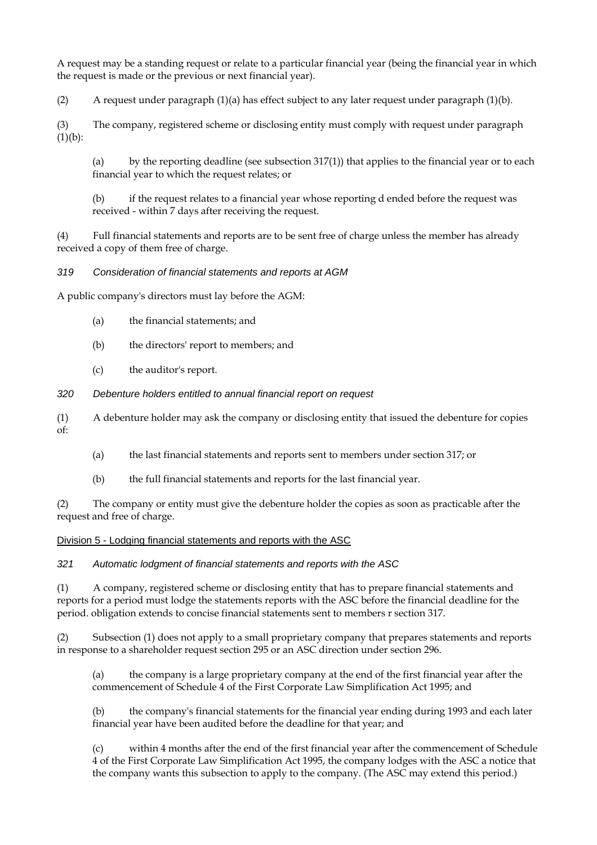A request may be a standing request or relate to a particular financial year (being the financial year in which the request is made or the previous or next financial year).

(2) A request under paragraph  $(1)(a)$  has effect subject to any later request under paragraph  $(1)(b)$ .

(3) The company, registered scheme or disclosing entity must comply with request under paragraph  $(1)(b)$ :

(a) by the reporting deadline (see subsection  $317(1)$ ) that applies to the financial year or to each financial year to which the request relates; or

(b) if the request relates to a financial year whose reporting d ended before the request was received - within 7 days after receiving the request.

(4) Full financial statements and reports are to be sent free of charge unless the member has already received a copy of them free of charge.

#### *319 Consideration of financial statements and reports at AGM*

A public company's directors must lay before the AGM:

- (a) the financial statements; and
- (b) the directors' report to members; and
- (c) the auditor's report.

#### *320 Debenture holders entitled to annual financial report on request*

(1) A debenture holder may ask the company or disclosing entity that issued the debenture for copies of:

- (a) the last financial statements and reports sent to members under section 317; or
- (b) the full financial statements and reports for the last financial year.

(2) The company or entity must give the debenture holder the copies as soon as practicable after the request and free of charge.

#### Division 5 - Lodging financial statements and reports with the ASC

*321 Automatic lodgment of financial statements and reports with the ASC* 

(1) A company, registered scheme or disclosing entity that has to prepare financial statements and reports for a period must lodge the statements reports with the ASC before the financial deadline for the period. obligation extends to concise financial statements sent to members r section 317.

(2) Subsection (1) does not apply to a small proprietary company that prepares statements and reports in response to a shareholder request section 295 or an ASC direction under section 296.

the company is a large proprietary company at the end of the first financial year after the commencement of Schedule 4 of the First Corporate Law Simplification Act 1995; and

(b) the company's financial statements for the financial year ending during 1993 and each later financial year have been audited before the deadline for that year; and

(c) within 4 months after the end of the first financial year after the commencement of Schedule 4 of the First Corporate Law Simplification Act 1995, the company lodges with the ASC a notice that the company wants this subsection to apply to the company. (The ASC may extend this period.)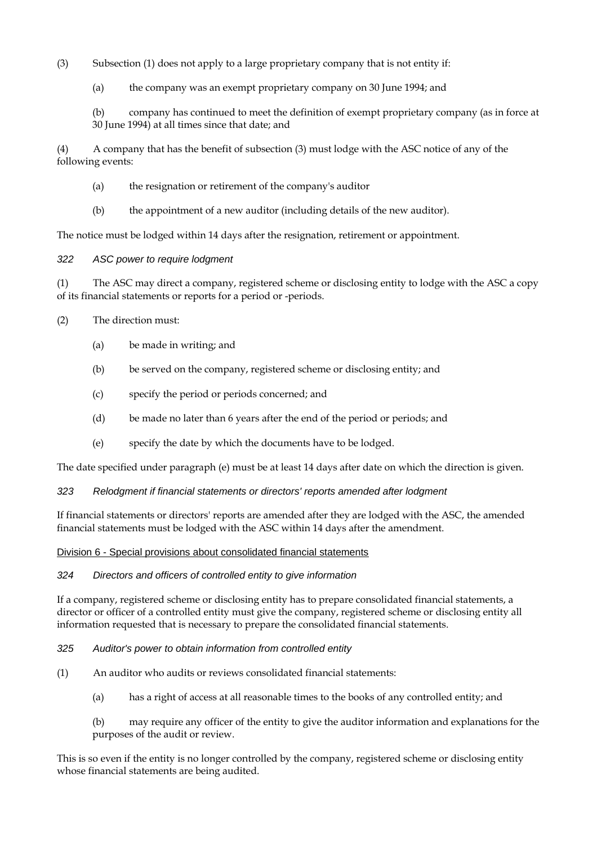(3) Subsection (1) does not apply to a large proprietary company that is not entity if:

(a) the company was an exempt proprietary company on 30 June 1994; and

(b) company has continued to meet the definition of exempt proprietary company (as in force at 30 June 1994) at all times since that date; and

(4) A company that has the benefit of subsection (3) must lodge with the ASC notice of any of the following events:

- (a) the resignation or retirement of the company's auditor
- (b) the appointment of a new auditor (including details of the new auditor).

The notice must be lodged within 14 days after the resignation, retirement or appointment.

#### *322 ASC power to require lodgment*

(1) The ASC may direct a company, registered scheme or disclosing entity to lodge with the ASC a copy of its financial statements or reports for a period or -periods.

- (2) The direction must:
	- (a) be made in writing; and
	- (b) be served on the company, registered scheme or disclosing entity; and
	- (c) specify the period or periods concerned; and
	- (d) be made no later than 6 years after the end of the period or periods; and
	- (e) specify the date by which the documents have to be lodged.

The date specified under paragraph (e) must be at least 14 days after date on which the direction is given.

#### *323 Relodgment if financial statements or directors' reports amended after lodgment*

If financial statements or directors' reports are amended after they are lodged with the ASC, the amended financial statements must be lodged with the ASC within 14 days after the amendment.

#### Division 6 - Special provisions about consolidated financial statements

#### *324 Directors and officers of controlled entity to give information*

If a company, registered scheme or disclosing entity has to prepare consolidated financial statements, a director or officer of a controlled entity must give the company, registered scheme or disclosing entity all information requested that is necessary to prepare the consolidated financial statements.

#### *325 Auditor's power to obtain information from controlled entity*

- (1) An auditor who audits or reviews consolidated financial statements:
	- (a) has a right of access at all reasonable times to the books of any controlled entity; and
	- (b) may require any officer of the entity to give the auditor information and explanations for the purposes of the audit or review.

This is so even if the entity is no longer controlled by the company, registered scheme or disclosing entity whose financial statements are being audited.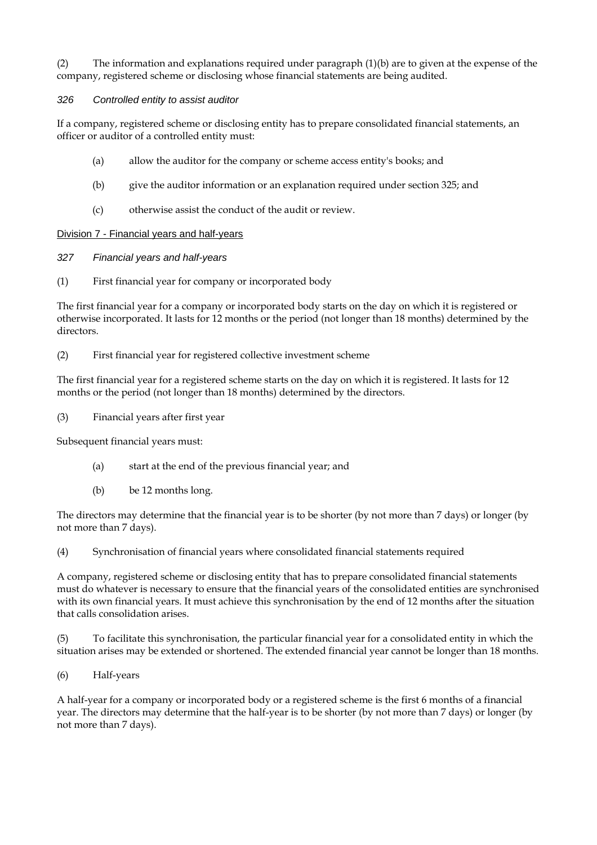(2) The information and explanations required under paragraph (1)(b) are to given at the expense of the company, registered scheme or disclosing whose financial statements are being audited.

## *326 Controlled entity to assist auditor*

If a company, registered scheme or disclosing entity has to prepare consolidated financial statements, an officer or auditor of a controlled entity must:

- (a) allow the auditor for the company or scheme access entity's books; and
- (b) give the auditor information or an explanation required under section 325; and
- (c) otherwise assist the conduct of the audit or review.

#### Division 7 - Financial years and half-years

- *327 Financial years and half-years*
- (1) First financial year for company or incorporated body

The first financial year for a company or incorporated body starts on the day on which it is registered or otherwise incorporated. It lasts for 12 months or the period (not longer than 18 months) determined by the directors.

(2) First financial year for registered collective investment scheme

The first financial year for a registered scheme starts on the day on which it is registered. It lasts for 12 months or the period (not longer than 18 months) determined by the directors.

(3) Financial years after first year

Subsequent financial years must:

- (a) start at the end of the previous financial year; and
- (b) be 12 months long.

The directors may determine that the financial year is to be shorter (by not more than 7 days) or longer (by not more than 7 days).

(4) Synchronisation of financial years where consolidated financial statements required

A company, registered scheme or disclosing entity that has to prepare consolidated financial statements must do whatever is necessary to ensure that the financial years of the consolidated entities are synchronised with its own financial years. It must achieve this synchronisation by the end of 12 months after the situation that calls consolidation arises.

(5) To facilitate this synchronisation, the particular financial year for a consolidated entity in which the situation arises may be extended or shortened. The extended financial year cannot be longer than 18 months.

(6) Half-years

A half-year for a company or incorporated body or a registered scheme is the first 6 months of a financial year. The directors may determine that the half-year is to be shorter (by not more than 7 days) or longer (by not more than 7 days).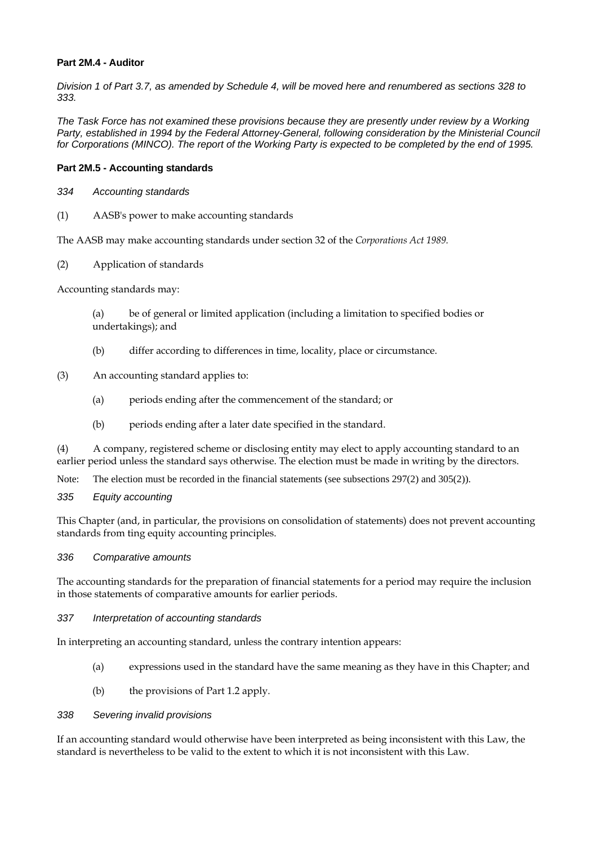#### **Part 2M.4 - Auditor**

*Division 1 of Part 3.7, as amended by Schedule 4, will be moved here and renumbered as sections 328 to 333.* 

*The Task Force has not examined these provisions because they are presently under review by a Working*  Party, established in 1994 by the Federal Attorney-General, following consideration by the Ministerial Council *for Corporations (MINCO). The report of the Working Party is expected to be completed by the end of 1995.* 

#### **Part 2M.5 - Accounting standards**

- *334 Accounting standards*
- (1) AASB's power to make accounting standards

The AASB may make accounting standards under section 32 of the *Corporations Act 1989.* 

(2) Application of standards

Accounting standards may:

(a) be of general or limited application (including a limitation to specified bodies or undertakings); and

- (b) differ according to differences in time, locality, place or circumstance.
- (3) An accounting standard applies to:
	- (a) periods ending after the commencement of the standard; or
	- (b) periods ending after a later date specified in the standard.

(4) A company, registered scheme or disclosing entity may elect to apply accounting standard to an earlier period unless the standard says otherwise. The election must be made in writing by the directors.

Note: The election must be recorded in the financial statements (see subsections 297(2) and 305(2)).

*335 Equity accounting* 

This Chapter (and, in particular, the provisions on consolidation of statements) does not prevent accounting standards from ting equity accounting principles.

#### *336 Comparative amounts*

The accounting standards for the preparation of financial statements for a period may require the inclusion in those statements of comparative amounts for earlier periods.

#### *337 Interpretation of accounting standards*

In interpreting an accounting standard, unless the contrary intention appears:

- (a) expressions used in the standard have the same meaning as they have in this Chapter; and
- (b) the provisions of Part 1.2 apply.

#### *338 Severing invalid provisions*

If an accounting standard would otherwise have been interpreted as being inconsistent with this Law, the standard is nevertheless to be valid to the extent to which it is not inconsistent with this Law.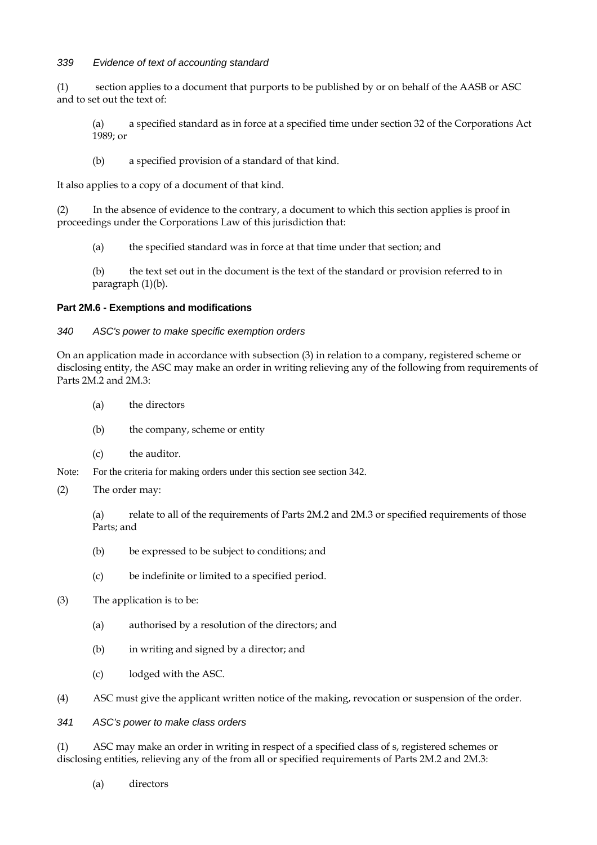#### *339 Evidence of text of accounting standard*

(1) section applies to a document that purports to be published by or on behalf of the AASB or ASC and to set out the text of:

(a) a specified standard as in force at a specified time under section 32 of the Corporations Act 1989; or

(b) a specified provision of a standard of that kind.

It also applies to a copy of a document of that kind.

(2) In the absence of evidence to the contrary, a document to which this section applies is proof in proceedings under the Corporations Law of this jurisdiction that:

(a) the specified standard was in force at that time under that section; and

(b) the text set out in the document is the text of the standard or provision referred to in paragraph (1)(b).

#### **Part 2M.6 - Exemptions and modifications**

#### *340 ASC's power to make specific exemption orders*

On an application made in accordance with subsection (3) in relation to a company, registered scheme or disclosing entity, the ASC may make an order in writing relieving any of the following from requirements of Parts 2M.2 and 2M.3:

- (a) the directors
- (b) the company, scheme or entity
- (c) the auditor.

Note: For the criteria for making orders under this section see section 342.

(2) The order may:

(a) relate to all of the requirements of Parts 2M.2 and 2M.3 or specified requirements of those Parts; and

- (b) be expressed to be subject to conditions; and
- (c) be indefinite or limited to a specified period.
- (3) The application is to be:
	- (a) authorised by a resolution of the directors; and
	- (b) in writing and signed by a director; and
	- (c) lodged with the ASC.

(4) ASC must give the applicant written notice of the making, revocation or suspension of the order.

#### *341 ASC's power to make class orders*

(1) ASC may make an order in writing in respect of a specified class of s, registered schemes or disclosing entities, relieving any of the from all or specified requirements of Parts 2M.2 and 2M.3:

(a) directors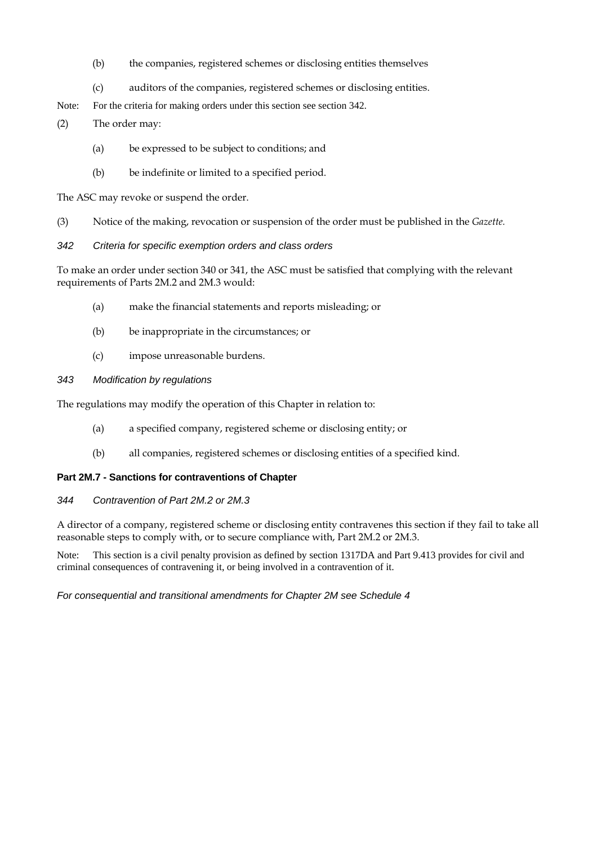- (b) the companies, registered schemes or disclosing entities themselves
- (c) auditors of the companies, registered schemes or disclosing entities.
- Note: For the criteria for making orders under this section see section 342.
- (2) The order may:
	- (a) be expressed to be subject to conditions; and
	- (b) be indefinite or limited to a specified period.

The ASC may revoke or suspend the order.

- (3) Notice of the making, revocation or suspension of the order must be published in the *Gazette.*
- *342 Criteria for specific exemption orders and class orders*

To make an order under section 340 or 341, the ASC must be satisfied that complying with the relevant requirements of Parts 2M.2 and 2M.3 would:

- (a) make the financial statements and reports misleading; or
- (b) be inappropriate in the circumstances; or
- (c) impose unreasonable burdens.

## *343 Modification by regulations*

The regulations may modify the operation of this Chapter in relation to:

- (a) a specified company, registered scheme or disclosing entity; or
- (b) all companies, registered schemes or disclosing entities of a specified kind.

#### **Part 2M.7 - Sanctions for contraventions of Chapter**

#### *344 Contravention of Part 2M.2 or 2M.3*

A director of a company, registered scheme or disclosing entity contravenes this section if they fail to take all reasonable steps to comply with, or to secure compliance with, Part 2M.2 or 2M.3.

Note: This section is a civil penalty provision as defined by section 1317DA and Part 9.413 provides for civil and criminal consequences of contravening it, or being involved in a contravention of it.

#### *For consequential and transitional amendments for Chapter 2M see Schedule 4*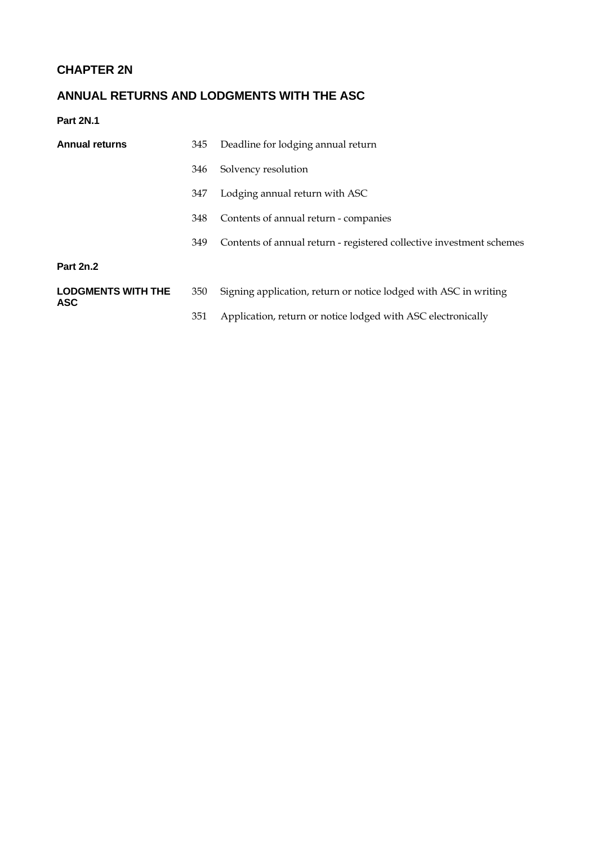# **CHAPTER 2N**

# **ANNUAL RETURNS AND LODGMENTS WITH THE ASC**

**Part 2N.1** 

| <b>Annual returns</b>                   | 345 | Deadline for lodging annual return                                   |  |
|-----------------------------------------|-----|----------------------------------------------------------------------|--|
|                                         | 346 | Solvency resolution                                                  |  |
|                                         | 347 | Lodging annual return with ASC                                       |  |
|                                         | 348 | Contents of annual return - companies                                |  |
|                                         | 349 | Contents of annual return - registered collective investment schemes |  |
| <b>Part 2n.2</b>                        |     |                                                                      |  |
| <b>LODGMENTS WITH THE</b><br><b>ASC</b> | 350 | Signing application, return or notice lodged with ASC in writing     |  |
|                                         | 351 | Application, return or notice lodged with ASC electronically         |  |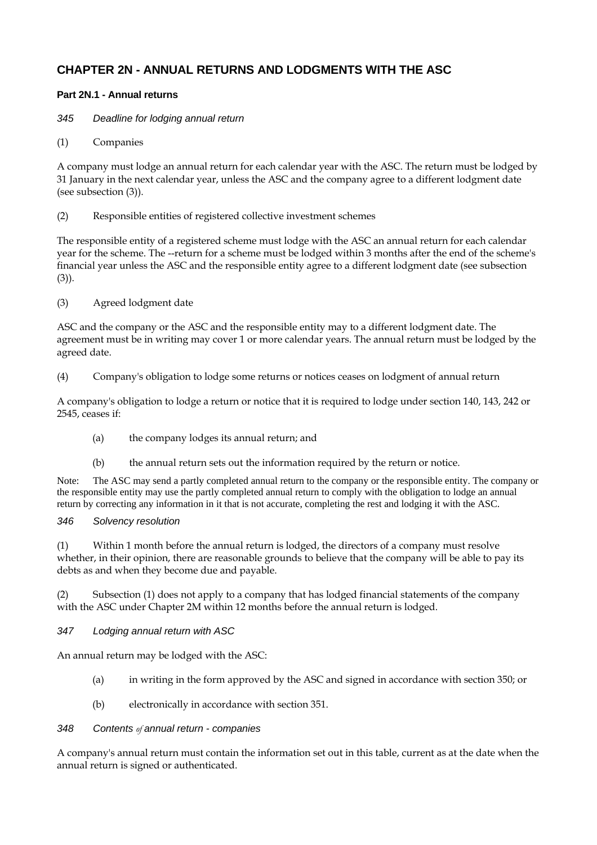## **CHAPTER 2N - ANNUAL RETURNS AND LODGMENTS WITH THE ASC**

## **Part 2N.1 - Annual returns**

## *345 Deadline for lodging annual return*

(1) Companies

A company must lodge an annual return for each calendar year with the ASC. The return must be lodged by 31 January in the next calendar year, unless the ASC and the company agree to a different lodgment date (see subsection (3)).

(2) Responsible entities of registered collective investment schemes

The responsible entity of a registered scheme must lodge with the ASC an annual return for each calendar year for the scheme. The --return for a scheme must be lodged within 3 months after the end of the scheme's financial year unless the ASC and the responsible entity agree to a different lodgment date (see subsection (3)).

(3) Agreed lodgment date

ASC and the company or the ASC and the responsible entity may to a different lodgment date. The agreement must be in writing may cover 1 or more calendar years. The annual return must be lodged by the agreed date.

(4) Company's obligation to lodge some returns or notices ceases on lodgment of annual return

A company's obligation to lodge a return or notice that it is required to lodge under section 140, 143, 242 or 2545, ceases if:

- (a) the company lodges its annual return; and
- (b) the annual return sets out the information required by the return or notice.

Note: The ASC may send a partly completed annual return to the company or the responsible entity. The company or the responsible entity may use the partly completed annual return to comply with the obligation to lodge an annual return by correcting any information in it that is not accurate, completing the rest and lodging it with the ASC.

## *346 Solvency resolution*

(1) Within 1 month before the annual return is lodged, the directors of a company must resolve whether, in their opinion, there are reasonable grounds to believe that the company will be able to pay its debts as and when they become due and payable.

(2) Subsection (1) does not apply to a company that has lodged financial statements of the company with the ASC under Chapter 2M within 12 months before the annual return is lodged.

*347 Lodging annual return with ASC* 

An annual return may be lodged with the ASC:

- (a) in writing in the form approved by the ASC and signed in accordance with section 350; or
- (b) electronically in accordance with section 351.

#### *348 Contents of annual return - companies*

A company's annual return must contain the information set out in this table, current as at the date when the annual return is signed or authenticated.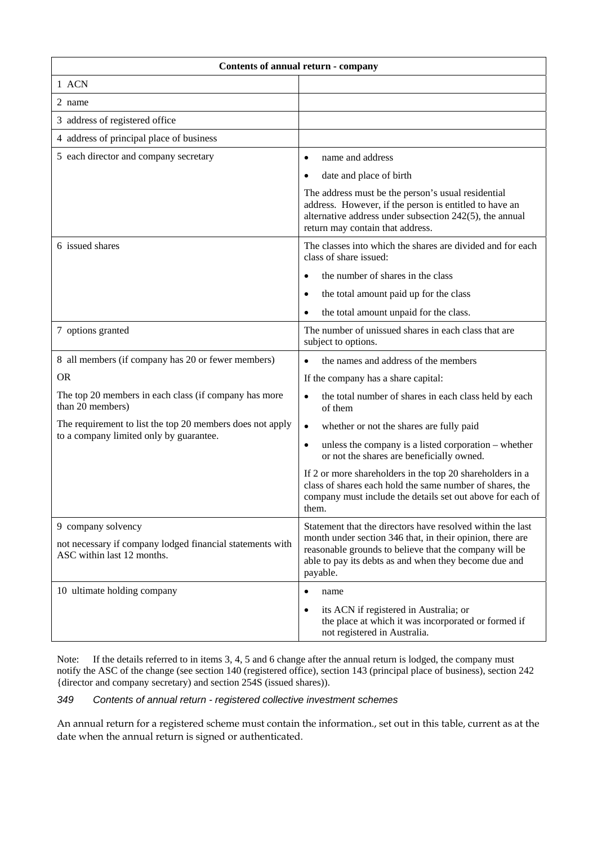| Contents of annual return - company                                                                  |                                                                                                                                                                                                             |  |  |  |
|------------------------------------------------------------------------------------------------------|-------------------------------------------------------------------------------------------------------------------------------------------------------------------------------------------------------------|--|--|--|
| 1 ACN                                                                                                |                                                                                                                                                                                                             |  |  |  |
| 2 name                                                                                               |                                                                                                                                                                                                             |  |  |  |
| 3 address of registered office                                                                       |                                                                                                                                                                                                             |  |  |  |
| 4 address of principal place of business                                                             |                                                                                                                                                                                                             |  |  |  |
| 5 each director and company secretary                                                                | name and address<br>$\bullet$                                                                                                                                                                               |  |  |  |
|                                                                                                      | date and place of birth<br>$\bullet$                                                                                                                                                                        |  |  |  |
|                                                                                                      | The address must be the person's usual residential<br>address. However, if the person is entitled to have an<br>alternative address under subsection 242(5), the annual<br>return may contain that address. |  |  |  |
| 6 issued shares                                                                                      | The classes into which the shares are divided and for each<br>class of share issued:                                                                                                                        |  |  |  |
|                                                                                                      | the number of shares in the class<br>$\bullet$                                                                                                                                                              |  |  |  |
|                                                                                                      | the total amount paid up for the class<br>$\bullet$                                                                                                                                                         |  |  |  |
|                                                                                                      | the total amount unpaid for the class.<br>$\bullet$                                                                                                                                                         |  |  |  |
| 7 options granted                                                                                    | The number of unissued shares in each class that are<br>subject to options.                                                                                                                                 |  |  |  |
| 8 all members (if company has 20 or fewer members)                                                   | the names and address of the members<br>$\bullet$                                                                                                                                                           |  |  |  |
| <b>OR</b>                                                                                            | If the company has a share capital:                                                                                                                                                                         |  |  |  |
| The top 20 members in each class (if company has more<br>than 20 members)                            | the total number of shares in each class held by each<br>$\bullet$<br>of them                                                                                                                               |  |  |  |
| The requirement to list the top 20 members does not apply<br>to a company limited only by guarantee. | whether or not the shares are fully paid<br>$\bullet$                                                                                                                                                       |  |  |  |
|                                                                                                      | unless the company is a listed corporation – whether<br>$\bullet$<br>or not the shares are beneficially owned.                                                                                              |  |  |  |
|                                                                                                      | If 2 or more shareholders in the top 20 shareholders in a<br>class of shares each hold the same number of shares, the<br>company must include the details set out above for each of<br>them.                |  |  |  |
| 9 company solvency                                                                                   | Statement that the directors have resolved within the last                                                                                                                                                  |  |  |  |
| not necessary if company lodged financial statements with<br>ASC within last 12 months.              | month under section 346 that, in their opinion, there are<br>reasonable grounds to believe that the company will be<br>able to pay its debts as and when they become due and<br>payable.                    |  |  |  |
| 10 ultimate holding company                                                                          | $\bullet$<br>name                                                                                                                                                                                           |  |  |  |
|                                                                                                      | its ACN if registered in Australia; or<br>$\bullet$<br>the place at which it was incorporated or formed if<br>not registered in Australia.                                                                  |  |  |  |

Note: If the details referred to in items 3, 4, 5 and 6 change after the annual return is lodged, the company must notify the ASC of the change (see section 140 (registered office), section 143 (principal place of business), section 242 {director and company secretary) and section 254S (issued shares)).

## *349 Contents of annual return - registered collective investment schemes*

An annual return for a registered scheme must contain the information., set out in this table, current as at the date when the annual return is signed or authenticated.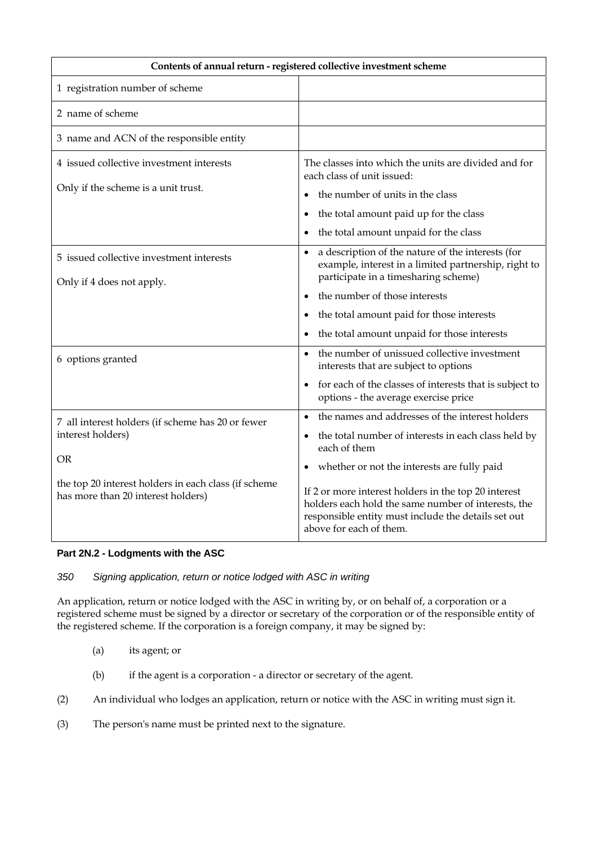| Contents of annual return - registered collective investment scheme                        |                                                                                                                                                                                               |  |  |  |
|--------------------------------------------------------------------------------------------|-----------------------------------------------------------------------------------------------------------------------------------------------------------------------------------------------|--|--|--|
| 1 registration number of scheme                                                            |                                                                                                                                                                                               |  |  |  |
| 2 name of scheme                                                                           |                                                                                                                                                                                               |  |  |  |
| 3 name and ACN of the responsible entity                                                   |                                                                                                                                                                                               |  |  |  |
| 4 issued collective investment interests<br>Only if the scheme is a unit trust.            | The classes into which the units are divided and for<br>each class of unit issued:                                                                                                            |  |  |  |
|                                                                                            | the number of units in the class                                                                                                                                                              |  |  |  |
|                                                                                            | the total amount paid up for the class<br>$\bullet$                                                                                                                                           |  |  |  |
|                                                                                            | the total amount unpaid for the class<br>$\bullet$                                                                                                                                            |  |  |  |
| 5 issued collective investment interests<br>Only if 4 does not apply.                      | a description of the nature of the interests (for<br>$\bullet$<br>example, interest in a limited partnership, right to<br>participate in a timesharing scheme)                                |  |  |  |
|                                                                                            | the number of those interests                                                                                                                                                                 |  |  |  |
|                                                                                            | the total amount paid for those interests<br>$\bullet$                                                                                                                                        |  |  |  |
|                                                                                            | the total amount unpaid for those interests                                                                                                                                                   |  |  |  |
| 6 options granted                                                                          | the number of unissued collective investment<br>$\bullet$<br>interests that are subject to options                                                                                            |  |  |  |
|                                                                                            | for each of the classes of interests that is subject to<br>options - the average exercise price                                                                                               |  |  |  |
| 7 all interest holders (if scheme has 20 or fewer                                          | the names and addresses of the interest holders<br>$\bullet$                                                                                                                                  |  |  |  |
| interest holders)                                                                          | the total number of interests in each class held by<br>each of them                                                                                                                           |  |  |  |
| <b>OR</b>                                                                                  | whether or not the interests are fully paid                                                                                                                                                   |  |  |  |
| the top 20 interest holders in each class (if scheme<br>has more than 20 interest holders) | If 2 or more interest holders in the top 20 interest<br>holders each hold the same number of interests, the<br>responsible entity must include the details set out<br>above for each of them. |  |  |  |

## **Part 2N.2 - Lodgments with the ASC**

### *350 Signing application, return or notice lodged with ASC in writing*

An application, return or notice lodged with the ASC in writing by, or on behalf of, a corporation or a registered scheme must be signed by a director or secretary of the corporation or of the responsible entity of the registered scheme. If the corporation is a foreign company, it may be signed by:

- (a) its agent; or
- (b) if the agent is a corporation a director or secretary of the agent.
- (2) An individual who lodges an application, return or notice with the ASC in writing must sign it.
- (3) The person's name must be printed next to the signature.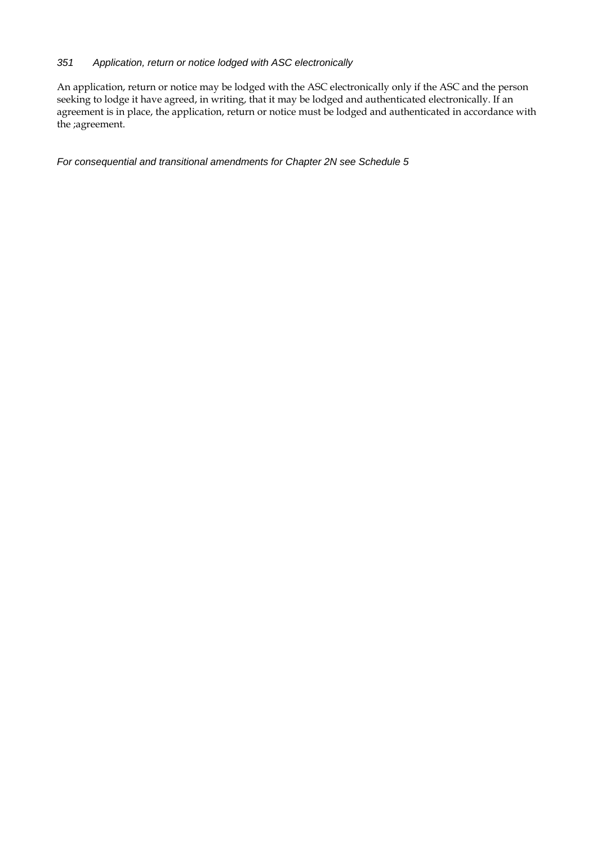#### *351 Application, return or notice lodged with ASC electronically*

An application, return or notice may be lodged with the ASC electronically only if the ASC and the person seeking to lodge it have agreed, in writing, that it may be lodged and authenticated electronically. If an agreement is in place, the application, return or notice must be lodged and authenticated in accordance with the ;agreement.

*For consequential and transitional amendments for Chapter 2N see Schedule 5*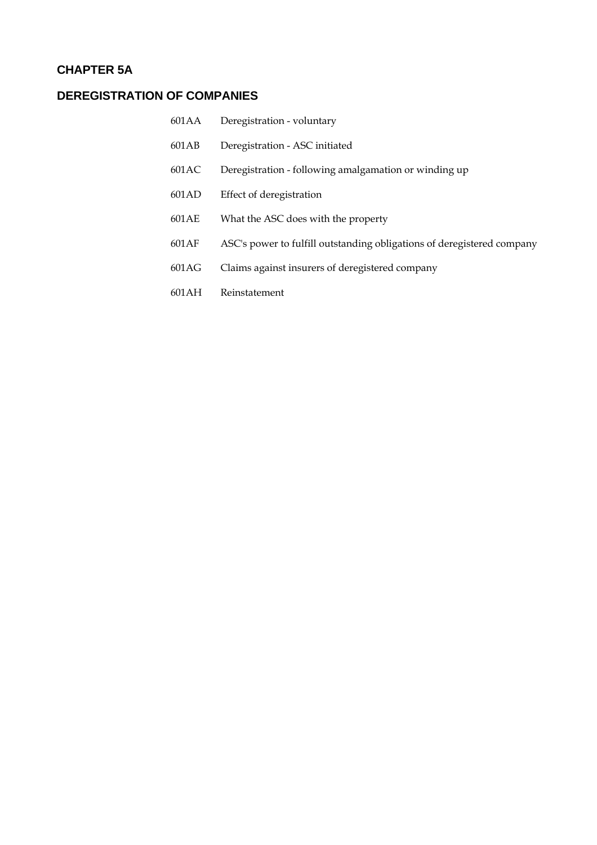## **CHAPTER 5A**

# **DEREGISTRATION OF COMPANIES**

601AA 601AB 601AC 601AD 601AE 601AF 601AG 601AH Deregistration - voluntary Deregistration - ASC initiated Deregistration - following amalgamation or winding up Effect of deregistration What the ASC does with the property ASC's power to fulfill outstanding obligations of deregistered company Claims against insurers of deregistered company Reinstatement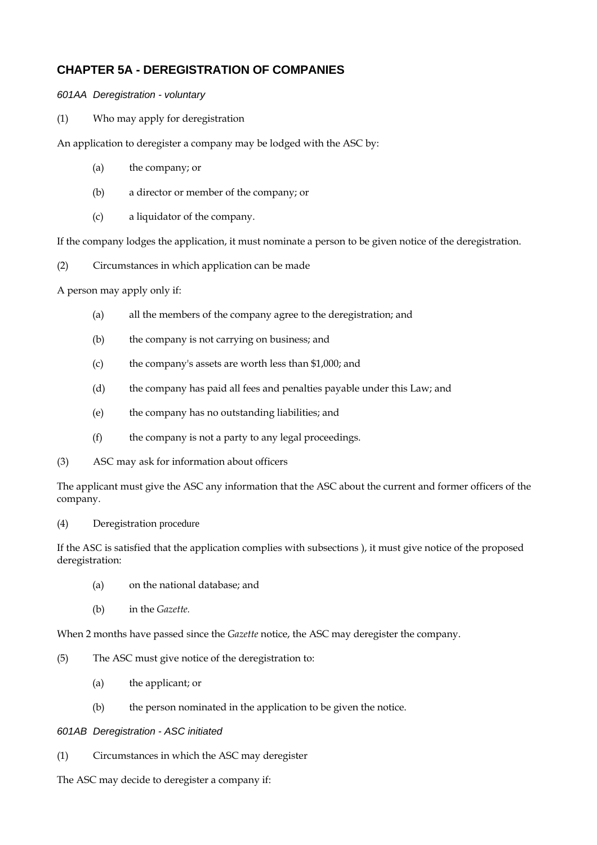## **CHAPTER 5A - DEREGISTRATION OF COMPANIES**

### *601AA Deregistration - voluntary*

(1) Who may apply for deregistration

An application to deregister a company may be lodged with the ASC by:

- (a) the company; or
- (b) a director or member of the company; or
- (c) a liquidator of the company.

If the company lodges the application, it must nominate a person to be given notice of the deregistration.

(2) Circumstances in which application can be made

A person may apply only if:

- (a) all the members of the company agree to the deregistration; and
- (b) the company is not carrying on business; and
- (c) the company's assets are worth less than \$1,000; and
- (d) the company has paid all fees and penalties payable under this Law; and
- (e) the company has no outstanding liabilities; and
- (f) the company is not a party to any legal proceedings.
- (3) ASC may ask for information about officers

The applicant must give the ASC any information that the ASC about the current and former officers of the company.

(4) Deregistration procedure

If the ASC is satisfied that the application complies with subsections ), it must give notice of the proposed deregistration:

- (a) on the national database; and
- (b) in the *Gazette.*

When 2 months have passed since the *Gazette* notice, the ASC may deregister the company.

- (5) The ASC must give notice of the deregistration to:
	- (a) the applicant; or
	- (b) the person nominated in the application to be given the notice.

#### *601AB Deregistration - ASC initiated*

(1) Circumstances in which the ASC may deregister

The ASC may decide to deregister a company if: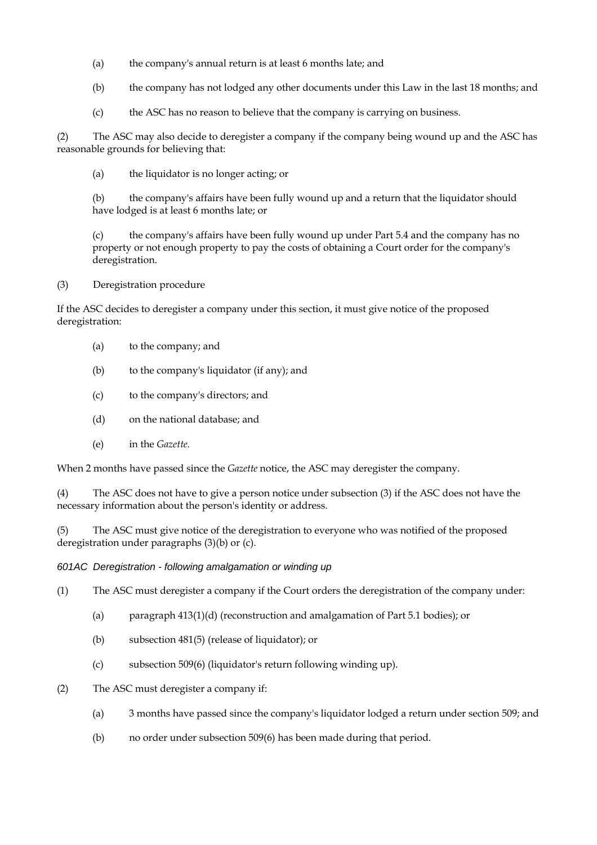- (a) the company's annual return is at least 6 months late; and
- (b) the company has not lodged any other documents under this Law in the last 18 months; and
- (c) the ASC has no reason to believe that the company is carrying on business.

(2) The ASC may also decide to deregister a company if the company being wound up and the ASC has reasonable grounds for believing that:

(a) the liquidator is no longer acting; or

(b) the company's affairs have been fully wound up and a return that the liquidator should have lodged is at least 6 months late; or

(c) the company's affairs have been fully wound up under Part 5.4 and the company has no property or not enough property to pay the costs of obtaining a Court order for the company's deregistration.

(3) Deregistration procedure

If the ASC decides to deregister a company under this section, it must give notice of the proposed deregistration:

- (a) to the company; and
- (b) to the company's liquidator (if any); and
- (c) to the company's directors; and
- (d) on the national database; and
- (e) in the *Gazette.*

When 2 months have passed since the *Gazette* notice, the ASC may deregister the company.

(4) The ASC does not have to give a person notice under subsection (3) if the ASC does not have the necessary information about the person's identity or address.

(5) The ASC must give notice of the deregistration to everyone who was notified of the proposed deregistration under paragraphs (3)(b) or (c).

*601AC Deregistration - following amalgamation or winding up* 

(1) The ASC must deregister a company if the Court orders the deregistration of the company under:

- (a) paragraph 413(1)(d) (reconstruction and amalgamation of Part 5.1 bodies); or
- (b) subsection 481(5) (release of liquidator); or
- (c) subsection 509(6) (liquidator's return following winding up).
- (2) The ASC must deregister a company if:
	- (a) 3 months have passed since the company's liquidator lodged a return under section 509; and
	- (b) no order under subsection 509(6) has been made during that period.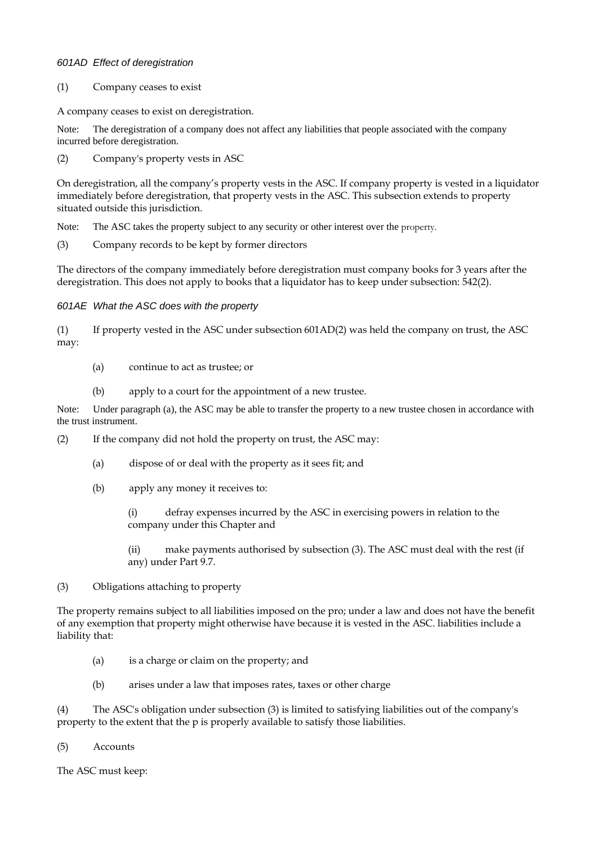#### *601AD Effect of deregistration*

#### (1) Company ceases to exist

A company ceases to exist on deregistration.

Note: The deregistration of a company does not affect any liabilities that people associated with the company incurred before deregistration.

(2) Company's property vests in ASC

On deregistration, all the companyís property vests in the ASC. If company property is vested in a liquidator immediately before deregistration, that property vests in the ASC. This subsection extends to property situated outside this jurisdiction.

Note: The ASC takes the property subject to any security or other interest over the property.

(3) Company records to be kept by former directors

The directors of the company immediately before deregistration must company books for 3 years after the deregistration. This does not apply to books that a liquidator has to keep under subsection: 542(2).

*601AE What the ASC does with the property* 

(1) If property vested in the ASC under subsection 601AD(2) was held the company on trust, the ASC may:

- (a) continue to act as trustee; or
- (b) apply to a court for the appointment of a new trustee.

Note: Under paragraph (a), the ASC may be able to transfer the property to a new trustee chosen in accordance with the trust instrument.

(2) If the company did not hold the property on trust, the ASC may:

- (a) dispose of or deal with the property as it sees fit; and
- (b) apply any money it receives to:

(i) defray expenses incurred by the ASC in exercising powers in relation to the company under this Chapter and

(ii) make payments authorised by subsection (3). The ASC must deal with the rest (if any) under Part 9.7.

(3) Obligations attaching to property

The property remains subject to all liabilities imposed on the pro; under a law and does not have the benefit of any exemption that property might otherwise have because it is vested in the ASC. liabilities include a liability that:

- (a) is a charge or claim on the property; and
- (b) arises under a law that imposes rates, taxes or other charge

(4) The ASC's obligation under subsection (3) is limited to satisfying liabilities out of the company's property to the extent that the p is properly available to satisfy those liabilities.

(5) Accounts

The ASC must keep: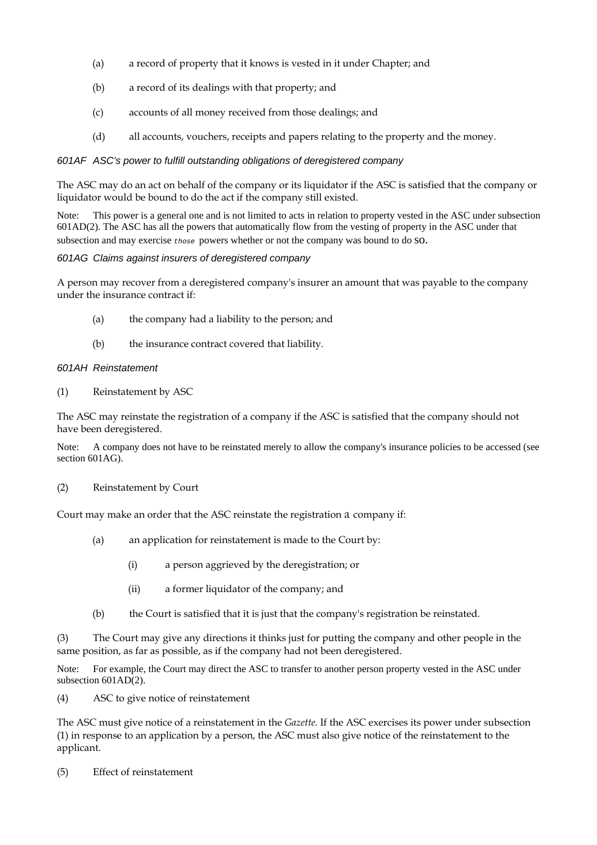- (a) a record of property that it knows is vested in it under Chapter; and
- (b) a record of its dealings with that property; and
- (c) accounts of all money received from those dealings; and
- (d) all accounts, vouchers, receipts and papers relating to the property and the money.

#### *601AF ASC's power to fulfill outstanding obligations of deregistered company*

The ASC may do an act on behalf of the company or its liquidator if the ASC is satisfied that the company or liquidator would be bound to do the act if the company still existed.

Note: This power is a general one and is not limited to acts in relation to property vested in the ASC under subsection 601AD(2). The ASC has all the powers that automatically flow from the vesting of property in the ASC under that subsection and may exercise *those* powers whether or not the company was bound to do so.

#### *601AG Claims against insurers of deregistered company*

A person may recover from a deregistered company's insurer an amount that was payable to the company under the insurance contract if:

- (a) the company had a liability to the person; and
- (b) the insurance contract covered that liability.

#### *601AH Reinstatement*

(1) Reinstatement by ASC

The ASC may reinstate the registration of a company if the ASC is satisfied that the company should not have been deregistered.

Note: A company does not have to be reinstated merely to allow the company's insurance policies to be accessed (see section 601AG).

(2) Reinstatement by Court

Court may make an order that the ASC reinstate the registration a company if:

- (a) an application for reinstatement is made to the Court by:
	- (i) a person aggrieved by the deregistration; or
	- (ii) a former liquidator of the company; and
- (b) the Court is satisfied that it is just that the company's registration be reinstated.

(3) The Court may give any directions it thinks just for putting the company and other people in the same position, as far as possible, as if the company had not been deregistered.

Note: For example, the Court may direct the ASC to transfer to another person property vested in the ASC under subsection 601AD(2).

(4) ASC to give notice of reinstatement

The ASC must give notice of a reinstatement in the *Gazette.* If the ASC exercises its power under subsection (1) in response to an application by a person, the ASC must also give notice of the reinstatement to the applicant.

(5) Effect of reinstatement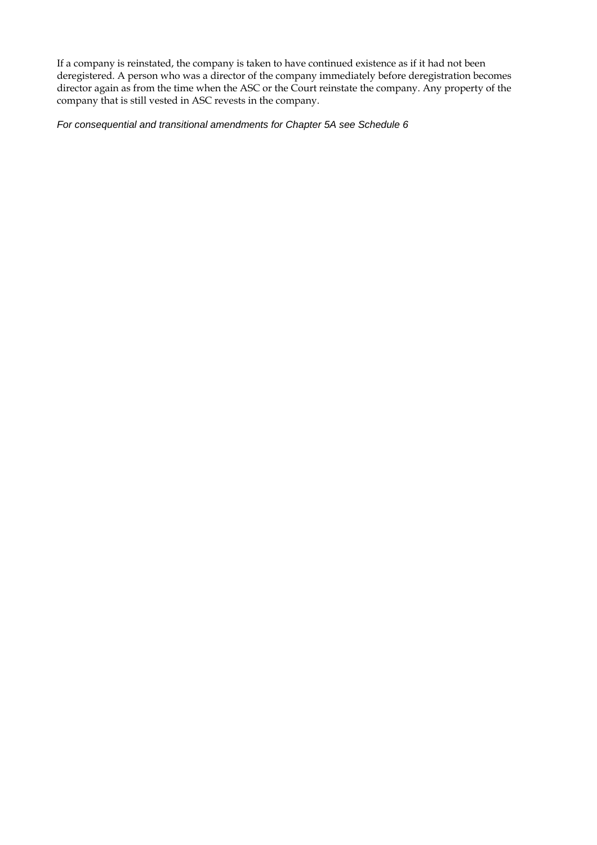If a company is reinstated, the company is taken to have continued existence as if it had not been deregistered. A person who was a director of the company immediately before deregistration becomes director again as from the time when the ASC or the Court reinstate the company. Any property of the company that is still vested in ASC revests in the company.

*For consequential and transitional amendments for Chapter 5A see Schedule 6*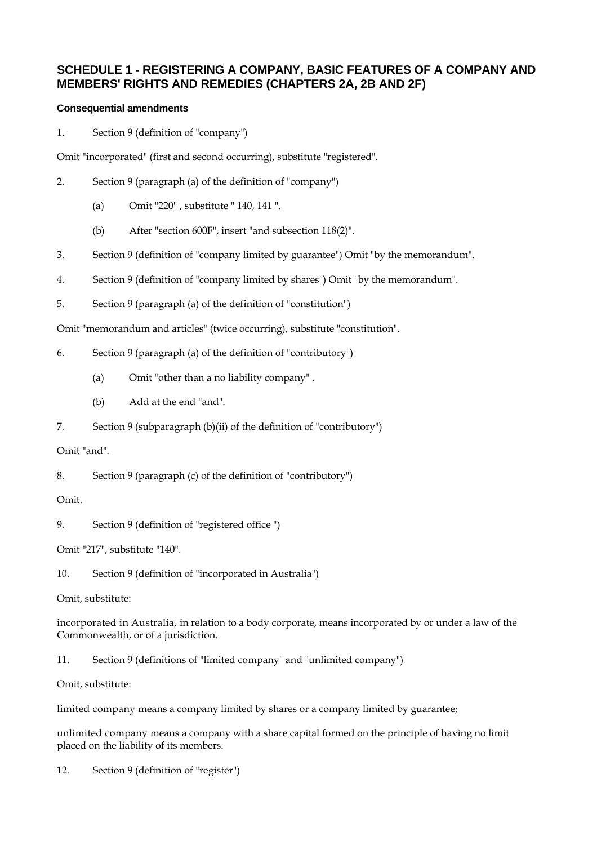# **SCHEDULE 1 - REGISTERING A COMPANY, BASIC FEATURES OF A COMPANY AND MEMBERS' RIGHTS AND REMEDIES (CHAPTERS 2A, 2B AND 2F)**

# **Consequential amendments**

1. Section 9 (definition of "company")

Omit "incorporated" (first and second occurring), substitute "registered".

- 2. Section 9 (paragraph (a) of the definition of "company")
	- (a) Omit "220" , substitute " 140, 141 ".
	- (b) After "section 600F", insert "and subsection 118(2)".
- 3. Section 9 (definition of "company limited by guarantee") Omit "by the memorandum".
- 4. Section 9 (definition of "company limited by shares") Omit "by the memorandum".
- 5. Section 9 (paragraph (a) of the definition of "constitution")

Omit "memorandum and articles" (twice occurring), substitute "constitution".

## 6. Section 9 (paragraph (a) of the definition of "contributory")

- (a) Omit "other than a no liability company" .
- (b) Add at the end "and".
- 7. Section 9 (subparagraph (b)(ii) of the definition of "contributory")

### Omit "and".

8. Section 9 (paragraph (c) of the definition of "contributory")

### Omit.

9. Section 9 (definition of "registered office ")

Omit "217", substitute "140".

10. Section 9 (definition of "incorporated in Australia")

Omit, substitute:

incorporated in Australia, in relation to a body corporate, means incorporated by or under a law of the Commonwealth, or of a jurisdiction.

11. Section 9 (definitions of "limited company" and "unlimited company")

Omit, substitute:

limited company means a company limited by shares or a company limited by guarantee;

unlimited company means a company with a share capital formed on the principle of having no limit placed on the liability of its members.

12. Section 9 (definition of "register")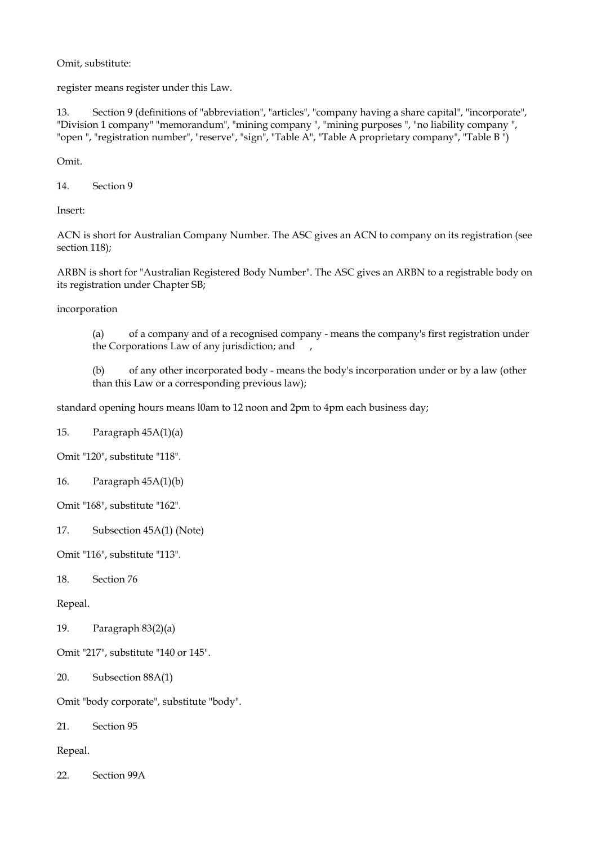Omit, substitute:

register means register under this Law.

13. Section 9 (definitions of "abbreviation", "articles", "company having a share capital", "incorporate", "Division 1 company" "memorandum", "mining company ", "mining purposes ", "no liability company ", "open ", "registration number", "reserve", "sign", "Table A", "Table A proprietary company", "Table B ")

Omit.

14. Section 9

Insert:

ACN is short for Australian Company Number. The ASC gives an ACN to company on its registration (see section 118);

ARBN is short for "Australian Registered Body Number". The ASC gives an ARBN to a registrable body on its registration under Chapter SB;

incorporation

(a) of a company and of a recognised company - means the company's first registration under the Corporations Law of any jurisdiction; and ,

(b) of any other incorporated body - means the body's incorporation under or by a law (other than this Law or a corresponding previous law);

standard opening hours means l0am to 12 noon and 2pm to 4pm each business day;

15. Paragraph 45A(1)(a)

Omit "120", substitute "118".

16. Paragraph 45A(1)(b)

Omit "168", substitute "162".

17. Subsection 45A(1) (Note)

Omit "116", substitute "113".

18. Section 76

Repeal.

19. Paragraph 83(2)(a)

Omit "217", substitute "140 or 145".

20. Subsection 88A(1)

Omit "body corporate", substitute "body".

21. Section 95

Repeal.

22. Section 99A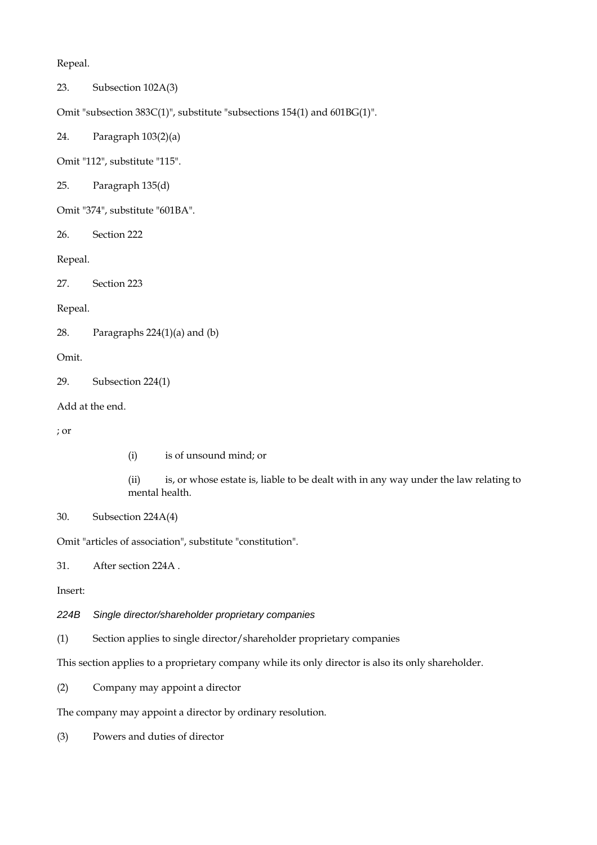Repeal.

23. Subsection 102A(3)

Omit "subsection 383C(1)", substitute "subsections 154(1) and 601BG(1)".

24. Paragraph 103(2)(a)

Omit "112", substitute "115".

25. Paragraph 135(d)

Omit "374", substitute "601BA".

26. Section 222

Repeal.

27. Section 223

Repeal.

28. Paragraphs 224(1)(a) and (b)

Omit.

29. Subsection 224(1)

Add at the end.

; or

(i) is of unsound mind; or

(ii) is, or whose estate is, liable to be dealt with in any way under the law relating to mental health.

```
30. Subsection 224A(4)
```
Omit "articles of association", substitute "constitution".

31. After section 224A .

Insert:

*224B Single director/shareholder proprietary companies* 

(1) Section applies to single director/shareholder proprietary companies

This section applies to a proprietary company while its only director is also its only shareholder.

(2) Company may appoint a director

The company may appoint a director by ordinary resolution.

(3) Powers and duties of director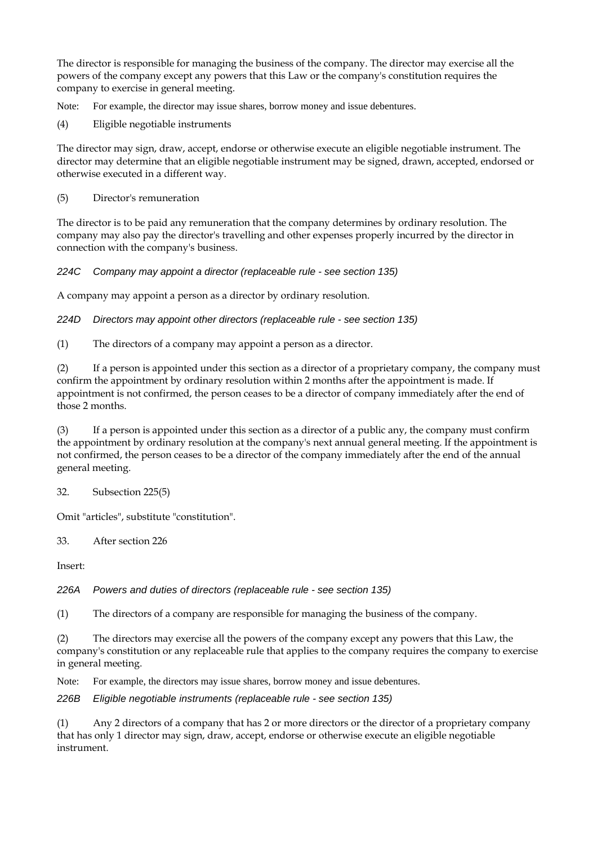The director is responsible for managing the business of the company. The director may exercise all the powers of the company except any powers that this Law or the company's constitution requires the company to exercise in general meeting.

Note: For example, the director may issue shares, borrow money and issue debentures.

(4) Eligible negotiable instruments

The director may sign, draw, accept, endorse or otherwise execute an eligible negotiable instrument. The director may determine that an eligible negotiable instrument may be signed, drawn, accepted, endorsed or otherwise executed in a different way.

(5) Director's remuneration

The director is to be paid any remuneration that the company determines by ordinary resolution. The company may also pay the director's travelling and other expenses properly incurred by the director in connection with the company's business.

*224C Company may appoint a director (replaceable rule - see section 135)* 

A company may appoint a person as a director by ordinary resolution.

*224D Directors may appoint other directors (replaceable rule - see section 135)* 

(1) The directors of a company may appoint a person as a director.

(2) If a person is appointed under this section as a director of a proprietary company, the company must confirm the appointment by ordinary resolution within 2 months after the appointment is made. If appointment is not confirmed, the person ceases to be a director of company immediately after the end of those 2 months.

(3) If a person is appointed under this section as a director of a public any, the company must confirm the appointment by ordinary resolution at the company's next annual general meeting. If the appointment is not confirmed, the person ceases to be a director of the company immediately after the end of the annual general meeting.

32. Subsection 225(5)

Omit "articles", substitute "constitution".

33. After section 226

Insert:

*226A Powers and duties of directors (replaceable rule - see section 135)* 

(1) The directors of a company are responsible for managing the business of the company.

(2) The directors may exercise all the powers of the company except any powers that this Law, the company's constitution or any replaceable rule that applies to the company requires the company to exercise in general meeting.

Note: For example, the directors may issue shares, borrow money and issue debentures.

*226B Eligible negotiable instruments (replaceable rule - see section 135)* 

(1) Any 2 directors of a company that has 2 or more directors or the director of a proprietary company that has only 1 director may sign, draw, accept, endorse or otherwise execute an eligible negotiable instrument.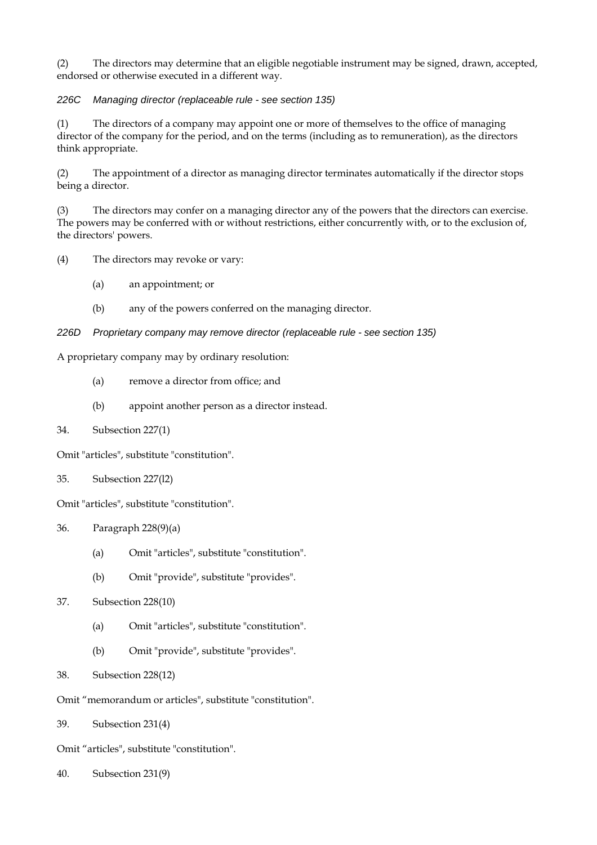(2) The directors may determine that an eligible negotiable instrument may be signed, drawn, accepted, endorsed or otherwise executed in a different way.

### *226C Managing director (replaceable rule - see section 135)*

(1) The directors of a company may appoint one or more of themselves to the office of managing director of the company for the period, and on the terms (including as to remuneration), as the directors think appropriate.

(2) The appointment of a director as managing director terminates automatically if the director stops being a director.

(3) The directors may confer on a managing director any of the powers that the directors can exercise. The powers may be conferred with or without restrictions, either concurrently with, or to the exclusion of, the directors' powers.

(4) The directors may revoke or vary:

- (a) an appointment; or
- (b) any of the powers conferred on the managing director.

### *226D Proprietary company may remove director (replaceable rule - see section 135)*

A proprietary company may by ordinary resolution:

- (a) remove a director from office; and
- (b) appoint another person as a director instead.
- 34. Subsection 227(1)

Omit "articles", substitute "constitution".

35. Subsection 227(l2)

Omit "articles", substitute "constitution".

- 36. Paragraph 228(9)(a)
	- (a) Omit "articles", substitute "constitution".
	- (b) Omit "provide", substitute "provides".
- 37. Subsection 228(10)
	- (a) Omit "articles", substitute "constitution".
	- (b) Omit "provide", substitute "provides".
- 38. Subsection 228(12)
- Omit "memorandum or articles", substitute "constitution".
- 39. Subsection 231(4)

Omit "articles", substitute "constitution".

40. Subsection 231(9)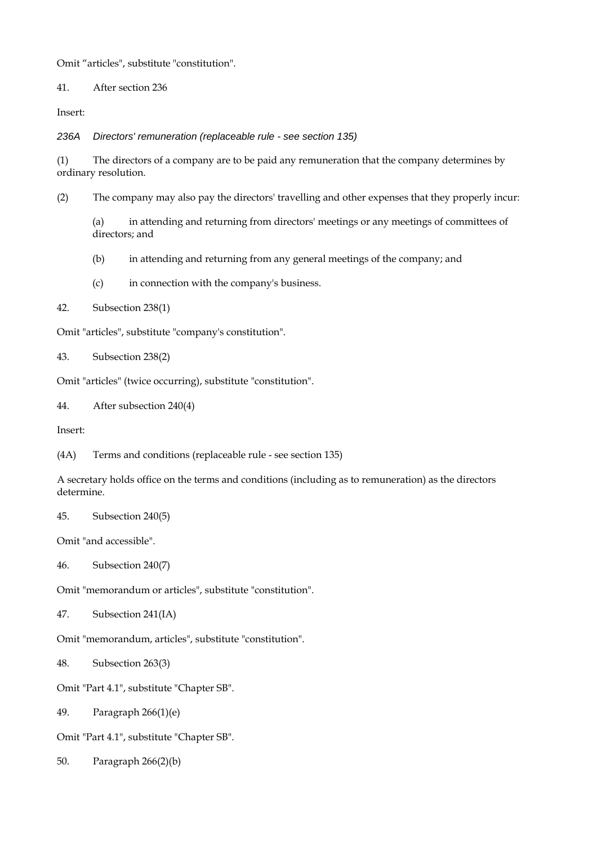Omit "articles", substitute "constitution".

41. After section 236

Insert:

*236A Directors' remuneration (replaceable rule - see section 135)* 

(1) The directors of a company are to be paid any remuneration that the company determines by ordinary resolution.

(2) The company may also pay the directors' travelling and other expenses that they properly incur:

(a) in attending and returning from directors' meetings or any meetings of committees of directors; and

(b) in attending and returning from any general meetings of the company; and

(c) in connection with the company's business.

42. Subsection 238(1)

Omit "articles", substitute "company's constitution".

43. Subsection 238(2)

Omit "articles" (twice occurring), substitute "constitution".

44. After subsection 240(4)

Insert:

(4A) Terms and conditions (replaceable rule - see section 135)

A secretary holds office on the terms and conditions (including as to remuneration) as the directors determine.

45. Subsection 240(5)

Omit "and accessible".

46. Subsection 240(7)

Omit "memorandum or articles", substitute "constitution".

47. Subsection 241(IA)

Omit "memorandum, articles", substitute "constitution".

48. Subsection 263(3)

Omit "Part 4.1", substitute "Chapter SB".

49. Paragraph 266(1)(e)

Omit "Part 4.1", substitute "Chapter SB".

50. Paragraph 266(2)(b)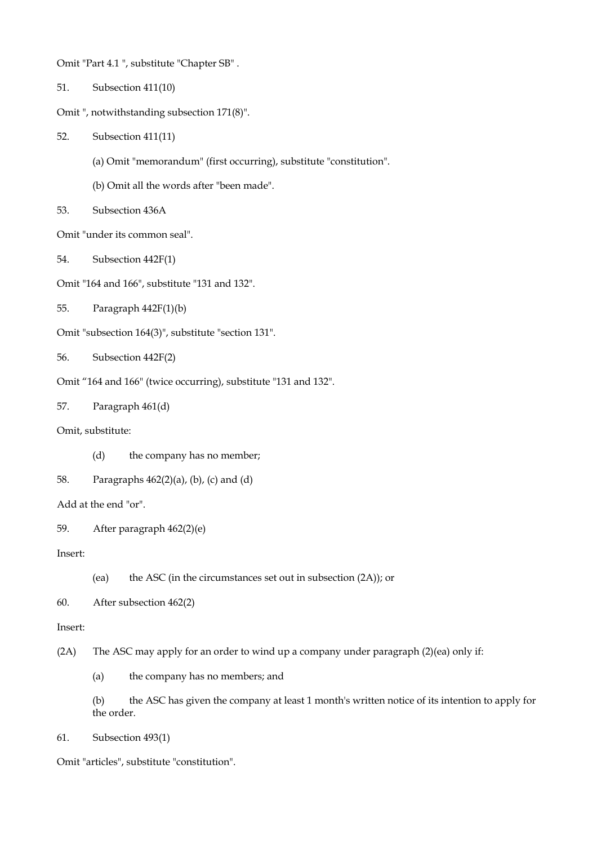Omit "Part 4.1 ", substitute "Chapter SB" .

- 51. Subsection 411(10)
- Omit ", notwithstanding subsection 171(8)".
- 52. Subsection 411(11)
	- (a) Omit "memorandum" (first occurring), substitute "constitution".
	- (b) Omit all the words after "been made".
- 53. Subsection 436A

Omit "under its common seal".

- 54. Subsection 442F(1)
- Omit "164 and 166", substitute "131 and 132".
- 55. Paragraph 442F(1)(b)
- Omit "subsection 164(3)", substitute "section 131".
- 56. Subsection 442F(2)
- Omit "164 and 166" (twice occurring), substitute "131 and 132".

57. Paragraph 461(d)

Omit, substitute:

- (d) the company has no member;
- 58. Paragraphs 462(2)(a), (b), (c) and (d)

```
Add at the end "or".
```

```
59. After paragraph 462(2)(e)
```
Insert:

(ea) the ASC (in the circumstances set out in subsection (2A)); or

60. After subsection 462(2)

Insert:

- (2A) The ASC may apply for an order to wind up a company under paragraph (2)(ea) only if:
	- (a) the company has no members; and
	- (b) the ASC has given the company at least 1 month's written notice of its intention to apply for the order.
- 61. Subsection 493(1)

Omit "articles", substitute "constitution".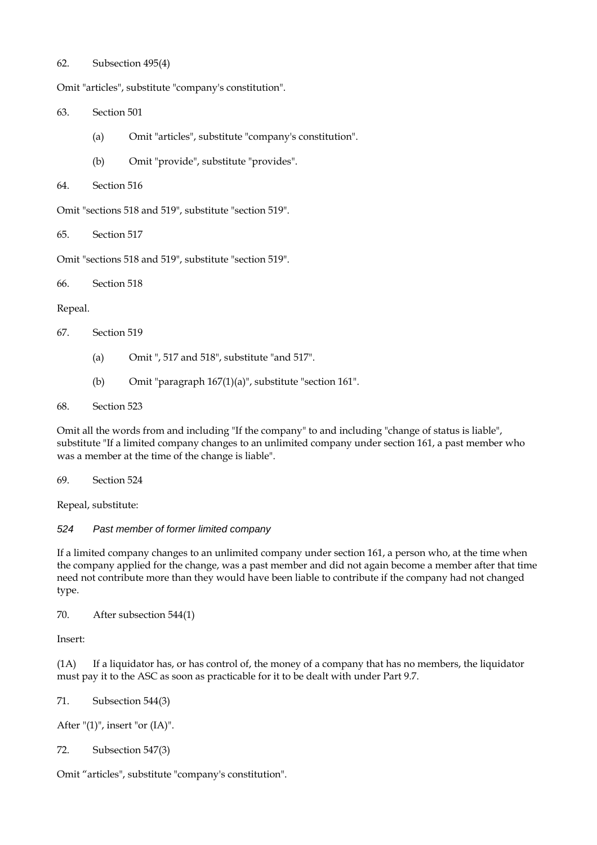### 62. Subsection 495(4)

Omit "articles", substitute "company's constitution".

63. Section 501

- (a) Omit "articles", substitute "company's constitution".
- (b) Omit "provide", substitute "provides".

```
64. Section 516
```
Omit "sections 518 and 519", substitute "section 519".

65. Section 517

Omit "sections 518 and 519", substitute "section 519".

66. Section 518

Repeal.

- 67. Section 519
	- (a) Omit ", 517 and 518", substitute "and 517".
	- (b) Omit "paragraph 167(1)(a)", substitute "section 161".

68. Section 523

Omit all the words from and including "If the company" to and including "change of status is liable", substitute "If a limited company changes to an unlimited company under section 161, a past member who was a member at the time of the change is liable".

69. Section 524

Repeal, substitute:

### *524 Past member of former limited company*

If a limited company changes to an unlimited company under section 161, a person who, at the time when the company applied for the change, was a past member and did not again become a member after that time need not contribute more than they would have been liable to contribute if the company had not changed type.

70. After subsection 544(1)

Insert:

(1A) If a liquidator has, or has control of, the money of a company that has no members, the liquidator must pay it to the ASC as soon as practicable for it to be dealt with under Part 9.7.

71. Subsection 544(3)

After  $"(1)"$ , insert "or  $(IA)"$ .

72. Subsection 547(3)

Omit "articles", substitute "company's constitution".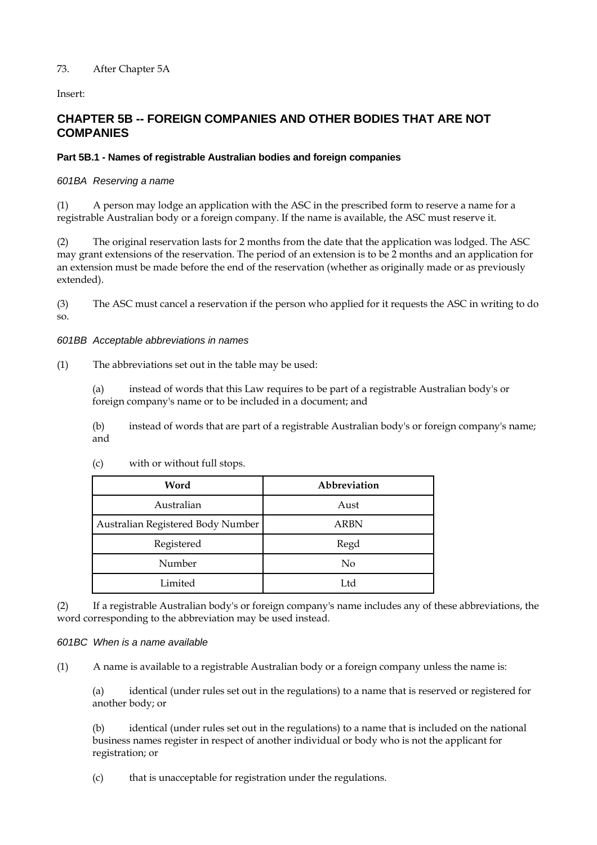# 73. After Chapter 5A

Insert:

# **CHAPTER 5B -- FOREIGN COMPANIES AND OTHER BODIES THAT ARE NOT COMPANIES**

# **Part 5B.1 - Names of registrable Australian bodies and foreign companies**

### *601BA Reserving a name*

(1) A person may lodge an application with the ASC in the prescribed form to reserve a name for a registrable Australian body or a foreign company. If the name is available, the ASC must reserve it.

(2) The original reservation lasts for 2 months from the date that the application was lodged. The ASC may grant extensions of the reservation. The period of an extension is to be 2 months and an application for an extension must be made before the end of the reservation (whether as originally made or as previously extended).

(3) The ASC must cancel a reservation if the person who applied for it requests the ASC in writing to do so.

### *601BB Acceptable abbreviations in names*

(1) The abbreviations set out in the table may be used:

(a) instead of words that this Law requires to be part of a registrable Australian body's or foreign company's name or to be included in a document; and

(b) instead of words that are part of a registrable Australian body's or foreign company's name; and

| Word                              | Abbreviation |
|-----------------------------------|--------------|
| Australian                        | Aust         |
| Australian Registered Body Number | <b>ARBN</b>  |
| Registered                        | Regd         |
| Number                            | No           |
| Limited                           | Ltd          |

(c) with or without full stops.

(2) If a registrable Australian body's or foreign company's name includes any of these abbreviations, the word corresponding to the abbreviation may be used instead.

### *601BC When is a name available*

(1) A name is available to a registrable Australian body or a foreign company unless the name is:

(a) identical (under rules set out in the regulations) to a name that is reserved or registered for another body; or

(b) identical (under rules set out in the regulations) to a name that is included on the national business names register in respect of another individual or body who is not the applicant for registration; or

(c) that is unacceptable for registration under the regulations.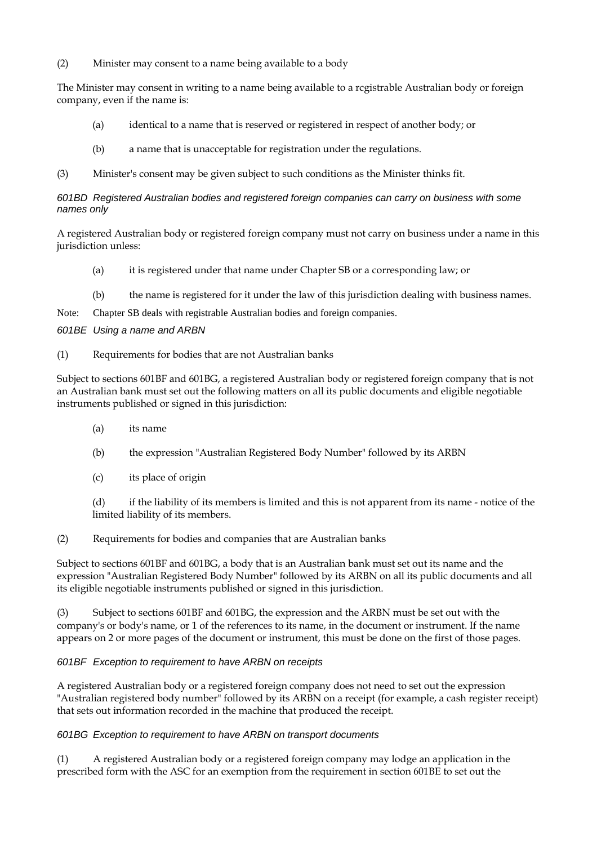(2) Minister may consent to a name being available to a body

The Minister may consent in writing to a name being available to a rcgistrable Australian body or foreign company, even if the name is:

- (a) identical to a name that is reserved or registered in respect of another body; or
- (b) a name that is unacceptable for registration under the regulations.
- (3) Minister's consent may be given subject to such conditions as the Minister thinks fit.

### *601BD Registered Australian bodies and registered foreign companies can carry on business with some names only*

A registered Australian body or registered foreign company must not carry on business under a name in this jurisdiction unless:

- (a) it is registered under that name under Chapter SB or a corresponding law; or
- (b) the name is registered for it under the law of this jurisdiction dealing with business names.

Note: Chapter SB deals with registrable Australian bodies and foreign companies.

## *601BE Using a name and ARBN*

(1) Requirements for bodies that are not Australian banks

Subject to sections 601BF and 601BG, a registered Australian body or registered foreign company that is not an Australian bank must set out the following matters on all its public documents and eligible negotiable instruments published or signed in this jurisdiction:

- (a) its name
- (b) the expression "Australian Registered Body Number" followed by its ARBN
- (c) its place of origin

(d) if the liability of its members is limited and this is not apparent from its name - notice of the limited liability of its members.

(2) Requirements for bodies and companies that are Australian banks

Subject to sections 601BF and 601BG, a body that is an Australian bank must set out its name and the expression "Australian Registered Body Number" followed by its ARBN on all its public documents and all its eligible negotiable instruments published or signed in this jurisdiction.

(3) Subject to sections 601BF and 601BG, the expression and the ARBN must be set out with the company's or body's name, or 1 of the references to its name, in the document or instrument. If the name appears on 2 or more pages of the document or instrument, this must be done on the first of those pages.

# *601BF Exception to requirement to have ARBN on receipts*

A registered Australian body or a registered foreign company does not need to set out the expression "Australian registered body number" followed by its ARBN on a receipt (for example, a cash register receipt) that sets out information recorded in the machine that produced the receipt.

### *601BG Exception to requirement to have ARBN on transport documents*

(1) A registered Australian body or a registered foreign company may lodge an application in the prescribed form with the ASC for an exemption from the requirement in section 601BE to set out the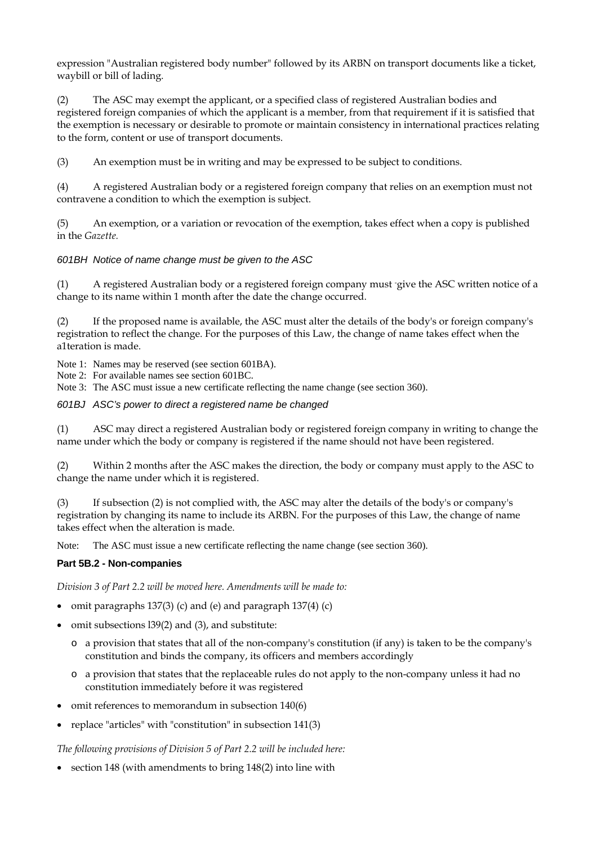expression "Australian registered body number" followed by its ARBN on transport documents like a ticket, waybill or bill of lading.

(2) The ASC may exempt the applicant, or a specified class of registered Australian bodies and registered foreign companies of which the applicant is a member, from that requirement if it is satisfied that the exemption is necessary or desirable to promote or maintain consistency in international practices relating to the form, content or use of transport documents.

(3) An exemption must be in writing and may be expressed to be subject to conditions.

(4) A registered Australian body or a registered foreign company that relies on an exemption must not contravene a condition to which the exemption is subject.

(5) An exemption, or a variation or revocation of the exemption, takes effect when a copy is published in the *Gazette.* 

### *601BH Notice of name change must be given to the ASC*

(1) A registered Australian body or a registered foreign company must - give the ASC written notice of a change to its name within 1 month after the date the change occurred.

(2) If the proposed name is available, the ASC must alter the details of the body's or foreign company's registration to reflect the change. For the purposes of this Law, the change of name takes effect when the a1teration is made.

Note 1: Names may be reserved (see section 601BA).

Note 2: For available names see section 601BC.

Note 3: The ASC must issue a new certificate reflecting the name change (see section 360).

*601BJ ASC's power to direct a registered name be changed* 

(1) ASC may direct a registered Australian body or registered foreign company in writing to change the name under which the body or company is registered if the name should not have been registered.

(2) Within 2 months after the ASC makes the direction, the body or company must apply to the ASC to change the name under which it is registered.

(3) If subsection (2) is not complied with, the ASC may alter the details of the body's or company's registration by changing its name to include its ARBN. For the purposes of this Law, the change of name takes effect when the alteration is made.

Note: The ASC must issue a new certificate reflecting the name change (see section 360).

### **Part 5B.2 - Non-companies**

*Division 3 of Part 2.2 will be moved here. Amendments will be made to:* 

- omit paragraphs 137(3) (c) and (e) and paragraph 137(4) (c)
- omit subsections 139(2) and (3), and substitute:
	- o a provision that states that all of the non-company's constitution (if any) is taken to be the company's constitution and binds the company, its officers and members accordingly
	- o a provision that states that the replaceable rules do not apply to the non-company unless it had no constitution immediately before it was registered
- omit references to memorandum in subsection 140(6)
- replace "articles" with "constitution" in subsection 141(3)

*The following provisions of Division 5 of Part 2.2 will be included here:* 

• section 148 (with amendments to bring 148(2) into line with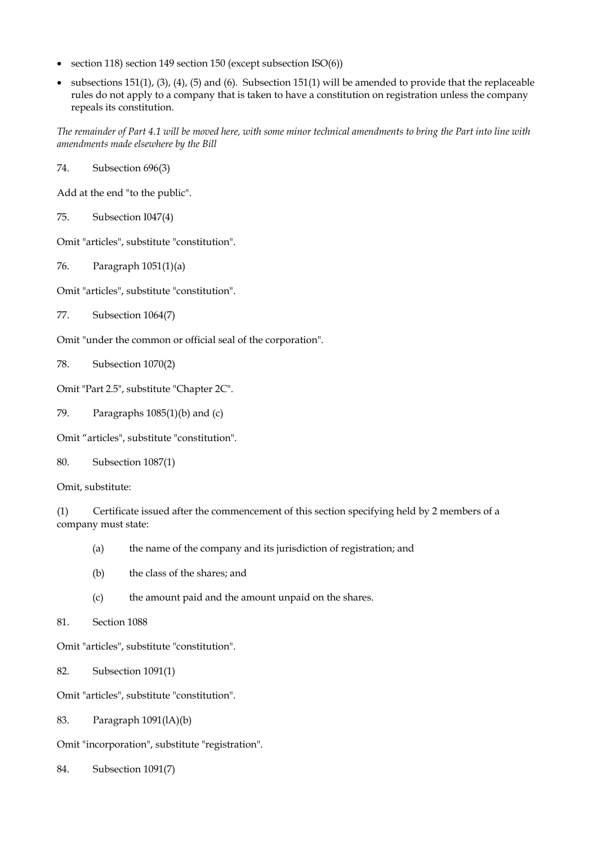- section 118) section 149 section 150 (except subsection ISO(6))
- subsections 151(1), (3), (4), (5) and (6). Subsection 151(1) will be amended to provide that the replaceable rules do not apply to a company that is taken to have a constitution on registration unless the company repeals its constitution.

*The remainder of Part 4.1 will be moved here, with some minor technical amendments to bring the Part into line with amendments made elsewhere by the Bill* 

74. Subsection 696(3)

Add at the end "to the public".

75. Subsection I047(4)

Omit "articles", substitute "constitution".

76. Paragraph 1051(1)(a)

Omit "articles", substitute "constitution".

77. Subsection 1064(7)

Omit "under the common or official seal of the corporation".

78. Subsection 1070(2)

Omit "Part 2.5", substitute "Chapter 2C".

79. Paragraphs 1085(1)(b) and (c)

Omit "articles", substitute "constitution".

80. Subsection 1087(1)

Omit, substitute:

(1) Certificate issued after the commencement of this section specifying held by 2 members of a company must state:

- (a) the name of the company and its jurisdiction of registration; and
- (b) the class of the shares; and
- (c) the amount paid and the amount unpaid on the shares.
- 81. Section 1088

Omit "articles", substitute "constitution".

82. Subsection 1091(1)

Omit "articles", substitute "constitution".

83. Paragraph 1091(lA)(b)

Omit "incorporation", substitute "registration".

84. Subsection 1091(7)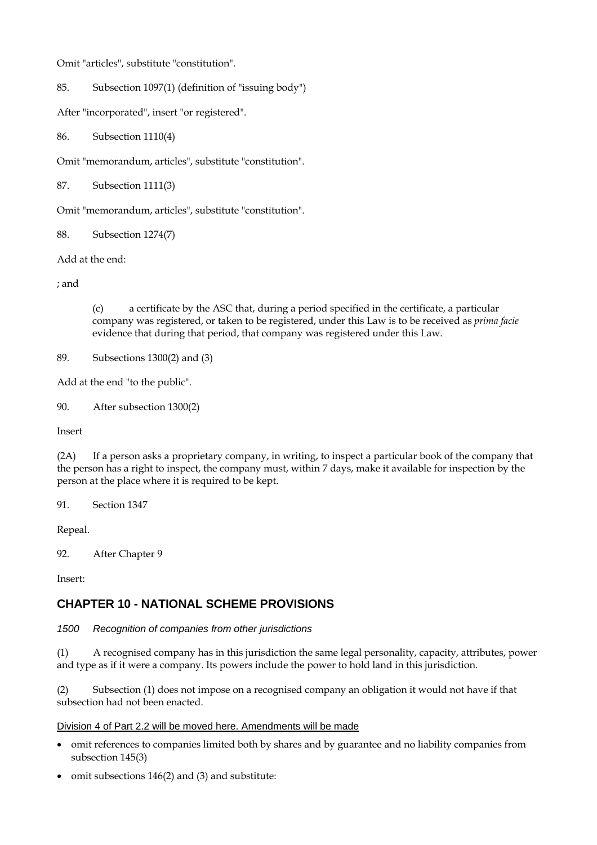Omit "articles", substitute "constitution".

85. Subsection 1097(1) (definition of "issuing body")

After "incorporated", insert "or registered".

86. Subsection 1110(4)

Omit "memorandum, articles", substitute "constitution".

87. Subsection 1111(3)

Omit "memorandum, articles", substitute "constitution".

88. Subsection 1274(7)

Add at the end:

; and

(c) a certificate by the ASC that, during a period specified in the certificate, a particular company was registered, or taken to be registered, under this Law is to be received as *prima facie*  evidence that during that period, that company was registered under this Law.

89. Subsections 1300(2) and (3)

Add at the end "to the public".

90. After subsection 1300(2)

Insert

(2A) If a person asks a proprietary company, in writing, to inspect a particular book of the company that the person has a right to inspect, the company must, within 7 days, make it available for inspection by the person at the place where it is required to be kept.

91. Section 1347

Repeal.

92. After Chapter 9

Insert:

# **CHAPTER 10 - NATIONAL SCHEME PROVISIONS**

*1500 Recognition of companies from other jurisdictions* 

(1) A recognised company has in this jurisdiction the same legal personality, capacity, attributes, power and type as if it were a company. Its powers include the power to hold land in this jurisdiction.

(2) Subsection (1) does not impose on a recognised company an obligation it would not have if that subsection had not been enacted.

### Division 4 of Part 2.2 will be moved here. Amendments will be made

- omit references to companies limited both by shares and by guarantee and no liability companies from subsection 145(3)
- omit subsections 146(2) and (3) and substitute: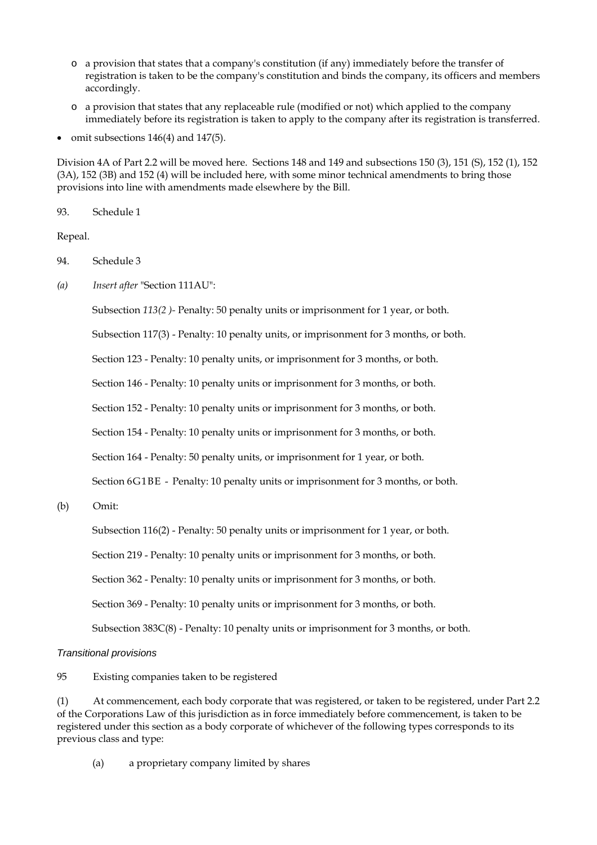- o a provision that states that a company's constitution (if any) immediately before the transfer of registration is taken to be the company's constitution and binds the company, its officers and members accordingly.
- o a provision that states that any replaceable rule (modified or not) which applied to the company immediately before its registration is taken to apply to the company after its registration is transferred.
- omit subsections 146(4) and 147(5).

Division 4A of Part 2.2 will be moved here. Sections 148 and 149 and subsections 150 (3), 151 (S), 152 (1), 152 (3A), 152 (3B) and 152 (4) will be included here, with some minor technical amendments to bring those provisions into line with amendments made elsewhere by the Bill.

93. Schedule 1

Repeal.

- 94. Schedule 3
- *(a) Insert after* "Section 111AU":

Subsection *113(2 )-* Penalty: 50 penalty units or imprisonment for 1 year, or both.

Subsection 117(3) - Penalty: 10 penalty units, or imprisonment for 3 months, or both.

Section 123 - Penalty: 10 penalty units, or imprisonment for 3 months, or both.

Section 146 - Penalty: 10 penalty units or imprisonment for 3 months, or both.

Section 152 - Penalty: 10 penalty units or imprisonment for 3 months, or both.

Section 154 - Penalty: 10 penalty units or imprisonment for 3 months, or both.

Section 164 - Penalty: 50 penalty units, or imprisonment for 1 year, or both.

Section 6G1BE - Penalty: 10 penalty units or imprisonment for 3 months, or both.

(b) Omit:

Subsection 116(2) - Penalty: 50 penalty units or imprisonment for 1 year, or both.

Section 219 - Penalty: 10 penalty units or imprisonment for 3 months, or both.

Section 362 - Penalty: 10 penalty units or imprisonment for 3 months, or both.

Section 369 - Penalty: 10 penalty units or imprisonment for 3 months, or both.

Subsection 383C(8) - Penalty: 10 penalty units or imprisonment for 3 months, or both.

### *Transitional provisions*

95 Existing companies taken to be registered

(1) At commencement, each body corporate that was registered, or taken to be registered, under Part 2.2 of the Corporations Law of this jurisdiction as in force immediately before commencement, is taken to be registered under this section as a body corporate of whichever of the following types corresponds to its previous class and type:

(a) a proprietary company limited by shares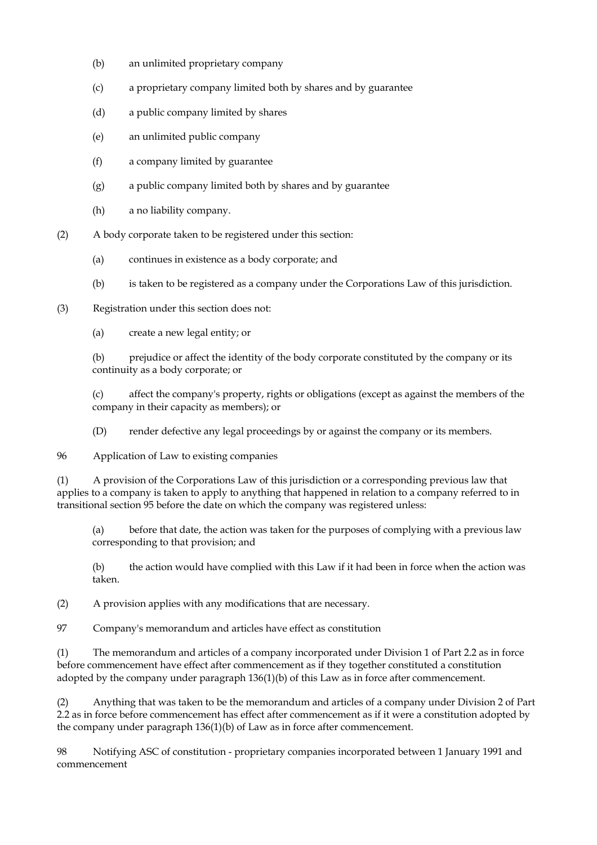- (b) an unlimited proprietary company
- (c) a proprietary company limited both by shares and by guarantee
- (d) a public company limited by shares
- (e) an unlimited public company
- (f) a company limited by guarantee
- (g) a public company limited both by shares and by guarantee
- (h) a no liability company.
- (2) A body corporate taken to be registered under this section:
	- (a) continues in existence as a body corporate; and
	- (b) is taken to be registered as a company under the Corporations Law of this jurisdiction.

(3) Registration under this section does not:

(a) create a new legal entity; or

(b) prejudice or affect the identity of the body corporate constituted by the company or its continuity as a body corporate; or

(c) affect the company's property, rights or obligations (except as against the members of the company in their capacity as members); or

(D) render defective any legal proceedings by or against the company or its members.

96 Application of Law to existing companies

(1) A provision of the Corporations Law of this jurisdiction or a corresponding previous law that applies to a company is taken to apply to anything that happened in relation to a company referred to in transitional section 95 before the date on which the company was registered unless:

(a) before that date, the action was taken for the purposes of complying with a previous law corresponding to that provision; and

(b) the action would have complied with this Law if it had been in force when the action was taken.

(2) A provision applies with any modifications that are necessary.

97 Company's memorandum and articles have effect as constitution

(1) The memorandum and articles of a company incorporated under Division 1 of Part 2.2 as in force before commencement have effect after commencement as if they together constituted a constitution adopted by the company under paragraph 136(1)(b) of this Law as in force after commencement.

(2) Anything that was taken to be the memorandum and articles of a company under Division 2 of Part 2.2 as in force before commencement has effect after commencement as if it were a constitution adopted by the company under paragraph 136(1)(b) of Law as in force after commencement.

98 Notifying ASC of constitution - proprietary companies incorporated between 1 January 1991 and commencement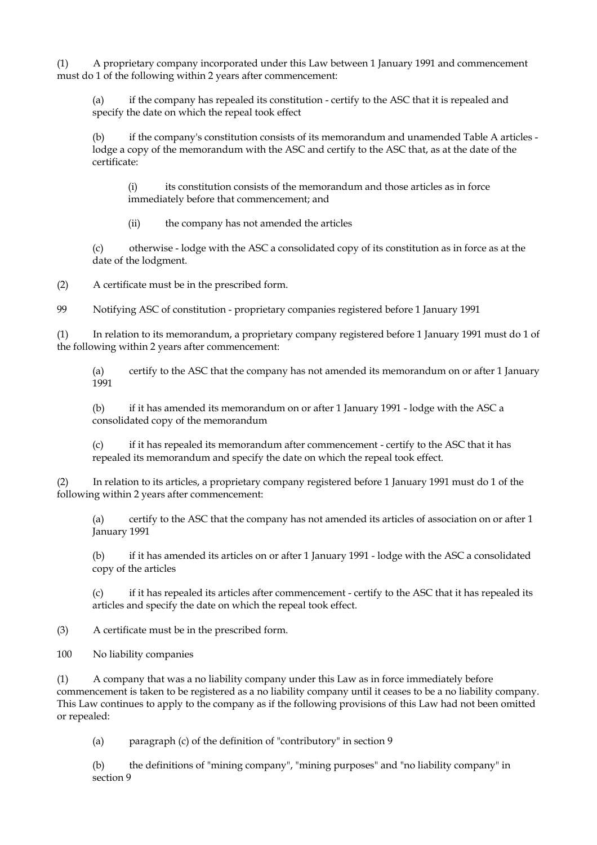(1) A proprietary company incorporated under this Law between 1 January 1991 and commencement must do 1 of the following within 2 years after commencement:

(a) if the company has repealed its constitution - certify to the ASC that it is repealed and specify the date on which the repeal took effect

if the company's constitution consists of its memorandum and unamended Table A articles lodge a copy of the memorandum with the ASC and certify to the ASC that, as at the date of the certificate:

(i) its constitution consists of the memorandum and those articles as in force immediately before that commencement; and

(ii) the company has not amended the articles

(c) otherwise - lodge with the ASC a consolidated copy of its constitution as in force as at the date of the lodgment.

(2) A certificate must be in the prescribed form.

99 Notifying ASC of constitution - proprietary companies registered before 1 January 1991

(1) In relation to its memorandum, a proprietary company registered before 1 January 1991 must do 1 of the following within 2 years after commencement:

(a) certify to the ASC that the company has not amended its memorandum on or after 1 January 1991

(b) if it has amended its memorandum on or after 1 January 1991 - lodge with the ASC a consolidated copy of the memorandum

(c) if it has repealed its memorandum after commencement - certify to the ASC that it has repealed its memorandum and specify the date on which the repeal took effect.

(2) In relation to its articles, a proprietary company registered before 1 January 1991 must do 1 of the following within 2 years after commencement:

(a) certify to the ASC that the company has not amended its articles of association on or after 1 January 1991

(b) if it has amended its articles on or after 1 January 1991 - lodge with the ASC a consolidated copy of the articles

(c) if it has repealed its articles after commencement - certify to the ASC that it has repealed its articles and specify the date on which the repeal took effect.

(3) A certificate must be in the prescribed form.

100 No liability companies

(1) A company that was a no liability company under this Law as in force immediately before commencement is taken to be registered as a no liability company until it ceases to be a no liability company. This Law continues to apply to the company as if the following provisions of this Law had not been omitted or repealed:

(a) paragraph (c) of the definition of "contributory" in section 9

(b) the definitions of "mining company", "mining purposes" and "no liability company" in section 9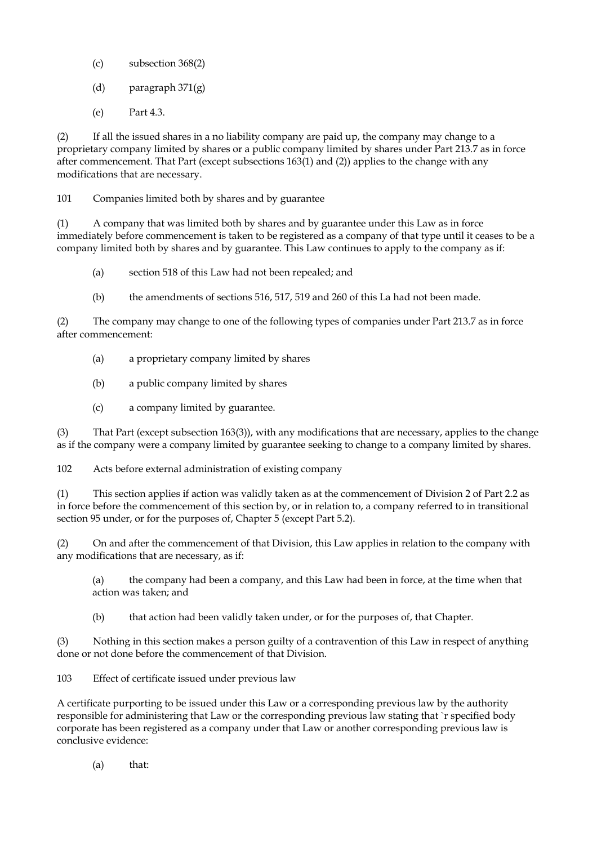- (c) subsection 368(2)
- (d) paragraph 371(g)
- (e) Part 4.3.

(2) If all the issued shares in a no liability company are paid up, the company may change to a proprietary company limited by shares or a public company limited by shares under Part 213.7 as in force after commencement. That Part (except subsections 163(1) and (2)) applies to the change with any modifications that are necessary.

101 Companies limited both by shares and by guarantee

(1) A company that was limited both by shares and by guarantee under this Law as in force immediately before commencement is taken to be registered as a company of that type until it ceases to be a company limited both by shares and by guarantee. This Law continues to apply to the company as if:

- (a) section 518 of this Law had not been repealed; and
- (b) the amendments of sections 516, 517, 519 and 260 of this La had not been made.

(2) The company may change to one of the following types of companies under Part 213.7 as in force after commencement:

- (a) a proprietary company limited by shares
- (b) a public company limited by shares
- (c) a company limited by guarantee.

(3) That Part (except subsection 163(3)), with any modifications that are necessary, applies to the change as if the company were a company limited by guarantee seeking to change to a company limited by shares.

102 Acts before external administration of existing company

(1) This section applies if action was validly taken as at the commencement of Division 2 of Part 2.2 as in force before the commencement of this section by, or in relation to, a company referred to in transitional section 95 under, or for the purposes of, Chapter 5 (except Part 5.2).

(2) On and after the commencement of that Division, this Law applies in relation to the company with any modifications that are necessary, as if:

(a) the company had been a company, and this Law had been in force, at the time when that action was taken; and

(b) that action had been validly taken under, or for the purposes of, that Chapter.

(3) Nothing in this section makes a person guilty of a contravention of this Law in respect of anything done or not done before the commencement of that Division.

103 Effect of certificate issued under previous law

A certificate purporting to be issued under this Law or a corresponding previous law by the authority responsible for administering that Law or the corresponding previous law stating that `r specified body corporate has been registered as a company under that Law or another corresponding previous law is conclusive evidence:

(a) that: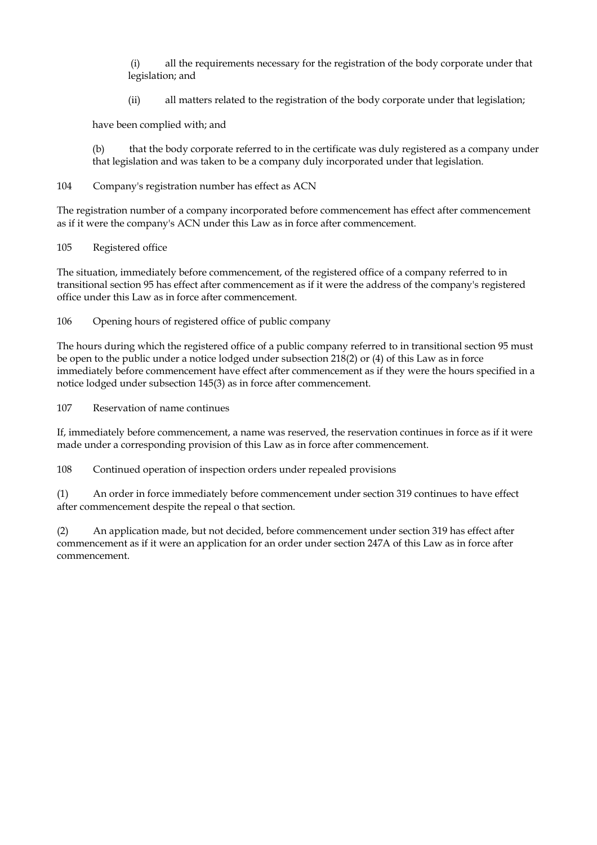(i) all the requirements necessary for the registration of the body corporate under that legislation; and

(ii) all matters related to the registration of the body corporate under that legislation;

have been complied with; and

(b) that the body corporate referred to in the certificate was duly registered as a company under that legislation and was taken to be a company duly incorporated under that legislation.

## 104 Company's registration number has effect as ACN

The registration number of a company incorporated before commencement has effect after commencement as if it were the company's ACN under this Law as in force after commencement.

105 Registered office

The situation, immediately before commencement, of the registered office of a company referred to in transitional section 95 has effect after commencement as if it were the address of the company's registered office under this Law as in force after commencement.

106 Opening hours of registered office of public company

The hours during which the registered office of a public company referred to in transitional section 95 must be open to the public under a notice lodged under subsection 218(2) or (4) of this Law as in force immediately before commencement have effect after commencement as if they were the hours specified in a notice lodged under subsection 145(3) as in force after commencement.

107 Reservation of name continues

If, immediately before commencement, a name was reserved, the reservation continues in force as if it were made under a corresponding provision of this Law as in force after commencement.

108 Continued operation of inspection orders under repealed provisions

(1) An order in force immediately before commencement under section 319 continues to have effect after commencement despite the repeal o that section.

(2) An application made, but not decided, before commencement under section 319 has effect after commencement as if it were an application for an order under section 247A of this Law as in force after commencement.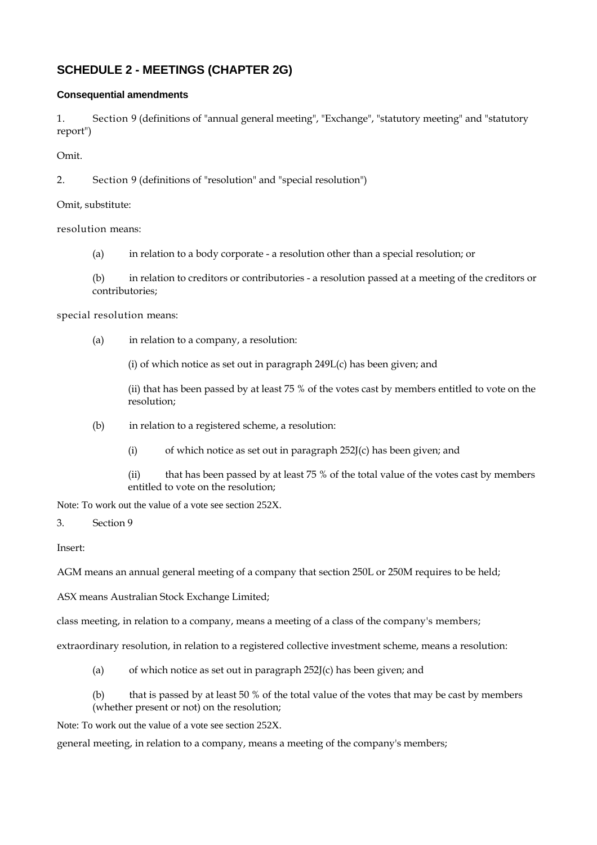# **SCHEDULE 2 - MEETINGS (CHAPTER 2G)**

## **Consequential amendments**

1. Section 9 (definitions of "annual general meeting", "Exchange", "statutory meeting" and "statutory report")

Omit.

2. Section 9 (definitions of "resolution" and "special resolution")

Omit, substitute:

resolution means:

(a) in relation to a body corporate - a resolution other than a special resolution; or

(b) in relation to creditors or contributories - a resolution passed at a meeting of the creditors or contributories;

special resolution means:

(a) in relation to a company, a resolution:

(i) of which notice as set out in paragraph 249L(c) has been given; and

(ii) that has been passed by at least 75 % of the votes cast by members entitled to vote on the resolution;

- (b) in relation to a registered scheme, a resolution:
	- (i) of which notice as set out in paragraph 252J(c) has been given; and

(ii) that has been passed by at least 75 % of the total value of the votes cast by members entitled to vote on the resolution;

Note: To work out the value of a vote see section 252X.

3. Section 9

Insert:

AGM means an annual general meeting of a company that section 250L or 250M requires to be held;

ASX means Australian Stock Exchange Limited;

class meeting, in relation to a company, means a meeting of a class of the company's members;

extraordinary resolution, in relation to a registered collective investment scheme, means a resolution:

(a) of which notice as set out in paragraph  $252J(c)$  has been given; and

(b) that is passed by at least 50 % of the total value of the votes that may be cast by members (whether present or not) on the resolution;

Note: To work out the value of a vote see section 252X.

general meeting, in relation to a company, means a meeting of the company's members;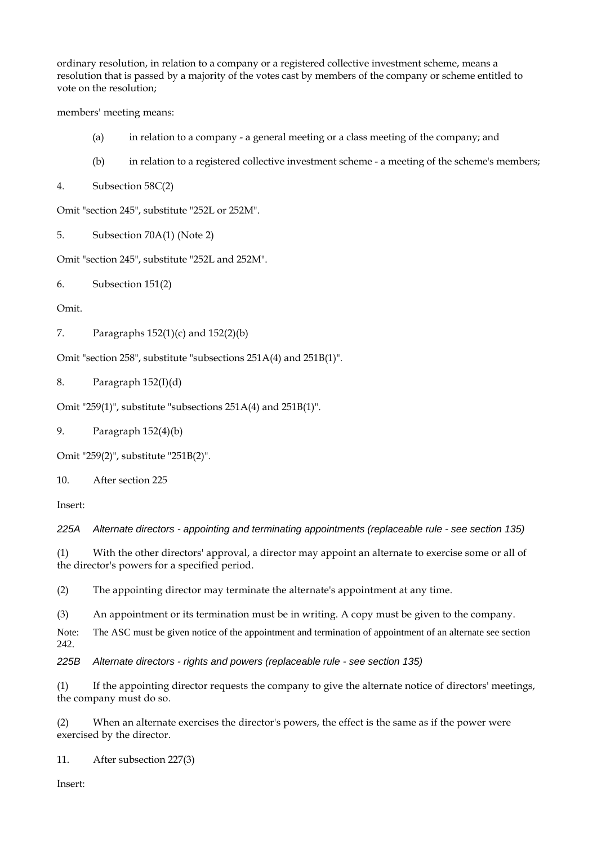ordinary resolution, in relation to a company or a registered collective investment scheme, means a resolution that is passed by a majority of the votes cast by members of the company or scheme entitled to vote on the resolution;

members' meeting means:

- (a) in relation to a company a general meeting or a class meeting of the company; and
- (b) in relation to a registered collective investment scheme a meeting of the scheme's members;

4. Subsection 58C(2)

Omit "section 245", substitute "252L or 252M".

5. Subsection 70A(1) (Note 2)

Omit "section 245", substitute "252L and 252M".

6. Subsection 151(2)

Omit.

```
7. Paragraphs 152(1)(c) and 152(2)(b)
```
Omit "section 258", substitute "subsections 251A(4) and 251B(1)".

8. Paragraph 152(I)(d)

Omit "259(1)", substitute "subsections 251A(4) and 251B(1)".

9. Paragraph 152(4)(b)

Omit "259(2)", substitute "251B(2)".

10. After section 225

Insert:

*225A Alternate directors - appointing and terminating appointments (replaceable rule - see section 135)* 

(1) With the other directors' approval, a director may appoint an alternate to exercise some or all of the director's powers for a specified period.

(2) The appointing director may terminate the alternate's appointment at any time.

(3) An appointment or its termination must be in writing. A copy must be given to the company.

Note: The ASC must be given notice of the appointment and termination of appointment of an alternate see section 242.

*225B Alternate directors - rights and powers (replaceable rule - see section 135)* 

(1) If the appointing director requests the company to give the alternate notice of directors' meetings, the company must do so.

(2) When an alternate exercises the director's powers, the effect is the same as if the power were exercised by the director.

11. After subsection 227(3)

Insert: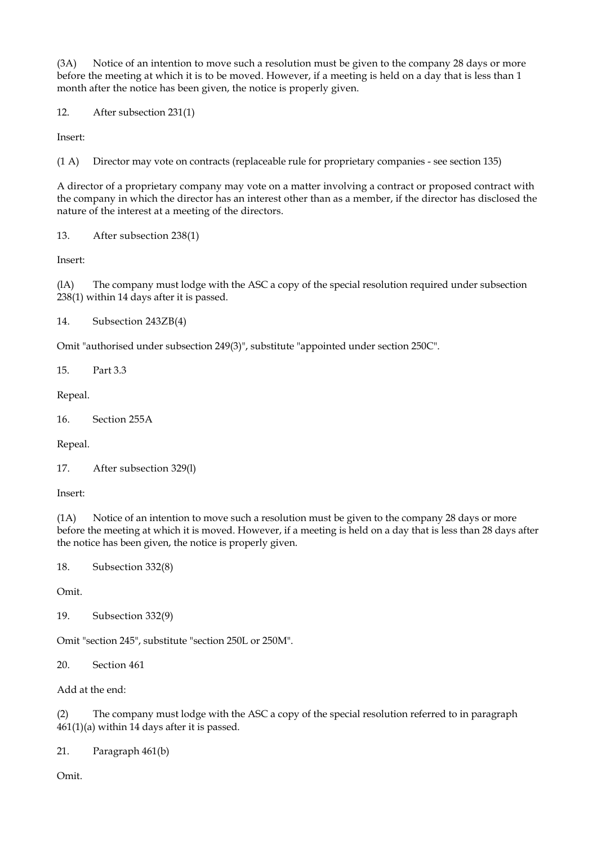(3A) Notice of an intention to move such a resolution must be given to the company 28 days or more before the meeting at which it is to be moved. However, if a meeting is held on a day that is less than 1 month after the notice has been given, the notice is properly given.

12. After subsection 231(1)

Insert:

(1 A) Director may vote on contracts (replaceable rule for proprietary companies - see section 135)

A director of a proprietary company may vote on a matter involving a contract or proposed contract with the company in which the director has an interest other than as a member, if the director has disclosed the nature of the interest at a meeting of the directors.

13. After subsection 238(1)

Insert:

(lA) The company must lodge with the ASC a copy of the special resolution required under subsection 238(1) within 14 days after it is passed.

14. Subsection 243ZB(4)

Omit "authorised under subsection 249(3)", substitute "appointed under section 250C".

15. Part 3.3

Repeal.

16. Section 255A

Repeal.

```
17. After subsection 329(l)
```
Insert:

(1A) Notice of an intention to move such a resolution must be given to the company 28 days or more before the meeting at which it is moved. However, if a meeting is held on a day that is less than 28 days after the notice has been given, the notice is properly given.

18. Subsection 332(8)

Omit.

19. Subsection 332(9)

Omit "section 245", substitute "section 250L or 250M".

20. Section 461

Add at the end:

(2) The company must lodge with the ASC a copy of the special resolution referred to in paragraph 461(1)(a) within 14 days after it is passed.

21. Paragraph 461(b)

Omit.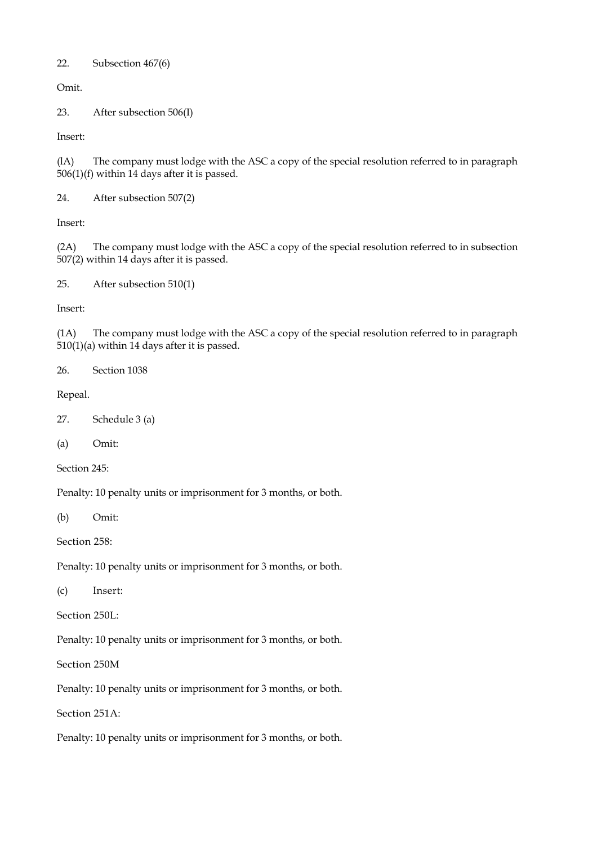### 22. Subsection 467(6)

Omit.

23. After subsection 506(I)

Insert:

(lA) The company must lodge with the ASC a copy of the special resolution referred to in paragraph 506(1)(f) within 14 days after it is passed.

24. After subsection 507(2)

Insert:

(2A) The company must lodge with the ASC a copy of the special resolution referred to in subsection 507(2) within 14 days after it is passed.

```
25. After subsection 510(1)
```
Insert:

(1A) The company must lodge with the ASC a copy of the special resolution referred to in paragraph 510(1)(a) within 14 days after it is passed.

26. Section 1038

Repeal.

27. Schedule 3 (a)

(a) Omit:

Section 245:

Penalty: 10 penalty units or imprisonment for 3 months, or both.

(b) Omit:

Section 258:

Penalty: 10 penalty units or imprisonment for 3 months, or both.

(c) Insert:

Section 250L:

Penalty: 10 penalty units or imprisonment for 3 months, or both.

Section 250M

Penalty: 10 penalty units or imprisonment for 3 months, or both.

Section 251A:

Penalty: 10 penalty units or imprisonment for 3 months, or both.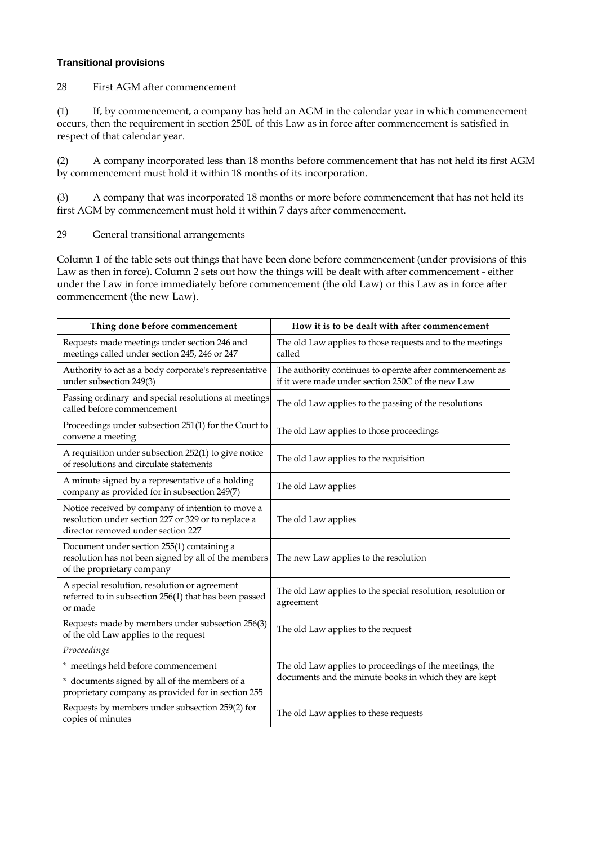### **Transitional provisions**

28 First AGM after commencement

(1) If, by commencement, a company has held an AGM in the calendar year in which commencement occurs, then the requirement in section 250L of this Law as in force after commencement is satisfied in respect of that calendar year.

(2) A company incorporated less than 18 months before commencement that has not held its first AGM by commencement must hold it within 18 months of its incorporation.

(3) A company that was incorporated 18 months or more before commencement that has not held its first AGM by commencement must hold it within 7 days after commencement.

29 General transitional arrangements

Column 1 of the table sets out things that have been done before commencement (under provisions of this Law as then in force). Column 2 sets out how the things will be dealt with after commencement - either under the Law in force immediately before commencement (the old Law) or this Law as in force after commencement (the new Law).

| Thing done before commencement                                                                                                                 | How it is to be dealt with after commencement                                                                    |
|------------------------------------------------------------------------------------------------------------------------------------------------|------------------------------------------------------------------------------------------------------------------|
| Requests made meetings under section 246 and<br>meetings called under section 245, 246 or 247                                                  | The old Law applies to those requests and to the meetings<br>called                                              |
| Authority to act as a body corporate's representative<br>under subsection 249(3)                                                               | The authority continues to operate after commencement as<br>if it were made under section 250C of the new Law    |
| Passing ordinary and special resolutions at meetings<br>called before commencement                                                             | The old Law applies to the passing of the resolutions                                                            |
| Proceedings under subsection 251(1) for the Court to<br>convene a meeting                                                                      | The old Law applies to those proceedings                                                                         |
| A requisition under subsection 252(1) to give notice<br>of resolutions and circulate statements                                                | The old Law applies to the requisition                                                                           |
| A minute signed by a representative of a holding<br>company as provided for in subsection 249(7)                                               | The old Law applies                                                                                              |
| Notice received by company of intention to move a<br>resolution under section 227 or 329 or to replace a<br>director removed under section 227 | The old Law applies                                                                                              |
| Document under section 255(1) containing a<br>resolution has not been signed by all of the members<br>of the proprietary company               | The new Law applies to the resolution                                                                            |
| A special resolution, resolution or agreement<br>referred to in subsection 256(1) that has been passed<br>or made                              | The old Law applies to the special resolution, resolution or<br>agreement                                        |
| Requests made by members under subsection 256(3)<br>of the old Law applies to the request                                                      | The old Law applies to the request                                                                               |
| Proceedings                                                                                                                                    |                                                                                                                  |
| * meetings held before commencement                                                                                                            | The old Law applies to proceedings of the meetings, the<br>documents and the minute books in which they are kept |
| * documents signed by all of the members of a<br>proprietary company as provided for in section 255                                            |                                                                                                                  |
| Requests by members under subsection 259(2) for<br>copies of minutes                                                                           | The old Law applies to these requests                                                                            |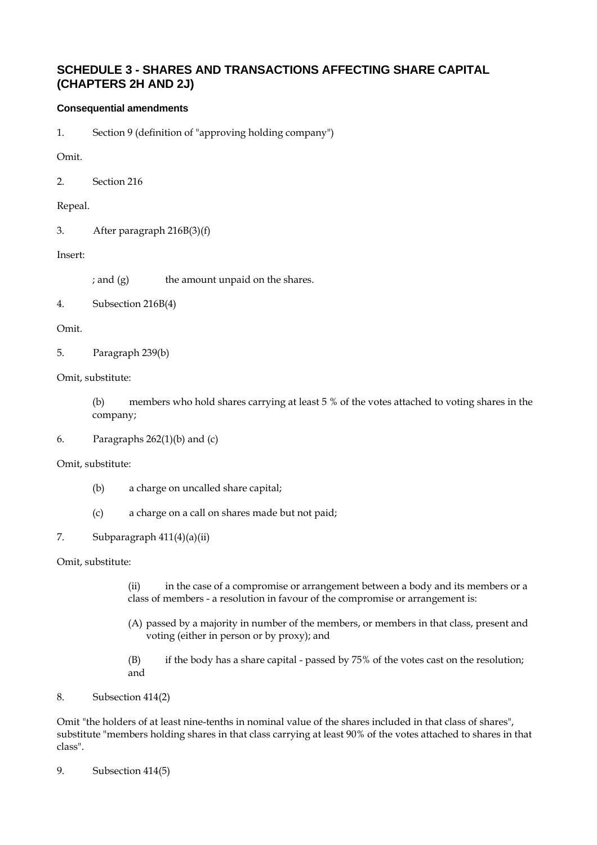# **SCHEDULE 3 - SHARES AND TRANSACTIONS AFFECTING SHARE CAPITAL (CHAPTERS 2H AND 2J)**

# **Consequential amendments**

1. Section 9 (definition of "approving holding company")

Omit.

2. Section 216

Repeal.

3. After paragraph 216B(3)(f)

## Insert:

 $;$  and  $(g)$  the amount unpaid on the shares.

4. Subsection 216B(4)

## Omit.

5. Paragraph 239(b)

## Omit, substitute:

(b) members who hold shares carrying at least 5 % of the votes attached to voting shares in the company;

6. Paragraphs  $262(1)(b)$  and  $(c)$ 

### Omit, substitute:

- (b) a charge on uncalled share capital;
- (c) a charge on a call on shares made but not paid;

# 7. Subparagraph 411(4)(a)(ii)

### Omit, substitute:

(ii) in the case of a compromise or arrangement between a body and its members or a class of members - a resolution in favour of the compromise or arrangement is:

- (A) passed by a majority in number of the members, or members in that class, present and voting (either in person or by proxy); and
- (B) if the body has a share capital passed by 75% of the votes cast on the resolution; and

## 8. Subsection 414(2)

Omit "the holders of at least nine-tenths in nominal value of the shares included in that class of shares", substitute "members holding shares in that class carrying at least 90% of the votes attached to shares in that class".

9. Subsection 414(5)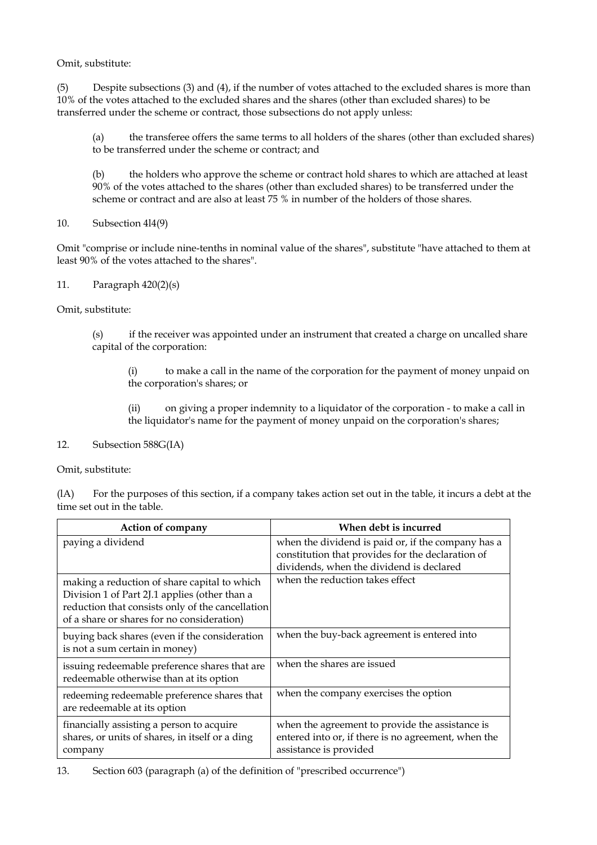Omit, substitute:

(5) Despite subsections (3) and (4), if the number of votes attached to the excluded shares is more than 10% of the votes attached to the excluded shares and the shares (other than excluded shares) to be transferred under the scheme or contract, those subsections do not apply unless:

(a) the transferee offers the same terms to all holders of the shares (other than excluded shares) to be transferred under the scheme or contract; and

(b) the holders who approve the scheme or contract hold shares to which are attached at least 90% of the votes attached to the shares (other than excluded shares) to be transferred under the scheme or contract and are also at least 75 % in number of the holders of those shares.

10. Subsection 4l4(9)

Omit "comprise or include nine-tenths in nominal value of the shares", substitute "have attached to them at least 90% of the votes attached to the shares".

### 11. Paragraph 420(2)(s)

Omit, substitute:

(s) if the receiver was appointed under an instrument that created a charge on uncalled share capital of the corporation:

(i) to make a call in the name of the corporation for the payment of money unpaid on the corporation's shares; or

(ii) on giving a proper indemnity to a liquidator of the corporation - to make a call in the liquidator's name for the payment of money unpaid on the corporation's shares;

#### 12. Subsection 588G(IA)

Omit, substitute:

(lA) For the purposes of this section, if a company takes action set out in the table, it incurs a debt at the time set out in the table.

| <b>Action of company</b>                                                                                                                                                                        | When debt is incurred                                                                                                                               |
|-------------------------------------------------------------------------------------------------------------------------------------------------------------------------------------------------|-----------------------------------------------------------------------------------------------------------------------------------------------------|
| paying a dividend                                                                                                                                                                               | when the dividend is paid or, if the company has a<br>constitution that provides for the declaration of<br>dividends, when the dividend is declared |
| making a reduction of share capital to which<br>Division 1 of Part 2J.1 applies (other than a<br>reduction that consists only of the cancellation<br>of a share or shares for no consideration) | when the reduction takes effect                                                                                                                     |
| buying back shares (even if the consideration<br>is not a sum certain in money)                                                                                                                 | when the buy-back agreement is entered into                                                                                                         |
| issuing redeemable preference shares that are<br>redeemable otherwise than at its option                                                                                                        | when the shares are issued                                                                                                                          |
| redeeming redeemable preference shares that<br>are redeemable at its option                                                                                                                     | when the company exercises the option                                                                                                               |
| financially assisting a person to acquire<br>shares, or units of shares, in itself or a ding<br>company                                                                                         | when the agreement to provide the assistance is<br>entered into or, if there is no agreement, when the<br>assistance is provided                    |

13. Section 603 (paragraph (a) of the definition of "prescribed occurrence")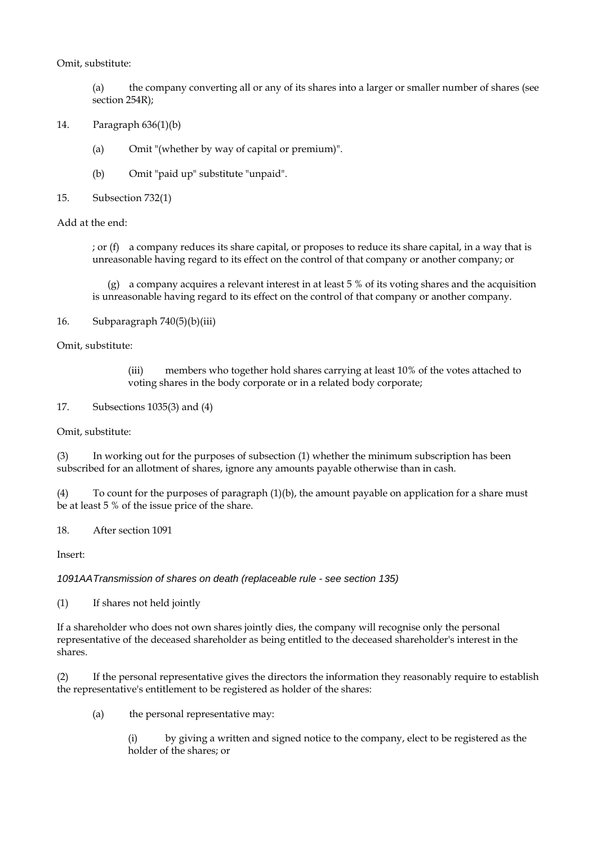### Omit, substitute:

(a) the company converting all or any of its shares into a larger or smaller number of shares (see section 254R);

- 14. Paragraph 636(1)(b)
	- (a) Omit "(whether by way of capital or premium)".
	- (b) Omit "paid up" substitute "unpaid".
- 15. Subsection 732(1)

### Add at the end:

; or (f) a company reduces its share capital, or proposes to reduce its share capital, in a way that is unreasonable having regard to its effect on the control of that company or another company; or

 (g) a company acquires a relevant interest in at least 5 % of its voting shares and the acquisition is unreasonable having regard to its effect on the control of that company or another company.

### 16. Subparagraph  $740(5)(b)(iii)$

Omit, substitute:

(iii) members who together hold shares carrying at least 10% of the votes attached to voting shares in the body corporate or in a related body corporate;

17. Subsections 1035(3) and (4)

Omit, substitute:

(3) In working out for the purposes of subsection (1) whether the minimum subscription has been subscribed for an allotment of shares, ignore any amounts payable otherwise than in cash.

(4) To count for the purposes of paragraph (1)(b), the amount payable on application for a share must be at least 5 % of the issue price of the share.

18. After section 1091

Insert:

### *1091AA Transmission of shares on death (replaceable rule - see section 135)*

(1) If shares not held jointly

If a shareholder who does not own shares jointly dies, the company will recognise only the personal representative of the deceased shareholder as being entitled to the deceased shareholder's interest in the shares.

(2) If the personal representative gives the directors the information they reasonably require to establish the representative's entitlement to be registered as holder of the shares:

(a) the personal representative may:

(i) by giving a written and signed notice to the company, elect to be registered as the holder of the shares; or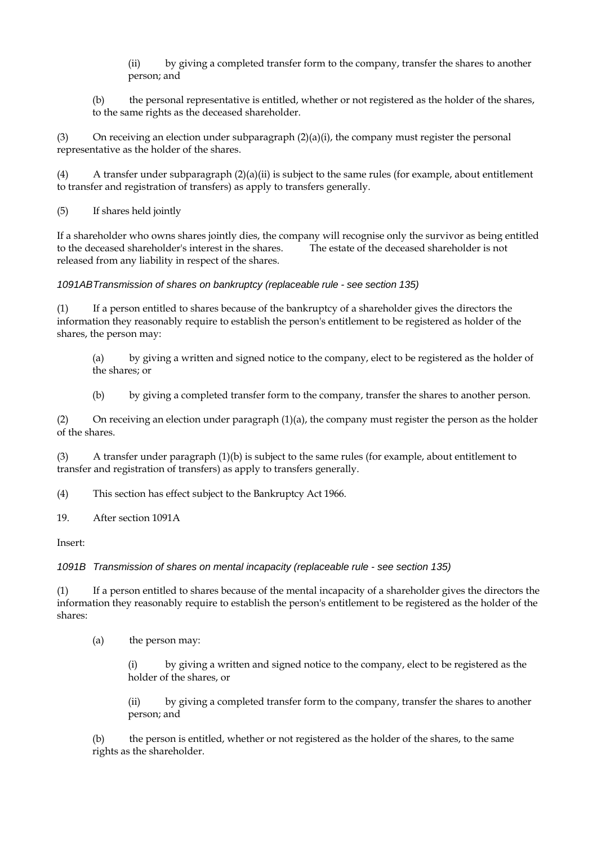(ii) by giving a completed transfer form to the company, transfer the shares to another person; and

(b) the personal representative is entitled, whether or not registered as the holder of the shares, to the same rights as the deceased shareholder.

(3) On receiving an election under subparagraph  $(2)(a)(i)$ , the company must register the personal representative as the holder of the shares.

(4) A transfer under subparagraph (2)(a)(ii) is subject to the same rules (for example, about entitlement to transfer and registration of transfers) as apply to transfers generally.

(5) If shares held jointly

If a shareholder who owns shares jointly dies, the company will recognise only the survivor as being entitled to the deceased shareholder's interest in the shares. The estate of the deceased shareholder is not released from any liability in respect of the shares.

*1091AB Transmission of shares on bankruptcy (replaceable rule - see section 135)* 

(1) If a person entitled to shares because of the bankruptcy of a shareholder gives the directors the information they reasonably require to establish the person's entitlement to be registered as holder of the shares, the person may:

(a) by giving a written and signed notice to the company, elect to be registered as the holder of the shares; or

(b) by giving a completed transfer form to the company, transfer the shares to another person.

(2) On receiving an election under paragraph (1)(a), the company must register the person as the holder of the shares.

(3) A transfer under paragraph (1)(b) is subject to the same rules (for example, about entitlement to transfer and registration of transfers) as apply to transfers generally.

(4) This section has effect subject to the Bankruptcy Act 1966.

19. After section 1091A

Insert:

*1091B Transmission of shares on mental incapacity (replaceable rule - see section 135)* 

(1) If a person entitled to shares because of the mental incapacity of a shareholder gives the directors the information they reasonably require to establish the person's entitlement to be registered as the holder of the shares:

(a) the person may:

(i) by giving a written and signed notice to the company, elect to be registered as the holder of the shares, or

(ii) by giving a completed transfer form to the company, transfer the shares to another person; and

(b) the person is entitled, whether or not registered as the holder of the shares, to the same rights as the shareholder.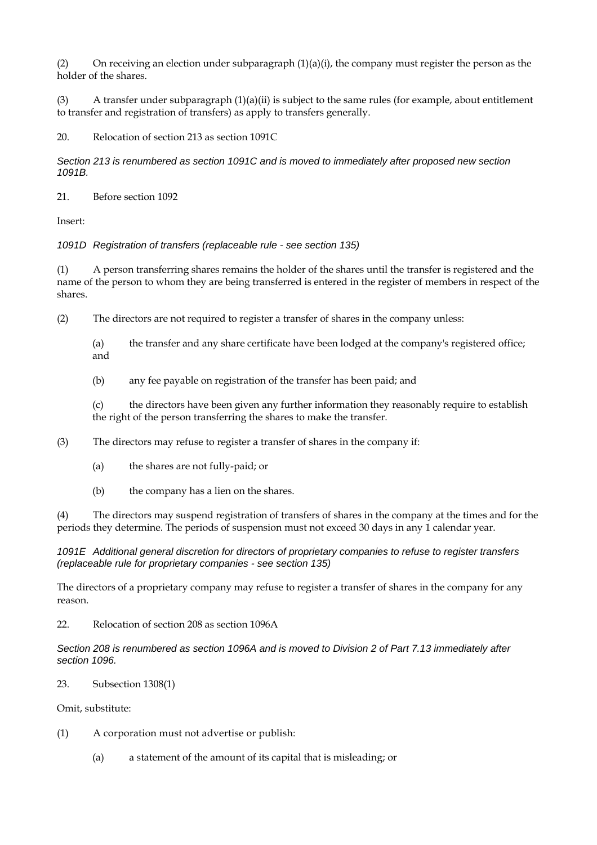(2) On receiving an election under subparagraph  $(1)(a)(i)$ , the company must register the person as the holder of the shares.

(3) A transfer under subparagraph  $(1)(a)(ii)$  is subject to the same rules (for example, about entitlement to transfer and registration of transfers) as apply to transfers generally.

20. Relocation of section 213 as section 1091C

*Section 213 is renumbered as section 1091C and is moved to immediately after proposed new section 1091B.* 

21. Before section 1092

Insert:

*1091D Registration of transfers (replaceable rule - see section 135)* 

(1) A person transferring shares remains the holder of the shares until the transfer is registered and the name of the person to whom they are being transferred is entered in the register of members in respect of the shares.

(2) The directors are not required to register a transfer of shares in the company unless:

(a) the transfer and any share certificate have been lodged at the company's registered office; and

(b) any fee payable on registration of the transfer has been paid; and

(c) the directors have been given any further information they reasonably require to establish the right of the person transferring the shares to make the transfer.

(3) The directors may refuse to register a transfer of shares in the company if:

- (a) the shares are not fully-paid; or
- (b) the company has a lien on the shares.

(4) The directors may suspend registration of transfers of shares in the company at the times and for the periods they determine. The periods of suspension must not exceed 30 days in any 1 calendar year.

### *1091E Additional general discretion for directors of proprietary companies to refuse to register transfers (replaceable rule for proprietary companies - see section 135)*

The directors of a proprietary company may refuse to register a transfer of shares in the company for any reason.

22. Relocation of section 208 as section 1096A

*Section 208 is renumbered as section 1096A and is moved to Division 2 of Part 7.13 immediately after section 1096.* 

23. Subsection 1308(1)

Omit, substitute:

- (1) A corporation must not advertise or publish:
	- (a) a statement of the amount of its capital that is misleading; or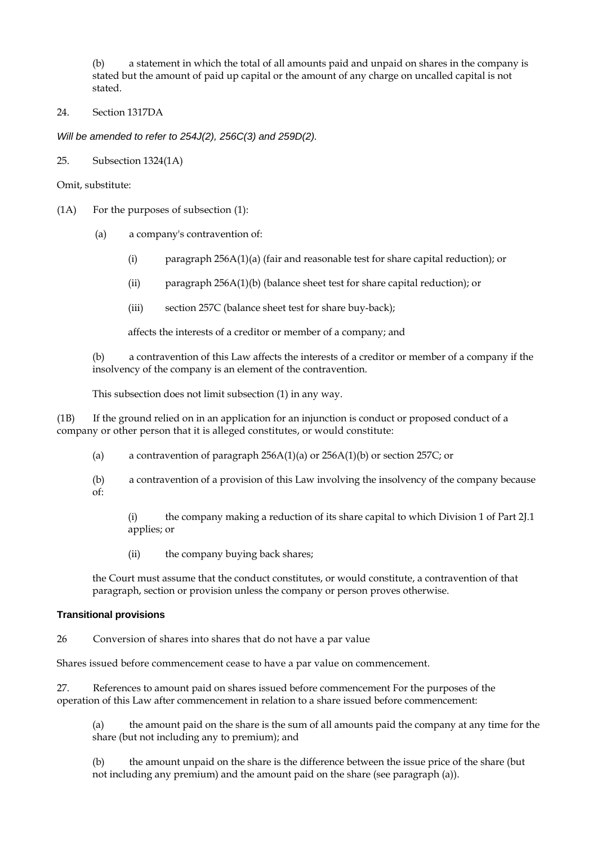(b) a statement in which the total of all amounts paid and unpaid on shares in the company is stated but the amount of paid up capital or the amount of any charge on uncalled capital is not stated.

#### 24. Section 1317DA

*Will be amended to refer to 254J(2), 256C(3) and 259D(2).* 

25. Subsection 1324(1A)

Omit, substitute:

- (1A) For the purposes of subsection (1):
	- (a) a company's contravention of:
		- (i) paragraph 256A(1)(a) (fair and reasonable test for share capital reduction); or
		- (ii) paragraph 256A(1)(b) (balance sheet test for share capital reduction); or
		- (iii) section 257C (balance sheet test for share buy-back);

affects the interests of a creditor or member of a company; and

(b) a contravention of this Law affects the interests of a creditor or member of a company if the insolvency of the company is an element of the contravention.

This subsection does not limit subsection (1) in any way.

(1B) If the ground relied on in an application for an injunction is conduct or proposed conduct of a company or other person that it is alleged constitutes, or would constitute:

(a) a contravention of paragraph 256A(1)(a) or 256A(1)(b) or section 257C; or

(b) a contravention of a provision of this Law involving the insolvency of the company because of:

(i) the company making a reduction of its share capital to which Division 1 of Part 2J.1 applies; or

(ii) the company buying back shares;

the Court must assume that the conduct constitutes, or would constitute, a contravention of that paragraph, section or provision unless the company or person proves otherwise.

#### **Transitional provisions**

26 Conversion of shares into shares that do not have a par value

Shares issued before commencement cease to have a par value on commencement.

27. References to amount paid on shares issued before commencement For the purposes of the operation of this Law after commencement in relation to a share issued before commencement:

(a) the amount paid on the share is the sum of all amounts paid the company at any time for the share (but not including any to premium); and

(b) the amount unpaid on the share is the difference between the issue price of the share (but not including any premium) and the amount paid on the share (see paragraph (a)).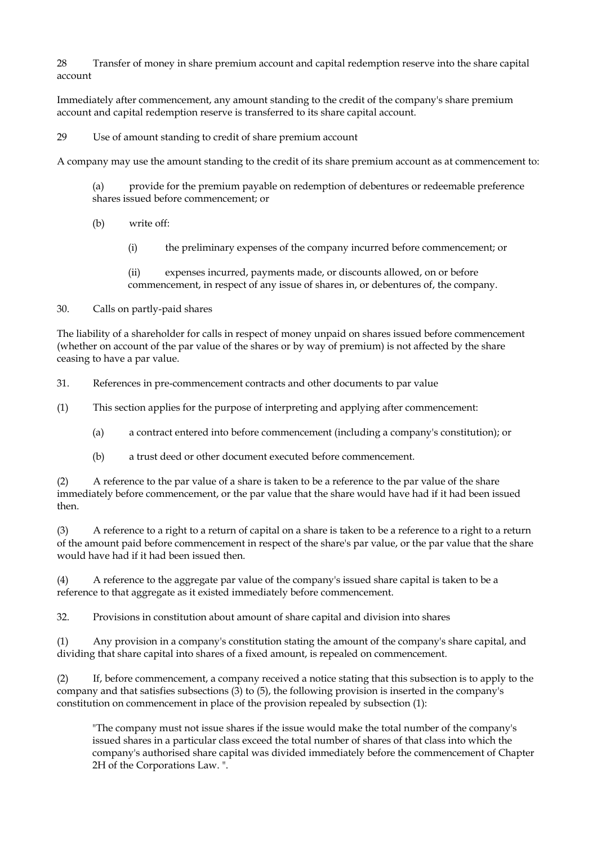28 Transfer of money in share premium account and capital redemption reserve into the share capital account

Immediately after commencement, any amount standing to the credit of the company's share premium account and capital redemption reserve is transferred to its share capital account.

### 29 Use of amount standing to credit of share premium account

A company may use the amount standing to the credit of its share premium account as at commencement to:

(a) provide for the premium payable on redemption of debentures or redeemable preference shares issued before commencement; or

(b) write off:

(i) the preliminary expenses of the company incurred before commencement; or

(ii) expenses incurred, payments made, or discounts allowed, on or before commencement, in respect of any issue of shares in, or debentures of, the company.

### 30. Calls on partly-paid shares

The liability of a shareholder for calls in respect of money unpaid on shares issued before commencement (whether on account of the par value of the shares or by way of premium) is not affected by the share ceasing to have a par value.

31. References in pre-commencement contracts and other documents to par value

(1) This section applies for the purpose of interpreting and applying after commencement:

- (a) a contract entered into before commencement (including a company's constitution); or
- (b) a trust deed or other document executed before commencement.

(2) A reference to the par value of a share is taken to be a reference to the par value of the share immediately before commencement, or the par value that the share would have had if it had been issued then.

(3) A reference to a right to a return of capital on a share is taken to be a reference to a right to a return of the amount paid before commencement in respect of the share's par value, or the par value that the share would have had if it had been issued then.

(4) A reference to the aggregate par value of the company's issued share capital is taken to be a reference to that aggregate as it existed immediately before commencement.

32. Provisions in constitution about amount of share capital and division into shares

(1) Any provision in a company's constitution stating the amount of the company's share capital, and dividing that share capital into shares of a fixed amount, is repealed on commencement.

(2) If, before commencement, a company received a notice stating that this subsection is to apply to the company and that satisfies subsections (3) to (5), the following provision is inserted in the company's constitution on commencement in place of the provision repealed by subsection (1):

"The company must not issue shares if the issue would make the total number of the company's issued shares in a particular class exceed the total number of shares of that class into which the company's authorised share capital was divided immediately before the commencement of Chapter 2H of the Corporations Law. ".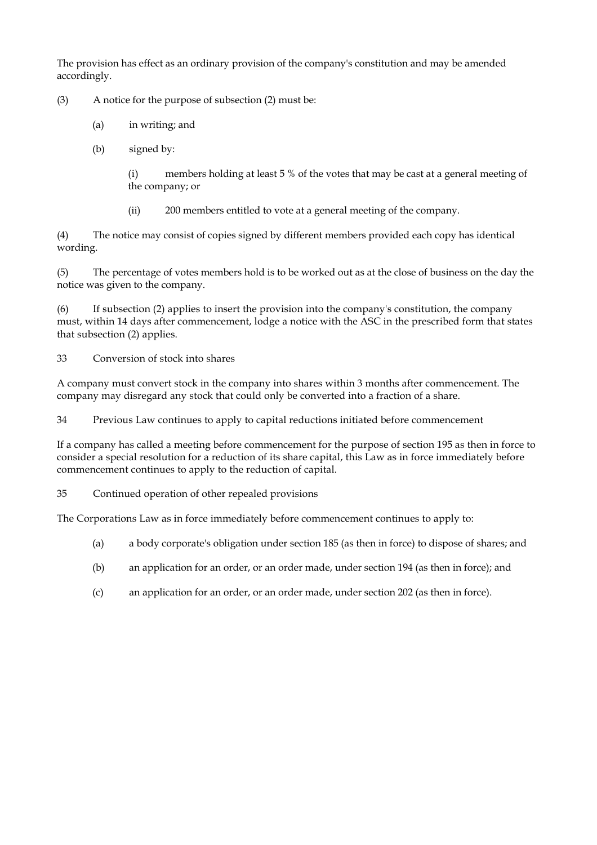The provision has effect as an ordinary provision of the company's constitution and may be amended accordingly.

(3) A notice for the purpose of subsection (2) must be:

- (a) in writing; and
- (b) signed by:

(i) members holding at least 5 % of the votes that may be cast at a general meeting of the company; or

(ii) 200 members entitled to vote at a general meeting of the company.

(4) The notice may consist of copies signed by different members provided each copy has identical wording.

(5) The percentage of votes members hold is to be worked out as at the close of business on the day the notice was given to the company.

(6) If subsection (2) applies to insert the provision into the company's constitution, the company must, within 14 days after commencement, lodge a notice with the ASC in the prescribed form that states that subsection (2) applies.

33 Conversion of stock into shares

A company must convert stock in the company into shares within 3 months after commencement. The company may disregard any stock that could only be converted into a fraction of a share.

34 Previous Law continues to apply to capital reductions initiated before commencement

If a company has called a meeting before commencement for the purpose of section 195 as then in force to consider a special resolution for a reduction of its share capital, this Law as in force immediately before commencement continues to apply to the reduction of capital.

35 Continued operation of other repealed provisions

The Corporations Law as in force immediately before commencement continues to apply to:

- (a) a body corporate's obligation under section 185 (as then in force) to dispose of shares; and
- (b) an application for an order, or an order made, under section 194 (as then in force); and
- (c) an application for an order, or an order made, under section 202 (as then in force).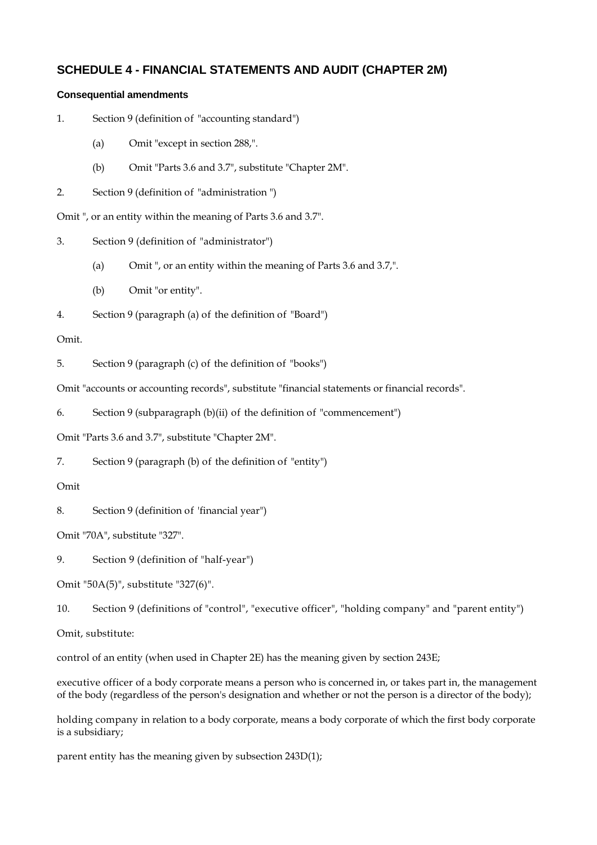# **SCHEDULE 4 - FINANCIAL STATEMENTS AND AUDIT (CHAPTER 2M)**

## **Consequential amendments**

- 1. Section 9 (definition of "accounting standard")
	- (a) Omit "except in section 288,".
	- (b) Omit "Parts 3.6 and 3.7", substitute "Chapter 2M".
- 2. Section 9 (definition of "administration ")

Omit ", or an entity within the meaning of Parts 3.6 and 3.7".

- 3. Section 9 (definition of "administrator")
	- (a) Omit ", or an entity within the meaning of Parts 3.6 and 3.7,".
	- (b) Omit "or entity".

4. Section 9 (paragraph (a) of the definition of "Board")

## Omit.

5. Section 9 (paragraph (c) of the definition of "books")

Omit "accounts or accounting records", substitute "financial statements or financial records".

6. Section 9 (subparagraph (b)(ii) of the definition of "commencement")

Omit "Parts 3.6 and 3.7", substitute "Chapter 2M".

7. Section 9 (paragraph (b) of the definition of "entity")

# Omit

8. Section 9 (definition of 'financial year")

Omit "70A", substitute "327".

9. Section 9 (definition of "half-year")

Omit "50A(5)", substitute "327(6)".

10. Section 9 (definitions of "control", "executive officer", "holding company" and "parent entity")

Omit, substitute:

control of an entity (when used in Chapter 2E) has the meaning given by section 243E;

executive officer of a body corporate means a person who is concerned in, or takes part in, the management of the body (regardless of the person's designation and whether or not the person is a director of the body);

holding company in relation to a body corporate, means a body corporate of which the first body corporate is a subsidiary;

parent entity has the meaning given by subsection 243D(1);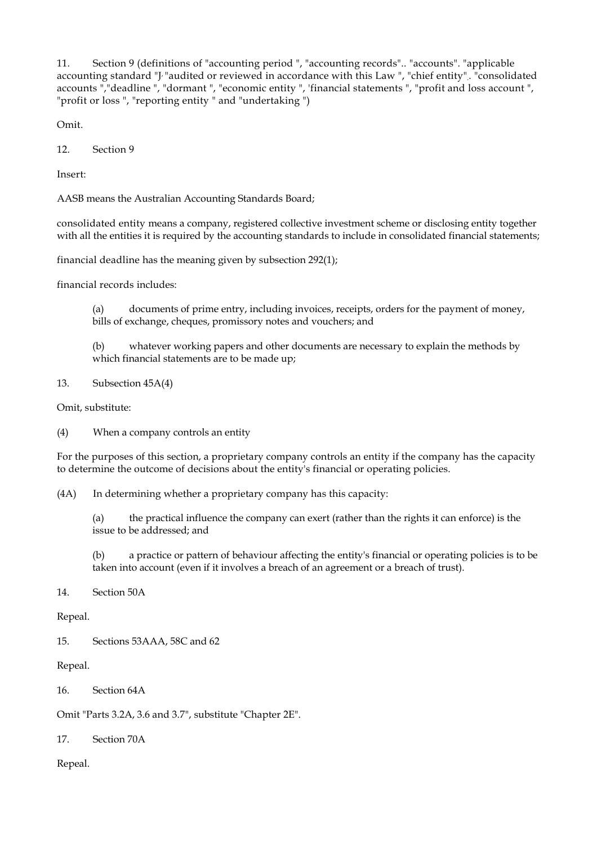11. Section 9 (definitions of "accounting period ", "accounting records".. "accounts". "applicable accounting standard "J, "audited or reviewed in accordance with this Law ", "chief entity". "consolidated accounts ","deadline ", "dormant ", "economic entity ", 'financial statements ", "profit and loss account ", "profit or loss ", "reporting entity " and "undertaking ")

Omit.

12. Section 9

Insert:

AASB means the Australian Accounting Standards Board;

consolidated entity means a company, registered collective investment scheme or disclosing entity together with all the entities it is required by the accounting standards to include in consolidated financial statements;

financial deadline has the meaning given by subsection 292(1);

financial records includes:

(a) documents of prime entry, including invoices, receipts, orders for the payment of money, bills of exchange, cheques, promissory notes and vouchers; and

(b) whatever working papers and other documents are necessary to explain the methods by which financial statements are to be made up;

13. Subsection 45A(4)

Omit, substitute:

(4) When a company controls an entity

For the purposes of this section, a proprietary company controls an entity if the company has the capacity to determine the outcome of decisions about the entity's financial or operating policies.

(4A) In determining whether a proprietary company has this capacity:

(a) the practical influence the company can exert (rather than the rights it can enforce) is the issue to be addressed; and

(b) a practice or pattern of behaviour affecting the entity's financial or operating policies is to be taken into account (even if it involves a breach of an agreement or a breach of trust).

### 14. Section 50A

Repeal.

15. Sections 53AAA, 58C and 62

Repeal.

16. Section 64A

Omit "Parts 3.2A, 3.6 and 3.7", substitute "Chapter 2E".

17. Section 70A

Repeal.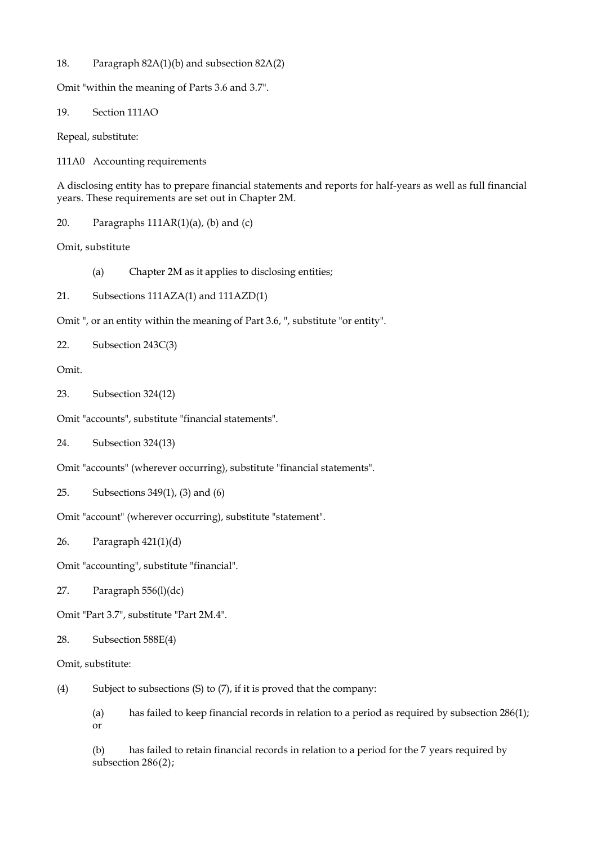18. Paragraph 82A(1)(b) and subsection 82A(2)

Omit "within the meaning of Parts 3.6 and 3.7".

19. Section 111AO

Repeal, substitute:

111A0 Accounting requirements

A disclosing entity has to prepare financial statements and reports for half-years as well as full financial years. These requirements are set out in Chapter 2M.

20. Paragraphs  $111AR(1)(a)$ , (b) and (c)

Omit, substitute

- (a) Chapter 2M as it applies to disclosing entities;
- 21. Subsections 111AZA(1) and 111AZD(1)
- Omit ", or an entity within the meaning of Part 3.6, ", substitute "or entity".

```
22. Subsection 243C(3)
```
Omit.

23. Subsection 324(12)

Omit "accounts", substitute "financial statements".

24. Subsection 324(13)

Omit "accounts" (wherever occurring), substitute "financial statements".

25. Subsections 349(1), (3) and (6)

Omit "account" (wherever occurring), substitute "statement".

26. Paragraph 421(1)(d)

Omit "accounting", substitute "financial".

27. Paragraph 556(l)(dc)

Omit "Part 3.7", substitute "Part 2M.4".

- 28. Subsection 588E(4)
- Omit, substitute:

(4) Subject to subsections  $(S)$  to  $(7)$ , if it is proved that the company:

(a) has failed to keep financial records in relation to a period as required by subsection 286(1); or

(b) has failed to retain financial records in relation to a period for the 7 years required by subsection 286(2);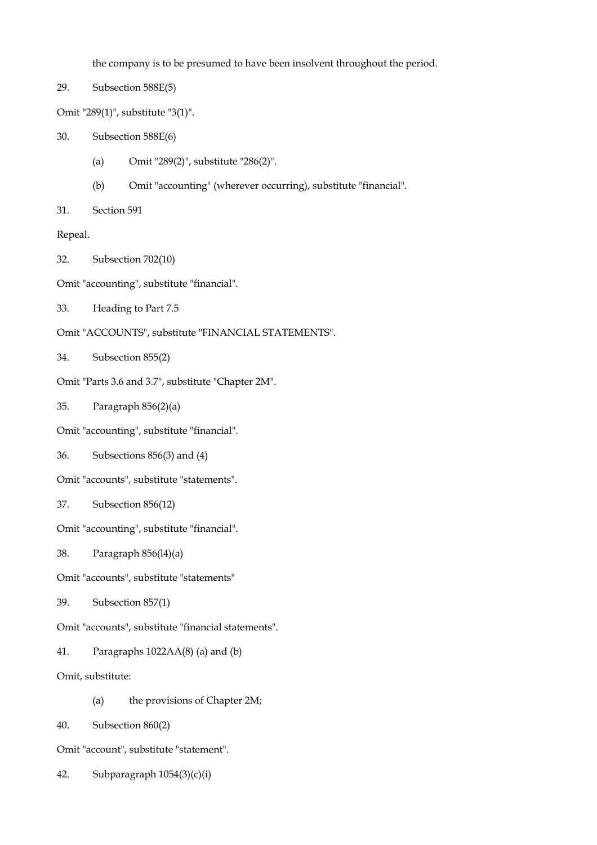the company is to be presumed to have been insolvent throughout the period.

29. Subsection 588E(5)

Omit "289(1)", substitute "3(1)".

- 30. Subsection 588E(6)
	- (a) Omit "289(2)", substitute "286(2)".
	- (b) Omit "accounting" (wherever occurring), substitute "financial".
- 31. Section 591

Repeal.

- 32. Subsection 702(10)
- Omit "accounting", substitute "financial".
- 33. Heading to Part 7.5
- Omit "ACCOUNTS", substitute "FINANCIAL STATEMENTS".
- 34. Subsection 855(2)
- Omit "Parts 3.6 and 3.7", substitute "Chapter 2M".
- 35. Paragraph 856(2)(a)
- Omit "accounting", substitute "financial".
- 36. Subsections 856(3) and (4)
- Omit "accounts", substitute "statements".
- 37. Subsection 856(12)

Omit "accounting", substitute "financial".

- 38. Paragraph 856(l4)(a)
- Omit "accounts", substitute "statements"
- 39. Subsection 857(1)
- Omit "accounts", substitute "financial statements".
- 41. Paragraphs 1022AA(8) (a) and (b)
- Omit, substitute:
	- (a) the provisions of Chapter 2M;
- 40. Subsection 860(2)
- Omit "account", substitute "statement".
- 42. Subparagraph 1054(3)(c)(i)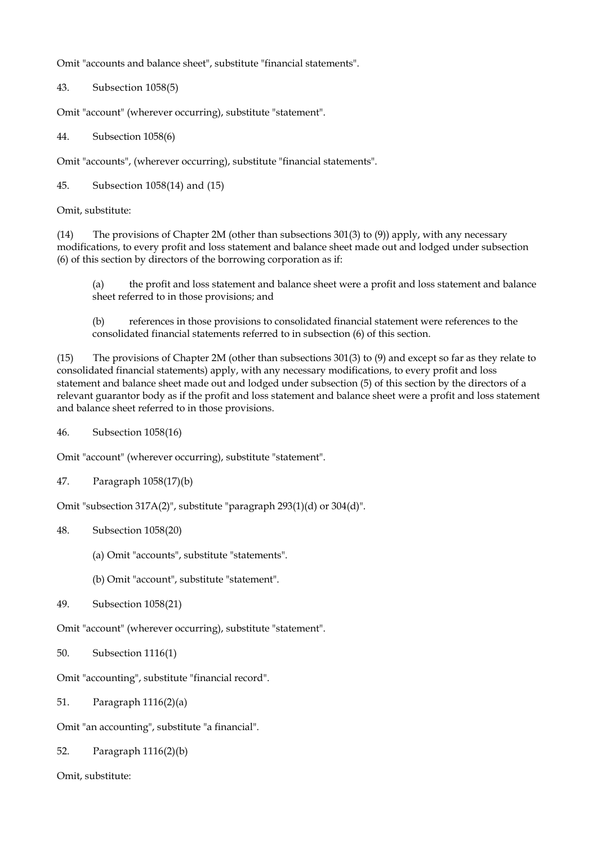Omit "accounts and balance sheet", substitute "financial statements".

43. Subsection 1058(5)

Omit "account" (wherever occurring), substitute "statement".

44. Subsection 1058(6)

Omit "accounts", (wherever occurring), substitute "financial statements".

45. Subsection 1058(14) and (15)

Omit, substitute:

(14) The provisions of Chapter 2M (other than subsections 301(3) to (9)) apply, with any necessary modifications, to every profit and loss statement and balance sheet made out and lodged under subsection (6) of this section by directors of the borrowing corporation as if:

(a) the profit and loss statement and balance sheet were a profit and loss statement and balance sheet referred to in those provisions; and

(b) references in those provisions to consolidated financial statement were references to the consolidated financial statements referred to in subsection (6) of this section.

(15) The provisions of Chapter 2M (other than subsections 301(3) to (9) and except so far as they relate to consolidated financial statements) apply, with any necessary modifications, to every profit and loss statement and balance sheet made out and lodged under subsection (5) of this section by the directors of a relevant guarantor body as if the profit and loss statement and balance sheet were a profit and loss statement and balance sheet referred to in those provisions.

46. Subsection 1058(16)

Omit "account" (wherever occurring), substitute "statement".

47. Paragraph 1058(17)(b)

Omit "subsection 317A(2)", substitute "paragraph 293(1)(d) or 304(d)".

48. Subsection 1058(20)

(a) Omit "accounts", substitute "statements".

(b) Omit "account", substitute "statement".

```
49. Subsection 1058(21)
```
Omit "account" (wherever occurring), substitute "statement".

50. Subsection 1116(1)

Omit "accounting", substitute "financial record".

51. Paragraph 1116(2)(a)

Omit "an accounting", substitute "a financial".

52. Paragraph 1116(2)(b)

Omit, substitute: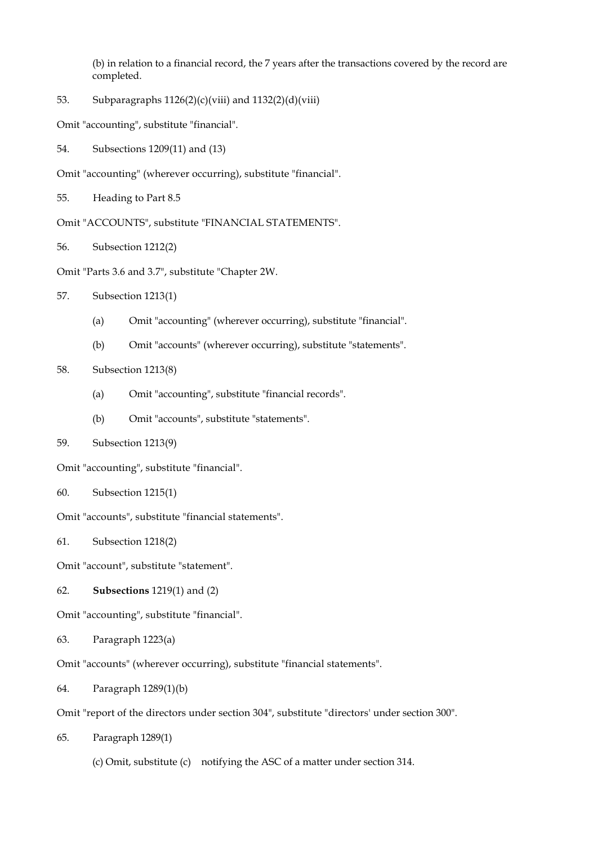(b) in relation to a financial record, the 7 years after the transactions covered by the record are completed.

53. Subparagraphs  $1126(2)(c)(viii)$  and  $1132(2)(d)(viii)$ 

Omit "accounting", substitute "financial".

54. Subsections 1209(11) and (13)

Omit "accounting" (wherever occurring), substitute "financial".

55. Heading to Part 8.5

Omit "ACCOUNTS", substitute "FINANCIAL STATEMENTS".

56. Subsection 1212(2)

Omit "Parts 3.6 and 3.7", substitute "Chapter 2W.

- 57. Subsection 1213(1)
	- (a) Omit "accounting" (wherever occurring), substitute "financial".
	- (b) Omit "accounts" (wherever occurring), substitute "statements".
- 58. Subsection 1213(8)
	- (a) Omit "accounting", substitute "financial records".
	- (b) Omit "accounts", substitute "statements".
- 59. Subsection 1213(9)

Omit "accounting", substitute "financial".

60. Subsection 1215(1)

Omit "accounts", substitute "financial statements".

61. Subsection 1218(2)

Omit "account", substitute "statement".

62. **Subsections** 1219(1) and (2)

Omit "accounting", substitute "financial".

63. Paragraph 1223(a)

Omit "accounts" (wherever occurring), substitute "financial statements".

- 64. Paragraph 1289(1)(b)
- Omit "report of the directors under section 304", substitute "directors' under section 300".
- 65. Paragraph 1289(1)

(c) Omit, substitute (c) notifying the ASC of a matter under section 314.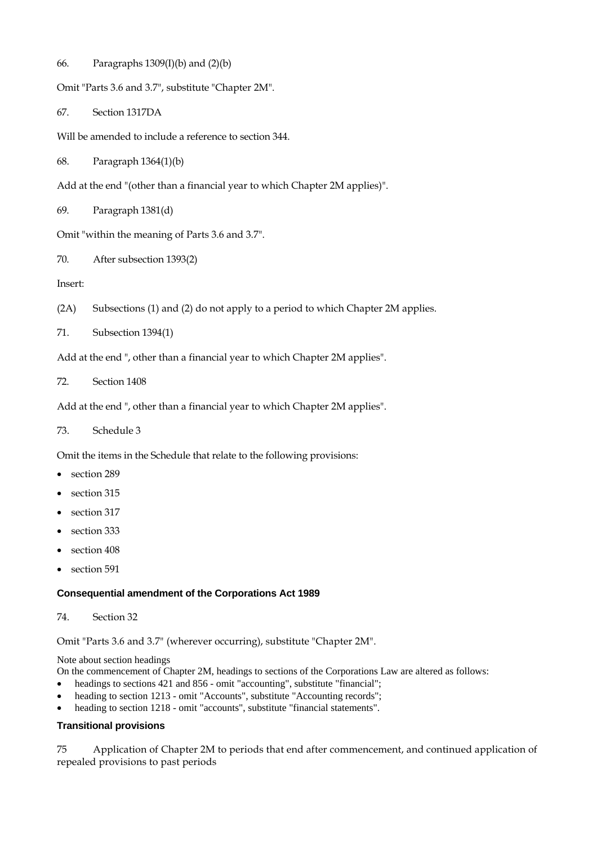66. Paragraphs 1309(I)(b) and (2)(b)

```
Omit "Parts 3.6 and 3.7", substitute "Chapter 2M".
```
67. Section 1317DA

Will be amended to include a reference to section 344.

68. Paragraph 1364(1)(b)

Add at the end "(other than a financial year to which Chapter 2M applies)".

69. Paragraph 1381(d)

Omit "within the meaning of Parts 3.6 and 3.7".

70. After subsection 1393(2)

Insert:

- (2A) Subsections (1) and (2) do not apply to a period to which Chapter 2M applies.
- 71. Subsection 1394(1)

Add at the end ", other than a financial year to which Chapter 2M applies".

72. Section 1408

Add at the end ", other than a financial year to which Chapter 2M applies".

73. Schedule 3

Omit the items in the Schedule that relate to the following provisions:

- section 289
- section 315
- section 317
- section 333
- section 408
- section 591

#### **Consequential amendment of the Corporations Act 1989**

74. Section 32

Omit "Parts 3.6 and 3.7" (wherever occurring), substitute "Chapter 2M".

Note about section headings

On the commencement of Chapter 2M, headings to sections of the Corporations Law are altered as follows:

- headings to sections 421 and 856 omit "accounting", substitute "financial";
- heading to section 1213 omit "Accounts", substitute "Accounting records";
- heading to section 1218 omit "accounts", substitute "financial statements".

### **Transitional provisions**

75 Application of Chapter 2M to periods that end after commencement, and continued application of repealed provisions to past periods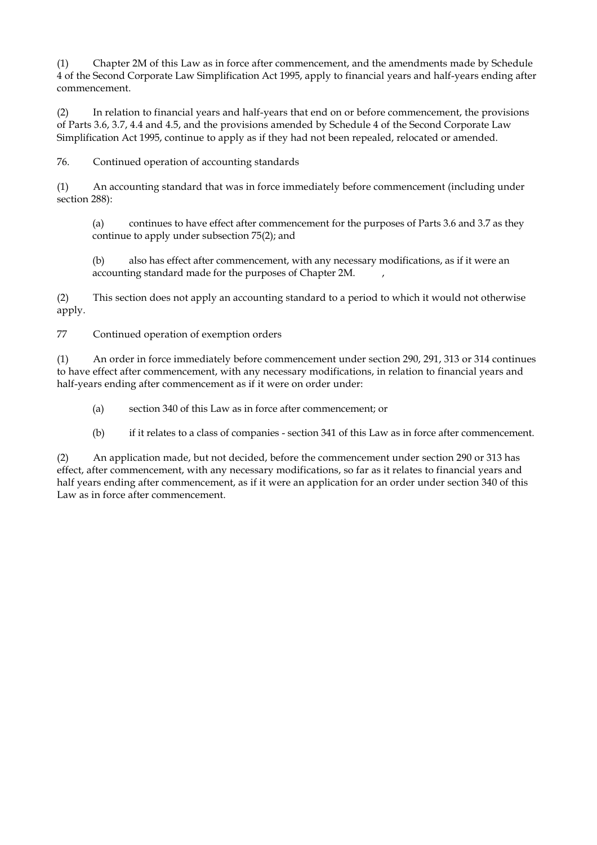(1) Chapter 2M of this Law as in force after commencement, and the amendments made by Schedule 4 of the Second Corporate Law Simplification Act 1995, apply to financial years and half-years ending after commencement.

(2) In relation to financial years and half-years that end on or before commencement, the provisions of Parts 3.6, 3.7, 4.4 and 4.5, and the provisions amended by Schedule 4 of the Second Corporate Law Simplification Act 1995, continue to apply as if they had not been repealed, relocated or amended.

76. Continued operation of accounting standards

(1) An accounting standard that was in force immediately before commencement (including under section 288):

(a) continues to have effect after commencement for the purposes of Parts 3.6 and 3.7 as they continue to apply under subsection 75(2); and

(b) also has effect after commencement, with any necessary modifications, as if it were an accounting standard made for the purposes of Chapter 2M.

(2) This section does not apply an accounting standard to a period to which it would not otherwise apply.

77 Continued operation of exemption orders

(1) An order in force immediately before commencement under section 290, 291, 313 or 314 continues to have effect after commencement, with any necessary modifications, in relation to financial years and half-years ending after commencement as if it were on order under:

- (a) section 340 of this Law as in force after commencement; or
- (b) if it relates to a class of companies section 341 of this Law as in force after commencement.

(2) An application made, but not decided, before the commencement under section 290 or 313 has effect, after commencement, with any necessary modifications, so far as it relates to financial years and half years ending after commencement, as if it were an application for an order under section 340 of this Law as in force after commencement.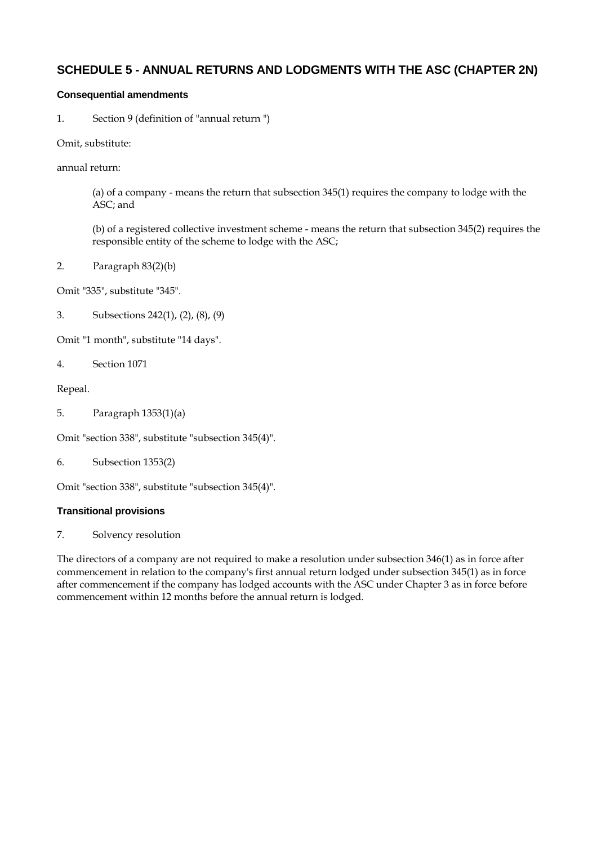## **SCHEDULE 5 - ANNUAL RETURNS AND LODGMENTS WITH THE ASC (CHAPTER 2N)**

### **Consequential amendments**

1. Section 9 (definition of "annual return ")

Omit, substitute:

annual return:

(a) of a company - means the return that subsection 345(1) requires the company to lodge with the ASC; and

(b) of a registered collective investment scheme - means the return that subsection 345(2) requires the responsible entity of the scheme to lodge with the ASC;

2. Paragraph 83(2)(b)

Omit "335", substitute "345".

3. Subsections 242(1), (2), (8), (9)

Omit "1 month", substitute "14 days".

4. Section 1071

Repeal.

5. Paragraph 1353(1)(a)

Omit "section 338", substitute "subsection 345(4)".

6. Subsection 1353(2)

Omit "section 338", substitute "subsection 345(4)".

#### **Transitional provisions**

7. Solvency resolution

The directors of a company are not required to make a resolution under subsection 346(1) as in force after commencement in relation to the company's first annual return lodged under subsection 345(1) as in force after commencement if the company has lodged accounts with the ASC under Chapter 3 as in force before commencement within 12 months before the annual return is lodged.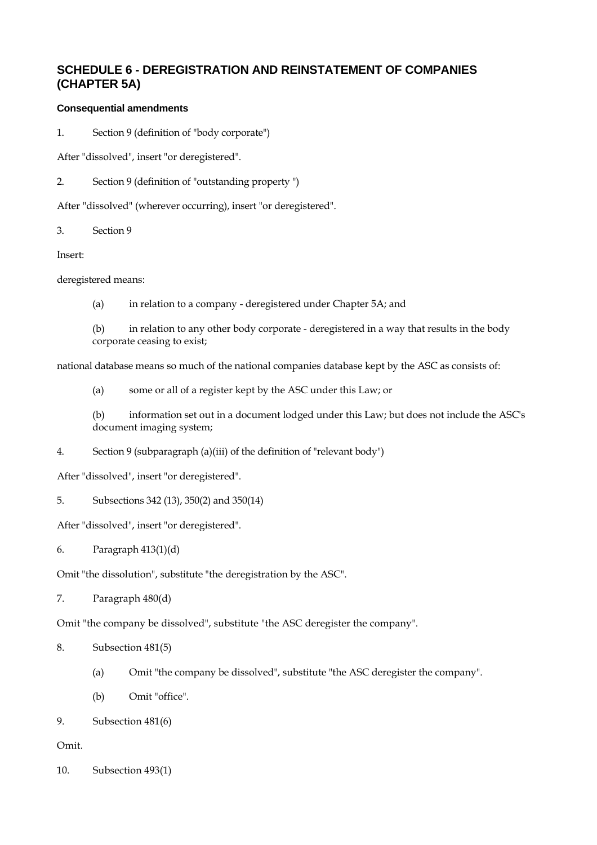## **SCHEDULE 6 - DEREGISTRATION AND REINSTATEMENT OF COMPANIES (CHAPTER 5A)**

#### **Consequential amendments**

1. Section 9 (definition of "body corporate")

After "dissolved", insert "or deregistered".

2. Section 9 (definition of "outstanding property ")

After "dissolved" (wherever occurring), insert "or deregistered".

3. Section 9

Insert:

deregistered means:

(a) in relation to a company - deregistered under Chapter 5A; and

(b) in relation to any other body corporate - deregistered in a way that results in the body corporate ceasing to exist;

national database means so much of the national companies database kept by the ASC as consists of:

(a) some or all of a register kept by the ASC under this Law; or

(b) information set out in a document lodged under this Law; but does not include the ASC's document imaging system;

4. Section 9 (subparagraph (a)(iii) of the definition of "relevant body")

After "dissolved", insert "or deregistered".

5. Subsections 342 (13), 350(2) and 350(14)

After "dissolved", insert "or deregistered".

6. Paragraph 413(1)(d)

Omit "the dissolution", substitute "the deregistration by the ASC".

7. Paragraph 480(d)

Omit "the company be dissolved", substitute "the ASC deregister the company".

- 8. Subsection 481(5)
	- (a) Omit "the company be dissolved", substitute "the ASC deregister the company".
	- (b) Omit "office".
- 9. Subsection 481(6)

#### Omit.

10. Subsection 493(1)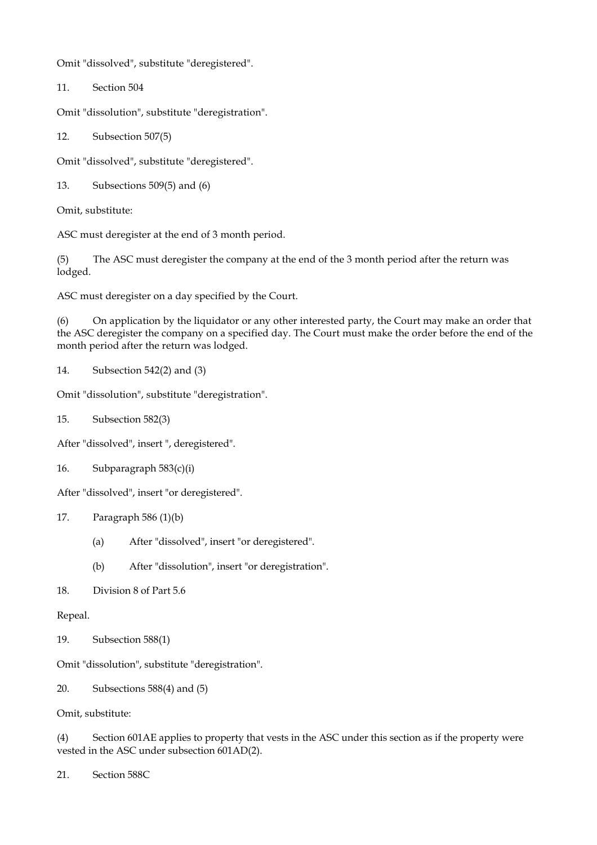Omit "dissolved", substitute "deregistered".

11. Section 504

Omit "dissolution", substitute "deregistration".

12. Subsection 507(5)

Omit "dissolved", substitute "deregistered".

13. Subsections 509(5) and (6)

Omit, substitute:

ASC must deregister at the end of 3 month period.

(5) The ASC must deregister the company at the end of the 3 month period after the return was lodged.

ASC must deregister on a day specified by the Court.

(6) On application by the liquidator or any other interested party, the Court may make an order that the ASC deregister the company on a specified day. The Court must make the order before the end of the month period after the return was lodged.

14. Subsection 542(2) and (3)

Omit "dissolution", substitute "deregistration".

15. Subsection 582(3)

After "dissolved", insert ", deregistered".

16. Subparagraph 583(c)(i)

After "dissolved", insert "or deregistered".

- 17. Paragraph 586 (1)(b)
	- (a) After "dissolved", insert "or deregistered".
	- (b) After "dissolution", insert "or deregistration".
- 18. Division 8 of Part 5.6

Repeal.

19. Subsection 588(1)

Omit "dissolution", substitute "deregistration".

20. Subsections 588(4) and (5)

Omit, substitute:

(4) Section 601AE applies to property that vests in the ASC under this section as if the property were vested in the ASC under subsection 601AD(2).

21. Section 588C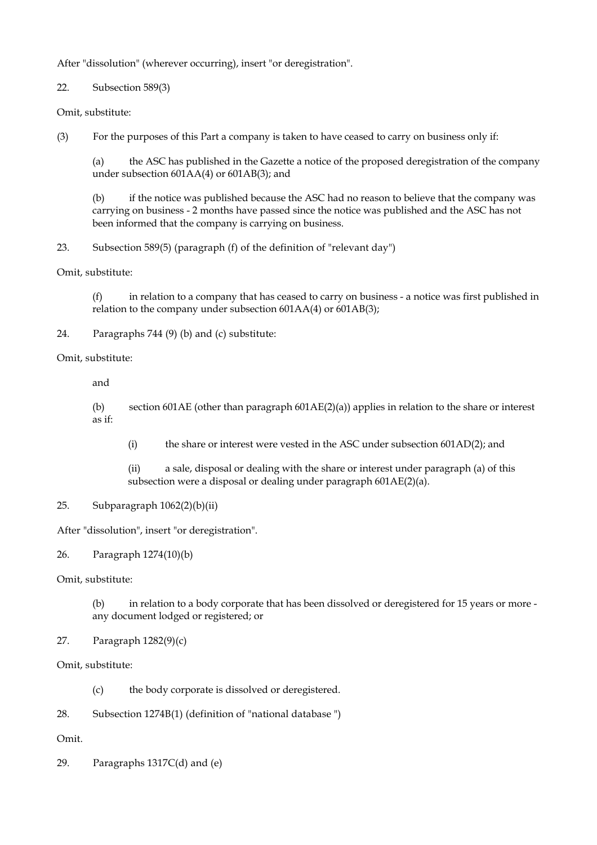After "dissolution" (wherever occurring), insert "or deregistration".

22. Subsection 589(3)

Omit, substitute:

(3) For the purposes of this Part a company is taken to have ceased to carry on business only if:

(a) the ASC has published in the Gazette a notice of the proposed deregistration of the company under subsection 601AA(4) or 601AB(3); and

(b) if the notice was published because the ASC had no reason to believe that the company was carrying on business - 2 months have passed since the notice was published and the ASC has not been informed that the company is carrying on business.

23. Subsection 589(5) (paragraph (f) of the definition of "relevant day")

Omit, substitute:

(f) in relation to a company that has ceased to carry on business - a notice was first published in relation to the company under subsection 601AA(4) or 601AB(3);

24. Paragraphs 744 (9) (b) and (c) substitute:

Omit, substitute:

and

(b) section 601AE (other than paragraph 601AE(2)(a)) applies in relation to the share or interest as if:

(i) the share or interest were vested in the ASC under subsection 601AD(2); and

(ii) a sale, disposal or dealing with the share or interest under paragraph (a) of this subsection were a disposal or dealing under paragraph 601AE(2)(a).

### 25. Subparagraph 1062(2)(b)(ii)

After "dissolution", insert "or deregistration".

26. Paragraph 1274(10)(b)

Omit, substitute:

(b) in relation to a body corporate that has been dissolved or deregistered for 15 years or more any document lodged or registered; or

### 27. Paragraph 1282(9)(c)

Omit, substitute:

(c) the body corporate is dissolved or deregistered.

28. Subsection 1274B(1) (definition of "national database ")

Omit.

29. Paragraphs 1317C(d) and (e)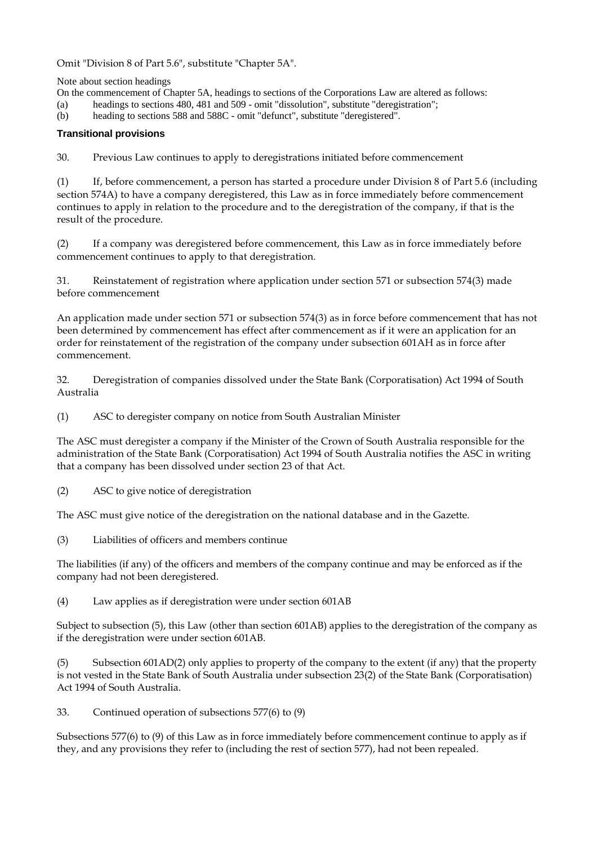Omit "Division 8 of Part 5.6", substitute "Chapter 5A".

Note about section headings

On the commencement of Chapter 5A, headings to sections of the Corporations Law are altered as follows:

(a) headings to sections 480, 481 and 509 - omit "dissolution", substitute "deregistration";

(b) heading to sections 588 and 588C - omit "defunct", substitute "deregistered".

#### **Transitional provisions**

30. Previous Law continues to apply to deregistrations initiated before commencement

(1) If, before commencement, a person has started a procedure under Division 8 of Part 5.6 (including section 574A) to have a company deregistered, this Law as in force immediately before commencement continues to apply in relation to the procedure and to the deregistration of the company, if that is the result of the procedure.

(2) If a company was deregistered before commencement, this Law as in force immediately before commencement continues to apply to that deregistration.

31. Reinstatement of registration where application under section 571 or subsection 574(3) made before commencement

An application made under section 571 or subsection 574(3) as in force before commencement that has not been determined by commencement has effect after commencement as if it were an application for an order for reinstatement of the registration of the company under subsection 601AH as in force after commencement.

32. Deregistration of companies dissolved under the State Bank (Corporatisation) Act 1994 of South Australia

(1) ASC to deregister company on notice from South Australian Minister

The ASC must deregister a company if the Minister of the Crown of South Australia responsible for the administration of the State Bank (Corporatisation) Act 1994 of South Australia notifies the ASC in writing that a company has been dissolved under section 23 of that Act.

(2) ASC to give notice of deregistration

The ASC must give notice of the deregistration on the national database and in the Gazette.

(3) Liabilities of officers and members continue

The liabilities (if any) of the officers and members of the company continue and may be enforced as if the company had not been deregistered.

(4) Law applies as if deregistration were under section 601AB

Subject to subsection (5), this Law (other than section 601AB) applies to the deregistration of the company as if the deregistration were under section 601AB.

(5) Subsection 601AD(2) only applies to property of the company to the extent (if any) that the property is not vested in the State Bank of South Australia under subsection 23(2) of the State Bank (Corporatisation) Act 1994 of South Australia.

33. Continued operation of subsections 577(6) to (9)

Subsections 577(6) to (9) of this Law as in force immediately before commencement continue to apply as if they, and any provisions they refer to (including the rest of section 577), had not been repealed.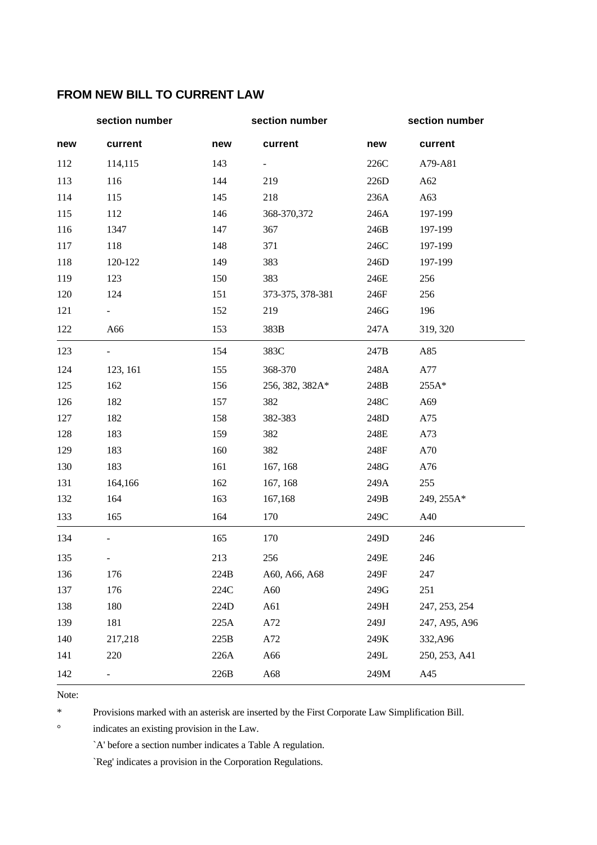# **FROM NEW BILL TO CURRENT LAW**

|     | section number               |      | section number               |      | section number |
|-----|------------------------------|------|------------------------------|------|----------------|
| new | current                      | new  | current                      | new  | current        |
| 112 | 114,115                      | 143  | $\qquad \qquad \blacksquare$ | 226C | A79-A81        |
| 113 | 116                          | 144  | 219                          | 226D | A62            |
| 114 | 115                          | 145  | 218                          | 236A | A63            |
| 115 | 112                          | 146  | 368-370,372                  | 246A | 197-199        |
| 116 | 1347                         | 147  | 367                          | 246B | 197-199        |
| 117 | 118                          | 148  | 371                          | 246C | 197-199        |
| 118 | 120-122                      | 149  | 383                          | 246D | 197-199        |
| 119 | 123                          | 150  | 383                          | 246E | 256            |
| 120 | 124                          | 151  | 373-375, 378-381             | 246F | 256            |
| 121 |                              | 152  | 219                          | 246G | 196            |
| 122 | A66                          | 153  | 383B                         | 247A | 319, 320       |
| 123 |                              | 154  | 383C                         | 247B | A85            |
| 124 | 123, 161                     | 155  | 368-370                      | 248A | A77            |
| 125 | 162                          | 156  | 256, 382, 382A*              | 248B | 255A*          |
| 126 | 182                          | 157  | 382                          | 248C | A69            |
| 127 | 182                          | 158  | 382-383                      | 248D | A75            |
| 128 | 183                          | 159  | 382                          | 248E | A73            |
| 129 | 183                          | 160  | 382                          | 248F | A70            |
| 130 | 183                          | 161  | 167, 168                     | 248G | A76            |
| 131 | 164,166                      | 162  | 167, 168                     | 249A | 255            |
| 132 | 164                          | 163  | 167,168                      | 249B | 249, 255A*     |
| 133 | 165                          | 164  | 170                          | 249C | A40            |
| 134 | $\overline{a}$               | 165  | 170                          | 249D | 246            |
| 135 |                              | 213  | 256                          | 249E | 246            |
| 136 | 176                          | 224B | A60, A66, A68                | 249F | 247            |
| 137 | 176                          | 224C | A60                          | 249G | 251            |
| 138 | 180                          | 224D | A61                          | 249H | 247, 253, 254  |
| 139 | 181                          | 225A | A72                          | 249J | 247, A95, A96  |
| 140 | 217,218                      | 225B | A72                          | 249K | 332, A96       |
| 141 | 220                          | 226A | A66                          | 249L | 250, 253, A41  |
| 142 | $\qquad \qquad \blacksquare$ | 226B | A68                          | 249M | A45            |

Note:

\* Provisions marked with an asterisk are inserted by the First Corporate Law Simplification Bill.

° indicates an existing provision in the Law.

`A' before a section number indicates a Table A regulation.

`Reg' indicates a provision in the Corporation Regulations.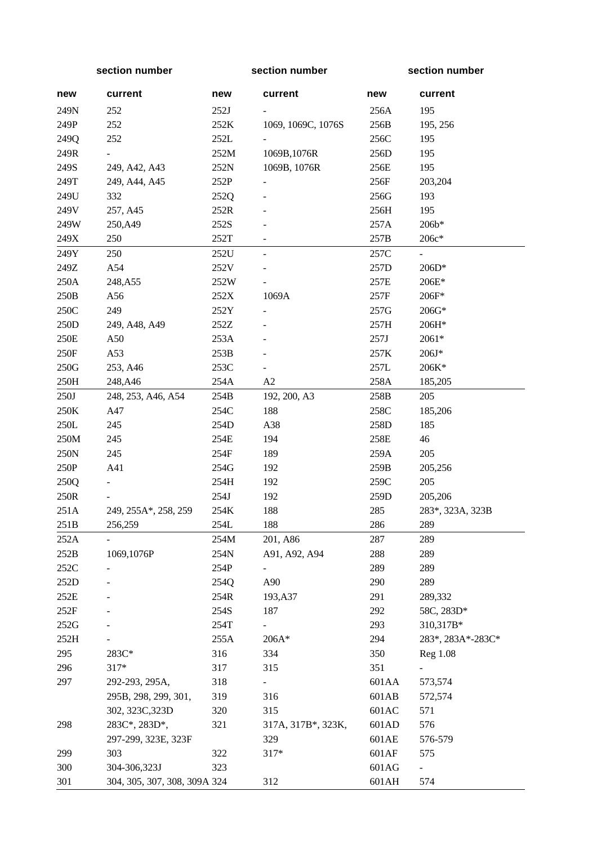| section number  |                              | section number |                              | section number |                   |
|-----------------|------------------------------|----------------|------------------------------|----------------|-------------------|
| new             | current                      | new            | current                      | new            | current           |
| 249N            | 252                          | 252J           |                              | 256A           | 195               |
| 249P            | 252                          | 252K           | 1069, 1069C, 1076S           | 256B           | 195, 256          |
| 249Q            | 252                          | 252L           |                              | 256C           | 195               |
| 249R            |                              | 252M           | 1069B, 1076R                 | 256D           | 195               |
| 249S            | 249, A42, A43                | 252N           | 1069B, 1076R                 | 256E           | 195               |
| 249T            | 249, A44, A45                | 252P           |                              | 256F           | 203,204           |
| 249U            | 332                          | 252Q           |                              | 256G           | 193               |
| 249V            | 257, A45                     | 252R           |                              | 256H           | 195               |
| 249W            | 250, A49                     | 252S           |                              | 257A           | 206b*             |
| 249X            | 250                          | 252T           | $\overline{\phantom{a}}$     | 257B           | 206c*             |
| 249Y            | 250                          | 252U           | $\equiv$                     | 257C           | $\equiv$          |
| 249Z            | A54                          | 252V           |                              | 257D           | 206D*             |
| 250A            | 248, A55                     | 252W           |                              | 257E           | 206E*             |
| 250B            | A56                          | 252X           | 1069A                        | 257F           | 206F*             |
| $250\mathrm{C}$ | 249                          | 252Y           | $\qquad \qquad \blacksquare$ | 257G           | 206G*             |
| 250D            | 249, A48, A49                | 252Z           |                              | 257H           | 206H*             |
| 250E            | A50                          | 253A           |                              | 257J           | 2061*             |
| 250F            | A53                          | 253B           |                              | 257K           | $206J*$           |
| 250G            | 253, A46                     | 253C           |                              | 257L           | 206K*             |
| 250H            | 248, A46                     | 254A           | A2                           | 258A           | 185,205           |
| 250J            | 248, 253, A46, A54           | 254B           | 192, 200, A3                 | 258B           | 205               |
| 250K            | A47                          | 254C           | 188                          | 258C           | 185,206           |
| $250L$          | 245                          | 254D           | A38                          | 258D           | 185               |
| 250M            | 245                          | 254E           | 194                          | 258E           | 46                |
| 250N            | 245                          | 254F           | 189                          | 259A           | 205               |
| 250P            | A41                          | 254G           | 192                          | 259B           | 205,256           |
| 250Q            |                              | 254H           | 192                          | 259C           | 205               |
| 250R            |                              | 254J           | 192                          | 259D           | 205,206           |
| 251A            | 249, 255A*, 258, 259         | 254K           | 188                          | 285            | 283*, 323A, 323B  |
| 251B            | 256,259                      | 254L           | 188                          | 286            | 289               |
| 252A            |                              | 254M           | 201, A86                     | 287            | 289               |
| 252B            | 1069,1076P                   | 254N           | A91, A92, A94                | 288            | 289               |
| 252C            |                              | 254P           |                              | 289            | 289               |
| 252D            |                              | 254Q           | A90                          | 290            | 289               |
| $252E$          |                              | 254R           | 193, A37                     | 291            | 289,332           |
| 252F            |                              | 254S           | 187                          | 292            | 58C, 283D*        |
| 252G            |                              | 254T           |                              | 293            | 310,317B*         |
| 252H            |                              | 255A           | $206A*$                      | 294            | 283*, 283A*-283C* |
| 295             | 283C*                        | 316            | 334                          | 350            | Reg 1.08          |
| 296             | 317*                         | 317            | 315                          | 351            |                   |
| 297             | 292-293, 295A,               | 318            |                              | 601AA          | 573,574           |
|                 | 295B, 298, 299, 301,         | 319            | 316                          | 601AB          | 572,574           |
|                 | 302, 323C, 323D              | 320            | 315                          | 601AC          | 571               |
| 298             | 283C*, 283D*,                | 321            | 317A, 317B*, 323K,           | 601AD          | 576               |
|                 | 297-299, 323E, 323F          |                | 329                          | 601AE          | 576-579           |
| 299             | 303                          | 322            | $317*$                       | 601AF          | 575               |
| 300             | 304-306,323J                 | 323            |                              | 601AG          |                   |
| 301             | 304, 305, 307, 308, 309A 324 |                | 312                          | 601AH          | 574               |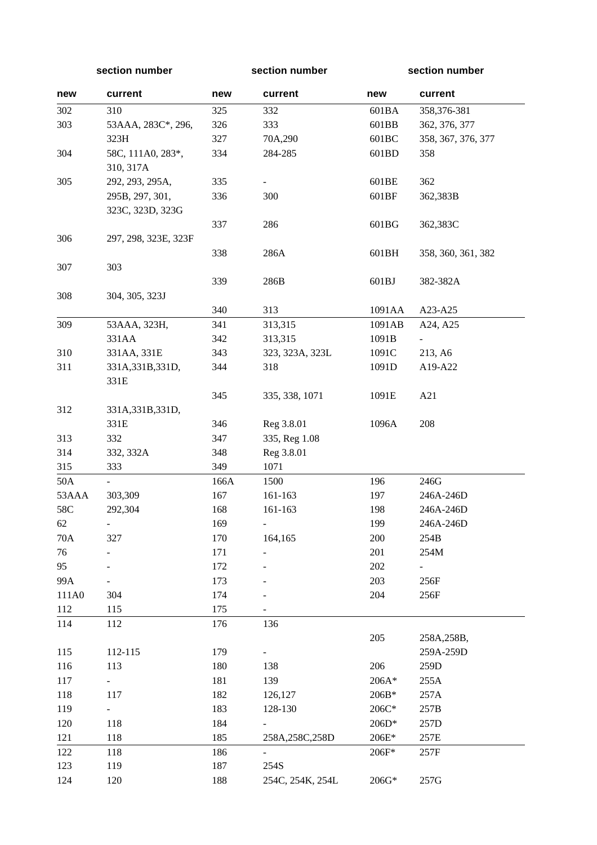**section number section number section number** 

| new   | current              | new  | current          | new    | current            |
|-------|----------------------|------|------------------|--------|--------------------|
| 302   | 310                  | 325  | 332              | 601BA  | 358,376-381        |
| 303   | 53AAA, 283C*, 296,   | 326  | 333              | 601BB  | 362, 376, 377      |
|       | 323H                 | 327  | 70A,290          | 601BC  | 358, 367, 376, 377 |
| 304   | 58C, 111A0, 283*,    | 334  | 284-285          | 601BD  | 358                |
|       | 310, 317A            |      |                  |        |                    |
| 305   | 292, 293, 295A,      | 335  |                  | 601BE  | 362                |
|       | 295B, 297, 301,      | 336  | 300              | 601BF  | 362,383B           |
|       | 323C, 323D, 323G     |      |                  |        |                    |
|       |                      | 337  | 286              | 601BG  | 362,383C           |
| 306   | 297, 298, 323E, 323F |      |                  |        |                    |
|       |                      | 338  | 286A             | 601BH  | 358, 360, 361, 382 |
| 307   | 303                  |      |                  |        |                    |
|       |                      | 339  | 286B             | 601BJ  | 382-382A           |
| 308   | 304, 305, 323J       |      |                  |        |                    |
|       |                      | 340  | 313              | 1091AA | A23-A25            |
| 309   | 53AAA, 323H,         | 341  | 313,315          | 1091AB | A24, A25           |
|       | 331AA                | 342  | 313,315          | 1091B  |                    |
| 310   | 331AA, 331E          | 343  | 323, 323A, 323L  | 1091C  | 213, A6            |
| 311   | 331A, 331B, 331D,    | 344  | 318              | 1091D  | A19-A22            |
|       | 331E                 |      |                  |        |                    |
|       |                      | 345  | 335, 338, 1071   | 1091E  | A21                |
| 312   | 331A, 331B, 331D,    |      |                  |        |                    |
|       | 331E                 | 346  | Reg 3.8.01       | 1096A  | 208                |
| 313   | 332                  | 347  | 335, Reg 1.08    |        |                    |
| 314   | 332, 332A            | 348  | Reg 3.8.01       |        |                    |
| 315   | 333                  | 349  | 1071             |        |                    |
| 50A   |                      | 166A | 1500             | 196    | 246G               |
| 53AAA | 303,309              | 167  | 161-163          | 197    | 246A-246D          |
| 58C   | 292,304              | 168  | 161-163          | 198    | 246A-246D          |
| 62    | $\frac{1}{2}$        | 169  | $\frac{1}{2}$    | 199    | 246A-246D          |
| 70A   | 327                  | 170  | 164,165          | 200    | $254\mathrm{B}$    |
| 76    |                      | 171  |                  | 201    | 254M               |
| 95    |                      | 172  |                  | 202    | Ξ.                 |
| 99A   |                      | 173  |                  | 203    | 256F               |
| 111A0 | 304                  | 174  |                  | 204    | 256F               |
| 112   | 115                  | 175  |                  |        |                    |
| 114   | 112                  | 176  | 136              |        |                    |
|       |                      |      |                  | 205    | 258A, 258B,        |
| 115   | 112-115              | 179  |                  |        | 259A-259D          |
| 116   | 113                  | 180  | 138              | 206    | 259D               |
| 117   |                      | 181  | 139              | 206A*  | 255A               |
| 118   | 117                  | 182  | 126,127          | 206B*  | 257A               |
| 119   |                      | 183  | 128-130          | 206C*  | 257B               |
| 120   | 118                  | 184  |                  | 206D*  | 257D               |
| 121   | 118                  | 185  | 258A, 258C, 258D | 206E*  | 257E               |
| 122   | 118                  | 186  | $\blacksquare$   | 206F*  | 257F               |
| 123   | 119                  | 187  | 254S             |        |                    |
| 124   | 120                  | 188  | 254C, 254K, 254L | 206G*  | 257G               |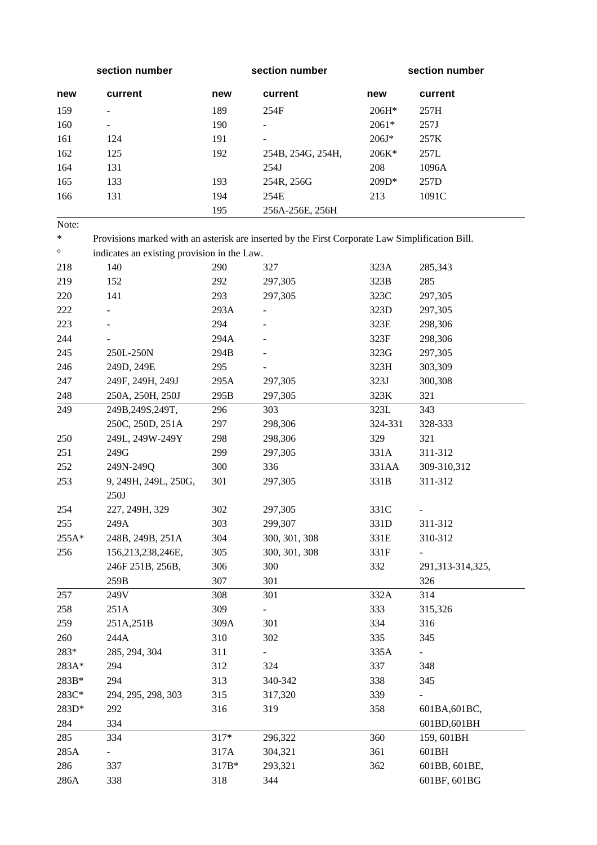|         | section number                                                                                  |        | section number    |         | section number   |
|---------|-------------------------------------------------------------------------------------------------|--------|-------------------|---------|------------------|
| new     | current                                                                                         | new    | current           | new     | current          |
| 159     |                                                                                                 | 189    | 254F              | $206H*$ | 257H             |
| 160     |                                                                                                 | 190    |                   | 2061*   | 257J             |
| 161     | 124                                                                                             | 191    |                   | $206J*$ | 257K             |
| 162     | 125                                                                                             | 192    | 254B, 254G, 254H, | 206K*   | 257L             |
| 164     | 131                                                                                             |        | 254J              | 208     | 1096A            |
| 165     | 133                                                                                             | 193    | 254R, 256G        | 209D*   | 257D             |
| 166     | 131                                                                                             | 194    | 254E              | 213     | 1091C            |
|         |                                                                                                 | 195    | 256A-256E, 256H   |         |                  |
| Note:   |                                                                                                 |        |                   |         |                  |
| $\ast$  | Provisions marked with an asterisk are inserted by the First Corporate Law Simplification Bill. |        |                   |         |                  |
| $\circ$ | indicates an existing provision in the Law.                                                     |        |                   |         |                  |
| 218     | 140                                                                                             | 290    | 327               | 323A    | 285,343          |
| 219     | 152                                                                                             | 292    | 297,305           | 323B    | 285              |
| 220     | 141                                                                                             | 293    | 297,305           | 323C    | 297,305          |
| 222     |                                                                                                 | 293A   |                   | 323D    | 297,305          |
| 223     |                                                                                                 | 294    |                   | 323E    | 298,306          |
| 244     |                                                                                                 | 294A   |                   | 323F    | 298,306          |
| 245     | 250L-250N                                                                                       | 294B   |                   | 323G    | 297,305          |
| 246     | 249D, 249E                                                                                      | 295    |                   | 323H    | 303,309          |
| 247     | 249F, 249H, 249J                                                                                | 295A   | 297,305           | 323J    | 300,308          |
| 248     | 250A, 250H, 250J                                                                                | 295B   | 297,305           | 323K    | 321              |
| 249     | 249B, 249S, 249T,                                                                               | 296    | 303               | 323L    | 343              |
|         | 250C, 250D, 251A                                                                                | 297    | 298,306           | 324-331 | 328-333          |
| 250     | 249L, 249W-249Y                                                                                 | 298    | 298,306           | 329     | 321              |
| 251     | 249G                                                                                            | 299    | 297,305           | 331A    | 311-312          |
| 252     | 249N-249Q                                                                                       | 300    | 336               | 331AA   | 309-310,312      |
| 253     | 9, 249H, 249L, 250G,                                                                            | 301    | 297,305           | 331B    | 311-312          |
|         | 250J                                                                                            |        |                   |         |                  |
| 254     | 227, 249H, 329                                                                                  | 302    | 297,305           | 331C    |                  |
| 255     | 249A                                                                                            | 303    | 299,307           | 331D    | 311-312          |
| 255A*   | 248B, 249B, 251A                                                                                | 304    | 300, 301, 308     | 331E    | 310-312          |
| 256     | 156,213,238,246E,                                                                               | 305    | 300, 301, 308     | 331F    |                  |
|         | 246F 251B, 256B,                                                                                | 306    | 300               | 332     | 291,313-314,325, |
|         | 259B                                                                                            | 307    | 301               |         | 326              |
| 257     | 249V                                                                                            | 308    | 301               | 332A    | 314              |
| 258     | 251A                                                                                            | 309    | $\blacksquare$    | 333     | 315,326          |
| 259     | 251A, 251B                                                                                      | 309A   | 301               | 334     | 316              |
| 260     | 244A                                                                                            | 310    | 302               | 335     | 345              |
| 283*    | 285, 294, 304                                                                                   | 311    |                   | 335A    |                  |
| 283A*   | 294                                                                                             | 312    | 324               | 337     | 348              |
| 283B*   | 294                                                                                             | 313    | 340-342           | 338     | 345              |
| 283C*   | 294, 295, 298, 303                                                                              | 315    | 317,320           | 339     |                  |
| 283D*   | 292                                                                                             | 316    | 319               | 358     | 601BA, 601BC,    |
| 284     | 334                                                                                             |        |                   |         | 601BD,601BH      |
| 285     | 334                                                                                             | $317*$ | 296,322           | 360     | 159, 601BH       |
| 285A    |                                                                                                 | 317A   | 304,321           | 361     | 601BH            |
| 286     | 337                                                                                             | 317B*  | 293,321           | 362     | 601BB, 601BE,    |
| 286A    | 338                                                                                             | 318    | 344               |         | 601BF, 601BG     |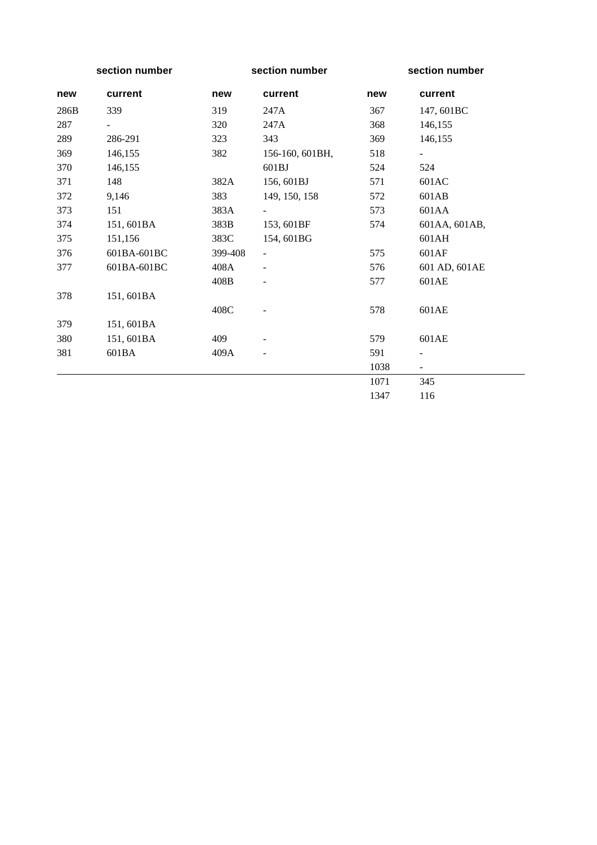|      | section number |         | section number           |      | section number           |
|------|----------------|---------|--------------------------|------|--------------------------|
| new  | current        | new     | current                  | new  | current                  |
| 286B | 339            | 319     | 247A                     | 367  | 147, 601BC               |
| 287  | $\blacksquare$ | 320     | 247A                     | 368  | 146,155                  |
| 289  | 286-291        | 323     | 343                      | 369  | 146,155                  |
| 369  | 146,155        | 382     | 156-160, 601BH,          | 518  | $\blacksquare$           |
| 370  | 146,155        |         | 601BJ                    | 524  | 524                      |
| 371  | 148            | 382A    | 156, 601BJ               | 571  | 601AC                    |
| 372  | 9,146          | 383     | 149, 150, 158            | 572  | 601AB                    |
| 373  | 151            | 383A    |                          | 573  | 601AA                    |
| 374  | 151, 601BA     | 383B    | 153, 601BF               | 574  | 601AA, 601AB,            |
| 375  | 151,156        | 383C    | 154, 601BG               |      | 601AH                    |
| 376  | 601BA-601BC    | 399-408 | $\overline{\phantom{0}}$ | 575  | 601AF                    |
| 377  | 601BA-601BC    | 408A    |                          | 576  | 601 AD, 601 AE           |
|      |                | 408B    |                          | 577  | 601AE                    |
| 378  | 151, 601BA     |         |                          |      |                          |
|      |                | 408C    |                          | 578  | 601AE                    |
| 379  | 151, 601BA     |         |                          |      |                          |
| 380  | 151,601BA      | 409     |                          | 579  | 601AE                    |
| 381  | 601BA          | 409A    |                          | 591  | $\overline{\phantom{0}}$ |
|      |                |         |                          | 1038 | $\overline{\phantom{a}}$ |
|      |                |         |                          | 1071 | 345                      |
|      |                |         |                          | 1347 | 116                      |

—<br>—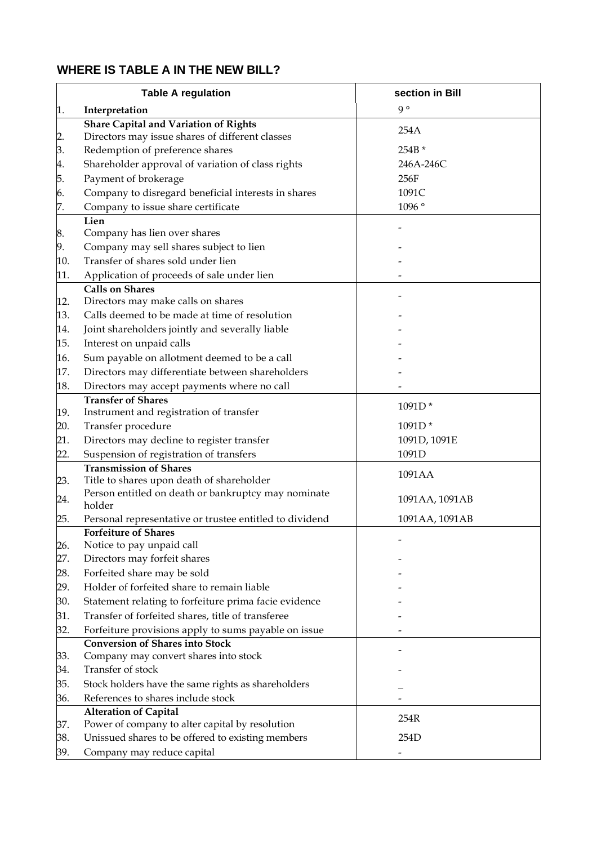# **WHERE IS TABLE A IN THE NEW BILL?**

|     | <b>Table A regulation</b>                                                                      | section in Bill |
|-----|------------------------------------------------------------------------------------------------|-----------------|
| 1.  | Interpretation                                                                                 | $9^{\circ}$     |
|     | <b>Share Capital and Variation of Rights</b>                                                   | 254A            |
| 2.  | Directors may issue shares of different classes                                                |                 |
| 3.  | Redemption of preference shares                                                                | 254B *          |
| 4.  | Shareholder approval of variation of class rights                                              | 246A-246C       |
| 5.  | Payment of brokerage                                                                           | 256F            |
| 6.  | Company to disregard beneficial interests in shares                                            | 1091C           |
| 7.  | Company to issue share certificate                                                             | 1096°           |
|     | Lien                                                                                           |                 |
| 8.  | Company has lien over shares                                                                   |                 |
| 9.  | Company may sell shares subject to lien                                                        |                 |
| 10. | Transfer of shares sold under lien                                                             |                 |
| 11. | Application of proceeds of sale under lien                                                     |                 |
|     | <b>Calls on Shares</b>                                                                         |                 |
| 12. | Directors may make calls on shares                                                             |                 |
| 13. | Calls deemed to be made at time of resolution                                                  |                 |
| 14. | Joint shareholders jointly and severally liable                                                |                 |
| 15. | Interest on unpaid calls                                                                       |                 |
| 16. | Sum payable on allotment deemed to be a call                                                   |                 |
| 17. | Directors may differentiate between shareholders                                               |                 |
| 18. | Directors may accept payments where no call                                                    |                 |
|     | <b>Transfer of Shares</b>                                                                      |                 |
| 19. | Instrument and registration of transfer                                                        | 1091D*          |
| 20. | Transfer procedure                                                                             | 1091D*          |
| 21. | Directors may decline to register transfer                                                     | 1091D, 1091E    |
| 22. | Suspension of registration of transfers                                                        | 1091D           |
|     | <b>Transmission of Shares</b>                                                                  | 1091AA          |
| 23. | Title to shares upon death of shareholder                                                      |                 |
| 24. | Person entitled on death or bankruptcy may nominate                                            | 1091AA, 1091AB  |
|     | holder                                                                                         |                 |
| 25. | Personal representative or trustee entitled to dividend<br><b>Forfeiture of Shares</b>         | 1091AA, 1091AB  |
| 26. | Notice to pay unpaid call                                                                      |                 |
| 27. | Directors may forfeit shares                                                                   |                 |
| 28. | Forfeited share may be sold                                                                    |                 |
| 29. | Holder of forfeited share to remain liable                                                     |                 |
| 30. | Statement relating to forfeiture prima facie evidence                                          |                 |
|     | Transfer of forfeited shares, title of transferee                                              |                 |
| 31. |                                                                                                |                 |
| 32. | Forfeiture provisions apply to sums payable on issue<br><b>Conversion of Shares into Stock</b> |                 |
| 33. | Company may convert shares into stock                                                          |                 |
| 34. | Transfer of stock                                                                              |                 |
| 35. | Stock holders have the same rights as shareholders                                             |                 |
| 36. | References to shares include stock                                                             |                 |
|     | <b>Alteration of Capital</b>                                                                   |                 |
| 37. | Power of company to alter capital by resolution                                                | 254R            |
| 38. | Unissued shares to be offered to existing members                                              | 254D            |
| 39. | Company may reduce capital                                                                     |                 |
|     |                                                                                                |                 |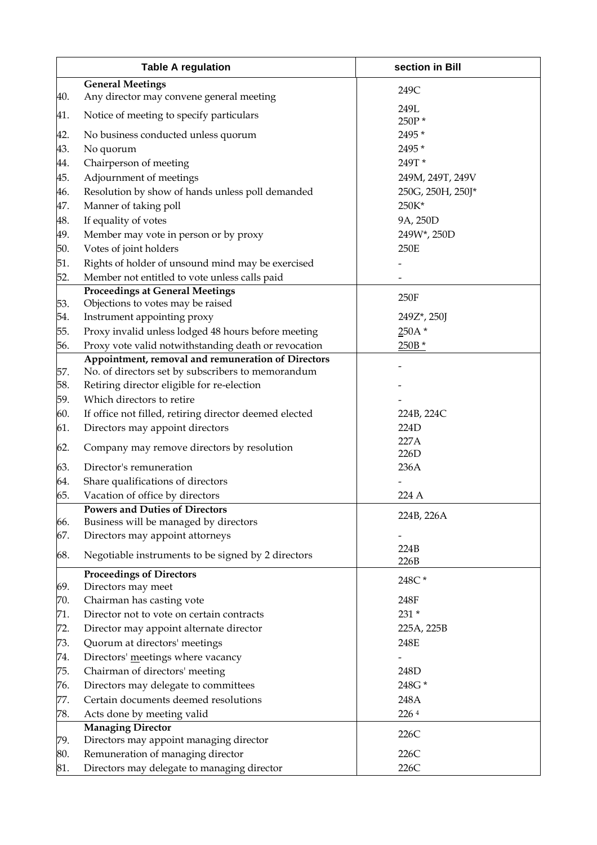|     | <b>Table A regulation</b>                                                                               | section in Bill   |  |  |
|-----|---------------------------------------------------------------------------------------------------------|-------------------|--|--|
|     | <b>General Meetings</b>                                                                                 |                   |  |  |
| 40. | Any director may convene general meeting                                                                | 249C              |  |  |
| 41. | Notice of meeting to specify particulars                                                                | 249L              |  |  |
|     |                                                                                                         | 250P*             |  |  |
| 42. | No business conducted unless quorum                                                                     | 2495 *            |  |  |
| 43. | No quorum                                                                                               | 2495 *            |  |  |
| 44. | Chairperson of meeting                                                                                  | 249T*             |  |  |
| 45. | Adjournment of meetings                                                                                 | 249M, 249T, 249V  |  |  |
| 46. | Resolution by show of hands unless poll demanded                                                        | 250G, 250H, 250J* |  |  |
| 47. | Manner of taking poll                                                                                   | 250K*             |  |  |
| 48. | If equality of votes                                                                                    | 9A, 250D          |  |  |
| 49. | Member may vote in person or by proxy                                                                   | 249W*, 250D       |  |  |
| 50. | Votes of joint holders                                                                                  | 250E              |  |  |
| 51. | Rights of holder of unsound mind may be exercised                                                       |                   |  |  |
| 52. | Member not entitled to vote unless calls paid                                                           |                   |  |  |
|     | <b>Proceedings at General Meetings</b>                                                                  | 250F              |  |  |
| 53. | Objections to votes may be raised                                                                       |                   |  |  |
| 54. | Instrument appointing proxy                                                                             | 249Z*, 250J       |  |  |
| 55. | Proxy invalid unless lodged 48 hours before meeting                                                     | $250A*$           |  |  |
| 56. | Proxy vote valid notwithstanding death or revocation                                                    | 250B *            |  |  |
| 57. | Appointment, removal and remuneration of Directors<br>No. of directors set by subscribers to memorandum |                   |  |  |
| 58. | Retiring director eligible for re-election                                                              |                   |  |  |
| 59. | Which directors to retire                                                                               |                   |  |  |
| 60. | If office not filled, retiring director deemed elected                                                  | 224B, 224C        |  |  |
| 61. | Directors may appoint directors                                                                         | 224D              |  |  |
|     |                                                                                                         | 227A              |  |  |
| 62. | Company may remove directors by resolution                                                              | 226D              |  |  |
| 63. | Director's remuneration                                                                                 | 236A              |  |  |
| 64. | Share qualifications of directors                                                                       |                   |  |  |
| 65. | Vacation of office by directors                                                                         | 224 A             |  |  |
|     | <b>Powers and Duties of Directors</b>                                                                   |                   |  |  |
| 66. | Business will be managed by directors                                                                   | 224B, 226A        |  |  |
| 67. | Directors may appoint attorneys                                                                         |                   |  |  |
| 68. | Negotiable instruments to be signed by 2 directors                                                      | 224B              |  |  |
|     |                                                                                                         | 226B              |  |  |
|     | <b>Proceedings of Directors</b>                                                                         | 248C*             |  |  |
| 69. | Directors may meet                                                                                      |                   |  |  |
| 70. | Chairman has casting vote                                                                               | 248F              |  |  |
| 71. | Director not to vote on certain contracts                                                               | 231 *             |  |  |
| 72. | Director may appoint alternate director                                                                 | 225A, 225B        |  |  |
| 73. | Quorum at directors' meetings                                                                           | 248E              |  |  |
| 74. | Directors' meetings where vacancy                                                                       |                   |  |  |
| 75. | Chairman of directors' meeting                                                                          | 248D              |  |  |
| 76. | Directors may delegate to committees                                                                    | 248G*             |  |  |
| 77. | Certain documents deemed resolutions                                                                    | 248A              |  |  |
| 78. | Acts done by meeting valid                                                                              | 2264              |  |  |
|     | <b>Managing Director</b>                                                                                | 226C              |  |  |
| 79. | Directors may appoint managing director                                                                 | 226C              |  |  |
| 80. | Remuneration of managing director                                                                       |                   |  |  |
| 81. | Directors may delegate to managing director                                                             | 226C              |  |  |